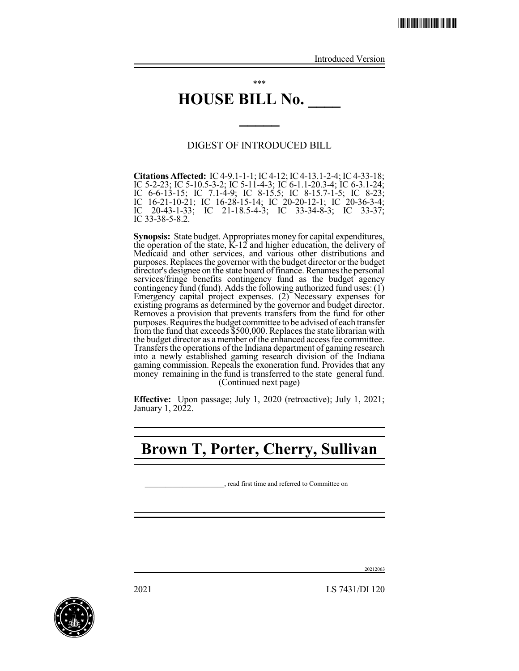Introduced Version

# **HOUSE BILL No. \_\_\_\_**

\*\*\*

### DIGEST OF INTRODUCED BILL

**\_\_\_\_\_**

**Citations Affected:** IC4-9.1-1-1; IC4-12; IC4-13.1-2-4; IC4-33-18; IC 5-2-23; IC 5-10.5-3-2; IC 5-11-4-3; IC 6-1.1-20.3-4; IC 6-3.1-24; IC 6-6-13-15; IC 7.1-4-9; IC 8-15.5; IC 8-15.7-1-5; IC 8-23; IC 16-21-10-21; IC 16-28-15-14; IC 20-20-12-1; IC 20-36-3-4; IC 20-43-1-33; IC 21-18.5-4-3; IC 33-34-8-3; IC 33-37; IC 20-43-1-33<br>IC 33-38-5-8.2.

**Synopsis:** State budget. Appropriates money for capital expenditures, the operation of the state, K-12 and higher education, the delivery of Medicaid and other services, and various other distributions and purposes. Replaces the governor with the budget director or the budget director's designee on the state board of finance. Renames the personal services/fringe benefits contingency fund as the budget agency contingency fund (fund). Adds the following authorized fund uses:  $(1)$ Emergency capital project expenses. (2) Necessary expenses for existing programs as determined by the governor and budget director. Removes a provision that prevents transfers from the fund for other purposes. Requires the budget committee to be advised of each transfer from the fund that exceeds \$500,000. Replaces the state librarian with the budget director as a member of the enhanced access fee committee. Transfers the operations of the Indiana department of gaming research into a newly established gaming research division of the Indiana gaming commission. Repeals the exoneration fund. Provides that any money remaining in the fund is transferred to the state general fund. (Continued next page)

**Effective:** Upon passage; July 1, 2020 (retroactive); July 1, 2021; January 1, 2022.

# **Brown T, Porter, Cherry, Sullivan**

\_\_\_\_\_\_\_\_\_\_\_\_\_\_\_\_\_\_\_\_\_\_\_, read first time and referred to Committee on



20212063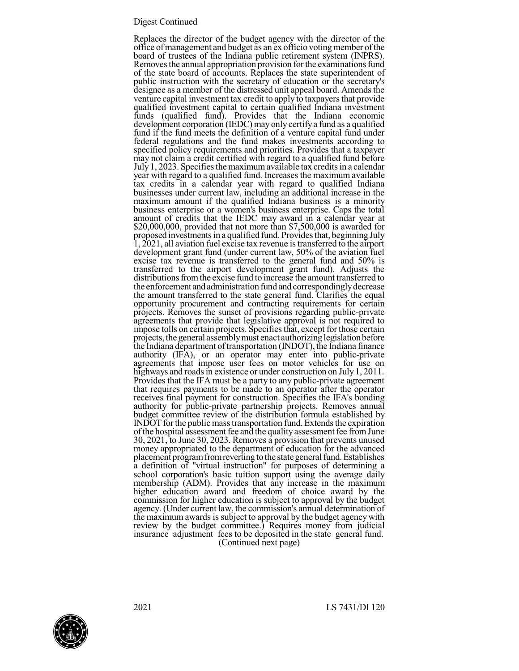#### Digest Continued

Replaces the director of the budget agency with the director of the office of management and budget as an ex officio voting member of the board of trustees of the Indiana public retirement system (INPRS). Removes the annual appropriation provision for the examinations fund of the state board of accounts. Replaces the state superintendent of public instruction with the secretary of education or the secretary's designee as a member of the distressed unit appeal board. Amends the venture capital investment tax credit to apply to taxpayers that provide qualified investment capital to certain qualified Indiana investment funds (qualified fund). Provides that the Indiana economic development corporation (IEDC) may only certifya fund as a qualified fund if the fund meets the definition of a venture capital fund under federal regulations and the fund makes investments according to specified policy requirements and priorities. Provides that a taxpayer may not claim a credit certified with regard to a qualified fund before July 1, 2023. Specifies the maximum available tax credits in a calendar year with regard to a qualified fund. Increases the maximum available tax credits in a calendar year with regard to qualified Indiana businesses under current law, including an additional increase in the maximum amount if the qualified Indiana business is a minority business enterprise or a women's business enterprise. Caps the total amount of credits that the IEDC may award in a calendar year at \$20,000,000, provided that not more than \$7,500,000 is awarded for proposed investments in a qualified fund. Provides that, beginning July 1, 2021, all aviation fuel excise tax revenue istransferred to the airport development grant fund (under current law, 50% of the aviation fuel excise tax revenue is transferred to the general fund and 50% is transferred to the airport development grant fund). Adjusts the distributions from the excise fund to increase the amount transferred to the enforcement and administration fund and correspondingly decrease the amount transferred to the state general fund. Clarifies the equal opportunity procurement and contracting requirements for certain projects. Removes the sunset of provisions regarding public-private agreements that provide that legislative approval is not required to impose tolls on certain projects. Specifiesthat, except for those certain projects, the general assembly must enact authorizing legislation before the Indiana department of transportation (INDOT), the Indiana finance authority (IFA), or an operator may enter into public-private agreements that impose user fees on motor vehicles for use on highways and roads in existence or under construction on July 1, 2011. Provides that the IFA must be a party to any public-private agreement that requires payments to be made to an operator after the operator receives final payment for construction. Specifies the IFA's bonding authority for public-private partnership projects. Removes annual budget committee review of the distribution formula established by INDOT for the public mass transportation fund. Extends the expiration of the hospital assessment fee and the quality assessment fee from June 30, 2021, to June 30, 2023. Removes a provision that prevents unused money appropriated to the department of education for the advanced placement program from reverting to the state general fund. Establishes a definition of "virtual instruction" for purposes of determining a school corporation's basic tuition support using the average daily membership (ADM). Provides that any increase in the maximum higher education award and freedom of choice award by the commission for higher education is subject to approval by the budget agency. (Under current law, the commission's annual determination of the maximum awards is subject to approval by the budget agency with review by the budget committee.) Requires money from judicial insurance adjustment fees to be deposited in the state general fund. (Continued next page)

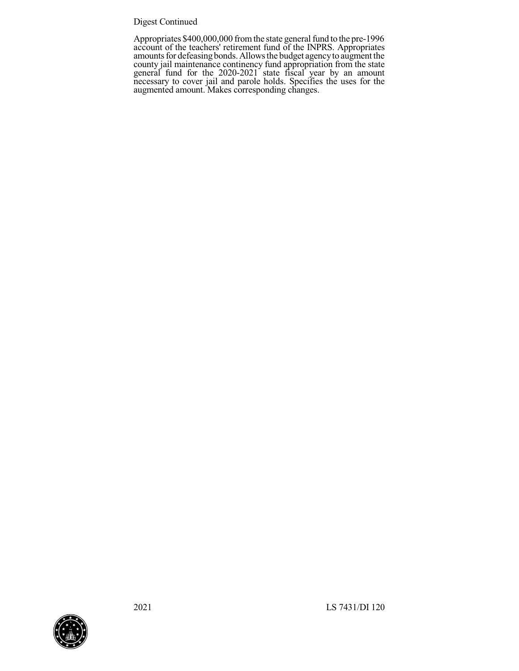### Digest Continued

Appropriates \$400,000,000 from the state general fund to the pre-1996 account of the teachers' retirement fund of the INPRS. Appropriates amounts for defeasing bonds. Allows the budget agency to augment the county jail maintenance continency fund appropriation from the state general fund for the 2020-2021 state fiscal year by an amount necessary to cover jail and parole holds. Specifies the uses for the augmented amount. Makes corresponding changes.

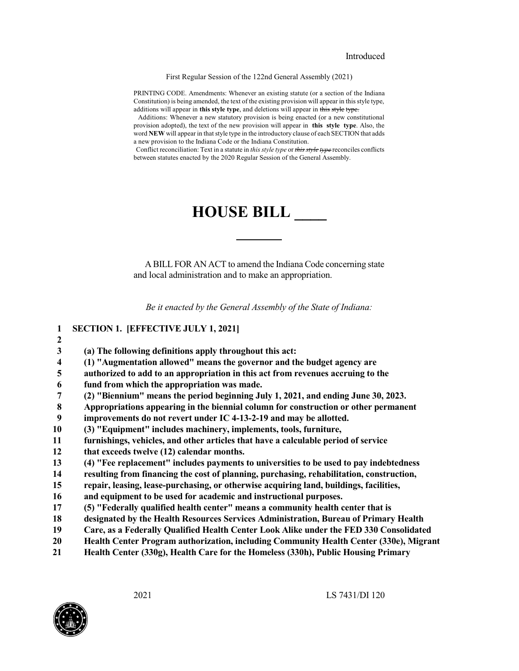First Regular Session of the 122nd General Assembly (2021)

PRINTING CODE. Amendments: Whenever an existing statute (or a section of the Indiana Constitution) is being amended, the text of the existing provision will appear in this style type, additions will appear in **this style type**, and deletions will appear in this style type.

Additions: Whenever a new statutory provision is being enacted (or a new constitutional provision adopted), the text of the new provision will appear in **this style type**. Also, the word NEW will appear in that style type in the introductory clause of each SECTION that adds a new provision to the Indiana Code or the Indiana Constitution.

Conflict reconciliation: Text in a statute in *this style type* or *this style type* reconciles conflicts between statutes enacted by the 2020 Regular Session of the General Assembly.

# **HOUSE BILL \_\_\_\_**

A BILL FOR AN ACT to amend the Indiana Code concerning state and local administration and to make an appropriation.

*Be it enacted by the General Assembly of the State of Indiana:*

 **SECTION 1. [EFFECTIVE JULY 1, 2021] 2 (a) The following definitions apply throughout this act: (1) "Augmentation allowed" means the governor and the budget agency are authorized to add to an appropriation in this act from revenues accruing to the fund from which the appropriation was made. (2) "Biennium" means the period beginning July 1, 2021, and ending June 30, 2023. Appropriations appearing in the biennial column for construction or other permanent improvements do not revert under IC 4-13-2-19 and may be allotted. (3) "Equipment" includes machinery, implements, tools, furniture, furnishings, vehicles, and other articles that have a calculable period of service that exceeds twelve (12) calendar months. (4) "Fee replacement" includes payments to universities to be used to pay indebtedness resulting from financing the cost of planning, purchasing, rehabilitation, construction, repair, leasing, lease-purchasing, or otherwise acquiring land, buildings, facilities, and equipment to be used for academic and instructional purposes. (5) "Federally qualified health center" means a community health center that is designated by the Health Resources Services Administration, Bureau of Primary Health Care, as a Federally Qualified Health Center Look Alike under the FED 330 Consolidated Health Center Program authorization, including Community Health Center (330e), Migrant Health Center (330g), Health Care for the Homeless (330h), Public Housing Primary**

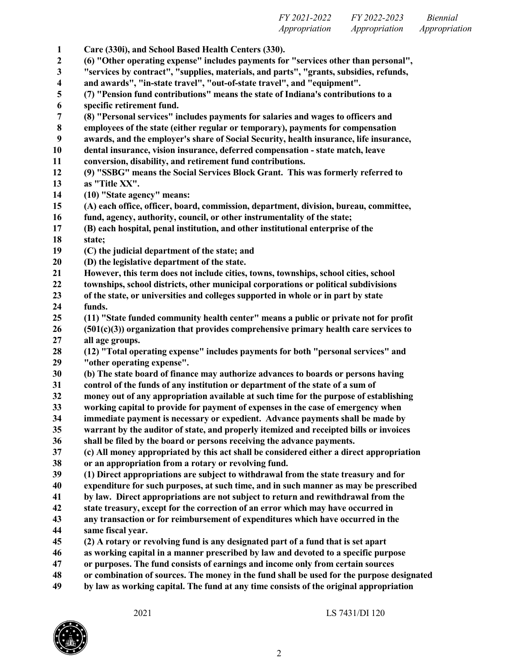*FY 2021-2022 FY 2022-2023 Biennial Appropriation Appropriation Appropriation*

 **Care (330i), and School Based Health Centers (330). (6) "Other operating expense" includes payments for "services other than personal", "services by contract", "supplies, materials, and parts", "grants, subsidies, refunds, and awards", "in-state travel", "out-of-state travel", and "equipment". (7) "Pension fund contributions" means the state of Indiana's contributions to a specific retirement fund. (8) "Personal services" includes payments for salaries and wages to officers and employees of the state (either regular or temporary), payments for compensation awards, and the employer's share of Social Security, health insurance, life insurance, dental insurance, vision insurance, deferred compensation - state match, leave conversion, disability, and retirement fund contributions. (9) "SSBG" means the Social Services Block Grant. This was formerly referred to as "Title XX". (10) "State agency" means: (A) each office, officer, board, commission, department, division, bureau, committee, fund, agency, authority, council, or other instrumentality of the state; (B) each hospital, penal institution, and other institutional enterprise of the state; (C) the judicial department of the state; and (D) the legislative department of the state. However, this term does not include cities, towns, townships, school cities, school townships, school districts, other municipal corporations or political subdivisions of the state, or universities and colleges supported in whole or in part by state funds. (11) "State funded community health center" means a public or private not for profit (501(c)(3)) organization that provides comprehensive primary health care services to all age groups. (12) "Total operating expense" includes payments for both "personal services" and "other operating expense". (b) The state board of finance may authorize advances to boards or persons having control of the funds of any institution or department of the state of a sum of money out of any appropriation available at such time for the purpose of establishing working capital to provide for payment of expenses in the case of emergency when immediate payment is necessary or expedient. Advance payments shall be made by warrant by the auditor of state, and properly itemized and receipted bills or invoices shall be filed by the board or persons receiving the advance payments. (c) All money appropriated by this act shall be considered either a direct appropriation or an appropriation from a rotary or revolving fund. (1) Direct appropriations are subject to withdrawal from the state treasury and for expenditure for such purposes, at such time, and in such manner as may be prescribed by law. Direct appropriations are not subject to return and rewithdrawal from the state treasury, except for the correction of an error which may have occurred in any transaction or for reimbursement of expenditures which have occurred in the same fiscal year. (2) A rotary or revolving fund is any designated part of a fund that is set apart as working capital in a manner prescribed by law and devoted to a specific purpose or purposes. The fund consists of earnings and income only from certain sources or combination of sources. The money in the fund shall be used for the purpose designated**

**by law as working capital. The fund at any time consists of the original appropriation**

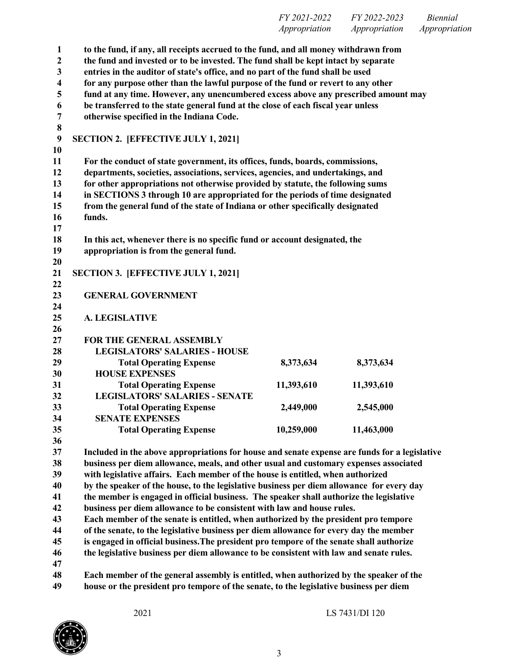| FY 2021-2022                                    | FY 2022-2023  | <i>Biennial</i> |
|-------------------------------------------------|---------------|-----------------|
| Appropriation                                   | Appropriation | Appropriation   |
| a fan de stede allen om om middeling men fan de |               |                 |

 **to the fund, if any, all receipts accrued to the fund, and all money withdrawn from the fund and invested or to be invested. The fund shall be kept intact by separate entries in the auditor of state's office, and no part of the fund shall be used for any purpose other than the lawful purpose of the fund or revert to any other fund at any time. However, any unencumbered excess above any prescribed amount may be transferred to the state general fund at the close of each fiscal year unless otherwise specified in the Indiana Code. SECTION 2. [EFFECTIVE JULY 1, 2021] For the conduct of state government, its offices, funds, boards, commissions, departments, societies, associations, services, agencies, and undertakings, and for other appropriations not otherwise provided by statute, the following sums in SECTIONS 3 through 10 are appropriated for the periods of time designated from the general fund of the state of Indiana or other specifically designated funds. In this act, whenever there is no specific fund or account designated, the appropriation is from the general fund. SECTION 3. [EFFECTIVE JULY 1, 2021] GENERAL GOVERNMENT A. LEGISLATIVE FOR THE GENERAL ASSEMBLY LEGISLATORS' SALARIES - HOUSE Total Operating Expense 8,373,634 8,373,634 HOUSE EXPENSES Total Operating Expense 11,393,610 11,393,610 LEGISLATORS' SALARIES - SENATE Total Operating Expense 2,449,000 2,545,000 SENATE EXPENSES Total Operating Expense 10,259,000 11,463,000 Included in the above appropriations for house and senate expense are funds for a legislative business per diem allowance, meals, and other usual and customary expenses associated with legislative affairs. Each member of the house is entitled, when authorized by the speaker of the house, to the legislative business per diem allowance for every day the member is engaged in official business. The speaker shall authorize the legislative business per diem allowance to be consistent with law and house rules.**

 **Each member of the senate is entitled, when authorized by the president pro tempore of the senate, to the legislative business per diem allowance for every day the member**

**is engaged in official business.The president pro tempore of the senate shall authorize**

**the legislative business per diem allowance to be consistent with law and senate rules.**

 **Each member of the general assembly is entitled, when authorized by the speaker of the house or the president pro tempore of the senate, to the legislative business per diem**

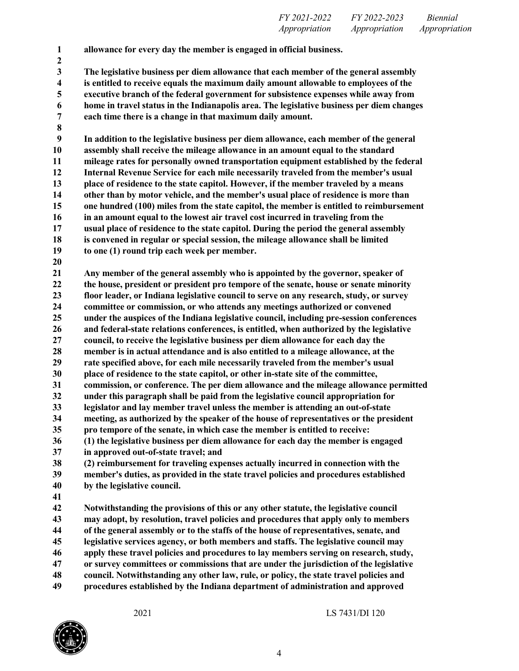**allowance for every day the member is engaged in official business.**

 **The legislative business per diem allowance that each member of the general assembly is entitled to receive equals the maximum daily amount allowable to employees of the executive branch of the federal government for subsistence expenses while away from home in travel status in the Indianapolis area. The legislative business per diem changes each time there is a change in that maximum daily amount.**

 **In addition to the legislative business per diem allowance, each member of the general assembly shall receive the mileage allowance in an amount equal to the standard mileage rates for personally owned transportation equipment established by the federal Internal Revenue Service for each mile necessarily traveled from the member's usual place of residence to the state capitol. However, if the member traveled by a means other than by motor vehicle, and the member's usual place of residence is more than one hundred (100) miles from the state capitol, the member is entitled to reimbursement in an amount equal to the lowest air travel cost incurred in traveling from the usual place of residence to the state capitol. During the period the general assembly is convened in regular or special session, the mileage allowance shall be limited to one (1) round trip each week per member.**

 **Any member of the general assembly who is appointed by the governor, speaker of the house, president or president pro tempore of the senate, house or senate minority floor leader, or Indiana legislative council to serve on any research, study, or survey committee or commission, or who attends any meetings authorized or convened under the auspices of the Indiana legislative council, including pre-session conferences and federal-state relations conferences, is entitled, when authorized by the legislative council, to receive the legislative business per diem allowance for each day the member is in actual attendance and is also entitled to a mileage allowance, at the rate specified above, for each mile necessarily traveled from the member's usual place of residence to the state capitol, or other in-state site of the committee, commission, or conference. The per diem allowance and the mileage allowance permitted under this paragraph shall be paid from the legislative council appropriation for**

- **legislator and lay member travel unless the member is attending an out-of-state**
- **meeting, as authorized by the speaker of the house of representatives or the president**
- **pro tempore of the senate, in which case the member is entitled to receive:**
- **(1) the legislative business per diem allowance for each day the member is engaged in approved out-of-state travel; and**

 **(2) reimbursement for traveling expenses actually incurred in connection with the member's duties, as provided in the state travel policies and procedures established by the legislative council.**

 **Notwithstanding the provisions of this or any other statute, the legislative council may adopt, by resolution, travel policies and procedures that apply only to members of the general assembly or to the staffs of the house of representatives, senate, and legislative services agency, or both members and staffs. The legislative council may apply these travel policies and procedures to lay members serving on research, study, or survey committees or commissions that are under the jurisdiction of the legislative council. Notwithstanding any other law, rule, or policy, the state travel policies and procedures established by the Indiana department of administration and approved**

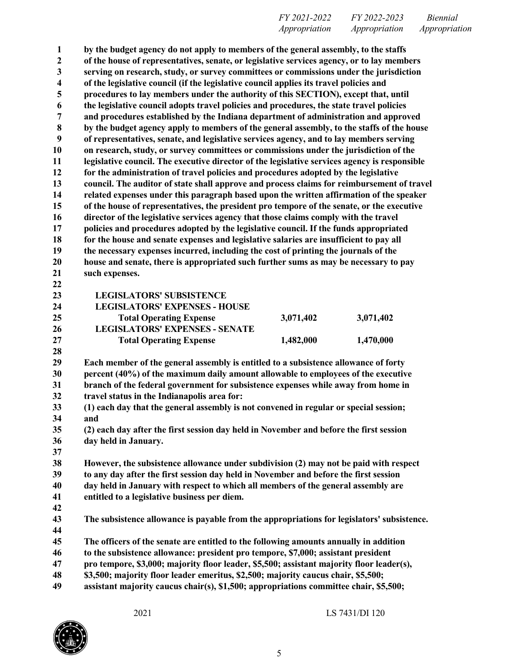**by the budget agency do not apply to members of the general assembly, to the staffs of the house of representatives, senate, or legislative services agency, or to lay members serving on research, study, or survey committees or commissions under the jurisdiction of the legislative council (if the legislative council applies its travel policies and procedures to lay members under the authority of this SECTION), except that, until the legislative council adopts travel policies and procedures, the state travel policies and procedures established by the Indiana department of administration and approved by the budget agency apply to members of the general assembly, to the staffs of the house of representatives, senate, and legislative services agency, and to lay members serving on research, study, or survey committees or commissions under the jurisdiction of the legislative council. The executive director of the legislative services agency is responsible for the administration of travel policies and procedures adopted by the legislative council. The auditor of state shall approve and process claims for reimbursement of travel related expenses under this paragraph based upon the written affirmation of the speaker of the house of representatives, the president pro tempore of the senate, or the executive director of the legislative services agency that those claims comply with the travel policies and procedures adopted by the legislative council. If the funds appropriated for the house and senate expenses and legislative salaries are insufficient to pay all the necessary expenses incurred, including the cost of printing the journals of the house and senate, there is appropriated such further sums as may be necessary to pay such expenses. LEGISLATORS' SUBSISTENCE LEGISLATORS' EXPENSES - HOUSE Total Operating Expense 3,071,402 3,071,402 LEGISLATORS' EXPENSES - SENATE Total Operating Expense 1,482,000 1,470,000 Each member of the general assembly is entitled to a subsistence allowance of forty percent (40%) of the maximum daily amount allowable to employees of the executive branch of the federal government for subsistence expenses while away from home in travel status in the Indianapolis area for: (1) each day that the general assembly is not convened in regular or special session; and (2) each day after the first session day held in November and before the first session day held in January. However, the subsistence allowance under subdivision (2) may not be paid with respect to any day after the first session day held in November and before the first session day held in January with respect to which all members of the general assembly are entitled to a legislative business per diem. The subsistence allowance is payable from the appropriations for legislators' subsistence. The officers of the senate are entitled to the following amounts annually in addition to the subsistence allowance: president pro tempore, \$7,000; assistant president pro tempore, \$3,000; majority floor leader, \$5,500; assistant majority floor leader(s), \$3,500; majority floor leader emeritus, \$2,500; majority caucus chair, \$5,500; assistant majority caucus chair(s), \$1,500; appropriations committee chair, \$5,500;**

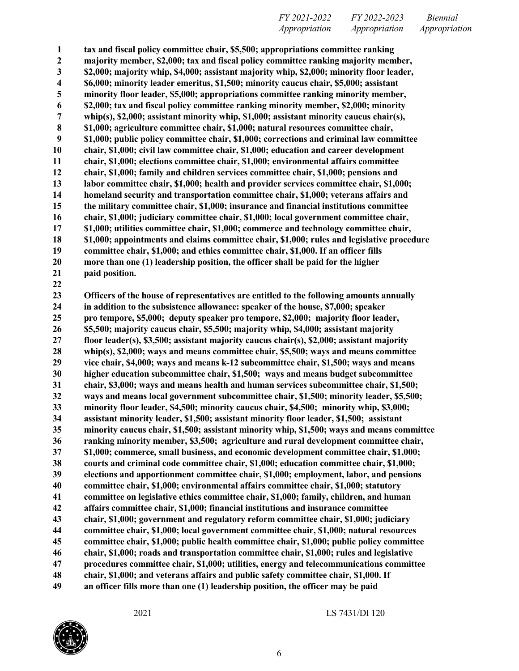**tax and fiscal policy committee chair, \$5,500; appropriations committee ranking majority member, \$2,000; tax and fiscal policy committee ranking majority member, \$2,000; majority whip, \$4,000; assistant majority whip, \$2,000; minority floor leader, \$6,000; minority leader emeritus, \$1,500; minority caucus chair, \$5,000; assistant minority floor leader, \$5,000; appropriations committee ranking minority member, \$2,000; tax and fiscal policy committee ranking minority member, \$2,000; minority whip(s), \$2,000; assistant minority whip, \$1,000; assistant minority caucus chair(s), \$1,000; agriculture committee chair, \$1,000; natural resources committee chair, \$1,000; public policy committee chair, \$1,000; corrections and criminal law committee chair, \$1,000; civil law committee chair, \$1,000; education and career development chair, \$1,000; elections committee chair, \$1,000; environmental affairs committee chair, \$1,000; family and children services committee chair, \$1,000; pensions and labor committee chair, \$1,000; health and provider services committee chair, \$1,000; homeland security and transportation committee chair, \$1,000; veterans affairs and the military committee chair, \$1,000; insurance and financial institutions committee chair, \$1,000; judiciary committee chair, \$1,000; local government committee chair, \$1,000; utilities committee chair, \$1,000; commerce and technology committee chair, \$1,000; appointments and claims committee chair, \$1,000; rules and legislative procedure committee chair, \$1,000; and ethics committee chair, \$1,000. If an officer fills more than one (1) leadership position, the officer shall be paid for the higher paid position.**

 **Officers of the house of representatives are entitled to the following amounts annually in addition to the subsistence allowance: speaker of the house, \$7,000; speaker pro tempore, \$5,000; deputy speaker pro tempore, \$2,000; majority floor leader, \$5,500; majority caucus chair, \$5,500; majority whip, \$4,000; assistant majority floor leader(s), \$3,500; assistant majority caucus chair(s), \$2,000; assistant majority whip(s), \$2,000; ways and means committee chair, \$5,500; ways and means committee vice chair, \$4,000; ways and means k-12 subcommittee chair, \$1,500; ways and means higher education subcommittee chair, \$1,500; ways and means budget subcommittee chair, \$3,000; ways and means health and human services subcommittee chair, \$1,500; ways and means local government subcommittee chair, \$1,500; minority leader, \$5,500; minority floor leader, \$4,500; minority caucus chair, \$4,500; minority whip, \$3,000; assistant minority leader, \$1,500; assistant minority floor leader, \$1,500; assistant minority caucus chair, \$1,500; assistant minority whip, \$1,500; ways and means committee ranking minority member, \$3,500; agriculture and rural development committee chair, \$1,000; commerce, small business, and economic development committee chair, \$1,000; courts and criminal code committee chair, \$1,000; education committee chair, \$1,000; elections and apportionment committee chair, \$1,000; employment, labor, and pensions committee chair, \$1,000; environmental affairs committee chair, \$1,000; statutory committee on legislative ethics committee chair, \$1,000; family, children, and human affairs committee chair, \$1,000; financial institutions and insurance committee chair, \$1,000; government and regulatory reform committee chair, \$1,000; judiciary committee chair, \$1,000; local government committee chair, \$1,000; natural resources committee chair, \$1,000; public health committee chair, \$1,000; public policy committee chair, \$1,000; roads and transportation committee chair, \$1,000; rules and legislative procedures committee chair, \$1,000; utilities, energy and telecommunications committee chair, \$1,000; and veterans affairs and public safety committee chair, \$1,000. If an officer fills more than one (1) leadership position, the officer may be paid**

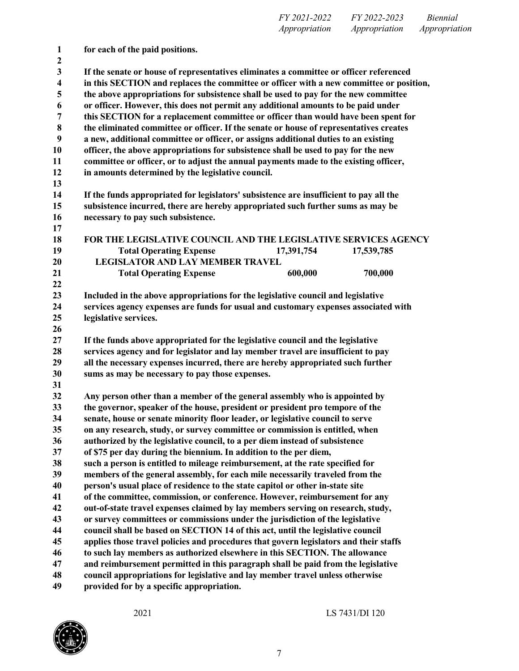| $\mathbf{1}$<br>$\boldsymbol{2}$ | for each of the paid positions.                                                                                                                                     |  |  |  |
|----------------------------------|---------------------------------------------------------------------------------------------------------------------------------------------------------------------|--|--|--|
| $\mathbf{3}$                     | If the senate or house of representatives eliminates a committee or officer referenced                                                                              |  |  |  |
| $\overline{\mathbf{4}}$          | in this SECTION and replaces the committee or officer with a new committee or position,                                                                             |  |  |  |
| 5                                | the above appropriations for subsistence shall be used to pay for the new committee                                                                                 |  |  |  |
| 6                                | or officer. However, this does not permit any additional amounts to be paid under                                                                                   |  |  |  |
| 7                                | this SECTION for a replacement committee or officer than would have been spent for                                                                                  |  |  |  |
| $\bf 8$                          | the eliminated committee or officer. If the senate or house of representatives creates                                                                              |  |  |  |
| $\boldsymbol{9}$                 | a new, additional committee or officer, or assigns additional duties to an existing                                                                                 |  |  |  |
| 10                               | officer, the above appropriations for subsistence shall be used to pay for the new                                                                                  |  |  |  |
| 11                               | committee or officer, or to adjust the annual payments made to the existing officer,                                                                                |  |  |  |
| 12                               | in amounts determined by the legislative council.                                                                                                                   |  |  |  |
| 13                               |                                                                                                                                                                     |  |  |  |
| 14                               | If the funds appropriated for legislators' subsistence are insufficient to pay all the                                                                              |  |  |  |
| 15                               | subsistence incurred, there are hereby appropriated such further sums as may be                                                                                     |  |  |  |
| 16                               | necessary to pay such subsistence.                                                                                                                                  |  |  |  |
| 17                               |                                                                                                                                                                     |  |  |  |
| 18                               | FOR THE LEGISLATIVE COUNCIL AND THE LEGISLATIVE SERVICES AGENCY                                                                                                     |  |  |  |
| 19                               | <b>Total Operating Expense</b><br>17,391,754<br>17,539,785                                                                                                          |  |  |  |
| 20                               | <b>LEGISLATOR AND LAY MEMBER TRAVEL</b>                                                                                                                             |  |  |  |
| 21                               | 600,000<br>700,000<br><b>Total Operating Expense</b>                                                                                                                |  |  |  |
| 22                               |                                                                                                                                                                     |  |  |  |
| 23                               | Included in the above appropriations for the legislative council and legislative                                                                                    |  |  |  |
| 24                               | services agency expenses are funds for usual and customary expenses associated with                                                                                 |  |  |  |
| 25                               | legislative services.                                                                                                                                               |  |  |  |
| 26                               |                                                                                                                                                                     |  |  |  |
| 27                               | If the funds above appropriated for the legislative council and the legislative                                                                                     |  |  |  |
| 28<br>29                         | services agency and for legislator and lay member travel are insufficient to pay<br>all the necessary expenses incurred, there are hereby appropriated such further |  |  |  |
| 30                               | sums as may be necessary to pay those expenses.                                                                                                                     |  |  |  |
| 31                               |                                                                                                                                                                     |  |  |  |
| 32                               | Any person other than a member of the general assembly who is appointed by                                                                                          |  |  |  |
| 33                               | the governor, speaker of the house, president or president pro tempore of the                                                                                       |  |  |  |
| 34                               | senate, house or senate minority floor leader, or legislative council to serve                                                                                      |  |  |  |
| 35                               | on any research, study, or survey committee or commission is entitled, when                                                                                         |  |  |  |
| 36                               | authorized by the legislative council, to a per diem instead of subsistence                                                                                         |  |  |  |
| 37                               | of \$75 per day during the biennium. In addition to the per diem,                                                                                                   |  |  |  |
| 38                               | such a person is entitled to mileage reimbursement, at the rate specified for                                                                                       |  |  |  |
| 39                               | members of the general assembly, for each mile necessarily traveled from the                                                                                        |  |  |  |
| 40                               | person's usual place of residence to the state capitol or other in-state site                                                                                       |  |  |  |
| 41                               | of the committee, commission, or conference. However, reimbursement for any                                                                                         |  |  |  |
| 42                               | out-of-state travel expenses claimed by lay members serving on research, study,                                                                                     |  |  |  |
| 43                               | or survey committees or commissions under the jurisdiction of the legislative                                                                                       |  |  |  |
| 44                               | council shall be based on SECTION 14 of this act, until the legislative council                                                                                     |  |  |  |
| 45                               | applies those travel policies and procedures that govern legislators and their staffs                                                                               |  |  |  |
| 46                               | to such lay members as authorized elsewhere in this SECTION. The allowance                                                                                          |  |  |  |
| 47                               | and reimbursement permitted in this paragraph shall be paid from the legislative                                                                                    |  |  |  |
| 48                               | council appropriations for legislative and lay member travel unless otherwise                                                                                       |  |  |  |
| 49                               | provided for by a specific appropriation.                                                                                                                           |  |  |  |

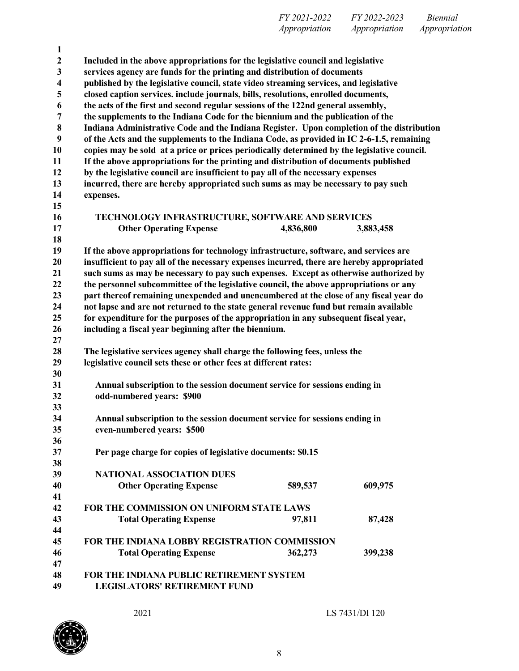| FY 2021-2022         | FY 2022-2023  | <i>Biennial</i> |
|----------------------|---------------|-----------------|
| <i>Appropriation</i> | Appropriation | Appropriation   |

| Included in the above appropriations for the legislative council and legislative<br>services agency are funds for the printing and distribution of documents<br>published by the legislative council, state video streaming services, and legislative<br>closed caption services. include journals, bills, resolutions, enrolled documents,<br>the acts of the first and second regular sessions of the 122nd general assembly,<br>the supplements to the Indiana Code for the biennium and the publication of the |  |  |
|--------------------------------------------------------------------------------------------------------------------------------------------------------------------------------------------------------------------------------------------------------------------------------------------------------------------------------------------------------------------------------------------------------------------------------------------------------------------------------------------------------------------|--|--|
|                                                                                                                                                                                                                                                                                                                                                                                                                                                                                                                    |  |  |
|                                                                                                                                                                                                                                                                                                                                                                                                                                                                                                                    |  |  |
|                                                                                                                                                                                                                                                                                                                                                                                                                                                                                                                    |  |  |
|                                                                                                                                                                                                                                                                                                                                                                                                                                                                                                                    |  |  |
|                                                                                                                                                                                                                                                                                                                                                                                                                                                                                                                    |  |  |
|                                                                                                                                                                                                                                                                                                                                                                                                                                                                                                                    |  |  |
| Indiana Administrative Code and the Indiana Register. Upon completion of the distribution                                                                                                                                                                                                                                                                                                                                                                                                                          |  |  |
| of the Acts and the supplements to the Indiana Code, as provided in IC 2-6-1.5, remaining                                                                                                                                                                                                                                                                                                                                                                                                                          |  |  |
| copies may be sold at a price or prices periodically determined by the legislative council.                                                                                                                                                                                                                                                                                                                                                                                                                        |  |  |
| If the above appropriations for the printing and distribution of documents published                                                                                                                                                                                                                                                                                                                                                                                                                               |  |  |
| by the legislative council are insufficient to pay all of the necessary expenses                                                                                                                                                                                                                                                                                                                                                                                                                                   |  |  |
| incurred, there are hereby appropriated such sums as may be necessary to pay such                                                                                                                                                                                                                                                                                                                                                                                                                                  |  |  |
|                                                                                                                                                                                                                                                                                                                                                                                                                                                                                                                    |  |  |
|                                                                                                                                                                                                                                                                                                                                                                                                                                                                                                                    |  |  |
| TECHNOLOGY INFRASTRUCTURE, SOFTWARE AND SERVICES                                                                                                                                                                                                                                                                                                                                                                                                                                                                   |  |  |
| 3,883,458                                                                                                                                                                                                                                                                                                                                                                                                                                                                                                          |  |  |
|                                                                                                                                                                                                                                                                                                                                                                                                                                                                                                                    |  |  |
| If the above appropriations for technology infrastructure, software, and services are                                                                                                                                                                                                                                                                                                                                                                                                                              |  |  |
| insufficient to pay all of the necessary expenses incurred, there are hereby appropriated                                                                                                                                                                                                                                                                                                                                                                                                                          |  |  |
| such sums as may be necessary to pay such expenses. Except as otherwise authorized by                                                                                                                                                                                                                                                                                                                                                                                                                              |  |  |
| the personnel subcommittee of the legislative council, the above appropriations or any                                                                                                                                                                                                                                                                                                                                                                                                                             |  |  |
| part thereof remaining unexpended and unencumbered at the close of any fiscal year do                                                                                                                                                                                                                                                                                                                                                                                                                              |  |  |
| not lapse and are not returned to the state general revenue fund but remain available                                                                                                                                                                                                                                                                                                                                                                                                                              |  |  |
| for expenditure for the purposes of the appropriation in any subsequent fiscal year,                                                                                                                                                                                                                                                                                                                                                                                                                               |  |  |
|                                                                                                                                                                                                                                                                                                                                                                                                                                                                                                                    |  |  |
|                                                                                                                                                                                                                                                                                                                                                                                                                                                                                                                    |  |  |
| The legislative services agency shall charge the following fees, unless the                                                                                                                                                                                                                                                                                                                                                                                                                                        |  |  |
|                                                                                                                                                                                                                                                                                                                                                                                                                                                                                                                    |  |  |
|                                                                                                                                                                                                                                                                                                                                                                                                                                                                                                                    |  |  |
| Annual subscription to the session document service for sessions ending in                                                                                                                                                                                                                                                                                                                                                                                                                                         |  |  |
| odd-numbered years: \$900                                                                                                                                                                                                                                                                                                                                                                                                                                                                                          |  |  |
|                                                                                                                                                                                                                                                                                                                                                                                                                                                                                                                    |  |  |
| Annual subscription to the session document service for sessions ending in                                                                                                                                                                                                                                                                                                                                                                                                                                         |  |  |
|                                                                                                                                                                                                                                                                                                                                                                                                                                                                                                                    |  |  |
|                                                                                                                                                                                                                                                                                                                                                                                                                                                                                                                    |  |  |
|                                                                                                                                                                                                                                                                                                                                                                                                                                                                                                                    |  |  |
|                                                                                                                                                                                                                                                                                                                                                                                                                                                                                                                    |  |  |
| 609,975                                                                                                                                                                                                                                                                                                                                                                                                                                                                                                            |  |  |
|                                                                                                                                                                                                                                                                                                                                                                                                                                                                                                                    |  |  |
|                                                                                                                                                                                                                                                                                                                                                                                                                                                                                                                    |  |  |
| 87,428                                                                                                                                                                                                                                                                                                                                                                                                                                                                                                             |  |  |
|                                                                                                                                                                                                                                                                                                                                                                                                                                                                                                                    |  |  |
| FOR THE INDIANA LOBBY REGISTRATION COMMISSION                                                                                                                                                                                                                                                                                                                                                                                                                                                                      |  |  |
| 399,238                                                                                                                                                                                                                                                                                                                                                                                                                                                                                                            |  |  |
|                                                                                                                                                                                                                                                                                                                                                                                                                                                                                                                    |  |  |
|                                                                                                                                                                                                                                                                                                                                                                                                                                                                                                                    |  |  |
|                                                                                                                                                                                                                                                                                                                                                                                                                                                                                                                    |  |  |
|                                                                                                                                                                                                                                                                                                                                                                                                                                                                                                                    |  |  |

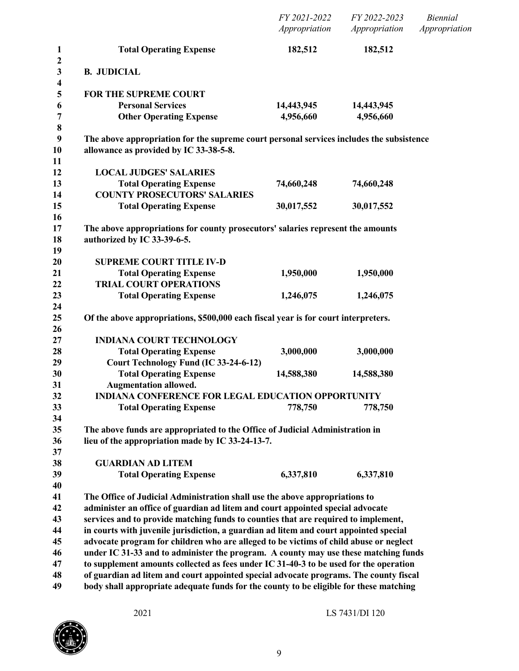|                                                                                                                                    | FY 2021-2022<br>Appropriation | FY 2022-2023<br>Appropriation | <b>Biennial</b><br>Appropriation |
|------------------------------------------------------------------------------------------------------------------------------------|-------------------------------|-------------------------------|----------------------------------|
| <b>Total Operating Expense</b>                                                                                                     | 182,512                       | 182,512                       |                                  |
| <b>B. JUDICIAL</b>                                                                                                                 |                               |                               |                                  |
| <b>FOR THE SUPREME COURT</b>                                                                                                       |                               |                               |                                  |
| <b>Personal Services</b>                                                                                                           | 14,443,945                    | 14,443,945                    |                                  |
| <b>Other Operating Expense</b>                                                                                                     | 4,956,660                     | 4,956,660                     |                                  |
| The above appropriation for the supreme court personal services includes the subsistence<br>allowance as provided by IC 33-38-5-8. |                               |                               |                                  |
| <b>LOCAL JUDGES' SALARIES</b>                                                                                                      |                               |                               |                                  |
| <b>Total Operating Expense</b><br><b>COUNTY PROSECUTORS' SALARIES</b>                                                              | 74,660,248                    | 74,660,248                    |                                  |
| <b>Total Operating Expense</b>                                                                                                     | 30,017,552                    | 30,017,552                    |                                  |
| The above appropriations for county prosecutors' salaries represent the amounts<br>authorized by IC 33-39-6-5.                     |                               |                               |                                  |
| <b>SUPREME COURT TITLE IV-D</b>                                                                                                    |                               |                               |                                  |
| <b>Total Operating Expense</b><br><b>TRIAL COURT OPERATIONS</b>                                                                    | 1,950,000                     | 1,950,000                     |                                  |
| <b>Total Operating Expense</b>                                                                                                     | 1,246,075                     | 1,246,075                     |                                  |
| Of the above appropriations, \$500,000 each fiscal year is for court interpreters.                                                 |                               |                               |                                  |
| <b>INDIANA COURT TECHNOLOGY</b>                                                                                                    |                               |                               |                                  |
| <b>Total Operating Expense</b>                                                                                                     | 3,000,000                     | 3,000,000                     |                                  |
| Court Technology Fund (IC 33-24-6-12)                                                                                              |                               |                               |                                  |
| <b>Total Operating Expense</b><br><b>Augmentation allowed.</b>                                                                     | 14,588,380                    | 14,588,380                    |                                  |
| <b>INDIANA CONFERENCE FOR LEGAL EDUCATION OPPORTUNITY</b>                                                                          |                               |                               |                                  |
| <b>Total Operating Expense</b>                                                                                                     | 778,750                       | 778,750                       |                                  |
|                                                                                                                                    |                               |                               |                                  |
| The above funds are appropriated to the Office of Judicial Administration in                                                       |                               |                               |                                  |
| lieu of the appropriation made by IC 33-24-13-7.                                                                                   |                               |                               |                                  |
|                                                                                                                                    |                               |                               |                                  |
| <b>GUARDIAN AD LITEM</b>                                                                                                           | 6,337,810                     | 6,337,810                     |                                  |
| <b>Total Operating Expense</b>                                                                                                     |                               |                               |                                  |
| The Office of Judicial Administration shall use the above appropriations to                                                        |                               |                               |                                  |
| administer an office of guardian ad litem and court appointed special advocate                                                     |                               |                               |                                  |
| services and to provide matching funds to counties that are required to implement,                                                 |                               |                               |                                  |
| in courts with juvenile jurisdiction, a guardian ad litem and court appointed special                                              |                               |                               |                                  |
| advocate program for children who are alleged to be victims of child abuse or neglect                                              |                               |                               |                                  |
| under IC 31-33 and to administer the program. A county may use these matching funds                                                |                               |                               |                                  |
| to supplement amounts collected as fees under IC 31-40-3 to be used for the operation                                              |                               |                               |                                  |
| of guardian ad litem and court appointed special advocate programs. The county fiscal                                              |                               |                               |                                  |
| body shall appropriate adequate funds for the county to be eligible for these matching                                             |                               |                               |                                  |

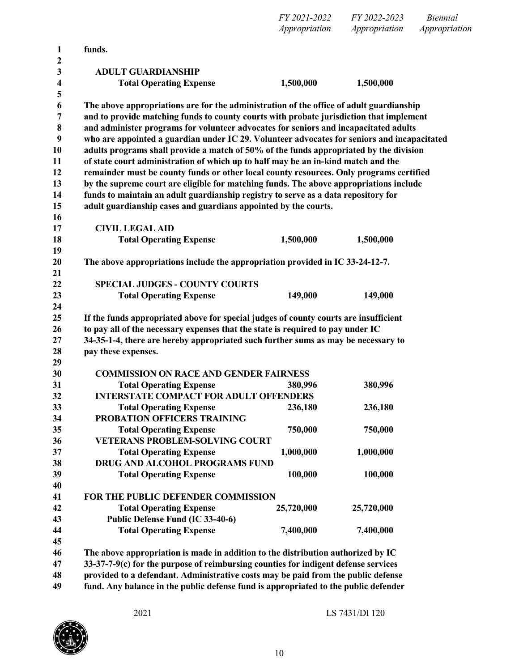*FY 2021-2022 FY 2022-2023 Biennial Appropriation Appropriation Appropriation*

| 1                     | funds.                                                                                      |            |            |
|-----------------------|---------------------------------------------------------------------------------------------|------------|------------|
| $\boldsymbol{2}$<br>3 | <b>ADULT GUARDIANSHIP</b>                                                                   |            |            |
| 4                     | <b>Total Operating Expense</b>                                                              | 1,500,000  | 1,500,000  |
| 5                     |                                                                                             |            |            |
| 6                     | The above appropriations are for the administration of the office of adult guardianship     |            |            |
| 7                     | and to provide matching funds to county courts with probate jurisdiction that implement     |            |            |
| 8                     | and administer programs for volunteer advocates for seniors and incapacitated adults        |            |            |
| 9                     | who are appointed a guardian under IC 29. Volunteer advocates for seniors and incapacitated |            |            |
| 10                    | adults programs shall provide a match of 50% of the funds appropriated by the division      |            |            |
| 11                    | of state court administration of which up to half may be an in-kind match and the           |            |            |
| 12                    | remainder must be county funds or other local county resources. Only programs certified     |            |            |
| 13                    | by the supreme court are eligible for matching funds. The above appropriations include      |            |            |
| 14                    | funds to maintain an adult guardianship registry to serve as a data repository for          |            |            |
| 15                    | adult guardianship cases and guardians appointed by the courts.                             |            |            |
| 16                    |                                                                                             |            |            |
| 17                    | <b>CIVIL LEGAL AID</b>                                                                      |            |            |
| 18                    | <b>Total Operating Expense</b>                                                              | 1,500,000  | 1,500,000  |
| 19                    |                                                                                             |            |            |
| 20                    | The above appropriations include the appropriation provided in IC 33-24-12-7.               |            |            |
| 21                    |                                                                                             |            |            |
| 22                    | <b>SPECIAL JUDGES - COUNTY COURTS</b>                                                       |            |            |
| 23                    | <b>Total Operating Expense</b>                                                              | 149,000    | 149,000    |
| 24<br>25              | If the funds appropriated above for special judges of county courts are insufficient        |            |            |
| 26                    | to pay all of the necessary expenses that the state is required to pay under IC             |            |            |
| 27                    | 34-35-1-4, there are hereby appropriated such further sums as may be necessary to           |            |            |
| 28                    | pay these expenses.                                                                         |            |            |
| 29                    |                                                                                             |            |            |
| 30                    | <b>COMMISSION ON RACE AND GENDER FAIRNESS</b>                                               |            |            |
| 31                    | <b>Total Operating Expense</b>                                                              | 380,996    | 380,996    |
| 32                    | <b>INTERSTATE COMPACT FOR ADULT OFFENDERS</b>                                               |            |            |
| 33                    | <b>Total Operating Expense</b>                                                              | 236,180    | 236,180    |
| 34                    | PROBATION OFFICERS TRAINING                                                                 |            |            |
| 35                    | <b>Total Operating Expense</b>                                                              | 750,000    | 750,000    |
| 36                    | <b>VETERANS PROBLEM-SOLVING COURT</b>                                                       |            |            |
| 37                    | <b>Total Operating Expense</b>                                                              | 1,000,000  | 1,000,000  |
| 38                    | DRUG AND ALCOHOL PROGRAMS FUND                                                              |            |            |
| 39                    | <b>Total Operating Expense</b>                                                              | 100,000    | 100,000    |
| 40                    |                                                                                             |            |            |
| 41                    | FOR THE PUBLIC DEFENDER COMMISSION                                                          |            |            |
| 42                    | <b>Total Operating Expense</b>                                                              | 25,720,000 | 25,720,000 |
| 43                    | Public Defense Fund (IC 33-40-6)                                                            |            |            |
| 44                    | <b>Total Operating Expense</b>                                                              | 7,400,000  | 7,400,000  |
| 45                    |                                                                                             |            |            |
| 46                    | The above appropriation is made in addition to the distribution authorized by IC            |            |            |
| 47                    | 33-37-7-9(c) for the purpose of reimbursing counties for indigent defense services          |            |            |
| 48                    | provided to a defendant. Administrative costs may be paid from the public defense           |            |            |

**fund. Any balance in the public defense fund is appropriated to the public defender**

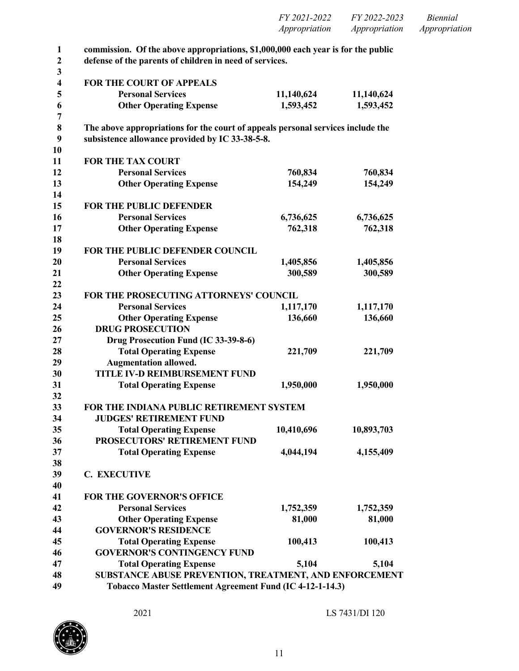| <i>FY 2021-2022</i> | FY 2022-2023  | Biennial      |
|---------------------|---------------|---------------|
| Appropriation       | Appropriation | Appropriation |
|                     |               |               |

| commission. Of the above appropriations, \$1,000,000 each year is for the public |            |            |
|----------------------------------------------------------------------------------|------------|------------|
| defense of the parents of children in need of services.                          |            |            |
|                                                                                  |            |            |
| <b>FOR THE COURT OF APPEALS</b>                                                  |            |            |
| <b>Personal Services</b>                                                         | 11,140,624 | 11,140,624 |
| <b>Other Operating Expense</b>                                                   | 1,593,452  | 1,593,452  |
| The above appropriations for the court of appeals personal services include the  |            |            |
| subsistence allowance provided by IC 33-38-5-8.                                  |            |            |
| <b>FOR THE TAX COURT</b>                                                         |            |            |
| <b>Personal Services</b>                                                         | 760,834    | 760,834    |
| <b>Other Operating Expense</b>                                                   | 154,249    | 154,249    |
| FOR THE PUBLIC DEFENDER                                                          |            |            |
| <b>Personal Services</b>                                                         | 6,736,625  | 6,736,625  |
|                                                                                  |            | 762,318    |
| <b>Other Operating Expense</b>                                                   | 762,318    |            |
| FOR THE PUBLIC DEFENDER COUNCIL                                                  |            |            |
| <b>Personal Services</b>                                                         | 1,405,856  | 1,405,856  |
| <b>Other Operating Expense</b>                                                   | 300,589    | 300,589    |
| FOR THE PROSECUTING ATTORNEYS' COUNCIL                                           |            |            |
| <b>Personal Services</b>                                                         | 1,117,170  | 1,117,170  |
| <b>Other Operating Expense</b>                                                   | 136,660    | 136,660    |
| <b>DRUG PROSECUTION</b>                                                          |            |            |
| Drug Prosecution Fund (IC 33-39-8-6)                                             |            |            |
| <b>Total Operating Expense</b>                                                   | 221,709    | 221,709    |
| <b>Augmentation allowed.</b>                                                     |            |            |
| <b>TITLE IV-D REIMBURSEMENT FUND</b>                                             |            |            |
| <b>Total Operating Expense</b>                                                   | 1,950,000  | 1,950,000  |
| FOR THE INDIANA PUBLIC RETIREMENT SYSTEM                                         |            |            |
| <b>JUDGES' RETIREMENT FUND</b>                                                   |            |            |
| <b>Total Operating Expense</b>                                                   | 10,410,696 | 10,893,703 |
| PROSECUTORS' RETIREMENT FUND                                                     |            |            |
| <b>Total Operating Expense</b>                                                   | 4,044,194  | 4,155,409  |
|                                                                                  |            |            |
| <b>C. EXECUTIVE</b>                                                              |            |            |
|                                                                                  |            |            |
| <b>FOR THE GOVERNOR'S OFFICE</b>                                                 |            |            |
| <b>Personal Services</b>                                                         | 1,752,359  | 1,752,359  |
| <b>Other Operating Expense</b>                                                   | 81,000     | 81,000     |
| <b>GOVERNOR'S RESIDENCE</b>                                                      |            |            |
| <b>Total Operating Expense</b>                                                   | 100,413    | 100,413    |
| <b>GOVERNOR'S CONTINGENCY FUND</b>                                               |            |            |
| <b>Total Operating Expense</b>                                                   | 5,104      | 5,104      |
| SUBSTANCE ABUSE PREVENTION, TREATMENT, AND ENFORCEMENT                           |            |            |
| Tobacco Master Settlement Agreement Fund (IC 4-12-1-14.3)                        |            |            |

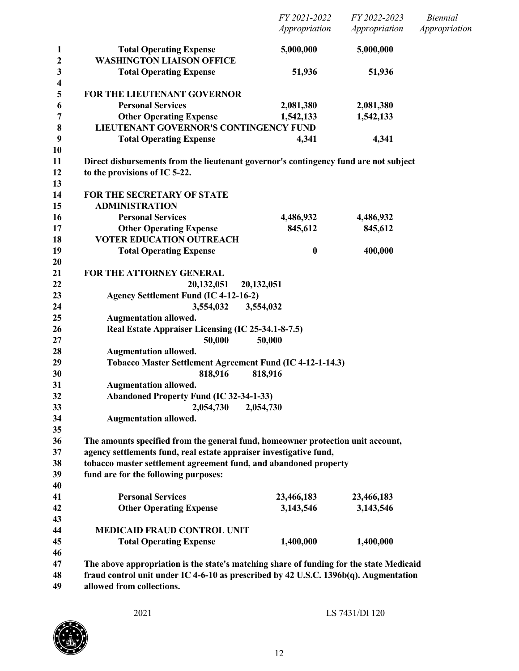|                              |                                                                                         | FY 2021-2022<br>Appropriation | FY 2022-2023<br>Appropriation | <b>Biennial</b><br>Appropriation |
|------------------------------|-----------------------------------------------------------------------------------------|-------------------------------|-------------------------------|----------------------------------|
| 1<br>$\mathbf 2$             | <b>Total Operating Expense</b><br><b>WASHINGTON LIAISON OFFICE</b>                      | 5,000,000                     | 5,000,000                     |                                  |
| $\mathbf{3}$                 | <b>Total Operating Expense</b>                                                          | 51,936                        | 51,936                        |                                  |
| $\overline{\mathbf{4}}$<br>5 | FOR THE LIEUTENANT GOVERNOR                                                             |                               |                               |                                  |
| 6                            | <b>Personal Services</b>                                                                | 2,081,380                     | 2,081,380                     |                                  |
| 7                            | <b>Other Operating Expense</b>                                                          | 1,542,133                     | 1,542,133                     |                                  |
| 8                            | LIEUTENANT GOVERNOR'S CONTINGENCY FUND                                                  |                               |                               |                                  |
| 9                            | <b>Total Operating Expense</b>                                                          | 4,341                         | 4,341                         |                                  |
| 10                           |                                                                                         |                               |                               |                                  |
| 11                           | Direct disbursements from the lieutenant governor's contingency fund are not subject    |                               |                               |                                  |
| 12                           | to the provisions of IC 5-22.                                                           |                               |                               |                                  |
| 13<br>14                     | FOR THE SECRETARY OF STATE                                                              |                               |                               |                                  |
| 15                           | <b>ADMINISTRATION</b>                                                                   |                               |                               |                                  |
| 16                           | <b>Personal Services</b>                                                                | 4,486,932                     | 4,486,932                     |                                  |
| 17                           | <b>Other Operating Expense</b>                                                          | 845,612                       | 845,612                       |                                  |
| 18                           | <b>VOTER EDUCATION OUTREACH</b>                                                         |                               |                               |                                  |
| 19                           | <b>Total Operating Expense</b>                                                          | $\bf{0}$                      | 400,000                       |                                  |
| 20                           |                                                                                         |                               |                               |                                  |
| 21                           | FOR THE ATTORNEY GENERAL                                                                |                               |                               |                                  |
| 22                           | 20,132,051                                                                              | 20,132,051                    |                               |                                  |
| 23                           | <b>Agency Settlement Fund (IC 4-12-16-2)</b>                                            |                               |                               |                                  |
| 24                           | 3,554,032                                                                               | 3,554,032                     |                               |                                  |
| 25                           | <b>Augmentation allowed.</b>                                                            |                               |                               |                                  |
| 26                           | Real Estate Appraiser Licensing (IC 25-34.1-8-7.5)                                      |                               |                               |                                  |
| 27                           | 50,000                                                                                  | 50,000                        |                               |                                  |
| 28                           | <b>Augmentation allowed.</b>                                                            |                               |                               |                                  |
| 29                           | Tobacco Master Settlement Agreement Fund (IC 4-12-1-14.3)                               |                               |                               |                                  |
| 30                           | 818,916                                                                                 | 818,916                       |                               |                                  |
| 31                           | <b>Augmentation allowed.</b>                                                            |                               |                               |                                  |
| 32                           | <b>Abandoned Property Fund (IC 32-34-1-33)</b>                                          |                               |                               |                                  |
| 33                           | 2,054,730                                                                               | 2,054,730                     |                               |                                  |
| 34                           | <b>Augmentation allowed.</b>                                                            |                               |                               |                                  |
| 35                           |                                                                                         |                               |                               |                                  |
| 36                           | The amounts specified from the general fund, homeowner protection unit account,         |                               |                               |                                  |
| 37                           | agency settlements fund, real estate appraiser investigative fund,                      |                               |                               |                                  |
| 38                           | tobacco master settlement agreement fund, and abandoned property                        |                               |                               |                                  |
| 39                           | fund are for the following purposes:                                                    |                               |                               |                                  |
| 40                           |                                                                                         |                               |                               |                                  |
| 41                           | <b>Personal Services</b>                                                                | 23,466,183                    | 23,466,183                    |                                  |
| 42                           | <b>Other Operating Expense</b>                                                          | 3,143,546                     | 3,143,546                     |                                  |
| 43                           |                                                                                         |                               |                               |                                  |
| 44                           | <b>MEDICAID FRAUD CONTROL UNIT</b>                                                      |                               |                               |                                  |
| 45                           | <b>Total Operating Expense</b>                                                          | 1,400,000                     | 1,400,000                     |                                  |
| 46                           |                                                                                         |                               |                               |                                  |
| 47                           | The above appropriation is the state's matching share of funding for the state Medicaid |                               |                               |                                  |
| 48                           | fraud control unit under IC 4-6-10 as prescribed by 42 U.S.C. 1396b(q). Augmentation    |                               |                               |                                  |
| 49                           | allowed from collections.                                                               |                               |                               |                                  |

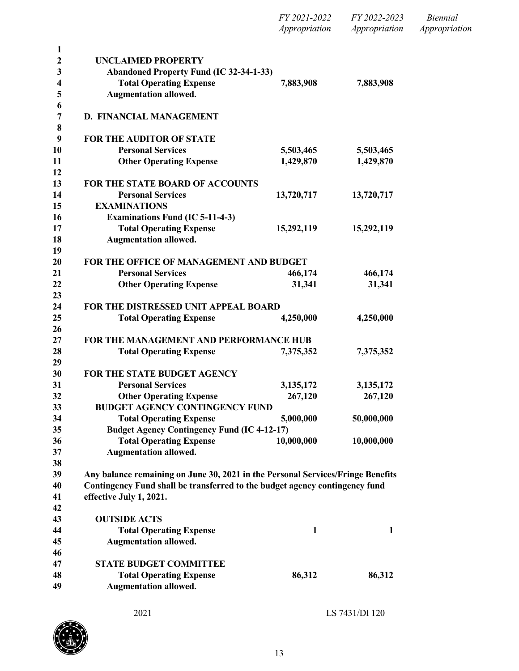| FY 2021-2022  | FY 2022-2023  | Biennial      |
|---------------|---------------|---------------|
| Appropriation | Appropriation | Appropriation |

| <b>UNCLAIMED PROPERTY</b>                                                                                                                                      |             |                |
|----------------------------------------------------------------------------------------------------------------------------------------------------------------|-------------|----------------|
| <b>Abandoned Property Fund (IC 32-34-1-33)</b>                                                                                                                 |             |                |
| <b>Total Operating Expense</b>                                                                                                                                 | 7,883,908   | 7,883,908      |
| <b>Augmentation allowed.</b>                                                                                                                                   |             |                |
| D. FINANCIAL MANAGEMENT                                                                                                                                        |             |                |
|                                                                                                                                                                |             |                |
| <b>FOR THE AUDITOR OF STATE</b>                                                                                                                                |             |                |
| <b>Personal Services</b>                                                                                                                                       | 5,503,465   | 5,503,465      |
| <b>Other Operating Expense</b>                                                                                                                                 | 1,429,870   | 1,429,870      |
| <b>FOR THE STATE BOARD OF ACCOUNTS</b>                                                                                                                         |             |                |
| <b>Personal Services</b>                                                                                                                                       | 13,720,717  | 13,720,717     |
| <b>EXAMINATIONS</b>                                                                                                                                            |             |                |
| <b>Examinations Fund (IC 5-11-4-3)</b>                                                                                                                         |             |                |
| <b>Total Operating Expense</b>                                                                                                                                 | 15,292,119  | 15,292,119     |
| <b>Augmentation allowed.</b>                                                                                                                                   |             |                |
| FOR THE OFFICE OF MANAGEMENT AND BUDGET                                                                                                                        |             |                |
| <b>Personal Services</b>                                                                                                                                       | 466,174     | 466,174        |
| <b>Other Operating Expense</b>                                                                                                                                 | 31,341      | 31,341         |
|                                                                                                                                                                |             |                |
| FOR THE DISTRESSED UNIT APPEAL BOARD                                                                                                                           |             |                |
| <b>Total Operating Expense</b>                                                                                                                                 | 4,250,000   | 4,250,000      |
| FOR THE MANAGEMENT AND PERFORMANCE HUB                                                                                                                         |             |                |
| <b>Total Operating Expense</b>                                                                                                                                 | 7,375,352   | 7,375,352      |
|                                                                                                                                                                |             |                |
| FOR THE STATE BUDGET AGENCY                                                                                                                                    |             |                |
| <b>Personal Services</b>                                                                                                                                       | 3, 135, 172 | 3,135,172      |
| <b>Other Operating Expense</b>                                                                                                                                 | 267,120     | 267,120        |
| <b>BUDGET AGENCY CONTINGENCY FUND</b>                                                                                                                          |             |                |
| <b>Total Operating Expense</b>                                                                                                                                 | 5,000,000   | 50,000,000     |
| <b>Budget Agency Contingency Fund (IC 4-12-17)</b>                                                                                                             |             |                |
| <b>Total Operating Expense</b>                                                                                                                                 | 10,000,000  | 10,000,000     |
| <b>Augmentation allowed.</b>                                                                                                                                   |             |                |
|                                                                                                                                                                |             |                |
| Any balance remaining on June 30, 2021 in the Personal Services/Fringe Benefits<br>Contingency Fund shall be transferred to the budget agency contingency fund |             |                |
| effective July 1, 2021.                                                                                                                                        |             |                |
|                                                                                                                                                                |             |                |
| <b>OUTSIDE ACTS</b>                                                                                                                                            |             |                |
| <b>Total Operating Expense</b>                                                                                                                                 | 1           | $\mathbf{1}$   |
| <b>Augmentation allowed.</b>                                                                                                                                   |             |                |
| <b>STATE BUDGET COMMITTEE</b>                                                                                                                                  |             |                |
| <b>Total Operating Expense</b>                                                                                                                                 | 86,312      | 86,312         |
| <b>Augmentation allowed.</b>                                                                                                                                   |             |                |
|                                                                                                                                                                |             |                |
| 2021                                                                                                                                                           |             | LS 7431/DI 120 |

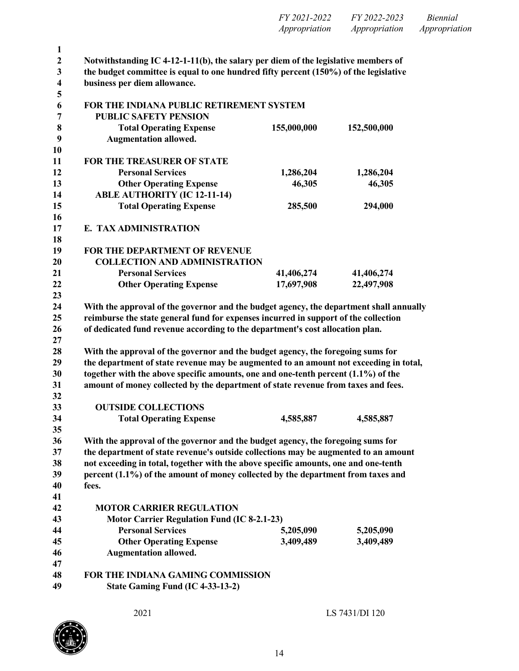|                  |                                                                                                                                                                          | Appropriation | Appropriation | Appropriation |
|------------------|--------------------------------------------------------------------------------------------------------------------------------------------------------------------------|---------------|---------------|---------------|
| $\mathbf{1}$     |                                                                                                                                                                          |               |               |               |
| $\boldsymbol{2}$ | Notwithstanding IC 4-12-1-11(b), the salary per diem of the legislative members of                                                                                       |               |               |               |
| $\mathbf{3}$     | the budget committee is equal to one hundred fifty percent (150%) of the legislative                                                                                     |               |               |               |
| 4                | business per diem allowance.                                                                                                                                             |               |               |               |
| 5<br>6           | FOR THE INDIANA PUBLIC RETIREMENT SYSTEM                                                                                                                                 |               |               |               |
| 7                | <b>PUBLIC SAFETY PENSION</b>                                                                                                                                             |               |               |               |
| $\bf 8$          | <b>Total Operating Expense</b>                                                                                                                                           | 155,000,000   | 152,500,000   |               |
| 9                | <b>Augmentation allowed.</b>                                                                                                                                             |               |               |               |
| <b>10</b>        |                                                                                                                                                                          |               |               |               |
| 11               | <b>FOR THE TREASURER OF STATE</b>                                                                                                                                        |               |               |               |
| 12               | <b>Personal Services</b>                                                                                                                                                 | 1,286,204     | 1,286,204     |               |
| 13               | <b>Other Operating Expense</b>                                                                                                                                           | 46,305        | 46,305        |               |
| 14               | <b>ABLE AUTHORITY (IC 12-11-14)</b>                                                                                                                                      |               |               |               |
| 15               | <b>Total Operating Expense</b>                                                                                                                                           | 285,500       | 294,000       |               |
| 16<br>17         | E. TAX ADMINISTRATION                                                                                                                                                    |               |               |               |
| 18               |                                                                                                                                                                          |               |               |               |
| 19               | FOR THE DEPARTMENT OF REVENUE                                                                                                                                            |               |               |               |
| 20               | <b>COLLECTION AND ADMINISTRATION</b>                                                                                                                                     |               |               |               |
| 21               | <b>Personal Services</b>                                                                                                                                                 | 41,406,274    | 41,406,274    |               |
| 22               | <b>Other Operating Expense</b>                                                                                                                                           | 17,697,908    | 22,497,908    |               |
| 23               |                                                                                                                                                                          |               |               |               |
| 24               | With the approval of the governor and the budget agency, the department shall annually                                                                                   |               |               |               |
| 25               | reimburse the state general fund for expenses incurred in support of the collection                                                                                      |               |               |               |
| 26               | of dedicated fund revenue according to the department's cost allocation plan.                                                                                            |               |               |               |
| 27<br>28         |                                                                                                                                                                          |               |               |               |
| 29               | With the approval of the governor and the budget agency, the foregoing sums for<br>the department of state revenue may be augmented to an amount not exceeding in total, |               |               |               |
| 30               | together with the above specific amounts, one and one-tenth percent (1.1%) of the                                                                                        |               |               |               |
| 31               | amount of money collected by the department of state revenue from taxes and fees.                                                                                        |               |               |               |
| 32               |                                                                                                                                                                          |               |               |               |
| 33               | <b>OUTSIDE COLLECTIONS</b>                                                                                                                                               |               |               |               |
| 34               | <b>Total Operating Expense</b>                                                                                                                                           | 4,585,887     | 4,585,887     |               |
| 35               |                                                                                                                                                                          |               |               |               |
| 36               | With the approval of the governor and the budget agency, the foregoing sums for                                                                                          |               |               |               |
| 37               | the department of state revenue's outside collections may be augmented to an amount                                                                                      |               |               |               |
| 38               | not exceeding in total, together with the above specific amounts, one and one-tenth                                                                                      |               |               |               |
| 39<br>40         | percent (1.1%) of the amount of money collected by the department from taxes and<br>fees.                                                                                |               |               |               |
| 41               |                                                                                                                                                                          |               |               |               |
| 42               | <b>MOTOR CARRIER REGULATION</b>                                                                                                                                          |               |               |               |
| 43               | <b>Motor Carrier Regulation Fund (IC 8-2.1-23)</b>                                                                                                                       |               |               |               |
| 44               | <b>Personal Services</b>                                                                                                                                                 | 5,205,090     | 5,205,090     |               |
| 45               | <b>Other Operating Expense</b>                                                                                                                                           | 3,409,489     | 3,409,489     |               |
| 46               | <b>Augmentation allowed.</b>                                                                                                                                             |               |               |               |
| 47               |                                                                                                                                                                          |               |               |               |
| 48               | FOR THE INDIANA GAMING COMMISSION                                                                                                                                        |               |               |               |
| 49               | State Gaming Fund (IC 4-33-13-2)                                                                                                                                         |               |               |               |
|                  |                                                                                                                                                                          |               |               |               |



*FY 2021-2022 FY 2022-2023 Biennial*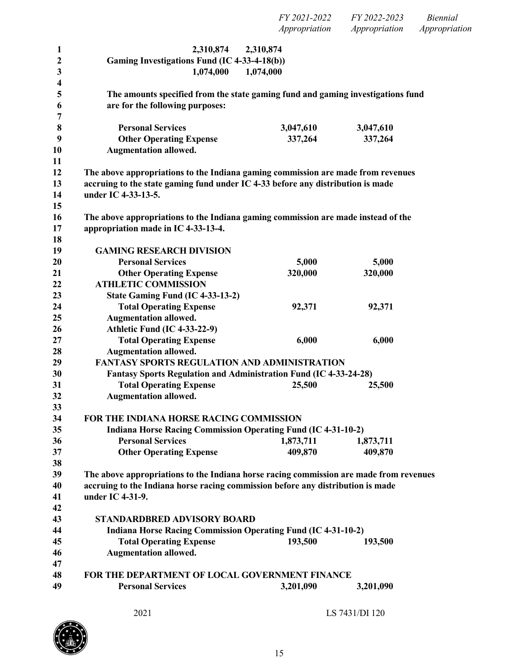*FY 2021-2022 FY 2022-2023 Biennial Appropriation Appropriation Appropriation*

| 1                       | 2,310,874                                                                              | 2,310,874 |           |  |
|-------------------------|----------------------------------------------------------------------------------------|-----------|-----------|--|
| $\boldsymbol{2}$        | Gaming Investigations Fund (IC 4-33-4-18(b))                                           |           |           |  |
| 3                       | 1,074,000                                                                              | 1,074,000 |           |  |
| $\overline{\mathbf{4}}$ |                                                                                        |           |           |  |
| 5                       | The amounts specified from the state gaming fund and gaming investigations fund        |           |           |  |
| 6                       | are for the following purposes:                                                        |           |           |  |
| 7                       |                                                                                        |           |           |  |
| 8                       | <b>Personal Services</b>                                                               | 3,047,610 | 3,047,610 |  |
| 9                       | <b>Other Operating Expense</b>                                                         | 337,264   | 337,264   |  |
| 10                      | <b>Augmentation allowed.</b>                                                           |           |           |  |
| 11                      |                                                                                        |           |           |  |
| 12                      | The above appropriations to the Indiana gaming commission are made from revenues       |           |           |  |
| 13                      | accruing to the state gaming fund under IC 4-33 before any distribution is made        |           |           |  |
| 14                      | under IC 4-33-13-5.                                                                    |           |           |  |
| 15                      |                                                                                        |           |           |  |
| 16                      | The above appropriations to the Indiana gaming commission are made instead of the      |           |           |  |
| 17                      | appropriation made in IC 4-33-13-4.                                                    |           |           |  |
| 18                      |                                                                                        |           |           |  |
| 19                      | <b>GAMING RESEARCH DIVISION</b>                                                        |           |           |  |
| 20                      | <b>Personal Services</b>                                                               | 5,000     | 5,000     |  |
| 21                      | <b>Other Operating Expense</b>                                                         | 320,000   | 320,000   |  |
| 22                      | <b>ATHLETIC COMMISSION</b>                                                             |           |           |  |
| 23                      | State Gaming Fund (IC 4-33-13-2)                                                       |           |           |  |
| 24                      | <b>Total Operating Expense</b>                                                         | 92,371    | 92,371    |  |
| 25                      | <b>Augmentation allowed.</b>                                                           |           |           |  |
| 26                      | Athletic Fund (IC 4-33-22-9)                                                           |           |           |  |
| 27                      | <b>Total Operating Expense</b>                                                         | 6,000     | 6,000     |  |
| 28                      | <b>Augmentation allowed.</b>                                                           |           |           |  |
| 29                      | <b>FANTASY SPORTS REGULATION AND ADMINISTRATION</b>                                    |           |           |  |
| 30                      | <b>Fantasy Sports Regulation and Administration Fund (IC 4-33-24-28)</b>               |           |           |  |
| 31                      | <b>Total Operating Expense</b>                                                         | 25,500    | 25,500    |  |
| 32                      | <b>Augmentation allowed.</b>                                                           |           |           |  |
| 33                      |                                                                                        |           |           |  |
| 34                      | FOR THE INDIANA HORSE RACING COMMISSION                                                |           |           |  |
| 35                      | <b>Indiana Horse Racing Commission Operating Fund (IC 4-31-10-2)</b>                   |           |           |  |
| 36                      | <b>Personal Services</b>                                                               | 1,873,711 | 1,873,711 |  |
| 37                      | <b>Other Operating Expense</b>                                                         | 409,870   | 409,870   |  |
| 38                      |                                                                                        |           |           |  |
| 39                      | The above appropriations to the Indiana horse racing commission are made from revenues |           |           |  |
| 40                      | accruing to the Indiana horse racing commission before any distribution is made        |           |           |  |
| 41                      | under IC 4-31-9.                                                                       |           |           |  |
| 42                      |                                                                                        |           |           |  |
| 43                      | <b>STANDARDBRED ADVISORY BOARD</b>                                                     |           |           |  |
| 44                      | <b>Indiana Horse Racing Commission Operating Fund (IC 4-31-10-2)</b>                   |           |           |  |
| 45                      | <b>Total Operating Expense</b>                                                         | 193,500   | 193,500   |  |
| 46                      | <b>Augmentation allowed.</b>                                                           |           |           |  |
| 47                      |                                                                                        |           |           |  |
| 48                      | FOR THE DEPARTMENT OF LOCAL GOVERNMENT FINANCE                                         |           |           |  |
| 49                      | <b>Personal Services</b>                                                               | 3,201,090 | 3,201,090 |  |
|                         |                                                                                        |           |           |  |
|                         |                                                                                        |           |           |  |

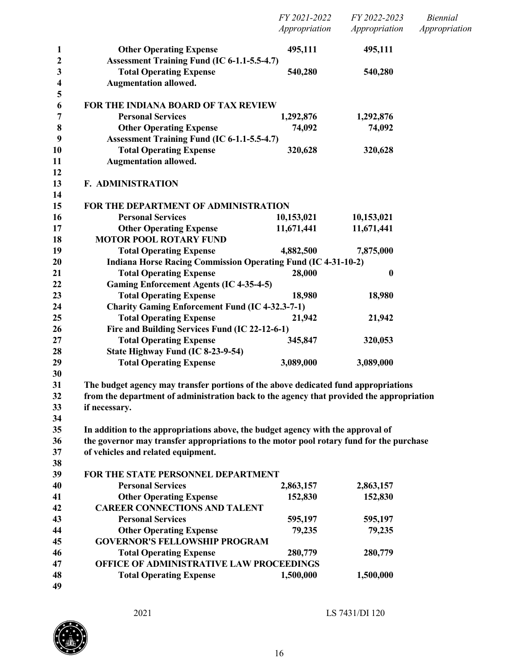|                              |                                                                                          | FY 2021-2022<br>Appropriation | FY 2022-2023<br>Appropriation | <b>Biennial</b><br>Appropriation |
|------------------------------|------------------------------------------------------------------------------------------|-------------------------------|-------------------------------|----------------------------------|
| 1<br>2                       | <b>Other Operating Expense</b><br>Assessment Training Fund (IC 6-1.1-5.5-4.7)            | 495,111                       | 495,111                       |                                  |
| 3<br>$\overline{\mathbf{4}}$ | <b>Total Operating Expense</b><br><b>Augmentation allowed.</b>                           | 540,280                       | 540,280                       |                                  |
| 5<br>6                       | FOR THE INDIANA BOARD OF TAX REVIEW                                                      |                               |                               |                                  |
| 7                            | <b>Personal Services</b>                                                                 | 1,292,876                     | 1,292,876                     |                                  |
| $\boldsymbol{8}$             | <b>Other Operating Expense</b>                                                           | 74,092                        | 74,092                        |                                  |
| 9                            | Assessment Training Fund (IC 6-1.1-5.5-4.7)                                              |                               |                               |                                  |
| 10<br>11                     | <b>Total Operating Expense</b><br><b>Augmentation allowed.</b>                           | 320,628                       | 320,628                       |                                  |
| 12<br>13                     | <b>F. ADMINISTRATION</b>                                                                 |                               |                               |                                  |
| 14<br>15                     | FOR THE DEPARTMENT OF ADMINISTRATION                                                     |                               |                               |                                  |
| 16                           | <b>Personal Services</b>                                                                 | 10,153,021                    | 10,153,021                    |                                  |
| 17                           | <b>Other Operating Expense</b>                                                           | 11,671,441                    | 11,671,441                    |                                  |
| 18                           | <b>MOTOR POOL ROTARY FUND</b>                                                            |                               |                               |                                  |
| 19                           | <b>Total Operating Expense</b>                                                           | 4,882,500                     | 7,875,000                     |                                  |
| 20                           | <b>Indiana Horse Racing Commission Operating Fund (IC 4-31-10-2)</b>                     |                               |                               |                                  |
| 21                           | <b>Total Operating Expense</b>                                                           | 28,000                        | $\boldsymbol{0}$              |                                  |
| 22                           | <b>Gaming Enforcement Agents (IC 4-35-4-5)</b>                                           |                               |                               |                                  |
| 23                           | <b>Total Operating Expense</b>                                                           | 18,980                        | 18,980                        |                                  |
| 24                           | <b>Charity Gaming Enforcement Fund (IC 4-32.3-7-1)</b>                                   |                               |                               |                                  |
| 25                           | <b>Total Operating Expense</b>                                                           | 21,942                        | 21,942                        |                                  |
| 26                           | Fire and Building Services Fund (IC 22-12-6-1)                                           |                               |                               |                                  |
| 27                           | <b>Total Operating Expense</b>                                                           | 345,847                       | 320,053                       |                                  |
| 28                           | State Highway Fund (IC 8-23-9-54)                                                        |                               |                               |                                  |
| 29<br>30                     | <b>Total Operating Expense</b>                                                           | 3,089,000                     | 3,089,000                     |                                  |
| 31                           | The budget agency may transfer portions of the above dedicated fund appropriations       |                               |                               |                                  |
| 32                           | from the department of administration back to the agency that provided the appropriation |                               |                               |                                  |
| 33                           | if necessary.                                                                            |                               |                               |                                  |
| 34                           |                                                                                          |                               |                               |                                  |
| 35                           | In addition to the appropriations above, the budget agency with the approval of          |                               |                               |                                  |
| 36                           | the governor may transfer appropriations to the motor pool rotary fund for the purchase  |                               |                               |                                  |
| 37                           | of vehicles and related equipment.                                                       |                               |                               |                                  |
| 38                           |                                                                                          |                               |                               |                                  |
| 39                           | FOR THE STATE PERSONNEL DEPARTMENT                                                       |                               |                               |                                  |
| 40                           | <b>Personal Services</b>                                                                 | 2,863,157                     | 2,863,157                     |                                  |
| 41                           | <b>Other Operating Expense</b>                                                           | 152,830                       | 152,830                       |                                  |
| 42                           | <b>CAREER CONNECTIONS AND TALENT</b>                                                     |                               |                               |                                  |
| 43                           | <b>Personal Services</b>                                                                 | 595,197                       | 595,197                       |                                  |
| 44                           | <b>Other Operating Expense</b>                                                           | 79,235                        | 79,235                        |                                  |
| 45                           | <b>GOVERNOR'S FELLOWSHIP PROGRAM</b>                                                     |                               |                               |                                  |
| 46                           | <b>Total Operating Expense</b>                                                           | 280,779                       | 280,779                       |                                  |
| 47                           | OFFICE OF ADMINISTRATIVE LAW PROCEEDINGS                                                 |                               |                               |                                  |
| 48                           | <b>Total Operating Expense</b>                                                           | 1,500,000                     | 1,500,000                     |                                  |
| 49                           |                                                                                          |                               |                               |                                  |

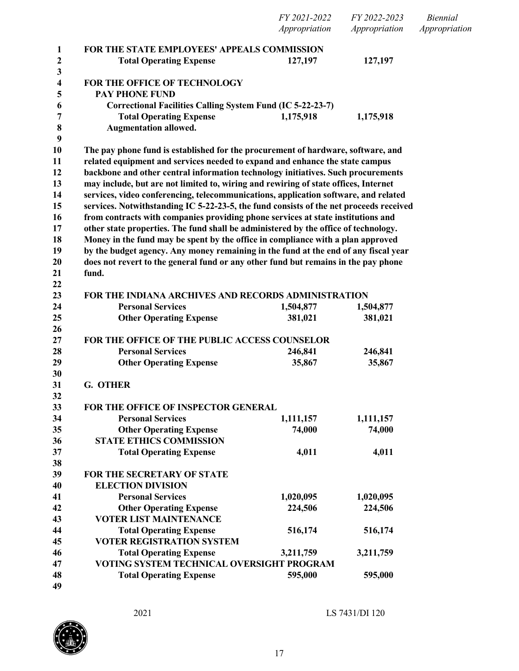|                   |                                                                                        | FY 2021-2022<br>Appropriation | FY 2022-2023<br>Appropriation | <b>Biennial</b><br>Appropriation |
|-------------------|----------------------------------------------------------------------------------------|-------------------------------|-------------------------------|----------------------------------|
|                   |                                                                                        |                               |                               |                                  |
| $\mathbf{1}$      | <b>FOR THE STATE EMPLOYEES' APPEALS COMMISSION</b>                                     |                               |                               |                                  |
| $\boldsymbol{2}$  | <b>Total Operating Expense</b>                                                         | 127,197                       | 127,197                       |                                  |
| $\mathbf{3}$<br>4 | FOR THE OFFICE OF TECHNOLOGY                                                           |                               |                               |                                  |
| 5                 | <b>PAY PHONE FUND</b>                                                                  |                               |                               |                                  |
| 6                 | Correctional Facilities Calling System Fund (IC 5-22-23-7)                             |                               |                               |                                  |
| 7                 | <b>Total Operating Expense</b>                                                         | 1,175,918                     | 1,175,918                     |                                  |
| 8                 | <b>Augmentation allowed.</b>                                                           |                               |                               |                                  |
| 9                 |                                                                                        |                               |                               |                                  |
| 10                | The pay phone fund is established for the procurement of hardware, software, and       |                               |                               |                                  |
| 11                | related equipment and services needed to expand and enhance the state campus           |                               |                               |                                  |
| 12                | backbone and other central information technology initiatives. Such procurements       |                               |                               |                                  |
| 13                | may include, but are not limited to, wiring and rewiring of state offices, Internet    |                               |                               |                                  |
| 14                | services, video conferencing, telecommunications, application software, and related    |                               |                               |                                  |
| 15                | services. Notwithstanding IC 5-22-23-5, the fund consists of the net proceeds received |                               |                               |                                  |
| 16                | from contracts with companies providing phone services at state institutions and       |                               |                               |                                  |
| 17                | other state properties. The fund shall be administered by the office of technology.    |                               |                               |                                  |
| 18                | Money in the fund may be spent by the office in compliance with a plan approved        |                               |                               |                                  |
| 19                | by the budget agency. Any money remaining in the fund at the end of any fiscal year    |                               |                               |                                  |
| 20                | does not revert to the general fund or any other fund but remains in the pay phone     |                               |                               |                                  |
| 21                | fund.                                                                                  |                               |                               |                                  |
| 22                |                                                                                        |                               |                               |                                  |
| 23                | FOR THE INDIANA ARCHIVES AND RECORDS ADMINISTRATION                                    |                               |                               |                                  |
| 24                | <b>Personal Services</b>                                                               | 1,504,877                     | 1,504,877                     |                                  |
| 25                | <b>Other Operating Expense</b>                                                         | 381,021                       | 381,021                       |                                  |
| 26                |                                                                                        |                               |                               |                                  |
| 27                | FOR THE OFFICE OF THE PUBLIC ACCESS COUNSELOR                                          |                               |                               |                                  |
| 28                | <b>Personal Services</b>                                                               | 246,841                       | 246,841                       |                                  |
| 29                | <b>Other Operating Expense</b>                                                         | 35,867                        | 35,867                        |                                  |
| 30                |                                                                                        |                               |                               |                                  |
| 31                | G. OTHER                                                                               |                               |                               |                                  |
| 32                |                                                                                        |                               |                               |                                  |
| 33                | FOR THE OFFICE OF INSPECTOR GENERAL                                                    |                               |                               |                                  |
| 34                | <b>Personal Services</b>                                                               | 1,111,157                     | 1,111,157                     |                                  |
| 35                | <b>Other Operating Expense</b>                                                         | 74,000                        | 74,000                        |                                  |
| 36                | <b>STATE ETHICS COMMISSION</b>                                                         |                               |                               |                                  |
| 37                | <b>Total Operating Expense</b>                                                         | 4,011                         | 4,011                         |                                  |
| 38                |                                                                                        |                               |                               |                                  |
| 39                | FOR THE SECRETARY OF STATE                                                             |                               |                               |                                  |
| 40                | <b>ELECTION DIVISION</b>                                                               |                               |                               |                                  |
| 41                | <b>Personal Services</b>                                                               | 1,020,095                     | 1,020,095                     |                                  |
| 42                | <b>Other Operating Expense</b>                                                         | 224,506                       | 224,506                       |                                  |
| 43                | <b>VOTER LIST MAINTENANCE</b>                                                          |                               |                               |                                  |
| 44                | <b>Total Operating Expense</b><br><b>VOTER REGISTRATION SYSTEM</b>                     | 516,174                       | 516,174                       |                                  |
| 45                |                                                                                        |                               |                               |                                  |
| 46<br>47          | <b>Total Operating Expense</b><br>VOTING SYSTEM TECHNICAL OVERSIGHT PROGRAM            | 3,211,759                     | 3,211,759                     |                                  |
| 48                | <b>Total Operating Expense</b>                                                         | 595,000                       | 595,000                       |                                  |
| 49                |                                                                                        |                               |                               |                                  |
|                   |                                                                                        |                               |                               |                                  |

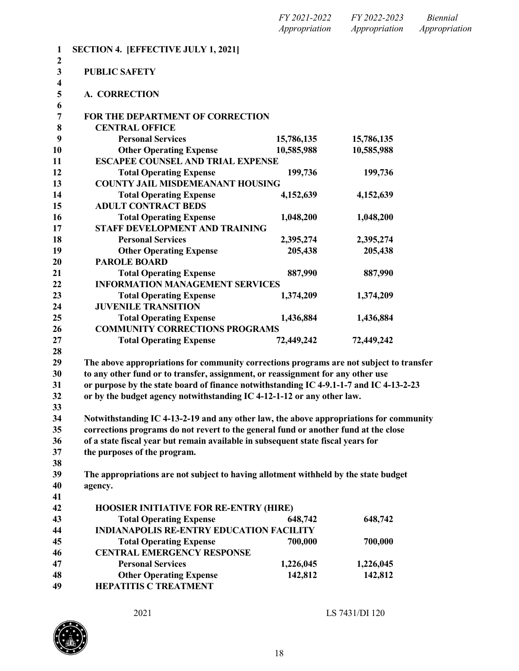| FY 2021-2022  | FY 2022-2023  | Biennial      |
|---------------|---------------|---------------|
| Appropriation | Appropriation | Appropriation |

| 1                            | <b>SECTION 4. [EFFECTIVE JULY 1, 2021]</b>                                              |            |            |
|------------------------------|-----------------------------------------------------------------------------------------|------------|------------|
| $\mathbf{2}$<br>$\mathbf{3}$ | <b>PUBLIC SAFETY</b>                                                                    |            |            |
| 4<br>5                       | <b>A. CORRECTION</b>                                                                    |            |            |
| 6<br>7                       | FOR THE DEPARTMENT OF CORRECTION                                                        |            |            |
| 8                            | <b>CENTRAL OFFICE</b>                                                                   |            |            |
| 9                            | <b>Personal Services</b>                                                                | 15,786,135 | 15,786,135 |
| 10                           | <b>Other Operating Expense</b>                                                          | 10,585,988 | 10,585,988 |
| 11                           | <b>ESCAPEE COUNSEL AND TRIAL EXPENSE</b>                                                |            |            |
| 12                           | <b>Total Operating Expense</b>                                                          | 199,736    | 199,736    |
| 13                           | <b>COUNTY JAIL MISDEMEANANT HOUSING</b>                                                 |            |            |
| 14                           | <b>Total Operating Expense</b>                                                          | 4,152,639  | 4,152,639  |
| 15                           | <b>ADULT CONTRACT BEDS</b>                                                              |            |            |
| 16                           | <b>Total Operating Expense</b>                                                          | 1,048,200  | 1,048,200  |
| 17                           | STAFF DEVELOPMENT AND TRAINING                                                          |            |            |
| 18                           | <b>Personal Services</b>                                                                | 2,395,274  | 2,395,274  |
| 19                           | <b>Other Operating Expense</b>                                                          | 205,438    | 205,438    |
| 20                           | <b>PAROLE BOARD</b>                                                                     |            |            |
| 21                           | <b>Total Operating Expense</b>                                                          | 887,990    | 887,990    |
| 22                           | <b>INFORMATION MANAGEMENT SERVICES</b>                                                  |            |            |
| 23                           | <b>Total Operating Expense</b>                                                          | 1,374,209  | 1,374,209  |
| 24                           | <b>JUVENILE TRANSITION</b>                                                              |            |            |
| 25                           | <b>Total Operating Expense</b>                                                          | 1,436,884  | 1,436,884  |
| 26                           | <b>COMMUNITY CORRECTIONS PROGRAMS</b>                                                   |            |            |
| 27                           | <b>Total Operating Expense</b>                                                          | 72,449,242 | 72,449,242 |
| 28                           |                                                                                         |            |            |
| 29                           | The above appropriations for community corrections programs are not subject to transfer |            |            |
| 30                           | to any other fund or to transfer, assignment, or reassignment for any other use         |            |            |
| 31                           | or purpose by the state board of finance notwithstanding IC 4-9.1-1-7 and IC 4-13-2-23  |            |            |
| 32                           | or by the budget agency notwithstanding IC 4-12-1-12 or any other law.                  |            |            |
| 33                           |                                                                                         |            |            |
| 34                           | Notwithstanding IC 4-13-2-19 and any other law, the above appropriations for community  |            |            |
| 35                           | corrections programs do not revert to the general fund or another fund at the close     |            |            |
| 36                           | of a state fiscal year but remain available in subsequent state fiscal years for        |            |            |
| 37                           | the purposes of the program.                                                            |            |            |
| 38                           |                                                                                         |            |            |
| 39                           | The appropriations are not subject to having allotment withheld by the state budget     |            |            |
| 40                           | agency.                                                                                 |            |            |
| 41                           |                                                                                         |            |            |
| 42                           | <b>HOOSIER INITIATIVE FOR RE-ENTRY (HIRE)</b>                                           |            |            |
| 43                           | <b>Total Operating Expense</b>                                                          | 648,742    | 648,742    |
| 44                           | <b>INDIANAPOLIS RE-ENTRY EDUCATION FACILITY</b>                                         |            |            |
| 45                           | <b>Total Operating Expense</b>                                                          | 700,000    | 700,000    |
| 46                           | <b>CENTRAL EMERGENCY RESPONSE</b>                                                       |            |            |
| 47                           | <b>Personal Services</b>                                                                | 1,226,045  | 1,226,045  |
| 48<br>49                     | <b>Other Operating Expense</b><br><b>HEPATITIS C TREATMENT</b>                          | 142,812    | 142,812    |

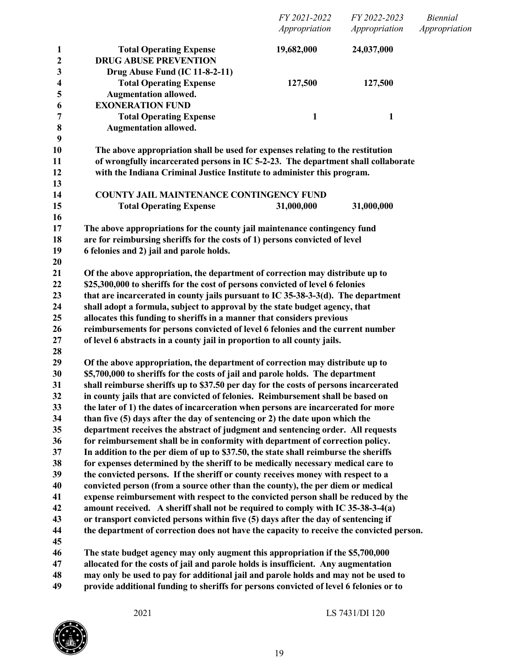| <b>Total Operating Expense</b><br>19,682,000<br>24,037,000<br>1<br><b>DRUG ABUSE PREVENTION</b><br>$\boldsymbol{2}$<br>$\mathbf{3}$<br>Drug Abuse Fund (IC 11-8-2-11)<br>4<br><b>Total Operating Expense</b><br>127,500<br>127,500<br>5<br><b>Augmentation allowed.</b><br>6<br><b>EXONERATION FUND</b><br>7<br><b>Total Operating Expense</b><br>$\mathbf{1}$<br>1<br>$\bf 8$<br><b>Augmentation allowed.</b><br>9<br>10<br>The above appropriation shall be used for expenses relating to the restitution<br>of wrongfully incarcerated persons in IC 5-2-23. The department shall collaborate<br>11<br>12<br>with the Indiana Criminal Justice Institute to administer this program.<br>13<br>14<br><b>COUNTY JAIL MAINTENANCE CONTINGENCY FUND</b><br>15<br><b>Total Operating Expense</b><br>31,000,000<br>31,000,000<br>16<br>17<br>The above appropriations for the county jail maintenance contingency fund<br>18<br>are for reimbursing sheriffs for the costs of 1) persons convicted of level<br>19<br>6 felonies and 2) jail and parole holds.<br>20<br>21<br>Of the above appropriation, the department of correction may distribute up to<br>22<br>\$25,300,000 to sheriffs for the cost of persons convicted of level 6 felonies<br>23<br>that are incarcerated in county jails pursuant to IC 35-38-3-3(d). The department<br>24<br>shall adopt a formula, subject to approval by the state budget agency, that<br>allocates this funding to sheriffs in a manner that considers previous<br>25<br>26<br>reimbursements for persons convicted of level 6 felonies and the current number<br>27<br>of level 6 abstracts in a county jail in proportion to all county jails.<br>28<br>29<br>Of the above appropriation, the department of correction may distribute up to<br>\$5,700,000 to sheriffs for the costs of jail and parole holds. The department<br>30<br>shall reimburse sheriffs up to \$37.50 per day for the costs of persons incarcerated<br>31<br>32<br>in county jails that are convicted of felonies. Reimbursement shall be based on<br>33<br>the later of 1) the dates of incarceration when persons are incarcerated for more<br>34<br>than five (5) days after the day of sentencing or 2) the date upon which the<br>department receives the abstract of judgment and sentencing order. All requests<br>35<br>for reimbursement shall be in conformity with department of correction policy.<br>36<br>37<br>In addition to the per diem of up to \$37.50, the state shall reimburse the sheriffs<br>38<br>for expenses determined by the sheriff to be medically necessary medical care to<br>39<br>the convicted persons. If the sheriff or county receives money with respect to a<br>40<br>convicted person (from a source other than the county), the per diem or medical<br>expense reimbursement with respect to the convicted person shall be reduced by the<br>41<br>42<br>amount received. A sheriff shall not be required to comply with IC 35-38-3-4(a)<br>43<br>or transport convicted persons within five (5) days after the day of sentencing if<br>44<br>the department of correction does not have the capacity to receive the convicted person.<br>45<br>46<br>The state budget agency may only augment this appropriation if the \$5,700,000<br>47<br>allocated for the costs of jail and parole holds is insufficient. Any augmentation<br>48<br>may only be used to pay for additional jail and parole holds and may not be used to<br>provide additional funding to sheriffs for persons convicted of level 6 felonies or to |    | FY 2021-2022<br>Appropriation | FY 2022-2023<br>Appropriation | <b>Biennial</b><br>Appropriation |
|-----------------------------------------------------------------------------------------------------------------------------------------------------------------------------------------------------------------------------------------------------------------------------------------------------------------------------------------------------------------------------------------------------------------------------------------------------------------------------------------------------------------------------------------------------------------------------------------------------------------------------------------------------------------------------------------------------------------------------------------------------------------------------------------------------------------------------------------------------------------------------------------------------------------------------------------------------------------------------------------------------------------------------------------------------------------------------------------------------------------------------------------------------------------------------------------------------------------------------------------------------------------------------------------------------------------------------------------------------------------------------------------------------------------------------------------------------------------------------------------------------------------------------------------------------------------------------------------------------------------------------------------------------------------------------------------------------------------------------------------------------------------------------------------------------------------------------------------------------------------------------------------------------------------------------------------------------------------------------------------------------------------------------------------------------------------------------------------------------------------------------------------------------------------------------------------------------------------------------------------------------------------------------------------------------------------------------------------------------------------------------------------------------------------------------------------------------------------------------------------------------------------------------------------------------------------------------------------------------------------------------------------------------------------------------------------------------------------------------------------------------------------------------------------------------------------------------------------------------------------------------------------------------------------------------------------------------------------------------------------------------------------------------------------------------------------------------------------------------------------------------------------------------------------------------------------------------------------------------------------------------------------------------------------------------------------------------------------------------------------------------------------------------------------------------------------------------------------------------------------------------------------------------------------------------------------------------------------|----|-------------------------------|-------------------------------|----------------------------------|
|                                                                                                                                                                                                                                                                                                                                                                                                                                                                                                                                                                                                                                                                                                                                                                                                                                                                                                                                                                                                                                                                                                                                                                                                                                                                                                                                                                                                                                                                                                                                                                                                                                                                                                                                                                                                                                                                                                                                                                                                                                                                                                                                                                                                                                                                                                                                                                                                                                                                                                                                                                                                                                                                                                                                                                                                                                                                                                                                                                                                                                                                                                                                                                                                                                                                                                                                                                                                                                                                                                                                                                                         |    |                               |                               |                                  |
|                                                                                                                                                                                                                                                                                                                                                                                                                                                                                                                                                                                                                                                                                                                                                                                                                                                                                                                                                                                                                                                                                                                                                                                                                                                                                                                                                                                                                                                                                                                                                                                                                                                                                                                                                                                                                                                                                                                                                                                                                                                                                                                                                                                                                                                                                                                                                                                                                                                                                                                                                                                                                                                                                                                                                                                                                                                                                                                                                                                                                                                                                                                                                                                                                                                                                                                                                                                                                                                                                                                                                                                         |    |                               |                               |                                  |
|                                                                                                                                                                                                                                                                                                                                                                                                                                                                                                                                                                                                                                                                                                                                                                                                                                                                                                                                                                                                                                                                                                                                                                                                                                                                                                                                                                                                                                                                                                                                                                                                                                                                                                                                                                                                                                                                                                                                                                                                                                                                                                                                                                                                                                                                                                                                                                                                                                                                                                                                                                                                                                                                                                                                                                                                                                                                                                                                                                                                                                                                                                                                                                                                                                                                                                                                                                                                                                                                                                                                                                                         |    |                               |                               |                                  |
|                                                                                                                                                                                                                                                                                                                                                                                                                                                                                                                                                                                                                                                                                                                                                                                                                                                                                                                                                                                                                                                                                                                                                                                                                                                                                                                                                                                                                                                                                                                                                                                                                                                                                                                                                                                                                                                                                                                                                                                                                                                                                                                                                                                                                                                                                                                                                                                                                                                                                                                                                                                                                                                                                                                                                                                                                                                                                                                                                                                                                                                                                                                                                                                                                                                                                                                                                                                                                                                                                                                                                                                         |    |                               |                               |                                  |
|                                                                                                                                                                                                                                                                                                                                                                                                                                                                                                                                                                                                                                                                                                                                                                                                                                                                                                                                                                                                                                                                                                                                                                                                                                                                                                                                                                                                                                                                                                                                                                                                                                                                                                                                                                                                                                                                                                                                                                                                                                                                                                                                                                                                                                                                                                                                                                                                                                                                                                                                                                                                                                                                                                                                                                                                                                                                                                                                                                                                                                                                                                                                                                                                                                                                                                                                                                                                                                                                                                                                                                                         |    |                               |                               |                                  |
|                                                                                                                                                                                                                                                                                                                                                                                                                                                                                                                                                                                                                                                                                                                                                                                                                                                                                                                                                                                                                                                                                                                                                                                                                                                                                                                                                                                                                                                                                                                                                                                                                                                                                                                                                                                                                                                                                                                                                                                                                                                                                                                                                                                                                                                                                                                                                                                                                                                                                                                                                                                                                                                                                                                                                                                                                                                                                                                                                                                                                                                                                                                                                                                                                                                                                                                                                                                                                                                                                                                                                                                         |    |                               |                               |                                  |
|                                                                                                                                                                                                                                                                                                                                                                                                                                                                                                                                                                                                                                                                                                                                                                                                                                                                                                                                                                                                                                                                                                                                                                                                                                                                                                                                                                                                                                                                                                                                                                                                                                                                                                                                                                                                                                                                                                                                                                                                                                                                                                                                                                                                                                                                                                                                                                                                                                                                                                                                                                                                                                                                                                                                                                                                                                                                                                                                                                                                                                                                                                                                                                                                                                                                                                                                                                                                                                                                                                                                                                                         |    |                               |                               |                                  |
|                                                                                                                                                                                                                                                                                                                                                                                                                                                                                                                                                                                                                                                                                                                                                                                                                                                                                                                                                                                                                                                                                                                                                                                                                                                                                                                                                                                                                                                                                                                                                                                                                                                                                                                                                                                                                                                                                                                                                                                                                                                                                                                                                                                                                                                                                                                                                                                                                                                                                                                                                                                                                                                                                                                                                                                                                                                                                                                                                                                                                                                                                                                                                                                                                                                                                                                                                                                                                                                                                                                                                                                         |    |                               |                               |                                  |
|                                                                                                                                                                                                                                                                                                                                                                                                                                                                                                                                                                                                                                                                                                                                                                                                                                                                                                                                                                                                                                                                                                                                                                                                                                                                                                                                                                                                                                                                                                                                                                                                                                                                                                                                                                                                                                                                                                                                                                                                                                                                                                                                                                                                                                                                                                                                                                                                                                                                                                                                                                                                                                                                                                                                                                                                                                                                                                                                                                                                                                                                                                                                                                                                                                                                                                                                                                                                                                                                                                                                                                                         |    |                               |                               |                                  |
|                                                                                                                                                                                                                                                                                                                                                                                                                                                                                                                                                                                                                                                                                                                                                                                                                                                                                                                                                                                                                                                                                                                                                                                                                                                                                                                                                                                                                                                                                                                                                                                                                                                                                                                                                                                                                                                                                                                                                                                                                                                                                                                                                                                                                                                                                                                                                                                                                                                                                                                                                                                                                                                                                                                                                                                                                                                                                                                                                                                                                                                                                                                                                                                                                                                                                                                                                                                                                                                                                                                                                                                         |    |                               |                               |                                  |
|                                                                                                                                                                                                                                                                                                                                                                                                                                                                                                                                                                                                                                                                                                                                                                                                                                                                                                                                                                                                                                                                                                                                                                                                                                                                                                                                                                                                                                                                                                                                                                                                                                                                                                                                                                                                                                                                                                                                                                                                                                                                                                                                                                                                                                                                                                                                                                                                                                                                                                                                                                                                                                                                                                                                                                                                                                                                                                                                                                                                                                                                                                                                                                                                                                                                                                                                                                                                                                                                                                                                                                                         |    |                               |                               |                                  |
|                                                                                                                                                                                                                                                                                                                                                                                                                                                                                                                                                                                                                                                                                                                                                                                                                                                                                                                                                                                                                                                                                                                                                                                                                                                                                                                                                                                                                                                                                                                                                                                                                                                                                                                                                                                                                                                                                                                                                                                                                                                                                                                                                                                                                                                                                                                                                                                                                                                                                                                                                                                                                                                                                                                                                                                                                                                                                                                                                                                                                                                                                                                                                                                                                                                                                                                                                                                                                                                                                                                                                                                         |    |                               |                               |                                  |
|                                                                                                                                                                                                                                                                                                                                                                                                                                                                                                                                                                                                                                                                                                                                                                                                                                                                                                                                                                                                                                                                                                                                                                                                                                                                                                                                                                                                                                                                                                                                                                                                                                                                                                                                                                                                                                                                                                                                                                                                                                                                                                                                                                                                                                                                                                                                                                                                                                                                                                                                                                                                                                                                                                                                                                                                                                                                                                                                                                                                                                                                                                                                                                                                                                                                                                                                                                                                                                                                                                                                                                                         |    |                               |                               |                                  |
|                                                                                                                                                                                                                                                                                                                                                                                                                                                                                                                                                                                                                                                                                                                                                                                                                                                                                                                                                                                                                                                                                                                                                                                                                                                                                                                                                                                                                                                                                                                                                                                                                                                                                                                                                                                                                                                                                                                                                                                                                                                                                                                                                                                                                                                                                                                                                                                                                                                                                                                                                                                                                                                                                                                                                                                                                                                                                                                                                                                                                                                                                                                                                                                                                                                                                                                                                                                                                                                                                                                                                                                         |    |                               |                               |                                  |
|                                                                                                                                                                                                                                                                                                                                                                                                                                                                                                                                                                                                                                                                                                                                                                                                                                                                                                                                                                                                                                                                                                                                                                                                                                                                                                                                                                                                                                                                                                                                                                                                                                                                                                                                                                                                                                                                                                                                                                                                                                                                                                                                                                                                                                                                                                                                                                                                                                                                                                                                                                                                                                                                                                                                                                                                                                                                                                                                                                                                                                                                                                                                                                                                                                                                                                                                                                                                                                                                                                                                                                                         |    |                               |                               |                                  |
|                                                                                                                                                                                                                                                                                                                                                                                                                                                                                                                                                                                                                                                                                                                                                                                                                                                                                                                                                                                                                                                                                                                                                                                                                                                                                                                                                                                                                                                                                                                                                                                                                                                                                                                                                                                                                                                                                                                                                                                                                                                                                                                                                                                                                                                                                                                                                                                                                                                                                                                                                                                                                                                                                                                                                                                                                                                                                                                                                                                                                                                                                                                                                                                                                                                                                                                                                                                                                                                                                                                                                                                         |    |                               |                               |                                  |
|                                                                                                                                                                                                                                                                                                                                                                                                                                                                                                                                                                                                                                                                                                                                                                                                                                                                                                                                                                                                                                                                                                                                                                                                                                                                                                                                                                                                                                                                                                                                                                                                                                                                                                                                                                                                                                                                                                                                                                                                                                                                                                                                                                                                                                                                                                                                                                                                                                                                                                                                                                                                                                                                                                                                                                                                                                                                                                                                                                                                                                                                                                                                                                                                                                                                                                                                                                                                                                                                                                                                                                                         |    |                               |                               |                                  |
|                                                                                                                                                                                                                                                                                                                                                                                                                                                                                                                                                                                                                                                                                                                                                                                                                                                                                                                                                                                                                                                                                                                                                                                                                                                                                                                                                                                                                                                                                                                                                                                                                                                                                                                                                                                                                                                                                                                                                                                                                                                                                                                                                                                                                                                                                                                                                                                                                                                                                                                                                                                                                                                                                                                                                                                                                                                                                                                                                                                                                                                                                                                                                                                                                                                                                                                                                                                                                                                                                                                                                                                         |    |                               |                               |                                  |
|                                                                                                                                                                                                                                                                                                                                                                                                                                                                                                                                                                                                                                                                                                                                                                                                                                                                                                                                                                                                                                                                                                                                                                                                                                                                                                                                                                                                                                                                                                                                                                                                                                                                                                                                                                                                                                                                                                                                                                                                                                                                                                                                                                                                                                                                                                                                                                                                                                                                                                                                                                                                                                                                                                                                                                                                                                                                                                                                                                                                                                                                                                                                                                                                                                                                                                                                                                                                                                                                                                                                                                                         |    |                               |                               |                                  |
|                                                                                                                                                                                                                                                                                                                                                                                                                                                                                                                                                                                                                                                                                                                                                                                                                                                                                                                                                                                                                                                                                                                                                                                                                                                                                                                                                                                                                                                                                                                                                                                                                                                                                                                                                                                                                                                                                                                                                                                                                                                                                                                                                                                                                                                                                                                                                                                                                                                                                                                                                                                                                                                                                                                                                                                                                                                                                                                                                                                                                                                                                                                                                                                                                                                                                                                                                                                                                                                                                                                                                                                         |    |                               |                               |                                  |
|                                                                                                                                                                                                                                                                                                                                                                                                                                                                                                                                                                                                                                                                                                                                                                                                                                                                                                                                                                                                                                                                                                                                                                                                                                                                                                                                                                                                                                                                                                                                                                                                                                                                                                                                                                                                                                                                                                                                                                                                                                                                                                                                                                                                                                                                                                                                                                                                                                                                                                                                                                                                                                                                                                                                                                                                                                                                                                                                                                                                                                                                                                                                                                                                                                                                                                                                                                                                                                                                                                                                                                                         |    |                               |                               |                                  |
|                                                                                                                                                                                                                                                                                                                                                                                                                                                                                                                                                                                                                                                                                                                                                                                                                                                                                                                                                                                                                                                                                                                                                                                                                                                                                                                                                                                                                                                                                                                                                                                                                                                                                                                                                                                                                                                                                                                                                                                                                                                                                                                                                                                                                                                                                                                                                                                                                                                                                                                                                                                                                                                                                                                                                                                                                                                                                                                                                                                                                                                                                                                                                                                                                                                                                                                                                                                                                                                                                                                                                                                         |    |                               |                               |                                  |
|                                                                                                                                                                                                                                                                                                                                                                                                                                                                                                                                                                                                                                                                                                                                                                                                                                                                                                                                                                                                                                                                                                                                                                                                                                                                                                                                                                                                                                                                                                                                                                                                                                                                                                                                                                                                                                                                                                                                                                                                                                                                                                                                                                                                                                                                                                                                                                                                                                                                                                                                                                                                                                                                                                                                                                                                                                                                                                                                                                                                                                                                                                                                                                                                                                                                                                                                                                                                                                                                                                                                                                                         |    |                               |                               |                                  |
|                                                                                                                                                                                                                                                                                                                                                                                                                                                                                                                                                                                                                                                                                                                                                                                                                                                                                                                                                                                                                                                                                                                                                                                                                                                                                                                                                                                                                                                                                                                                                                                                                                                                                                                                                                                                                                                                                                                                                                                                                                                                                                                                                                                                                                                                                                                                                                                                                                                                                                                                                                                                                                                                                                                                                                                                                                                                                                                                                                                                                                                                                                                                                                                                                                                                                                                                                                                                                                                                                                                                                                                         |    |                               |                               |                                  |
|                                                                                                                                                                                                                                                                                                                                                                                                                                                                                                                                                                                                                                                                                                                                                                                                                                                                                                                                                                                                                                                                                                                                                                                                                                                                                                                                                                                                                                                                                                                                                                                                                                                                                                                                                                                                                                                                                                                                                                                                                                                                                                                                                                                                                                                                                                                                                                                                                                                                                                                                                                                                                                                                                                                                                                                                                                                                                                                                                                                                                                                                                                                                                                                                                                                                                                                                                                                                                                                                                                                                                                                         |    |                               |                               |                                  |
|                                                                                                                                                                                                                                                                                                                                                                                                                                                                                                                                                                                                                                                                                                                                                                                                                                                                                                                                                                                                                                                                                                                                                                                                                                                                                                                                                                                                                                                                                                                                                                                                                                                                                                                                                                                                                                                                                                                                                                                                                                                                                                                                                                                                                                                                                                                                                                                                                                                                                                                                                                                                                                                                                                                                                                                                                                                                                                                                                                                                                                                                                                                                                                                                                                                                                                                                                                                                                                                                                                                                                                                         |    |                               |                               |                                  |
|                                                                                                                                                                                                                                                                                                                                                                                                                                                                                                                                                                                                                                                                                                                                                                                                                                                                                                                                                                                                                                                                                                                                                                                                                                                                                                                                                                                                                                                                                                                                                                                                                                                                                                                                                                                                                                                                                                                                                                                                                                                                                                                                                                                                                                                                                                                                                                                                                                                                                                                                                                                                                                                                                                                                                                                                                                                                                                                                                                                                                                                                                                                                                                                                                                                                                                                                                                                                                                                                                                                                                                                         |    |                               |                               |                                  |
|                                                                                                                                                                                                                                                                                                                                                                                                                                                                                                                                                                                                                                                                                                                                                                                                                                                                                                                                                                                                                                                                                                                                                                                                                                                                                                                                                                                                                                                                                                                                                                                                                                                                                                                                                                                                                                                                                                                                                                                                                                                                                                                                                                                                                                                                                                                                                                                                                                                                                                                                                                                                                                                                                                                                                                                                                                                                                                                                                                                                                                                                                                                                                                                                                                                                                                                                                                                                                                                                                                                                                                                         |    |                               |                               |                                  |
|                                                                                                                                                                                                                                                                                                                                                                                                                                                                                                                                                                                                                                                                                                                                                                                                                                                                                                                                                                                                                                                                                                                                                                                                                                                                                                                                                                                                                                                                                                                                                                                                                                                                                                                                                                                                                                                                                                                                                                                                                                                                                                                                                                                                                                                                                                                                                                                                                                                                                                                                                                                                                                                                                                                                                                                                                                                                                                                                                                                                                                                                                                                                                                                                                                                                                                                                                                                                                                                                                                                                                                                         |    |                               |                               |                                  |
|                                                                                                                                                                                                                                                                                                                                                                                                                                                                                                                                                                                                                                                                                                                                                                                                                                                                                                                                                                                                                                                                                                                                                                                                                                                                                                                                                                                                                                                                                                                                                                                                                                                                                                                                                                                                                                                                                                                                                                                                                                                                                                                                                                                                                                                                                                                                                                                                                                                                                                                                                                                                                                                                                                                                                                                                                                                                                                                                                                                                                                                                                                                                                                                                                                                                                                                                                                                                                                                                                                                                                                                         |    |                               |                               |                                  |
|                                                                                                                                                                                                                                                                                                                                                                                                                                                                                                                                                                                                                                                                                                                                                                                                                                                                                                                                                                                                                                                                                                                                                                                                                                                                                                                                                                                                                                                                                                                                                                                                                                                                                                                                                                                                                                                                                                                                                                                                                                                                                                                                                                                                                                                                                                                                                                                                                                                                                                                                                                                                                                                                                                                                                                                                                                                                                                                                                                                                                                                                                                                                                                                                                                                                                                                                                                                                                                                                                                                                                                                         |    |                               |                               |                                  |
|                                                                                                                                                                                                                                                                                                                                                                                                                                                                                                                                                                                                                                                                                                                                                                                                                                                                                                                                                                                                                                                                                                                                                                                                                                                                                                                                                                                                                                                                                                                                                                                                                                                                                                                                                                                                                                                                                                                                                                                                                                                                                                                                                                                                                                                                                                                                                                                                                                                                                                                                                                                                                                                                                                                                                                                                                                                                                                                                                                                                                                                                                                                                                                                                                                                                                                                                                                                                                                                                                                                                                                                         |    |                               |                               |                                  |
|                                                                                                                                                                                                                                                                                                                                                                                                                                                                                                                                                                                                                                                                                                                                                                                                                                                                                                                                                                                                                                                                                                                                                                                                                                                                                                                                                                                                                                                                                                                                                                                                                                                                                                                                                                                                                                                                                                                                                                                                                                                                                                                                                                                                                                                                                                                                                                                                                                                                                                                                                                                                                                                                                                                                                                                                                                                                                                                                                                                                                                                                                                                                                                                                                                                                                                                                                                                                                                                                                                                                                                                         |    |                               |                               |                                  |
|                                                                                                                                                                                                                                                                                                                                                                                                                                                                                                                                                                                                                                                                                                                                                                                                                                                                                                                                                                                                                                                                                                                                                                                                                                                                                                                                                                                                                                                                                                                                                                                                                                                                                                                                                                                                                                                                                                                                                                                                                                                                                                                                                                                                                                                                                                                                                                                                                                                                                                                                                                                                                                                                                                                                                                                                                                                                                                                                                                                                                                                                                                                                                                                                                                                                                                                                                                                                                                                                                                                                                                                         |    |                               |                               |                                  |
|                                                                                                                                                                                                                                                                                                                                                                                                                                                                                                                                                                                                                                                                                                                                                                                                                                                                                                                                                                                                                                                                                                                                                                                                                                                                                                                                                                                                                                                                                                                                                                                                                                                                                                                                                                                                                                                                                                                                                                                                                                                                                                                                                                                                                                                                                                                                                                                                                                                                                                                                                                                                                                                                                                                                                                                                                                                                                                                                                                                                                                                                                                                                                                                                                                                                                                                                                                                                                                                                                                                                                                                         |    |                               |                               |                                  |
|                                                                                                                                                                                                                                                                                                                                                                                                                                                                                                                                                                                                                                                                                                                                                                                                                                                                                                                                                                                                                                                                                                                                                                                                                                                                                                                                                                                                                                                                                                                                                                                                                                                                                                                                                                                                                                                                                                                                                                                                                                                                                                                                                                                                                                                                                                                                                                                                                                                                                                                                                                                                                                                                                                                                                                                                                                                                                                                                                                                                                                                                                                                                                                                                                                                                                                                                                                                                                                                                                                                                                                                         |    |                               |                               |                                  |
|                                                                                                                                                                                                                                                                                                                                                                                                                                                                                                                                                                                                                                                                                                                                                                                                                                                                                                                                                                                                                                                                                                                                                                                                                                                                                                                                                                                                                                                                                                                                                                                                                                                                                                                                                                                                                                                                                                                                                                                                                                                                                                                                                                                                                                                                                                                                                                                                                                                                                                                                                                                                                                                                                                                                                                                                                                                                                                                                                                                                                                                                                                                                                                                                                                                                                                                                                                                                                                                                                                                                                                                         |    |                               |                               |                                  |
|                                                                                                                                                                                                                                                                                                                                                                                                                                                                                                                                                                                                                                                                                                                                                                                                                                                                                                                                                                                                                                                                                                                                                                                                                                                                                                                                                                                                                                                                                                                                                                                                                                                                                                                                                                                                                                                                                                                                                                                                                                                                                                                                                                                                                                                                                                                                                                                                                                                                                                                                                                                                                                                                                                                                                                                                                                                                                                                                                                                                                                                                                                                                                                                                                                                                                                                                                                                                                                                                                                                                                                                         |    |                               |                               |                                  |
|                                                                                                                                                                                                                                                                                                                                                                                                                                                                                                                                                                                                                                                                                                                                                                                                                                                                                                                                                                                                                                                                                                                                                                                                                                                                                                                                                                                                                                                                                                                                                                                                                                                                                                                                                                                                                                                                                                                                                                                                                                                                                                                                                                                                                                                                                                                                                                                                                                                                                                                                                                                                                                                                                                                                                                                                                                                                                                                                                                                                                                                                                                                                                                                                                                                                                                                                                                                                                                                                                                                                                                                         |    |                               |                               |                                  |
|                                                                                                                                                                                                                                                                                                                                                                                                                                                                                                                                                                                                                                                                                                                                                                                                                                                                                                                                                                                                                                                                                                                                                                                                                                                                                                                                                                                                                                                                                                                                                                                                                                                                                                                                                                                                                                                                                                                                                                                                                                                                                                                                                                                                                                                                                                                                                                                                                                                                                                                                                                                                                                                                                                                                                                                                                                                                                                                                                                                                                                                                                                                                                                                                                                                                                                                                                                                                                                                                                                                                                                                         |    |                               |                               |                                  |
|                                                                                                                                                                                                                                                                                                                                                                                                                                                                                                                                                                                                                                                                                                                                                                                                                                                                                                                                                                                                                                                                                                                                                                                                                                                                                                                                                                                                                                                                                                                                                                                                                                                                                                                                                                                                                                                                                                                                                                                                                                                                                                                                                                                                                                                                                                                                                                                                                                                                                                                                                                                                                                                                                                                                                                                                                                                                                                                                                                                                                                                                                                                                                                                                                                                                                                                                                                                                                                                                                                                                                                                         |    |                               |                               |                                  |
|                                                                                                                                                                                                                                                                                                                                                                                                                                                                                                                                                                                                                                                                                                                                                                                                                                                                                                                                                                                                                                                                                                                                                                                                                                                                                                                                                                                                                                                                                                                                                                                                                                                                                                                                                                                                                                                                                                                                                                                                                                                                                                                                                                                                                                                                                                                                                                                                                                                                                                                                                                                                                                                                                                                                                                                                                                                                                                                                                                                                                                                                                                                                                                                                                                                                                                                                                                                                                                                                                                                                                                                         |    |                               |                               |                                  |
|                                                                                                                                                                                                                                                                                                                                                                                                                                                                                                                                                                                                                                                                                                                                                                                                                                                                                                                                                                                                                                                                                                                                                                                                                                                                                                                                                                                                                                                                                                                                                                                                                                                                                                                                                                                                                                                                                                                                                                                                                                                                                                                                                                                                                                                                                                                                                                                                                                                                                                                                                                                                                                                                                                                                                                                                                                                                                                                                                                                                                                                                                                                                                                                                                                                                                                                                                                                                                                                                                                                                                                                         |    |                               |                               |                                  |
|                                                                                                                                                                                                                                                                                                                                                                                                                                                                                                                                                                                                                                                                                                                                                                                                                                                                                                                                                                                                                                                                                                                                                                                                                                                                                                                                                                                                                                                                                                                                                                                                                                                                                                                                                                                                                                                                                                                                                                                                                                                                                                                                                                                                                                                                                                                                                                                                                                                                                                                                                                                                                                                                                                                                                                                                                                                                                                                                                                                                                                                                                                                                                                                                                                                                                                                                                                                                                                                                                                                                                                                         |    |                               |                               |                                  |
|                                                                                                                                                                                                                                                                                                                                                                                                                                                                                                                                                                                                                                                                                                                                                                                                                                                                                                                                                                                                                                                                                                                                                                                                                                                                                                                                                                                                                                                                                                                                                                                                                                                                                                                                                                                                                                                                                                                                                                                                                                                                                                                                                                                                                                                                                                                                                                                                                                                                                                                                                                                                                                                                                                                                                                                                                                                                                                                                                                                                                                                                                                                                                                                                                                                                                                                                                                                                                                                                                                                                                                                         |    |                               |                               |                                  |
|                                                                                                                                                                                                                                                                                                                                                                                                                                                                                                                                                                                                                                                                                                                                                                                                                                                                                                                                                                                                                                                                                                                                                                                                                                                                                                                                                                                                                                                                                                                                                                                                                                                                                                                                                                                                                                                                                                                                                                                                                                                                                                                                                                                                                                                                                                                                                                                                                                                                                                                                                                                                                                                                                                                                                                                                                                                                                                                                                                                                                                                                                                                                                                                                                                                                                                                                                                                                                                                                                                                                                                                         | 49 |                               |                               |                                  |

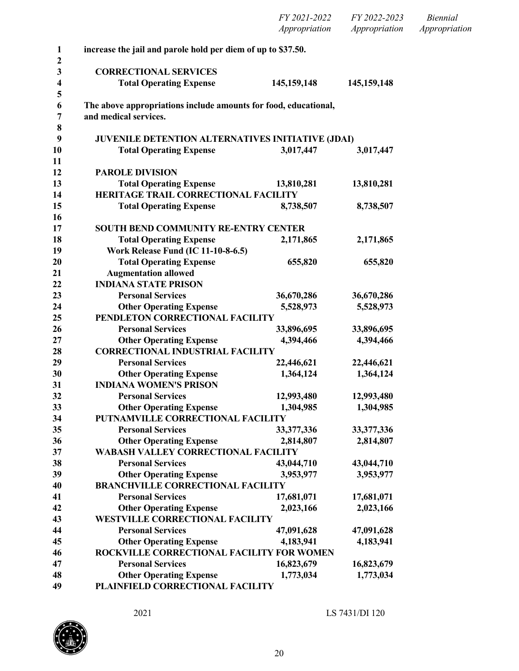|                  |                                                                     | FY 2021-2022<br>Appropriation | FY 2022-2023<br>Appropriation | <b>Biennial</b><br>Appropriation |
|------------------|---------------------------------------------------------------------|-------------------------------|-------------------------------|----------------------------------|
| $\mathbf{1}$     | increase the jail and parole hold per diem of up to \$37.50.        |                               |                               |                                  |
| $\boldsymbol{2}$ |                                                                     |                               |                               |                                  |
| 3                | <b>CORRECTIONAL SERVICES</b>                                        |                               |                               |                                  |
| 4                | <b>Total Operating Expense</b>                                      | 145, 159, 148                 | 145, 159, 148                 |                                  |
| 5<br>6           | The above appropriations include amounts for food, educational,     |                               |                               |                                  |
| 7                | and medical services.                                               |                               |                               |                                  |
| 8                |                                                                     |                               |                               |                                  |
| 9                | <b>JUVENILE DETENTION ALTERNATIVES INITIATIVE (JDAI)</b>            |                               |                               |                                  |
| 10               | <b>Total Operating Expense</b>                                      | 3,017,447                     | 3,017,447                     |                                  |
| 11               |                                                                     |                               |                               |                                  |
| 12               | <b>PAROLE DIVISION</b>                                              |                               |                               |                                  |
| 13               | <b>Total Operating Expense</b>                                      | 13,810,281                    | 13,810,281                    |                                  |
| 14               | HERITAGE TRAIL CORRECTIONAL FACILITY                                |                               |                               |                                  |
| 15               | <b>Total Operating Expense</b>                                      | 8,738,507                     | 8,738,507                     |                                  |
| 16               |                                                                     |                               |                               |                                  |
| 17               | <b>SOUTH BEND COMMUNITY RE-ENTRY CENTER</b>                         |                               |                               |                                  |
| 18               | <b>Total Operating Expense</b>                                      | 2,171,865                     | 2,171,865                     |                                  |
| 19               | <b>Work Release Fund (IC 11-10-8-6.5)</b>                           |                               |                               |                                  |
| 20               | <b>Total Operating Expense</b>                                      | 655,820                       | 655,820                       |                                  |
| 21               | <b>Augmentation allowed</b>                                         |                               |                               |                                  |
| 22               | <b>INDIANA STATE PRISON</b>                                         |                               |                               |                                  |
| 23               | <b>Personal Services</b>                                            | 36,670,286                    | 36,670,286                    |                                  |
| 24               | <b>Other Operating Expense</b>                                      | 5,528,973                     | 5,528,973                     |                                  |
| 25               | PENDLETON CORRECTIONAL FACILITY                                     |                               |                               |                                  |
| 26               | <b>Personal Services</b>                                            | 33,896,695                    | 33,896,695                    |                                  |
| 27               | <b>Other Operating Expense</b>                                      | 4,394,466                     | 4,394,466                     |                                  |
| 28               | <b>CORRECTIONAL INDUSTRIAL FACILITY</b>                             |                               |                               |                                  |
| 29               | <b>Personal Services</b>                                            | 22,446,621                    | 22,446,621                    |                                  |
| 30               | <b>Other Operating Expense</b>                                      | 1,364,124                     | 1,364,124                     |                                  |
| 31               | <b>INDIANA WOMEN'S PRISON</b>                                       |                               |                               |                                  |
| 32<br>33         | <b>Personal Services</b>                                            | 12,993,480                    | 12,993,480<br>1,304,985       |                                  |
| 34               | <b>Other Operating Expense</b><br>PUTNAMVILLE CORRECTIONAL FACILITY | 1,304,985                     |                               |                                  |
| 35               | <b>Personal Services</b>                                            | 33,377,336                    | 33, 377, 336                  |                                  |
| 36               | <b>Other Operating Expense</b>                                      | 2,814,807                     | 2,814,807                     |                                  |
| 37               | <b>WABASH VALLEY CORRECTIONAL FACILITY</b>                          |                               |                               |                                  |
| 38               | <b>Personal Services</b>                                            | 43,044,710                    | 43,044,710                    |                                  |
| 39               | <b>Other Operating Expense</b>                                      | 3,953,977                     | 3,953,977                     |                                  |
| 40               | <b>BRANCHVILLE CORRECTIONAL FACILITY</b>                            |                               |                               |                                  |
| 41               | <b>Personal Services</b>                                            | 17,681,071                    | 17,681,071                    |                                  |
| 42               | <b>Other Operating Expense</b>                                      | 2,023,166                     | 2,023,166                     |                                  |
| 43               | <b>WESTVILLE CORRECTIONAL FACILITY</b>                              |                               |                               |                                  |
| 44               | <b>Personal Services</b>                                            | 47,091,628                    | 47,091,628                    |                                  |
| 45               | <b>Other Operating Expense</b>                                      | 4,183,941                     | 4,183,941                     |                                  |
| 46               | ROCKVILLE CORRECTIONAL FACILITY FOR WOMEN                           |                               |                               |                                  |
| 47               | <b>Personal Services</b>                                            | 16,823,679                    | 16,823,679                    |                                  |
| 48               | <b>Other Operating Expense</b>                                      | 1,773,034                     | 1,773,034                     |                                  |
| 49               | PLAINFIELD CORRECTIONAL FACILITY                                    |                               |                               |                                  |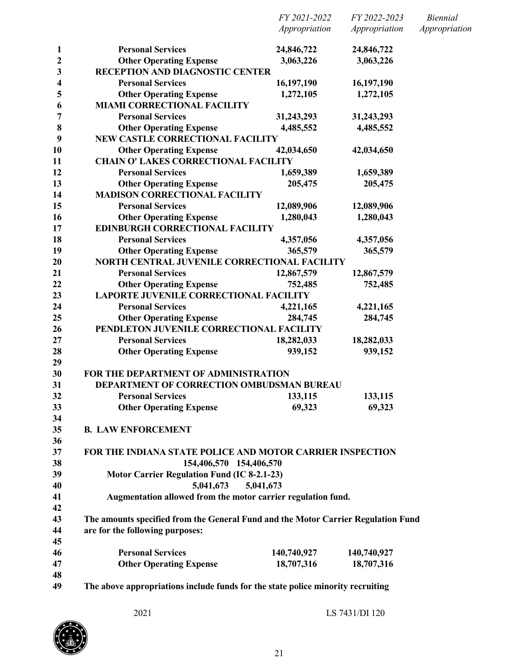|              |                                                                                   | FY 2021-2022  | FY 2022-2023  | <i>Biennial</i> |
|--------------|-----------------------------------------------------------------------------------|---------------|---------------|-----------------|
|              |                                                                                   | Appropriation | Appropriation | Appropriation   |
| $\mathbf{1}$ | <b>Personal Services</b>                                                          | 24,846,722    | 24,846,722    |                 |
| 2            | <b>Other Operating Expense</b>                                                    | 3,063,226     | 3,063,226     |                 |
| 3            | RECEPTION AND DIAGNOSTIC CENTER                                                   |               |               |                 |
| 4            | <b>Personal Services</b>                                                          | 16,197,190    | 16,197,190    |                 |
| 5            | <b>Other Operating Expense</b>                                                    | 1,272,105     | 1,272,105     |                 |
| 6            | <b>MIAMI CORRECTIONAL FACILITY</b>                                                |               |               |                 |
| 7            | <b>Personal Services</b>                                                          | 31,243,293    | 31,243,293    |                 |
| 8            | <b>Other Operating Expense</b>                                                    | 4,485,552     | 4,485,552     |                 |
| 9            | <b>NEW CASTLE CORRECTIONAL FACILITY</b>                                           |               |               |                 |
| 10           | <b>Other Operating Expense</b>                                                    | 42,034,650    | 42,034,650    |                 |
| 11           | <b>CHAIN O' LAKES CORRECTIONAL FACILITY</b>                                       |               |               |                 |
| 12           | <b>Personal Services</b>                                                          | 1,659,389     | 1,659,389     |                 |
| 13           | <b>Other Operating Expense</b>                                                    | 205,475       | 205,475       |                 |
| 14           | <b>MADISON CORRECTIONAL FACILITY</b>                                              |               |               |                 |
| 15           | <b>Personal Services</b>                                                          | 12,089,906    | 12,089,906    |                 |
| 16           | <b>Other Operating Expense</b>                                                    | 1,280,043     | 1,280,043     |                 |
| 17           | <b>EDINBURGH CORRECTIONAL FACILITY</b>                                            |               |               |                 |
| 18           | <b>Personal Services</b>                                                          | 4,357,056     | 4,357,056     |                 |
| 19           | <b>Other Operating Expense</b>                                                    | 365,579       | 365,579       |                 |
| 20           | NORTH CENTRAL JUVENILE CORRECTIONAL FACILITY                                      |               |               |                 |
| 21           | <b>Personal Services</b>                                                          | 12,867,579    | 12,867,579    |                 |
| 22           | <b>Other Operating Expense</b>                                                    | 752,485       | 752,485       |                 |
| 23           | <b>LAPORTE JUVENILE CORRECTIONAL FACILITY</b>                                     |               |               |                 |
| 24           | <b>Personal Services</b>                                                          | 4,221,165     | 4,221,165     |                 |
| 25           | <b>Other Operating Expense</b>                                                    | 284,745       | 284,745       |                 |
| 26           | PENDLETON JUVENILE CORRECTIONAL FACILITY                                          |               |               |                 |
| 27           | <b>Personal Services</b>                                                          | 18,282,033    | 18,282,033    |                 |
| 28           | <b>Other Operating Expense</b>                                                    | 939,152       | 939,152       |                 |
| 29           |                                                                                   |               |               |                 |
| 30           | <b>FOR THE DEPARTMENT OF ADMINISTRATION</b>                                       |               |               |                 |
| 31           | DEPARTMENT OF CORRECTION OMBUDSMAN BUREAU                                         |               |               |                 |
| 32           | <b>Personal Services</b>                                                          | 133,115       | 133,115       |                 |
| 33           | <b>Other Operating Expense</b>                                                    | 69,323        | 69,323        |                 |
| 34           |                                                                                   |               |               |                 |
| 35           | <b>B. LAW ENFORCEMENT</b>                                                         |               |               |                 |
| 36           |                                                                                   |               |               |                 |
| 37           | <b>FOR THE INDIANA STATE POLICE AND MOTOR CARRIER INSPECTION</b>                  |               |               |                 |
| 38           | 154,406,570 154,406,570                                                           |               |               |                 |
| 39           | <b>Motor Carrier Regulation Fund (IC 8-2.1-23)</b>                                |               |               |                 |
| 40           | 5,041,673                                                                         | 5,041,673     |               |                 |
| 41           | Augmentation allowed from the motor carrier regulation fund.                      |               |               |                 |
| 42           |                                                                                   |               |               |                 |
| 43           | The amounts specified from the General Fund and the Motor Carrier Regulation Fund |               |               |                 |
| 44           | are for the following purposes:                                                   |               |               |                 |
| 45           |                                                                                   |               |               |                 |
| 46           | <b>Personal Services</b>                                                          | 140,740,927   | 140,740,927   |                 |
| 47           | <b>Other Operating Expense</b>                                                    | 18,707,316    | 18,707,316    |                 |
| 48           |                                                                                   |               |               |                 |
| 49           | The above appropriations include funds for the state police minority recruiting   |               |               |                 |

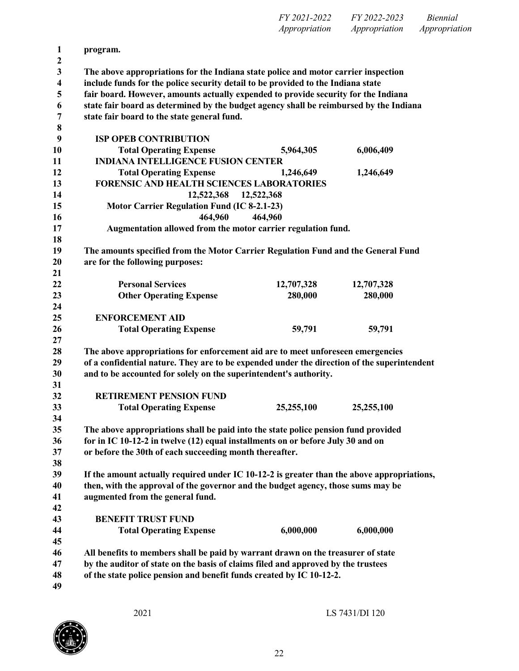|                  |                                                                                                                      | FY 2021-2022  | FY 2022-2023  | <b>Biennial</b> |
|------------------|----------------------------------------------------------------------------------------------------------------------|---------------|---------------|-----------------|
|                  |                                                                                                                      | Appropriation | Appropriation | Appropriation   |
| $\mathbf{1}$     | program.                                                                                                             |               |               |                 |
| $\mathbf 2$<br>3 | The above appropriations for the Indiana state police and motor carrier inspection                                   |               |               |                 |
| 4                | include funds for the police security detail to be provided to the Indiana state                                     |               |               |                 |
| 5                | fair board. However, amounts actually expended to provide security for the Indiana                                   |               |               |                 |
| 6                | state fair board as determined by the budget agency shall be reimbursed by the Indiana                               |               |               |                 |
| 7                | state fair board to the state general fund.                                                                          |               |               |                 |
| 8                |                                                                                                                      |               |               |                 |
| 9                | <b>ISP OPEB CONTRIBUTION</b>                                                                                         |               |               |                 |
| 10               | <b>Total Operating Expense</b>                                                                                       | 5,964,305     | 6,006,409     |                 |
| 11               | <b>INDIANA INTELLIGENCE FUSION CENTER</b>                                                                            |               |               |                 |
| 12               | <b>Total Operating Expense</b>                                                                                       | 1,246,649     | 1,246,649     |                 |
| 13               | <b>FORENSIC AND HEALTH SCIENCES LABORATORIES</b>                                                                     |               |               |                 |
| 14               | 12,522,368                                                                                                           | 12,522,368    |               |                 |
| 15               | <b>Motor Carrier Regulation Fund (IC 8-2.1-23)</b>                                                                   |               |               |                 |
| 16               | 464,960                                                                                                              | 464,960       |               |                 |
| 17               | Augmentation allowed from the motor carrier regulation fund.                                                         |               |               |                 |
| 18               |                                                                                                                      |               |               |                 |
| 19               | The amounts specified from the Motor Carrier Regulation Fund and the General Fund                                    |               |               |                 |
| 20               | are for the following purposes:                                                                                      |               |               |                 |
| 21               |                                                                                                                      |               |               |                 |
| 22               | <b>Personal Services</b>                                                                                             | 12,707,328    | 12,707,328    |                 |
| 23               | <b>Other Operating Expense</b>                                                                                       | 280,000       | 280,000       |                 |
| 24               |                                                                                                                      |               |               |                 |
| 25               | <b>ENFORCEMENT AID</b>                                                                                               |               |               |                 |
| 26               | <b>Total Operating Expense</b>                                                                                       | 59,791        | 59,791        |                 |
| 27               |                                                                                                                      |               |               |                 |
| 28               | The above appropriations for enforcement aid are to meet unforeseen emergencies                                      |               |               |                 |
| 29               | of a confidential nature. They are to be expended under the direction of the superintendent                          |               |               |                 |
| 30               | and to be accounted for solely on the superintendent's authority.                                                    |               |               |                 |
| 31               |                                                                                                                      |               |               |                 |
| 32               | <b>RETIREMENT PENSION FUND</b>                                                                                       |               |               |                 |
| 33               | <b>Total Operating Expense</b>                                                                                       | 25,255,100    | 25,255,100    |                 |
| 34               |                                                                                                                      |               |               |                 |
| 35               | The above appropriations shall be paid into the state police pension fund provided                                   |               |               |                 |
| 36               | for in IC 10-12-2 in twelve (12) equal installments on or before July 30 and on                                      |               |               |                 |
| 37               | or before the 30th of each succeeding month thereafter.                                                              |               |               |                 |
| 38               |                                                                                                                      |               |               |                 |
| 39               | If the amount actually required under IC 10-12-2 is greater than the above appropriations,                           |               |               |                 |
| 40<br>41         | then, with the approval of the governor and the budget agency, those sums may be<br>augmented from the general fund. |               |               |                 |
| 42               |                                                                                                                      |               |               |                 |
| 43               | <b>BENEFIT TRUST FUND</b>                                                                                            |               |               |                 |
| 44               | <b>Total Operating Expense</b>                                                                                       | 6,000,000     | 6,000,000     |                 |
| 45               |                                                                                                                      |               |               |                 |
| 46               | All benefits to members shall be paid by warrant drawn on the treasurer of state                                     |               |               |                 |
| 47               | by the auditor of state on the basis of claims filed and approved by the trustees                                    |               |               |                 |
| 48               | of the state police pension and benefit funds created by IC 10-12-2.                                                 |               |               |                 |
| 49               |                                                                                                                      |               |               |                 |
|                  |                                                                                                                      |               |               |                 |

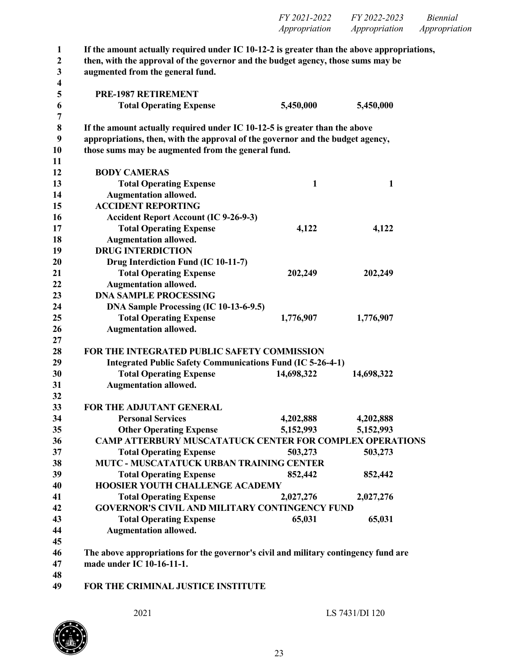| <i>FY 2021-2022</i> | FY 2022-2023  | <i>Biennial</i> |
|---------------------|---------------|-----------------|
| Appropriation       | Appropriation | Appropriation   |

| $\mathbf{1}$<br>$\mathbf{2}$ | If the amount actually required under IC $10-12-2$ is greater than the above appropriations,<br>then, with the approval of the governor and the budget agency, those sums may be |              |              |  |
|------------------------------|----------------------------------------------------------------------------------------------------------------------------------------------------------------------------------|--------------|--------------|--|
| $\mathbf{3}$                 | augmented from the general fund.                                                                                                                                                 |              |              |  |
| 4                            |                                                                                                                                                                                  |              |              |  |
| 5                            | PRE-1987 RETIREMENT                                                                                                                                                              |              |              |  |
| 6                            | <b>Total Operating Expense</b>                                                                                                                                                   | 5,450,000    | 5,450,000    |  |
| 7                            |                                                                                                                                                                                  |              |              |  |
| 8                            | If the amount actually required under IC $10-12-5$ is greater than the above                                                                                                     |              |              |  |
| 9                            | appropriations, then, with the approval of the governor and the budget agency,                                                                                                   |              |              |  |
| 10                           | those sums may be augmented from the general fund.                                                                                                                               |              |              |  |
| 11                           |                                                                                                                                                                                  |              |              |  |
| 12                           | <b>BODY CAMERAS</b>                                                                                                                                                              |              |              |  |
| 13                           | <b>Total Operating Expense</b>                                                                                                                                                   | $\mathbf{1}$ | $\mathbf{1}$ |  |
| 14                           | <b>Augmentation allowed.</b>                                                                                                                                                     |              |              |  |
| 15                           | <b>ACCIDENT REPORTING</b>                                                                                                                                                        |              |              |  |
| 16                           | <b>Accident Report Account (IC 9-26-9-3)</b>                                                                                                                                     |              |              |  |
| 17                           | <b>Total Operating Expense</b>                                                                                                                                                   | 4,122        | 4,122        |  |
| 18                           | <b>Augmentation allowed.</b>                                                                                                                                                     |              |              |  |
| 19                           | <b>DRUG INTERDICTION</b>                                                                                                                                                         |              |              |  |
| 20                           | Drug Interdiction Fund (IC 10-11-7)                                                                                                                                              |              |              |  |
| 21                           | <b>Total Operating Expense</b>                                                                                                                                                   | 202,249      | 202,249      |  |
| 22                           | <b>Augmentation allowed.</b>                                                                                                                                                     |              |              |  |
| 23                           | <b>DNA SAMPLE PROCESSING</b>                                                                                                                                                     |              |              |  |
| 24                           | DNA Sample Processing (IC 10-13-6-9.5)                                                                                                                                           |              |              |  |
| 25                           | <b>Total Operating Expense</b>                                                                                                                                                   | 1,776,907    | 1,776,907    |  |
| 26                           | <b>Augmentation allowed.</b>                                                                                                                                                     |              |              |  |
| 27                           |                                                                                                                                                                                  |              |              |  |
| 28                           | <b>FOR THE INTEGRATED PUBLIC SAFETY COMMISSION</b>                                                                                                                               |              |              |  |
| 29                           | <b>Integrated Public Safety Communications Fund (IC 5-26-4-1)</b>                                                                                                                |              |              |  |
| 30                           | <b>Total Operating Expense</b>                                                                                                                                                   | 14,698,322   | 14,698,322   |  |
| 31                           | <b>Augmentation allowed.</b>                                                                                                                                                     |              |              |  |
| 32                           |                                                                                                                                                                                  |              |              |  |
| 33                           | FOR THE ADJUTANT GENERAL                                                                                                                                                         |              |              |  |
| 34                           | <b>Personal Services</b>                                                                                                                                                         | 4,202,888    | 4,202,888    |  |
| 35                           | <b>Other Operating Expense</b>                                                                                                                                                   | 5,152,993    | 5,152,993    |  |
| 36                           | <b>CAMP ATTERBURY MUSCATATUCK CENTER FOR COMPLEX OPERATIONS</b>                                                                                                                  |              |              |  |
| 37                           | <b>Total Operating Expense</b>                                                                                                                                                   | 503,273      | 503,273      |  |
| 38                           | <b>MUTC - MUSCATATUCK URBAN TRAINING CENTER</b>                                                                                                                                  |              |              |  |
| 39                           | <b>Total Operating Expense</b>                                                                                                                                                   | 852,442      | 852,442      |  |
| 40                           | <b>HOOSIER YOUTH CHALLENGE ACADEMY</b>                                                                                                                                           |              |              |  |
| 41                           | <b>Total Operating Expense</b>                                                                                                                                                   | 2,027,276    | 2,027,276    |  |
| 42                           | <b>GOVERNOR'S CIVIL AND MILITARY CONTINGENCY FUND</b>                                                                                                                            |              |              |  |
| 43                           | <b>Total Operating Expense</b>                                                                                                                                                   | 65,031       | 65,031       |  |
| 44                           | <b>Augmentation allowed.</b>                                                                                                                                                     |              |              |  |
| 45                           |                                                                                                                                                                                  |              |              |  |
| 46                           | The above appropriations for the governor's civil and military contingency fund are                                                                                              |              |              |  |
| 47                           | made under IC 10-16-11-1.                                                                                                                                                        |              |              |  |
| 48                           |                                                                                                                                                                                  |              |              |  |
| 40.                          | EOD TIIE CDIMINAL HIGTICE INGTITUTE                                                                                                                                              |              |              |  |

**FOR THE CRIMINAL JUSTICE INSTITUTE**

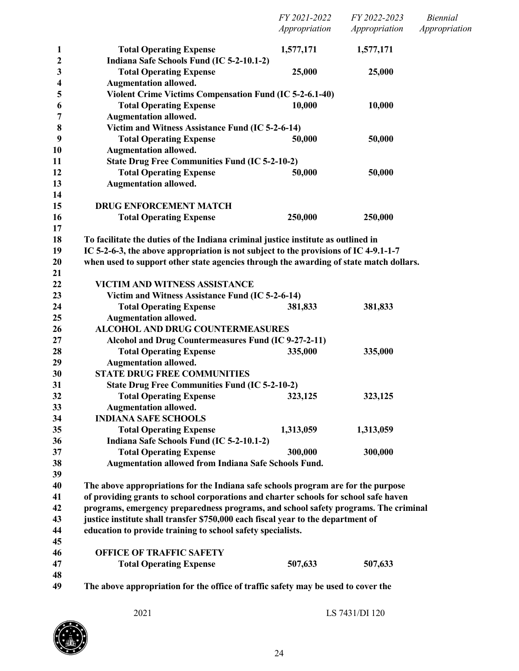|                  |                                                                                        | FY 2021-2022<br>Appropriation | FY 2022-2023<br>Appropriation | <b>Biennial</b><br>Appropriation |
|------------------|----------------------------------------------------------------------------------------|-------------------------------|-------------------------------|----------------------------------|
| $\mathbf{1}$     | <b>Total Operating Expense</b>                                                         | 1,577,171                     | 1,577,171                     |                                  |
| $\boldsymbol{2}$ | Indiana Safe Schools Fund (IC 5-2-10.1-2)                                              |                               |                               |                                  |
| 3                | <b>Total Operating Expense</b>                                                         | 25,000                        | 25,000                        |                                  |
| 4                | <b>Augmentation allowed.</b>                                                           |                               |                               |                                  |
| 5                | <b>Violent Crime Victims Compensation Fund (IC 5-2-6.1-40)</b>                         |                               |                               |                                  |
| 6                | <b>Total Operating Expense</b>                                                         | 10,000                        | 10,000                        |                                  |
| 7                | <b>Augmentation allowed.</b>                                                           |                               |                               |                                  |
| 8                | Victim and Witness Assistance Fund (IC 5-2-6-14)                                       |                               |                               |                                  |
| 9                | <b>Total Operating Expense</b>                                                         | 50,000                        | 50,000                        |                                  |
| 10               | <b>Augmentation allowed.</b>                                                           |                               |                               |                                  |
| 11               | <b>State Drug Free Communities Fund (IC 5-2-10-2)</b>                                  |                               |                               |                                  |
| 12               | <b>Total Operating Expense</b>                                                         | 50,000                        | 50,000                        |                                  |
| 13               | <b>Augmentation allowed.</b>                                                           |                               |                               |                                  |
| 14               |                                                                                        |                               |                               |                                  |
| 15               | <b>DRUG ENFORCEMENT MATCH</b>                                                          |                               |                               |                                  |
| 16               | <b>Total Operating Expense</b>                                                         | 250,000                       | 250,000                       |                                  |
| 17               |                                                                                        |                               |                               |                                  |
| 18               | To facilitate the duties of the Indiana criminal justice institute as outlined in      |                               |                               |                                  |
| 19               | IC 5-2-6-3, the above appropriation is not subject to the provisions of IC 4-9.1-1-7   |                               |                               |                                  |
| 20               | when used to support other state agencies through the awarding of state match dollars. |                               |                               |                                  |
| 21               |                                                                                        |                               |                               |                                  |
| 22               | VICTIM AND WITNESS ASSISTANCE                                                          |                               |                               |                                  |
| 23               | Victim and Witness Assistance Fund (IC 5-2-6-14)                                       |                               |                               |                                  |
| 24               | <b>Total Operating Expense</b>                                                         | 381,833                       | 381,833                       |                                  |
| 25               | <b>Augmentation allowed.</b>                                                           |                               |                               |                                  |
| 26               | <b>ALCOHOL AND DRUG COUNTERMEASURES</b>                                                |                               |                               |                                  |
| 27               | Alcohol and Drug Countermeasures Fund (IC 9-27-2-11)                                   |                               |                               |                                  |
| 28               | <b>Total Operating Expense</b>                                                         | 335,000                       | 335,000                       |                                  |
| 29               | <b>Augmentation allowed.</b>                                                           |                               |                               |                                  |
| 30               | <b>STATE DRUG FREE COMMUNITIES</b>                                                     |                               |                               |                                  |
| 31               | <b>State Drug Free Communities Fund (IC 5-2-10-2)</b>                                  |                               |                               |                                  |
| 32               | <b>Total Operating Expense</b>                                                         | 323,125                       | 323,125                       |                                  |
| 33               | <b>Augmentation allowed.</b>                                                           |                               |                               |                                  |
| 34               | <b>INDIANA SAFE SCHOOLS</b>                                                            |                               |                               |                                  |
| 35               | <b>Total Operating Expense</b>                                                         | 1,313,059                     | 1,313,059                     |                                  |
| 36               | Indiana Safe Schools Fund (IC 5-2-10.1-2)                                              |                               |                               |                                  |
| 37               | <b>Total Operating Expense</b>                                                         | 300,000                       | 300,000                       |                                  |
| 38               | Augmentation allowed from Indiana Safe Schools Fund.                                   |                               |                               |                                  |
| 39               |                                                                                        |                               |                               |                                  |
| 40               | The above appropriations for the Indiana safe schools program are for the purpose      |                               |                               |                                  |
| 41               | of providing grants to school corporations and charter schools for school safe haven   |                               |                               |                                  |
| 42               | programs, emergency preparedness programs, and school safety programs. The criminal    |                               |                               |                                  |
| 43               | justice institute shall transfer \$750,000 each fiscal year to the department of       |                               |                               |                                  |
| 44               | education to provide training to school safety specialists.                            |                               |                               |                                  |
| 45               |                                                                                        |                               |                               |                                  |
| 46               | <b>OFFICE OF TRAFFIC SAFETY</b>                                                        |                               |                               |                                  |
| 47               | <b>Total Operating Expense</b>                                                         | 507,633                       | 507,633                       |                                  |
| 48               |                                                                                        |                               |                               |                                  |
| 49               | The above appropriation for the office of traffic safety may be used to cover the      |                               |                               |                                  |

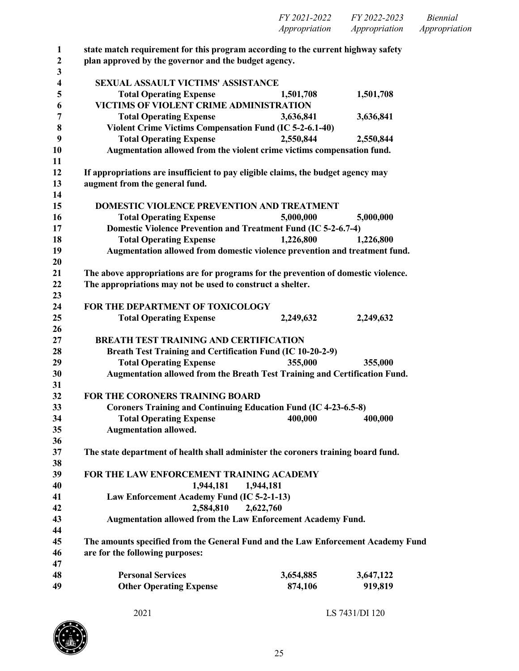| FY 2021-2022         | FY 2022-2023  | <i>Biennial</i> |
|----------------------|---------------|-----------------|
| <i>Appropriation</i> | Appropriation | Appropriation   |

 **state match requirement for this program according to the current highway safety plan approved by the governor and the budget agency. SEXUAL ASSAULT VICTIMS' ASSISTANCE Total Operating Expense 1,501,708 1,501,708 VICTIMS OF VIOLENT CRIME ADMINISTRATION Total Operating Expense 3,636,841 3,636,841 Violent Crime Victims Compensation Fund (IC 5-2-6.1-40) Total Operating Expense 2,550,844 2,550,844 Augmentation allowed from the violent crime victims compensation fund. If appropriations are insufficient to pay eligible claims, the budget agency may augment from the general fund. DOMESTIC VIOLENCE PREVENTION AND TREATMENT Total Operating Expense 5,000,000 5,000,000 Domestic Violence Prevention and Treatment Fund (IC 5-2-6.7-4) Total Operating Expense 1,226,800 1,226,800 Augmentation allowed from domestic violence prevention and treatment fund. The above appropriations are for programs for the prevention of domestic violence. The appropriations may not be used to construct a shelter. FOR THE DEPARTMENT OF TOXICOLOGY Total Operating Expense 2,249,632 2,249,632 BREATH TEST TRAINING AND CERTIFICATION Breath Test Training and Certification Fund (IC 10-20-2-9) Total Operating Expense 355,000 355,000 Augmentation allowed from the Breath Test Training and Certification Fund. FOR THE CORONERS TRAINING BOARD Coroners Training and Continuing Education Fund (IC 4-23-6.5-8) Total Operating Expense 400,000 400,000 Augmentation allowed. The state department of health shall administer the coroners training board fund. FOR THE LAW ENFORCEMENT TRAINING ACADEMY 1,944,181 1,944,181 Law Enforcement Academy Fund (IC 5-2-1-13) 2,584,810 2,622,760 Augmentation allowed from the Law Enforcement Academy Fund. The amounts specified from the General Fund and the Law Enforcement Academy Fund are for the following purposes: Personal Services 3,654,885 3,647,122 Other Operating Expense 874,106 919,819**

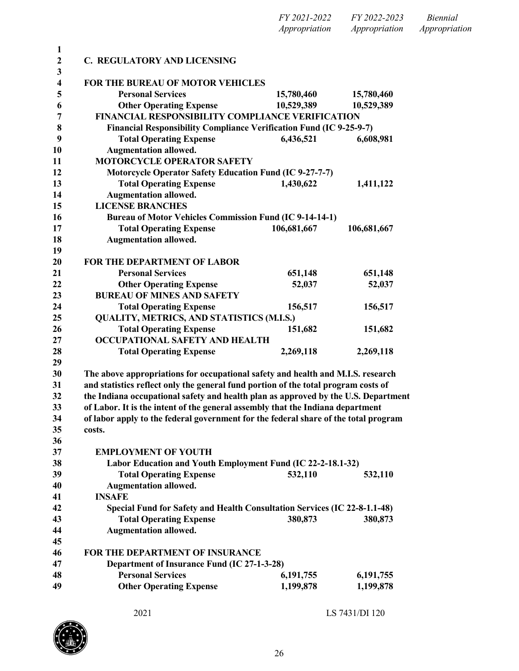|                         |                                                                                     | Appropriation | Appropriation |
|-------------------------|-------------------------------------------------------------------------------------|---------------|---------------|
| $\mathbf{1}$            |                                                                                     |               |               |
| $\overline{2}$<br>3     | C. REGULATORY AND LICENSING                                                         |               |               |
| $\overline{\mathbf{4}}$ | FOR THE BUREAU OF MOTOR VEHICLES                                                    |               |               |
| 5                       | <b>Personal Services</b>                                                            | 15,780,460    | 15,780,460    |
| 6                       | <b>Other Operating Expense</b>                                                      | 10,529,389    | 10,529,389    |
| $\overline{7}$          | <b>FINANCIAL RESPONSIBILITY COMPLIANCE VERIFICATION</b>                             |               |               |
| 8                       | Financial Responsibility Compliance Verification Fund (IC 9-25-9-7)                 |               |               |
| 9                       | <b>Total Operating Expense</b>                                                      | 6,436,521     | 6,608,981     |
| 10                      | <b>Augmentation allowed.</b>                                                        |               |               |
| 11                      | <b>MOTORCYCLE OPERATOR SAFETY</b>                                                   |               |               |
| 12                      | <b>Motorcycle Operator Safety Education Fund (IC 9-27-7-7)</b>                      |               |               |
| 13                      | <b>Total Operating Expense</b>                                                      | 1,430,622     | 1,411,122     |
| 14                      | <b>Augmentation allowed.</b>                                                        |               |               |
| 15                      | <b>LICENSE BRANCHES</b>                                                             |               |               |
| 16                      | <b>Bureau of Motor Vehicles Commission Fund (IC 9-14-14-1)</b>                      |               |               |
| 17                      | <b>Total Operating Expense</b>                                                      | 106,681,667   | 106,681,667   |
| 18                      | <b>Augmentation allowed.</b>                                                        |               |               |
| 19                      |                                                                                     |               |               |
| 20                      | <b>FOR THE DEPARTMENT OF LABOR</b>                                                  |               |               |
| 21                      | <b>Personal Services</b>                                                            | 651,148       | 651,148       |
| 22                      | <b>Other Operating Expense</b>                                                      | 52,037        | 52,037        |
| 23                      | <b>BUREAU OF MINES AND SAFETY</b>                                                   |               |               |
| 24                      | <b>Total Operating Expense</b>                                                      | 156,517       | 156,517       |
| 25                      | QUALITY, METRICS, AND STATISTICS (M.I.S.)                                           |               |               |
| 26<br>27                | <b>Total Operating Expense</b><br>OCCUPATIONAL SAFETY AND HEALTH                    | 151,682       | 151,682       |
| 28                      | <b>Total Operating Expense</b>                                                      | 2,269,118     | 2,269,118     |
| 29                      |                                                                                     |               |               |
| 30                      | The above appropriations for occupational safety and health and M.I.S. research     |               |               |
| 31                      | and statistics reflect only the general fund portion of the total program costs of  |               |               |
| 32                      | the Indiana occupational safety and health plan as approved by the U.S. Department  |               |               |
| 33                      | of Labor. It is the intent of the general assembly that the Indiana department      |               |               |
| 34                      | of labor apply to the federal government for the federal share of the total program |               |               |
| 35                      | costs.                                                                              |               |               |
| 36                      |                                                                                     |               |               |
| 37                      | <b>EMPLOYMENT OF YOUTH</b>                                                          |               |               |
| 38                      | Labor Education and Youth Employment Fund (IC 22-2-18.1-32)                         |               |               |
| 39                      | <b>Total Operating Expense</b>                                                      | 532,110       | 532,110       |
| 40                      | <b>Augmentation allowed.</b>                                                        |               |               |
| 41                      | <b>INSAFE</b>                                                                       |               |               |
| 42                      | Special Fund for Safety and Health Consultation Services (IC 22-8-1.1-48)           |               |               |
| 43                      | <b>Total Operating Expense</b>                                                      | 380,873       | 380,873       |
| 44                      | <b>Augmentation allowed.</b>                                                        |               |               |
| 45                      |                                                                                     |               |               |
| 46                      | FOR THE DEPARTMENT OF INSURANCE                                                     |               |               |
| 47                      | Department of Insurance Fund (IC 27-1-3-28)                                         |               |               |
| 48                      | <b>Personal Services</b>                                                            | 6, 191, 755   | 6,191,755     |
| 49                      | <b>Other Operating Expense</b>                                                      | 1,199,878     | 1,199,878     |
|                         |                                                                                     |               |               |



*FY 2021-2022 FY 2022-2023 Biennial*

*Appropriation Appropriation Appropriation*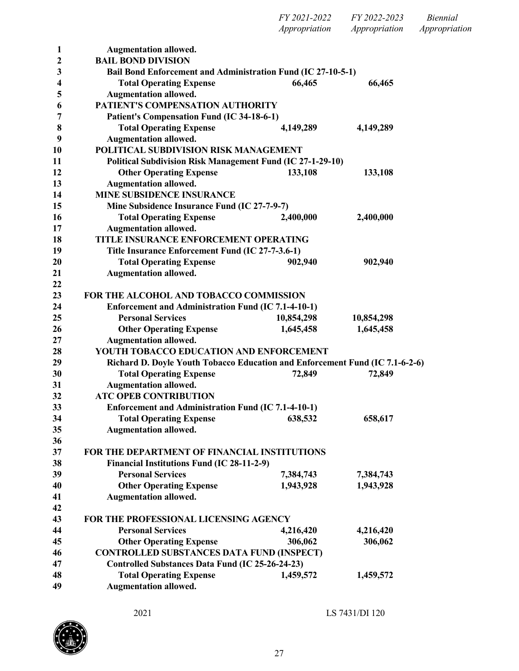| 1                | <b>Augmentation allowed.</b>                                                 |            |            |  |
|------------------|------------------------------------------------------------------------------|------------|------------|--|
| $\boldsymbol{2}$ | <b>BAIL BOND DIVISION</b>                                                    |            |            |  |
| 3                | Bail Bond Enforcement and Administration Fund (IC 27-10-5-1)                 |            |            |  |
| 4                | <b>Total Operating Expense</b>                                               | 66,465     | 66,465     |  |
| 5                | <b>Augmentation allowed.</b>                                                 |            |            |  |
| 6                | PATIENT'S COMPENSATION AUTHORITY                                             |            |            |  |
| 7                | <b>Patient's Compensation Fund (IC 34-18-6-1)</b>                            |            |            |  |
| 8                | <b>Total Operating Expense</b>                                               | 4,149,289  | 4,149,289  |  |
| 9                | <b>Augmentation allowed.</b>                                                 |            |            |  |
| 10               | POLITICAL SUBDIVISION RISK MANAGEMENT                                        |            |            |  |
| 11               | <b>Political Subdivision Risk Management Fund (IC 27-1-29-10)</b>            |            |            |  |
| 12               | <b>Other Operating Expense</b>                                               | 133,108    | 133,108    |  |
| 13               | <b>Augmentation allowed.</b>                                                 |            |            |  |
| 14               | <b>MINE SUBSIDENCE INSURANCE</b>                                             |            |            |  |
| 15               | Mine Subsidence Insurance Fund (IC 27-7-9-7)                                 |            |            |  |
| 16               | <b>Total Operating Expense</b>                                               | 2,400,000  | 2,400,000  |  |
| 17               | <b>Augmentation allowed.</b>                                                 |            |            |  |
| 18               | TITLE INSURANCE ENFORCEMENT OPERATING                                        |            |            |  |
| 19               | Title Insurance Enforcement Fund (IC 27-7-3.6-1)                             |            |            |  |
| 20               | <b>Total Operating Expense</b>                                               | 902,940    | 902,940    |  |
| 21               | <b>Augmentation allowed.</b>                                                 |            |            |  |
| 22               |                                                                              |            |            |  |
| 23               | FOR THE ALCOHOL AND TOBACCO COMMISSION                                       |            |            |  |
| 24               | <b>Enforcement and Administration Fund (IC 7.1-4-10-1)</b>                   |            |            |  |
| 25               | <b>Personal Services</b>                                                     | 10,854,298 | 10,854,298 |  |
| 26               | <b>Other Operating Expense</b>                                               | 1,645,458  | 1,645,458  |  |
| 27               | <b>Augmentation allowed.</b>                                                 |            |            |  |
| 28               | YOUTH TOBACCO EDUCATION AND ENFORCEMENT                                      |            |            |  |
| 29               | Richard D. Doyle Youth Tobacco Education and Enforcement Fund (IC 7.1-6-2-6) |            |            |  |
| 30               | <b>Total Operating Expense</b>                                               | 72,849     | 72,849     |  |
| 31               | <b>Augmentation allowed.</b>                                                 |            |            |  |
| 32               | <b>ATC OPEB CONTRIBUTION</b>                                                 |            |            |  |
| 33               | <b>Enforcement and Administration Fund (IC 7.1-4-10-1)</b>                   |            |            |  |
| 34               | <b>Total Operating Expense</b><br>638,532                                    |            | 658,617    |  |
| 35               | <b>Augmentation allowed.</b>                                                 |            |            |  |
| 36               |                                                                              |            |            |  |
| 37               | FOR THE DEPARTMENT OF FINANCIAL INSTITUTIONS                                 |            |            |  |
| 38               | Financial Institutions Fund (IC 28-11-2-9)                                   |            |            |  |
| 39               | <b>Personal Services</b>                                                     | 7,384,743  | 7,384,743  |  |
| 40               | <b>Other Operating Expense</b>                                               | 1,943,928  | 1,943,928  |  |
| 41               | <b>Augmentation allowed.</b>                                                 |            |            |  |
| 42               |                                                                              |            |            |  |
| 43               | FOR THE PROFESSIONAL LICENSING AGENCY                                        |            |            |  |
| 44               | <b>Personal Services</b>                                                     | 4,216,420  | 4,216,420  |  |
| 45               | <b>Other Operating Expense</b>                                               | 306,062    | 306,062    |  |
| 46               | <b>CONTROLLED SUBSTANCES DATA FUND (INSPECT)</b>                             |            |            |  |
| 47               | Controlled Substances Data Fund (IC 25-26-24-23)                             |            |            |  |
| 48               | <b>Total Operating Expense</b>                                               | 1,459,572  | 1,459,572  |  |
| 49               | <b>Augmentation allowed.</b>                                                 |            |            |  |
|                  |                                                                              |            |            |  |

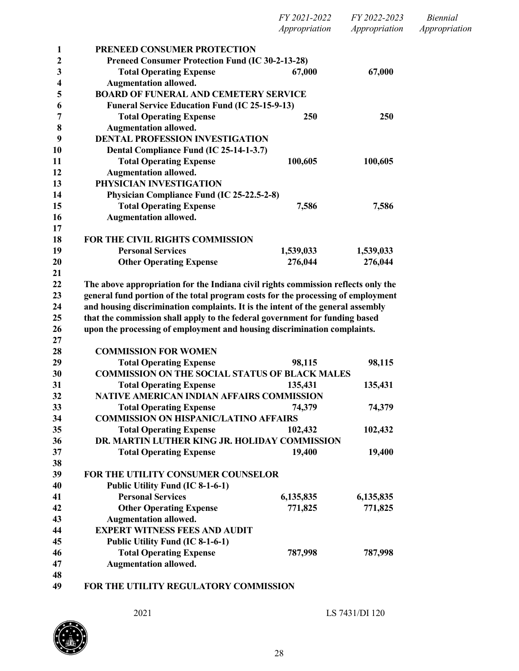|          |                                                                                   | FY 2021-2022  | FY 2022-2023  | <b>Biennial</b> |
|----------|-----------------------------------------------------------------------------------|---------------|---------------|-----------------|
|          |                                                                                   | Appropriation | Appropriation | Appropriation   |
| 1        | PRENEED CONSUMER PROTECTION                                                       |               |               |                 |
| 2        | <b>Preneed Consumer Protection Fund (IC 30-2-13-28)</b>                           |               |               |                 |
| 3        | <b>Total Operating Expense</b>                                                    | 67,000        | 67,000        |                 |
| 4        | <b>Augmentation allowed.</b>                                                      |               |               |                 |
| 5        | <b>BOARD OF FUNERAL AND CEMETERY SERVICE</b>                                      |               |               |                 |
| 6        | <b>Funeral Service Education Fund (IC 25-15-9-13)</b>                             |               |               |                 |
| 7        | <b>Total Operating Expense</b>                                                    | 250           | 250           |                 |
| 8        | <b>Augmentation allowed.</b>                                                      |               |               |                 |
| 9        | <b>DENTAL PROFESSION INVESTIGATION</b>                                            |               |               |                 |
| 10       | Dental Compliance Fund (IC 25-14-1-3.7)                                           |               |               |                 |
| 11       | <b>Total Operating Expense</b>                                                    | 100,605       | 100,605       |                 |
| 12       | <b>Augmentation allowed.</b>                                                      |               |               |                 |
| 13       | PHYSICIAN INVESTIGATION                                                           |               |               |                 |
| 14       | Physician Compliance Fund (IC 25-22.5-2-8)                                        |               |               |                 |
| 15       | <b>Total Operating Expense</b>                                                    | 7,586         | 7,586         |                 |
| 16       | <b>Augmentation allowed.</b>                                                      |               |               |                 |
| 17       |                                                                                   |               |               |                 |
| 18       | FOR THE CIVIL RIGHTS COMMISSION                                                   |               |               |                 |
| 19       | <b>Personal Services</b>                                                          | 1,539,033     | 1,539,033     |                 |
| 20       | <b>Other Operating Expense</b>                                                    | 276,044       | 276,044       |                 |
| 21<br>22 | The above appropriation for the Indiana civil rights commission reflects only the |               |               |                 |
| 23       | general fund portion of the total program costs for the processing of employment  |               |               |                 |
| 24       | and housing discrimination complaints. It is the intent of the general assembly   |               |               |                 |
| 25       | that the commission shall apply to the federal government for funding based       |               |               |                 |
| 26       | upon the processing of employment and housing discrimination complaints.          |               |               |                 |
| 27       |                                                                                   |               |               |                 |
| 28       | <b>COMMISSION FOR WOMEN</b>                                                       |               |               |                 |
| 29       | <b>Total Operating Expense</b>                                                    | 98,115        | 98,115        |                 |
| 30       | <b>COMMISSION ON THE SOCIAL STATUS OF BLACK MALES</b>                             |               |               |                 |
| 31       | <b>Total Operating Expense</b>                                                    | 135,431       | 135,431       |                 |
| 32       | NATIVE AMERICAN INDIAN AFFAIRS COMMISSION                                         |               |               |                 |
| 33       | <b>Total Operating Expense</b>                                                    | 74,379        | 74,379        |                 |
| 34       | <b>COMMISSION ON HISPANIC/LATINO AFFAIRS</b>                                      |               |               |                 |
| 35       | <b>Total Operating Expense</b>                                                    | 102,432       | 102,432       |                 |
| 36       | DR. MARTIN LUTHER KING JR. HOLIDAY COMMISSION                                     |               |               |                 |
| 37       | <b>Total Operating Expense</b>                                                    | 19,400        | 19,400        |                 |
| 38       |                                                                                   |               |               |                 |
| 39       | FOR THE UTILITY CONSUMER COUNSELOR                                                |               |               |                 |
| 40       | Public Utility Fund (IC 8-1-6-1)                                                  |               |               |                 |
| 41       | <b>Personal Services</b>                                                          | 6,135,835     | 6,135,835     |                 |
| 42       | <b>Other Operating Expense</b>                                                    | 771,825       | 771,825       |                 |
| 43       | <b>Augmentation allowed.</b>                                                      |               |               |                 |
| 44       | <b>EXPERT WITNESS FEES AND AUDIT</b>                                              |               |               |                 |
| 45       | Public Utility Fund (IC 8-1-6-1)                                                  |               |               |                 |
| 46       | <b>Total Operating Expense</b>                                                    | 787,998       | 787,998       |                 |
| 47       | <b>Augmentation allowed.</b>                                                      |               |               |                 |
| 48       |                                                                                   |               |               |                 |
|          |                                                                                   |               |               |                 |

**FOR THE UTILITY REGULATORY COMMISSION**

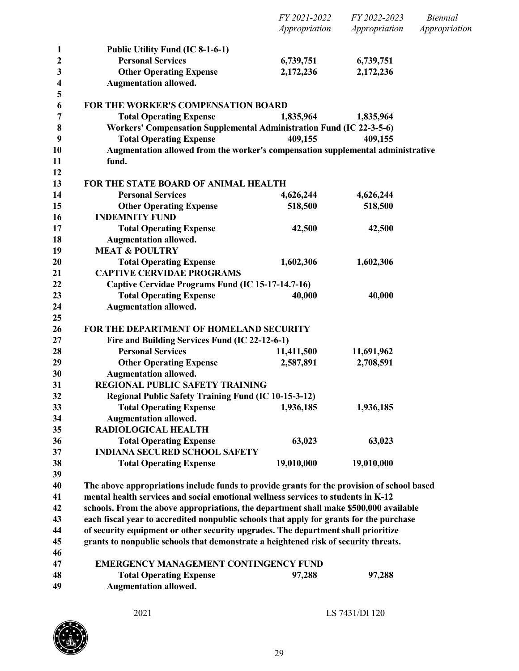|              |                                                                                            | FY 2021-2022<br>Appropriation | FY 2022-2023<br>Appropriation | <b>Biennial</b><br>Appropriation |
|--------------|--------------------------------------------------------------------------------------------|-------------------------------|-------------------------------|----------------------------------|
|              |                                                                                            |                               |                               |                                  |
| $\mathbf{1}$ | Public Utility Fund (IC 8-1-6-1)                                                           |                               |                               |                                  |
| 2            | <b>Personal Services</b>                                                                   | 6,739,751                     | 6,739,751                     |                                  |
| 3            | <b>Other Operating Expense</b>                                                             | 2,172,236                     | 2,172,236                     |                                  |
| 4            | <b>Augmentation allowed.</b>                                                               |                               |                               |                                  |
| 5<br>6       | <b>FOR THE WORKER'S COMPENSATION BOARD</b>                                                 |                               |                               |                                  |
| 7            | <b>Total Operating Expense</b>                                                             | 1,835,964                     | 1,835,964                     |                                  |
| 8            | Workers' Compensation Supplemental Administration Fund (IC 22-3-5-6)                       |                               |                               |                                  |
| 9            | <b>Total Operating Expense</b>                                                             | 409,155                       | 409,155                       |                                  |
| 10           | Augmentation allowed from the worker's compensation supplemental administrative            |                               |                               |                                  |
| 11           | fund.                                                                                      |                               |                               |                                  |
| 12<br>13     | FOR THE STATE BOARD OF ANIMAL HEALTH                                                       |                               |                               |                                  |
| 14           | <b>Personal Services</b>                                                                   | 4,626,244                     | 4,626,244                     |                                  |
| 15           | <b>Other Operating Expense</b>                                                             | 518,500                       | 518,500                       |                                  |
| 16           | <b>INDEMNITY FUND</b>                                                                      |                               |                               |                                  |
| 17           | <b>Total Operating Expense</b>                                                             | 42,500                        | 42,500                        |                                  |
| 18           | <b>Augmentation allowed.</b>                                                               |                               |                               |                                  |
| 19           | <b>MEAT &amp; POULTRY</b>                                                                  |                               |                               |                                  |
| 20           | <b>Total Operating Expense</b>                                                             | 1,602,306                     | 1,602,306                     |                                  |
| 21           | <b>CAPTIVE CERVIDAE PROGRAMS</b>                                                           |                               |                               |                                  |
| 22           | Captive Cervidae Programs Fund (IC 15-17-14.7-16)                                          |                               |                               |                                  |
| 23           | <b>Total Operating Expense</b>                                                             | 40,000                        | 40,000                        |                                  |
| 24           | <b>Augmentation allowed.</b>                                                               |                               |                               |                                  |
| 25           |                                                                                            |                               |                               |                                  |
| 26           | FOR THE DEPARTMENT OF HOMELAND SECURITY                                                    |                               |                               |                                  |
| 27           | Fire and Building Services Fund (IC 22-12-6-1)                                             |                               |                               |                                  |
| 28           | <b>Personal Services</b>                                                                   | 11,411,500                    | 11,691,962                    |                                  |
| 29           | <b>Other Operating Expense</b>                                                             | 2,587,891                     | 2,708,591                     |                                  |
| 30           | <b>Augmentation allowed.</b>                                                               |                               |                               |                                  |
| 31           | REGIONAL PUBLIC SAFETY TRAINING                                                            |                               |                               |                                  |
| 32           | Regional Public Safety Training Fund (IC 10-15-3-12)                                       |                               |                               |                                  |
| 33           | <b>Total Operating Expense</b>                                                             | 1,936,185                     | 1,936,185                     |                                  |
| 34           | <b>Augmentation allowed.</b><br><b>RADIOLOGICAL HEALTH</b>                                 |                               |                               |                                  |
| 35           | <b>Total Operating Expense</b>                                                             |                               |                               |                                  |
| 36<br>37     | <b>INDIANA SECURED SCHOOL SAFETY</b>                                                       | 63,023                        | 63,023                        |                                  |
| 38           | <b>Total Operating Expense</b>                                                             | 19,010,000                    | 19,010,000                    |                                  |
| 39           |                                                                                            |                               |                               |                                  |
| 40           | The above appropriations include funds to provide grants for the provision of school based |                               |                               |                                  |
| 41           | mental health services and social emotional wellness services to students in K-12          |                               |                               |                                  |
| 42           | schools. From the above appropriations, the department shall make \$500,000 available      |                               |                               |                                  |
| 43           | each fiscal year to accredited nonpublic schools that apply for grants for the purchase    |                               |                               |                                  |
| 44           | of security equipment or other security upgrades. The department shall prioritize          |                               |                               |                                  |
| 45           | grants to nonpublic schools that demonstrate a heightened risk of security threats.        |                               |                               |                                  |
| 46           |                                                                                            |                               |                               |                                  |
| 47           | <b>EMERGENCY MANAGEMENT CONTINGENCY FUND</b>                                               |                               |                               |                                  |
|              |                                                                                            |                               |                               |                                  |
| 48           | <b>Total Operating Expense</b>                                                             | 97,288                        | 97,288                        |                                  |

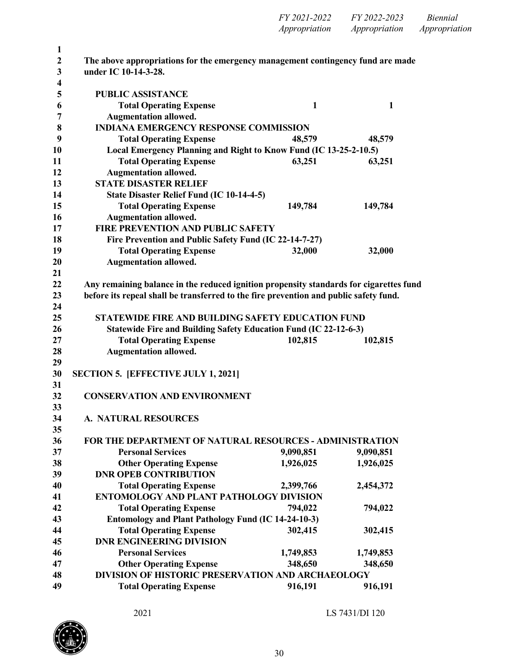| $\mathbf{1}$     |                                                                                        |              |              |
|------------------|----------------------------------------------------------------------------------------|--------------|--------------|
| $\boldsymbol{2}$ | The above appropriations for the emergency management contingency fund are made        |              |              |
| 3                | under IC 10-14-3-28.                                                                   |              |              |
| 4                |                                                                                        |              |              |
| 5                | <b>PUBLIC ASSISTANCE</b>                                                               |              |              |
| 6                | <b>Total Operating Expense</b>                                                         | $\mathbf{1}$ | $\mathbf{1}$ |
| 7                | <b>Augmentation allowed.</b>                                                           |              |              |
| 8                | <b>INDIANA EMERGENCY RESPONSE COMMISSION</b>                                           |              |              |
| 9                | <b>Total Operating Expense</b>                                                         | 48,579       | 48,579       |
| 10               | Local Emergency Planning and Right to Know Fund (IC 13-25-2-10.5)                      |              |              |
| 11               | <b>Total Operating Expense</b>                                                         | 63,251       | 63,251       |
| 12               | <b>Augmentation allowed.</b>                                                           |              |              |
| 13               | <b>STATE DISASTER RELIEF</b>                                                           |              |              |
| 14               | State Disaster Relief Fund (IC 10-14-4-5)                                              |              |              |
| 15               | <b>Total Operating Expense</b>                                                         | 149,784      | 149,784      |
| 16               | <b>Augmentation allowed.</b>                                                           |              |              |
| 17               | <b>FIRE PREVENTION AND PUBLIC SAFETY</b>                                               |              |              |
| 18               | Fire Prevention and Public Safety Fund (IC 22-14-7-27)                                 |              |              |
| 19               | <b>Total Operating Expense</b>                                                         | 32,000       | 32,000       |
| 20               | <b>Augmentation allowed.</b>                                                           |              |              |
| 21               |                                                                                        |              |              |
| 22               | Any remaining balance in the reduced ignition propensity standards for cigarettes fund |              |              |
| 23               | before its repeal shall be transferred to the fire prevention and public safety fund.  |              |              |
| 24               |                                                                                        |              |              |
| 25               | STATEWIDE FIRE AND BUILDING SAFETY EDUCATION FUND                                      |              |              |
| 26               | Statewide Fire and Building Safety Education Fund (IC 22-12-6-3)                       |              |              |
| 27               | <b>Total Operating Expense</b>                                                         | 102,815      | 102,815      |
| 28               | <b>Augmentation allowed.</b>                                                           |              |              |
| 29               |                                                                                        |              |              |
| 30               | <b>SECTION 5. [EFFECTIVE JULY 1, 2021]</b>                                             |              |              |
| 31               |                                                                                        |              |              |
| 32               | <b>CONSERVATION AND ENVIRONMENT</b>                                                    |              |              |
| 33               |                                                                                        |              |              |
| 34               | <b>A. NATURAL RESOURCES</b>                                                            |              |              |
| 35               |                                                                                        |              |              |
| 36               | <b>FOR THE DEPARTMENT OF NATURAL RESOURCES - ADMINISTRATION</b>                        |              |              |
| 37               | <b>Personal Services</b>                                                               | 9,090,851    | 9,090,851    |
| 38               | <b>Other Operating Expense</b>                                                         | 1,926,025    | 1,926,025    |
| 39               | <b>DNR OPEB CONTRIBUTION</b>                                                           |              |              |
| 40               | <b>Total Operating Expense</b>                                                         | 2,399,766    | 2,454,372    |
| 41               | ENTOMOLOGY AND PLANT PATHOLOGY DIVISION                                                |              |              |
| 42               | <b>Total Operating Expense</b>                                                         | 794,022      | 794,022      |
| 43               | <b>Entomology and Plant Pathology Fund (IC 14-24-10-3)</b>                             |              |              |
| 44               | <b>Total Operating Expense</b>                                                         | 302,415      | 302,415      |
| 45               | <b>DNR ENGINEERING DIVISION</b>                                                        |              |              |
| 46               | <b>Personal Services</b>                                                               | 1,749,853    | 1,749,853    |
| 47               | <b>Other Operating Expense</b>                                                         | 348,650      | 348,650      |
| 48               |                                                                                        |              |              |
|                  | DIVISION OF HISTORIC PRESERVATION AND ARCHAEOLOGY                                      |              |              |

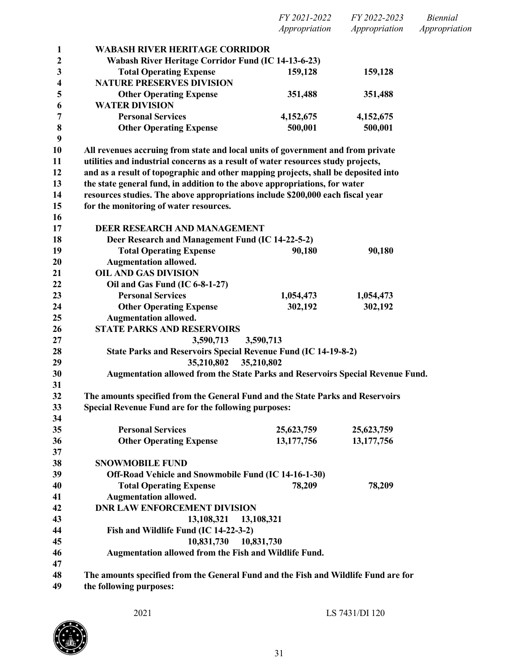| FY 2021-2022  | FY 2022-2023  | <i>Biennial</i> |
|---------------|---------------|-----------------|
| Appropriation | Appropriation | Appropriation   |

| 1                       | <b>WABASH RIVER HERITAGE CORRIDOR</b>                                              |              |            |  |
|-------------------------|------------------------------------------------------------------------------------|--------------|------------|--|
| $\boldsymbol{2}$        | Wabash River Heritage Corridor Fund (IC 14-13-6-23)                                |              |            |  |
| 3                       | <b>Total Operating Expense</b>                                                     | 159,128      | 159,128    |  |
| $\overline{\mathbf{4}}$ | <b>NATURE PRESERVES DIVISION</b>                                                   |              |            |  |
| 5                       | <b>Other Operating Expense</b>                                                     | 351,488      | 351,488    |  |
| 6                       | <b>WATER DIVISION</b>                                                              |              |            |  |
| 7                       | <b>Personal Services</b>                                                           | 4,152,675    | 4,152,675  |  |
| 8                       | <b>Other Operating Expense</b>                                                     | 500,001      | 500,001    |  |
| 9                       |                                                                                    |              |            |  |
| 10                      | All revenues accruing from state and local units of government and from private    |              |            |  |
| 11                      | utilities and industrial concerns as a result of water resources study projects,   |              |            |  |
| 12                      | and as a result of topographic and other mapping projects, shall be deposited into |              |            |  |
| 13                      | the state general fund, in addition to the above appropriations, for water         |              |            |  |
| 14                      | resources studies. The above appropriations include \$200,000 each fiscal year     |              |            |  |
| 15                      | for the monitoring of water resources.                                             |              |            |  |
| 16                      |                                                                                    |              |            |  |
| 17                      | <b>DEER RESEARCH AND MANAGEMENT</b>                                                |              |            |  |
| 18                      | Deer Research and Management Fund (IC 14-22-5-2)                                   |              |            |  |
| 19                      | <b>Total Operating Expense</b>                                                     | 90,180       | 90,180     |  |
| 20                      | <b>Augmentation allowed.</b>                                                       |              |            |  |
| 21                      | <b>OIL AND GAS DIVISION</b>                                                        |              |            |  |
| 22                      | Oil and Gas Fund (IC 6-8-1-27)                                                     |              |            |  |
| 23                      | <b>Personal Services</b>                                                           | 1,054,473    | 1,054,473  |  |
| 24                      | <b>Other Operating Expense</b>                                                     | 302,192      | 302,192    |  |
| 25                      | <b>Augmentation allowed.</b>                                                       |              |            |  |
| 26                      | <b>STATE PARKS AND RESERVOIRS</b>                                                  |              |            |  |
| 27                      | 3,590,713                                                                          | 3,590,713    |            |  |
| 28                      | State Parks and Reservoirs Special Revenue Fund (IC 14-19-8-2)                     |              |            |  |
| 29                      | 35,210,802                                                                         | 35,210,802   |            |  |
| 30                      | Augmentation allowed from the State Parks and Reservoirs Special Revenue Fund.     |              |            |  |
| 31                      |                                                                                    |              |            |  |
| 32                      | The amounts specified from the General Fund and the State Parks and Reservoirs     |              |            |  |
| 33                      | Special Revenue Fund are for the following purposes:                               |              |            |  |
| 34                      |                                                                                    |              |            |  |
| 35                      | <b>Personal Services</b>                                                           | 25,623,759   | 25,623,759 |  |
| 36                      | <b>Other Operating Expense</b>                                                     | 13, 177, 756 | 13,177,756 |  |
| 37                      |                                                                                    |              |            |  |
| 38                      | <b>SNOWMOBILE FUND</b>                                                             |              |            |  |
| 39                      | Off-Road Vehicle and Snowmobile Fund (IC 14-16-1-30)                               |              |            |  |
| 40                      | <b>Total Operating Expense</b>                                                     | 78,209       | 78,209     |  |
| 41                      | <b>Augmentation allowed.</b>                                                       |              |            |  |
| 42                      | <b>DNR LAW ENFORCEMENT DIVISION</b>                                                |              |            |  |
| 43                      | 13,108,321                                                                         | 13,108,321   |            |  |
| 44                      | Fish and Wildlife Fund (IC 14-22-3-2)                                              |              |            |  |
| 45                      | 10,831,730                                                                         | 10,831,730   |            |  |
| 46                      | Augmentation allowed from the Fish and Wildlife Fund.                              |              |            |  |
| 47                      |                                                                                    |              |            |  |
| 48                      | The amounts specified from the General Fund and the Fish and Wildlife Fund are for |              |            |  |
| 49                      | the following purposes:                                                            |              |            |  |
|                         |                                                                                    |              |            |  |

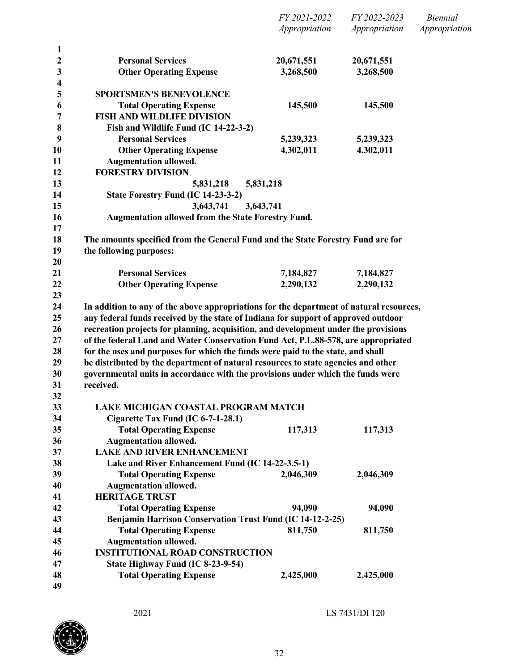|                       |                                                                                                                                                                          | Appropriation           | Appropriation           | Appropriation |
|-----------------------|--------------------------------------------------------------------------------------------------------------------------------------------------------------------------|-------------------------|-------------------------|---------------|
| $\mathbf{1}$          | <b>Personal Services</b>                                                                                                                                                 |                         |                         |               |
| $\boldsymbol{2}$<br>3 | <b>Other Operating Expense</b>                                                                                                                                           | 20,671,551<br>3,268,500 | 20,671,551<br>3,268,500 |               |
| 4<br>5                | <b>SPORTSMEN'S BENEVOLENCE</b>                                                                                                                                           |                         |                         |               |
| 6                     | <b>Total Operating Expense</b>                                                                                                                                           | 145,500                 | 145,500                 |               |
| 7                     | <b>FISH AND WILDLIFE DIVISION</b>                                                                                                                                        |                         |                         |               |
| 8                     | Fish and Wildlife Fund (IC 14-22-3-2)                                                                                                                                    |                         |                         |               |
| 9                     | <b>Personal Services</b>                                                                                                                                                 | 5,239,323               | 5,239,323               |               |
| 10                    | <b>Other Operating Expense</b>                                                                                                                                           | 4,302,011               | 4,302,011               |               |
| 11                    | <b>Augmentation allowed.</b>                                                                                                                                             |                         |                         |               |
| 12                    | <b>FORESTRY DIVISION</b>                                                                                                                                                 |                         |                         |               |
| 13                    | 5,831,218<br>5,831,218                                                                                                                                                   |                         |                         |               |
| 14                    | State Forestry Fund (IC 14-23-3-2)                                                                                                                                       |                         |                         |               |
| 15                    | 3,643,741<br>3,643,741                                                                                                                                                   |                         |                         |               |
| 16                    | Augmentation allowed from the State Forestry Fund.                                                                                                                       |                         |                         |               |
| 17                    |                                                                                                                                                                          |                         |                         |               |
| 18                    | The amounts specified from the General Fund and the State Forestry Fund are for                                                                                          |                         |                         |               |
| 19                    | the following purposes:                                                                                                                                                  |                         |                         |               |
| 20                    |                                                                                                                                                                          |                         |                         |               |
| 21                    | <b>Personal Services</b>                                                                                                                                                 | 7,184,827               | 7,184,827               |               |
| 22                    | <b>Other Operating Expense</b>                                                                                                                                           | 2,290,132               | 2,290,132               |               |
| 23                    |                                                                                                                                                                          |                         |                         |               |
| 24                    | In addition to any of the above appropriations for the department of natural resources,                                                                                  |                         |                         |               |
| 25<br>26              | any federal funds received by the state of Indiana for support of approved outdoor                                                                                       |                         |                         |               |
| 27                    | recreation projects for planning, acquisition, and development under the provisions<br>of the federal Land and Water Conservation Fund Act, P.L.88-578, are appropriated |                         |                         |               |
| 28                    | for the uses and purposes for which the funds were paid to the state, and shall                                                                                          |                         |                         |               |
| 29                    | be distributed by the department of natural resources to state agencies and other                                                                                        |                         |                         |               |
| 30                    | governmental units in accordance with the provisions under which the funds were                                                                                          |                         |                         |               |
| 31                    | received.                                                                                                                                                                |                         |                         |               |
| 32                    |                                                                                                                                                                          |                         |                         |               |
| 33                    | LAKE MICHIGAN COASTAL PROGRAM MATCH                                                                                                                                      |                         |                         |               |
| 34                    | Cigarette Tax Fund (IC 6-7-1-28.1)                                                                                                                                       |                         |                         |               |
| 35                    | <b>Total Operating Expense</b>                                                                                                                                           | 117,313                 | 117,313                 |               |
| 36                    | <b>Augmentation allowed.</b>                                                                                                                                             |                         |                         |               |
| 37                    | <b>LAKE AND RIVER ENHANCEMENT</b>                                                                                                                                        |                         |                         |               |
| 38                    | Lake and River Enhancement Fund (IC 14-22-3.5-1)                                                                                                                         |                         |                         |               |
| 39                    | <b>Total Operating Expense</b>                                                                                                                                           | 2,046,309               | 2,046,309               |               |
| 40                    | <b>Augmentation allowed.</b>                                                                                                                                             |                         |                         |               |
| 41                    | <b>HERITAGE TRUST</b>                                                                                                                                                    |                         |                         |               |
| 42                    | <b>Total Operating Expense</b>                                                                                                                                           | 94,090                  | 94,090                  |               |
| 43                    | Benjamin Harrison Conservation Trust Fund (IC 14-12-2-25)                                                                                                                |                         |                         |               |
| 44                    | <b>Total Operating Expense</b>                                                                                                                                           | 811,750                 | 811,750                 |               |
| 45                    | <b>Augmentation allowed.</b>                                                                                                                                             |                         |                         |               |
| 46                    | <b>INSTITUTIONAL ROAD CONSTRUCTION</b>                                                                                                                                   |                         |                         |               |
| 47                    | State Highway Fund (IC 8-23-9-54)                                                                                                                                        |                         |                         |               |
| 48                    | <b>Total Operating Expense</b>                                                                                                                                           | 2,425,000               | 2,425,000               |               |
| 49                    |                                                                                                                                                                          |                         |                         |               |

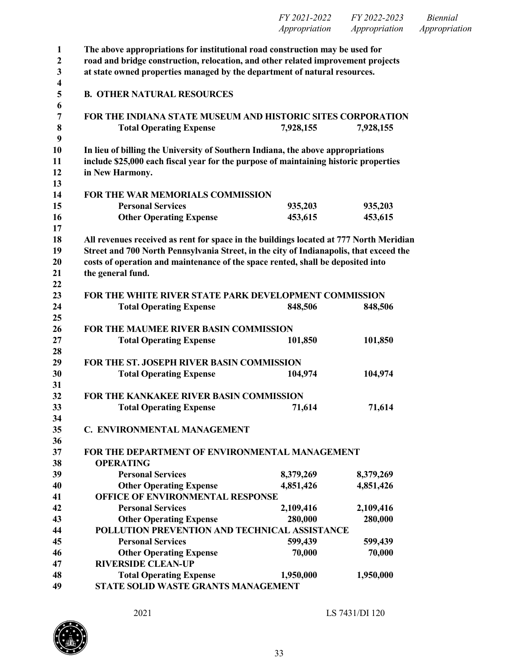| $\mathbf{1}$ | The above appropriations for institutional road construction may be used for           |           |           |  |
|--------------|----------------------------------------------------------------------------------------|-----------|-----------|--|
| $\mathbf{2}$ | road and bridge construction, relocation, and other related improvement projects       |           |           |  |
| 3            | at state owned properties managed by the department of natural resources.              |           |           |  |
| 4            |                                                                                        |           |           |  |
| 5<br>6       | <b>B. OTHER NATURAL RESOURCES</b>                                                      |           |           |  |
| 7            | FOR THE INDIANA STATE MUSEUM AND HISTORIC SITES CORPORATION                            |           |           |  |
| 8            | <b>Total Operating Expense</b>                                                         | 7,928,155 | 7,928,155 |  |
| 9            |                                                                                        |           |           |  |
| 10           | In lieu of billing the University of Southern Indiana, the above appropriations        |           |           |  |
| 11           | include \$25,000 each fiscal year for the purpose of maintaining historic properties   |           |           |  |
| 12           | in New Harmony.                                                                        |           |           |  |
| 13           |                                                                                        |           |           |  |
| 14           | FOR THE WAR MEMORIALS COMMISSION                                                       |           |           |  |
| 15           | <b>Personal Services</b>                                                               | 935,203   | 935,203   |  |
| 16           | <b>Other Operating Expense</b>                                                         | 453,615   | 453,615   |  |
| 17           |                                                                                        |           |           |  |
| 18           | All revenues received as rent for space in the buildings located at 777 North Meridian |           |           |  |
| 19           | Street and 700 North Pennsylvania Street, in the city of Indianapolis, that exceed the |           |           |  |
| 20           | costs of operation and maintenance of the space rented, shall be deposited into        |           |           |  |
| 21           | the general fund.                                                                      |           |           |  |
| 22           |                                                                                        |           |           |  |
| 23           | FOR THE WHITE RIVER STATE PARK DEVELOPMENT COMMISSION                                  |           |           |  |
| 24           | <b>Total Operating Expense</b>                                                         | 848,506   | 848,506   |  |
| 25           |                                                                                        |           |           |  |
| 26           | <b>FOR THE MAUMEE RIVER BASIN COMMISSION</b>                                           |           |           |  |
| 27           | <b>Total Operating Expense</b>                                                         | 101,850   | 101,850   |  |
| 28           |                                                                                        |           |           |  |
| 29           | <b>FOR THE ST. JOSEPH RIVER BASIN COMMISSION</b>                                       |           |           |  |
| 30           | <b>Total Operating Expense</b>                                                         | 104,974   | 104,974   |  |
| 31           |                                                                                        |           |           |  |
| 32           | <b>FOR THE KANKAKEE RIVER BASIN COMMISSION</b>                                         |           |           |  |
| 33           | <b>Total Operating Expense</b>                                                         | 71,614    | 71,614    |  |
| 34           |                                                                                        |           |           |  |
| 35           | C. ENVIRONMENTAL MANAGEMENT                                                            |           |           |  |
| 36           |                                                                                        |           |           |  |
| 37           | <b>FOR THE DEPARTMENT OF ENVIRONMENTAL MANAGEMENT</b>                                  |           |           |  |
| 38           | <b>OPERATING</b>                                                                       |           |           |  |
| 39           | <b>Personal Services</b>                                                               | 8,379,269 | 8,379,269 |  |
| 40           | <b>Other Operating Expense</b>                                                         | 4,851,426 | 4,851,426 |  |
| 41           | OFFICE OF ENVIRONMENTAL RESPONSE                                                       |           |           |  |
| 42           | <b>Personal Services</b>                                                               | 2,109,416 | 2,109,416 |  |
| 43           | <b>Other Operating Expense</b>                                                         | 280,000   | 280,000   |  |
| 44           | POLLUTION PREVENTION AND TECHNICAL ASSISTANCE                                          |           |           |  |
| 45           | <b>Personal Services</b>                                                               | 599,439   | 599,439   |  |
| 46           | <b>Other Operating Expense</b>                                                         | 70,000    | 70,000    |  |
| 47           | <b>RIVERSIDE CLEAN-UP</b>                                                              |           |           |  |
| 48           | <b>Total Operating Expense</b>                                                         | 1,950,000 | 1,950,000 |  |
| 49           | STATE SOLID WASTE GRANTS MANAGEMENT                                                    |           |           |  |
|              |                                                                                        |           |           |  |

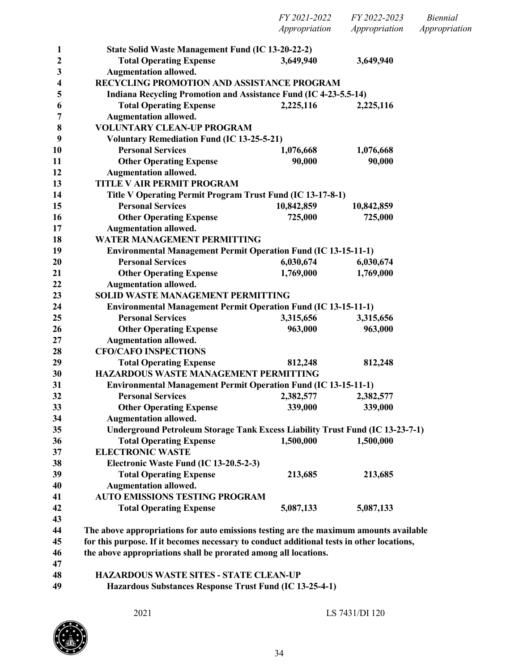|        |                                                                                           | FY 2021-2022<br>Appropriation | FY 2022-2023<br>Appropriation | <i>Biennial</i><br>Appropriation |
|--------|-------------------------------------------------------------------------------------------|-------------------------------|-------------------------------|----------------------------------|
|        |                                                                                           |                               |                               |                                  |
| 1      | State Solid Waste Management Fund (IC 13-20-22-2)                                         |                               |                               |                                  |
| 2      | <b>Total Operating Expense</b>                                                            | 3,649,940                     | 3,649,940                     |                                  |
| 3      | <b>Augmentation allowed.</b>                                                              |                               |                               |                                  |
| 4      | RECYCLING PROMOTION AND ASSISTANCE PROGRAM                                                |                               |                               |                                  |
| 5      | Indiana Recycling Promotion and Assistance Fund (IC 4-23-5.5-14)                          |                               |                               |                                  |
| 6      | <b>Total Operating Expense</b>                                                            | 2,225,116                     | 2,225,116                     |                                  |
| 7      | <b>Augmentation allowed.</b><br><b>VOLUNTARY CLEAN-UP PROGRAM</b>                         |                               |                               |                                  |
| 8<br>9 | <b>Voluntary Remediation Fund (IC 13-25-5-21)</b>                                         |                               |                               |                                  |
| 10     | <b>Personal Services</b>                                                                  | 1,076,668                     | 1,076,668                     |                                  |
| 11     | <b>Other Operating Expense</b>                                                            | 90,000                        | 90,000                        |                                  |
| 12     | <b>Augmentation allowed.</b>                                                              |                               |                               |                                  |
| 13     | TITLE V AIR PERMIT PROGRAM                                                                |                               |                               |                                  |
| 14     | Title V Operating Permit Program Trust Fund (IC 13-17-8-1)                                |                               |                               |                                  |
| 15     | <b>Personal Services</b>                                                                  | 10,842,859                    | 10,842,859                    |                                  |
| 16     | <b>Other Operating Expense</b>                                                            | 725,000                       | 725,000                       |                                  |
| 17     | <b>Augmentation allowed.</b>                                                              |                               |                               |                                  |
| 18     | <b>WATER MANAGEMENT PERMITTING</b>                                                        |                               |                               |                                  |
| 19     | <b>Environmental Management Permit Operation Fund (IC 13-15-11-1)</b>                     |                               |                               |                                  |
| 20     | <b>Personal Services</b>                                                                  | 6,030,674                     | 6,030,674                     |                                  |
| 21     | <b>Other Operating Expense</b>                                                            | 1,769,000                     | 1,769,000                     |                                  |
| 22     | <b>Augmentation allowed.</b>                                                              |                               |                               |                                  |
| 23     | <b>SOLID WASTE MANAGEMENT PERMITTING</b>                                                  |                               |                               |                                  |
| 24     | <b>Environmental Management Permit Operation Fund (IC 13-15-11-1)</b>                     |                               |                               |                                  |
| 25     | <b>Personal Services</b>                                                                  | 3,315,656                     | 3,315,656                     |                                  |
| 26     | <b>Other Operating Expense</b>                                                            | 963,000                       | 963,000                       |                                  |
| 27     | <b>Augmentation allowed.</b>                                                              |                               |                               |                                  |
| 28     | <b>CFO/CAFO INSPECTIONS</b>                                                               |                               |                               |                                  |
| 29     | <b>Total Operating Expense</b>                                                            | 812,248                       | 812,248                       |                                  |
| 30     | <b>HAZARDOUS WASTE MANAGEMENT PERMITTING</b>                                              |                               |                               |                                  |
| 31     | <b>Environmental Management Permit Operation Fund (IC 13-15-11-1)</b>                     |                               |                               |                                  |
| 32     | <b>Personal Services</b>                                                                  | 2,382,577                     | 2,382,577                     |                                  |
| 33     | <b>Other Operating Expense</b>                                                            | 339,000                       | 339,000                       |                                  |
| 34     | <b>Augmentation allowed.</b>                                                              |                               |                               |                                  |
| 35     | Underground Petroleum Storage Tank Excess Liability Trust Fund (IC 13-23-7-1)             |                               |                               |                                  |
| 36     | <b>Total Operating Expense</b>                                                            | 1,500,000                     | 1,500,000                     |                                  |
| 37     | <b>ELECTRONIC WASTE</b>                                                                   |                               |                               |                                  |
| 38     | Electronic Waste Fund (IC 13-20.5-2-3)                                                    |                               |                               |                                  |
| 39     | <b>Total Operating Expense</b>                                                            | 213,685                       | 213,685                       |                                  |
| 40     | <b>Augmentation allowed.</b>                                                              |                               |                               |                                  |
| 41     | <b>AUTO EMISSIONS TESTING PROGRAM</b>                                                     |                               |                               |                                  |
| 42     | <b>Total Operating Expense</b>                                                            | 5,087,133                     | 5,087,133                     |                                  |
| 43     |                                                                                           |                               |                               |                                  |
| 44     | The above appropriations for auto emissions testing are the maximum amounts available     |                               |                               |                                  |
| 45     | for this purpose. If it becomes necessary to conduct additional tests in other locations, |                               |                               |                                  |
| 46     | the above appropriations shall be prorated among all locations.                           |                               |                               |                                  |
| 47     |                                                                                           |                               |                               |                                  |
| 48     | <b>HAZARDOUS WASTE SITES - STATE CLEAN-UP</b>                                             |                               |                               |                                  |

**Hazardous Substances Response Trust Fund (IC 13-25-4-1)**

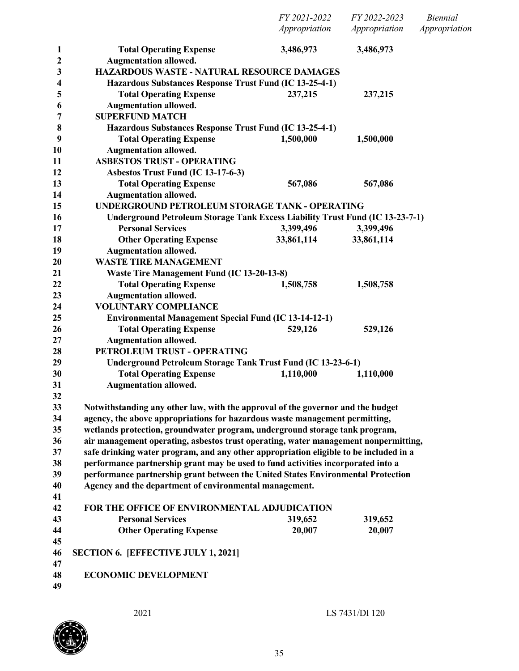| 3,486,973<br>3,486,973<br><b>Total Operating Expense</b><br>1<br><b>Augmentation allowed.</b><br>2<br>HAZARDOUS WASTE - NATURAL RESOURCE DAMAGES<br>3<br>Hazardous Substances Response Trust Fund (IC 13-25-4-1)<br>4<br><b>Total Operating Expense</b><br>237,215<br>237,215<br>5<br><b>Augmentation allowed.</b><br>6<br><b>SUPERFUND MATCH</b><br>7<br>8<br>Hazardous Substances Response Trust Fund (IC 13-25-4-1)<br>9<br><b>Total Operating Expense</b><br>1,500,000<br>1,500,000<br><b>Augmentation allowed.</b><br>10<br><b>ASBESTOS TRUST - OPERATING</b><br>11<br>Asbestos Trust Fund (IC 13-17-6-3)<br>12<br>13<br><b>Total Operating Expense</b><br>567,086<br>567,086<br>14<br><b>Augmentation allowed.</b><br>UNDERGROUND PETROLEUM STORAGE TANK - OPERATING<br>15<br>Underground Petroleum Storage Tank Excess Liability Trust Fund (IC 13-23-7-1)<br>16<br><b>Personal Services</b><br>3,399,496<br>3,399,496<br>17<br>33,861,114<br><b>Other Operating Expense</b><br>33,861,114<br>18<br><b>Augmentation allowed.</b><br>19<br><b>WASTE TIRE MANAGEMENT</b><br>20<br>21<br>Waste Tire Management Fund (IC 13-20-13-8)<br><b>Total Operating Expense</b><br>22<br>1,508,758<br>1,508,758<br><b>Augmentation allowed.</b><br>23<br>24<br><b>VOLUNTARY COMPLIANCE</b><br>25<br><b>Environmental Management Special Fund (IC 13-14-12-1)</b><br><b>Total Operating Expense</b><br>529,126<br>26<br>529,126<br><b>Augmentation allowed.</b><br>27<br>PETROLEUM TRUST - OPERATING<br>28<br>29<br><b>Underground Petroleum Storage Tank Trust Fund (IC 13-23-6-1)</b><br>30<br><b>Total Operating Expense</b><br>1,110,000<br>1,110,000<br>31<br><b>Augmentation allowed.</b><br>32<br>33<br>Notwithstanding any other law, with the approval of the governor and the budget<br>agency, the above appropriations for hazardous waste management permitting,<br>34<br>wetlands protection, groundwater program, underground storage tank program,<br>35<br>air management operating, asbestos trust operating, water management nonpermitting,<br>36<br>37<br>safe drinking water program, and any other appropriation eligible to be included in a<br>38<br>performance partnership grant may be used to fund activities incorporated into a<br>39<br>performance partnership grant between the United States Environmental Protection<br>Agency and the department of environmental management.<br>40<br>41<br>42<br>FOR THE OFFICE OF ENVIRONMENTAL ADJUDICATION<br><b>Personal Services</b><br>43<br>319,652<br>319,652<br><b>Other Operating Expense</b><br>20,007<br>20,007<br>44<br>45<br><b>SECTION 6. [EFFECTIVE JULY 1, 2021]</b><br>46<br>47<br><b>ECONOMIC DEVELOPMENT</b><br>48<br>49 |  | FY 2021-2022<br>Appropriation | FY 2022-2023<br>Appropriation | <i>Biennial</i><br>Appropriation |
|--------------------------------------------------------------------------------------------------------------------------------------------------------------------------------------------------------------------------------------------------------------------------------------------------------------------------------------------------------------------------------------------------------------------------------------------------------------------------------------------------------------------------------------------------------------------------------------------------------------------------------------------------------------------------------------------------------------------------------------------------------------------------------------------------------------------------------------------------------------------------------------------------------------------------------------------------------------------------------------------------------------------------------------------------------------------------------------------------------------------------------------------------------------------------------------------------------------------------------------------------------------------------------------------------------------------------------------------------------------------------------------------------------------------------------------------------------------------------------------------------------------------------------------------------------------------------------------------------------------------------------------------------------------------------------------------------------------------------------------------------------------------------------------------------------------------------------------------------------------------------------------------------------------------------------------------------------------------------------------------------------------------------------------------------------------------------------------------------------------------------------------------------------------------------------------------------------------------------------------------------------------------------------------------------------------------------------------------------------------------------------------------------------------------------------------------------------------------------------------------------------------------------------------------------------------------------------------------------------------------------------------------------------------------------------------------------------------|--|-------------------------------|-------------------------------|----------------------------------|
|                                                                                                                                                                                                                                                                                                                                                                                                                                                                                                                                                                                                                                                                                                                                                                                                                                                                                                                                                                                                                                                                                                                                                                                                                                                                                                                                                                                                                                                                                                                                                                                                                                                                                                                                                                                                                                                                                                                                                                                                                                                                                                                                                                                                                                                                                                                                                                                                                                                                                                                                                                                                                                                                                                              |  |                               |                               |                                  |
|                                                                                                                                                                                                                                                                                                                                                                                                                                                                                                                                                                                                                                                                                                                                                                                                                                                                                                                                                                                                                                                                                                                                                                                                                                                                                                                                                                                                                                                                                                                                                                                                                                                                                                                                                                                                                                                                                                                                                                                                                                                                                                                                                                                                                                                                                                                                                                                                                                                                                                                                                                                                                                                                                                              |  |                               |                               |                                  |
|                                                                                                                                                                                                                                                                                                                                                                                                                                                                                                                                                                                                                                                                                                                                                                                                                                                                                                                                                                                                                                                                                                                                                                                                                                                                                                                                                                                                                                                                                                                                                                                                                                                                                                                                                                                                                                                                                                                                                                                                                                                                                                                                                                                                                                                                                                                                                                                                                                                                                                                                                                                                                                                                                                              |  |                               |                               |                                  |
|                                                                                                                                                                                                                                                                                                                                                                                                                                                                                                                                                                                                                                                                                                                                                                                                                                                                                                                                                                                                                                                                                                                                                                                                                                                                                                                                                                                                                                                                                                                                                                                                                                                                                                                                                                                                                                                                                                                                                                                                                                                                                                                                                                                                                                                                                                                                                                                                                                                                                                                                                                                                                                                                                                              |  |                               |                               |                                  |
|                                                                                                                                                                                                                                                                                                                                                                                                                                                                                                                                                                                                                                                                                                                                                                                                                                                                                                                                                                                                                                                                                                                                                                                                                                                                                                                                                                                                                                                                                                                                                                                                                                                                                                                                                                                                                                                                                                                                                                                                                                                                                                                                                                                                                                                                                                                                                                                                                                                                                                                                                                                                                                                                                                              |  |                               |                               |                                  |
|                                                                                                                                                                                                                                                                                                                                                                                                                                                                                                                                                                                                                                                                                                                                                                                                                                                                                                                                                                                                                                                                                                                                                                                                                                                                                                                                                                                                                                                                                                                                                                                                                                                                                                                                                                                                                                                                                                                                                                                                                                                                                                                                                                                                                                                                                                                                                                                                                                                                                                                                                                                                                                                                                                              |  |                               |                               |                                  |
|                                                                                                                                                                                                                                                                                                                                                                                                                                                                                                                                                                                                                                                                                                                                                                                                                                                                                                                                                                                                                                                                                                                                                                                                                                                                                                                                                                                                                                                                                                                                                                                                                                                                                                                                                                                                                                                                                                                                                                                                                                                                                                                                                                                                                                                                                                                                                                                                                                                                                                                                                                                                                                                                                                              |  |                               |                               |                                  |
|                                                                                                                                                                                                                                                                                                                                                                                                                                                                                                                                                                                                                                                                                                                                                                                                                                                                                                                                                                                                                                                                                                                                                                                                                                                                                                                                                                                                                                                                                                                                                                                                                                                                                                                                                                                                                                                                                                                                                                                                                                                                                                                                                                                                                                                                                                                                                                                                                                                                                                                                                                                                                                                                                                              |  |                               |                               |                                  |
|                                                                                                                                                                                                                                                                                                                                                                                                                                                                                                                                                                                                                                                                                                                                                                                                                                                                                                                                                                                                                                                                                                                                                                                                                                                                                                                                                                                                                                                                                                                                                                                                                                                                                                                                                                                                                                                                                                                                                                                                                                                                                                                                                                                                                                                                                                                                                                                                                                                                                                                                                                                                                                                                                                              |  |                               |                               |                                  |
|                                                                                                                                                                                                                                                                                                                                                                                                                                                                                                                                                                                                                                                                                                                                                                                                                                                                                                                                                                                                                                                                                                                                                                                                                                                                                                                                                                                                                                                                                                                                                                                                                                                                                                                                                                                                                                                                                                                                                                                                                                                                                                                                                                                                                                                                                                                                                                                                                                                                                                                                                                                                                                                                                                              |  |                               |                               |                                  |
|                                                                                                                                                                                                                                                                                                                                                                                                                                                                                                                                                                                                                                                                                                                                                                                                                                                                                                                                                                                                                                                                                                                                                                                                                                                                                                                                                                                                                                                                                                                                                                                                                                                                                                                                                                                                                                                                                                                                                                                                                                                                                                                                                                                                                                                                                                                                                                                                                                                                                                                                                                                                                                                                                                              |  |                               |                               |                                  |
|                                                                                                                                                                                                                                                                                                                                                                                                                                                                                                                                                                                                                                                                                                                                                                                                                                                                                                                                                                                                                                                                                                                                                                                                                                                                                                                                                                                                                                                                                                                                                                                                                                                                                                                                                                                                                                                                                                                                                                                                                                                                                                                                                                                                                                                                                                                                                                                                                                                                                                                                                                                                                                                                                                              |  |                               |                               |                                  |
|                                                                                                                                                                                                                                                                                                                                                                                                                                                                                                                                                                                                                                                                                                                                                                                                                                                                                                                                                                                                                                                                                                                                                                                                                                                                                                                                                                                                                                                                                                                                                                                                                                                                                                                                                                                                                                                                                                                                                                                                                                                                                                                                                                                                                                                                                                                                                                                                                                                                                                                                                                                                                                                                                                              |  |                               |                               |                                  |
|                                                                                                                                                                                                                                                                                                                                                                                                                                                                                                                                                                                                                                                                                                                                                                                                                                                                                                                                                                                                                                                                                                                                                                                                                                                                                                                                                                                                                                                                                                                                                                                                                                                                                                                                                                                                                                                                                                                                                                                                                                                                                                                                                                                                                                                                                                                                                                                                                                                                                                                                                                                                                                                                                                              |  |                               |                               |                                  |
|                                                                                                                                                                                                                                                                                                                                                                                                                                                                                                                                                                                                                                                                                                                                                                                                                                                                                                                                                                                                                                                                                                                                                                                                                                                                                                                                                                                                                                                                                                                                                                                                                                                                                                                                                                                                                                                                                                                                                                                                                                                                                                                                                                                                                                                                                                                                                                                                                                                                                                                                                                                                                                                                                                              |  |                               |                               |                                  |
|                                                                                                                                                                                                                                                                                                                                                                                                                                                                                                                                                                                                                                                                                                                                                                                                                                                                                                                                                                                                                                                                                                                                                                                                                                                                                                                                                                                                                                                                                                                                                                                                                                                                                                                                                                                                                                                                                                                                                                                                                                                                                                                                                                                                                                                                                                                                                                                                                                                                                                                                                                                                                                                                                                              |  |                               |                               |                                  |
|                                                                                                                                                                                                                                                                                                                                                                                                                                                                                                                                                                                                                                                                                                                                                                                                                                                                                                                                                                                                                                                                                                                                                                                                                                                                                                                                                                                                                                                                                                                                                                                                                                                                                                                                                                                                                                                                                                                                                                                                                                                                                                                                                                                                                                                                                                                                                                                                                                                                                                                                                                                                                                                                                                              |  |                               |                               |                                  |
|                                                                                                                                                                                                                                                                                                                                                                                                                                                                                                                                                                                                                                                                                                                                                                                                                                                                                                                                                                                                                                                                                                                                                                                                                                                                                                                                                                                                                                                                                                                                                                                                                                                                                                                                                                                                                                                                                                                                                                                                                                                                                                                                                                                                                                                                                                                                                                                                                                                                                                                                                                                                                                                                                                              |  |                               |                               |                                  |
|                                                                                                                                                                                                                                                                                                                                                                                                                                                                                                                                                                                                                                                                                                                                                                                                                                                                                                                                                                                                                                                                                                                                                                                                                                                                                                                                                                                                                                                                                                                                                                                                                                                                                                                                                                                                                                                                                                                                                                                                                                                                                                                                                                                                                                                                                                                                                                                                                                                                                                                                                                                                                                                                                                              |  |                               |                               |                                  |
|                                                                                                                                                                                                                                                                                                                                                                                                                                                                                                                                                                                                                                                                                                                                                                                                                                                                                                                                                                                                                                                                                                                                                                                                                                                                                                                                                                                                                                                                                                                                                                                                                                                                                                                                                                                                                                                                                                                                                                                                                                                                                                                                                                                                                                                                                                                                                                                                                                                                                                                                                                                                                                                                                                              |  |                               |                               |                                  |
|                                                                                                                                                                                                                                                                                                                                                                                                                                                                                                                                                                                                                                                                                                                                                                                                                                                                                                                                                                                                                                                                                                                                                                                                                                                                                                                                                                                                                                                                                                                                                                                                                                                                                                                                                                                                                                                                                                                                                                                                                                                                                                                                                                                                                                                                                                                                                                                                                                                                                                                                                                                                                                                                                                              |  |                               |                               |                                  |
|                                                                                                                                                                                                                                                                                                                                                                                                                                                                                                                                                                                                                                                                                                                                                                                                                                                                                                                                                                                                                                                                                                                                                                                                                                                                                                                                                                                                                                                                                                                                                                                                                                                                                                                                                                                                                                                                                                                                                                                                                                                                                                                                                                                                                                                                                                                                                                                                                                                                                                                                                                                                                                                                                                              |  |                               |                               |                                  |
|                                                                                                                                                                                                                                                                                                                                                                                                                                                                                                                                                                                                                                                                                                                                                                                                                                                                                                                                                                                                                                                                                                                                                                                                                                                                                                                                                                                                                                                                                                                                                                                                                                                                                                                                                                                                                                                                                                                                                                                                                                                                                                                                                                                                                                                                                                                                                                                                                                                                                                                                                                                                                                                                                                              |  |                               |                               |                                  |
|                                                                                                                                                                                                                                                                                                                                                                                                                                                                                                                                                                                                                                                                                                                                                                                                                                                                                                                                                                                                                                                                                                                                                                                                                                                                                                                                                                                                                                                                                                                                                                                                                                                                                                                                                                                                                                                                                                                                                                                                                                                                                                                                                                                                                                                                                                                                                                                                                                                                                                                                                                                                                                                                                                              |  |                               |                               |                                  |
|                                                                                                                                                                                                                                                                                                                                                                                                                                                                                                                                                                                                                                                                                                                                                                                                                                                                                                                                                                                                                                                                                                                                                                                                                                                                                                                                                                                                                                                                                                                                                                                                                                                                                                                                                                                                                                                                                                                                                                                                                                                                                                                                                                                                                                                                                                                                                                                                                                                                                                                                                                                                                                                                                                              |  |                               |                               |                                  |
|                                                                                                                                                                                                                                                                                                                                                                                                                                                                                                                                                                                                                                                                                                                                                                                                                                                                                                                                                                                                                                                                                                                                                                                                                                                                                                                                                                                                                                                                                                                                                                                                                                                                                                                                                                                                                                                                                                                                                                                                                                                                                                                                                                                                                                                                                                                                                                                                                                                                                                                                                                                                                                                                                                              |  |                               |                               |                                  |
|                                                                                                                                                                                                                                                                                                                                                                                                                                                                                                                                                                                                                                                                                                                                                                                                                                                                                                                                                                                                                                                                                                                                                                                                                                                                                                                                                                                                                                                                                                                                                                                                                                                                                                                                                                                                                                                                                                                                                                                                                                                                                                                                                                                                                                                                                                                                                                                                                                                                                                                                                                                                                                                                                                              |  |                               |                               |                                  |
|                                                                                                                                                                                                                                                                                                                                                                                                                                                                                                                                                                                                                                                                                                                                                                                                                                                                                                                                                                                                                                                                                                                                                                                                                                                                                                                                                                                                                                                                                                                                                                                                                                                                                                                                                                                                                                                                                                                                                                                                                                                                                                                                                                                                                                                                                                                                                                                                                                                                                                                                                                                                                                                                                                              |  |                               |                               |                                  |
|                                                                                                                                                                                                                                                                                                                                                                                                                                                                                                                                                                                                                                                                                                                                                                                                                                                                                                                                                                                                                                                                                                                                                                                                                                                                                                                                                                                                                                                                                                                                                                                                                                                                                                                                                                                                                                                                                                                                                                                                                                                                                                                                                                                                                                                                                                                                                                                                                                                                                                                                                                                                                                                                                                              |  |                               |                               |                                  |
|                                                                                                                                                                                                                                                                                                                                                                                                                                                                                                                                                                                                                                                                                                                                                                                                                                                                                                                                                                                                                                                                                                                                                                                                                                                                                                                                                                                                                                                                                                                                                                                                                                                                                                                                                                                                                                                                                                                                                                                                                                                                                                                                                                                                                                                                                                                                                                                                                                                                                                                                                                                                                                                                                                              |  |                               |                               |                                  |
|                                                                                                                                                                                                                                                                                                                                                                                                                                                                                                                                                                                                                                                                                                                                                                                                                                                                                                                                                                                                                                                                                                                                                                                                                                                                                                                                                                                                                                                                                                                                                                                                                                                                                                                                                                                                                                                                                                                                                                                                                                                                                                                                                                                                                                                                                                                                                                                                                                                                                                                                                                                                                                                                                                              |  |                               |                               |                                  |
|                                                                                                                                                                                                                                                                                                                                                                                                                                                                                                                                                                                                                                                                                                                                                                                                                                                                                                                                                                                                                                                                                                                                                                                                                                                                                                                                                                                                                                                                                                                                                                                                                                                                                                                                                                                                                                                                                                                                                                                                                                                                                                                                                                                                                                                                                                                                                                                                                                                                                                                                                                                                                                                                                                              |  |                               |                               |                                  |
|                                                                                                                                                                                                                                                                                                                                                                                                                                                                                                                                                                                                                                                                                                                                                                                                                                                                                                                                                                                                                                                                                                                                                                                                                                                                                                                                                                                                                                                                                                                                                                                                                                                                                                                                                                                                                                                                                                                                                                                                                                                                                                                                                                                                                                                                                                                                                                                                                                                                                                                                                                                                                                                                                                              |  |                               |                               |                                  |
|                                                                                                                                                                                                                                                                                                                                                                                                                                                                                                                                                                                                                                                                                                                                                                                                                                                                                                                                                                                                                                                                                                                                                                                                                                                                                                                                                                                                                                                                                                                                                                                                                                                                                                                                                                                                                                                                                                                                                                                                                                                                                                                                                                                                                                                                                                                                                                                                                                                                                                                                                                                                                                                                                                              |  |                               |                               |                                  |
|                                                                                                                                                                                                                                                                                                                                                                                                                                                                                                                                                                                                                                                                                                                                                                                                                                                                                                                                                                                                                                                                                                                                                                                                                                                                                                                                                                                                                                                                                                                                                                                                                                                                                                                                                                                                                                                                                                                                                                                                                                                                                                                                                                                                                                                                                                                                                                                                                                                                                                                                                                                                                                                                                                              |  |                               |                               |                                  |
|                                                                                                                                                                                                                                                                                                                                                                                                                                                                                                                                                                                                                                                                                                                                                                                                                                                                                                                                                                                                                                                                                                                                                                                                                                                                                                                                                                                                                                                                                                                                                                                                                                                                                                                                                                                                                                                                                                                                                                                                                                                                                                                                                                                                                                                                                                                                                                                                                                                                                                                                                                                                                                                                                                              |  |                               |                               |                                  |
|                                                                                                                                                                                                                                                                                                                                                                                                                                                                                                                                                                                                                                                                                                                                                                                                                                                                                                                                                                                                                                                                                                                                                                                                                                                                                                                                                                                                                                                                                                                                                                                                                                                                                                                                                                                                                                                                                                                                                                                                                                                                                                                                                                                                                                                                                                                                                                                                                                                                                                                                                                                                                                                                                                              |  |                               |                               |                                  |
|                                                                                                                                                                                                                                                                                                                                                                                                                                                                                                                                                                                                                                                                                                                                                                                                                                                                                                                                                                                                                                                                                                                                                                                                                                                                                                                                                                                                                                                                                                                                                                                                                                                                                                                                                                                                                                                                                                                                                                                                                                                                                                                                                                                                                                                                                                                                                                                                                                                                                                                                                                                                                                                                                                              |  |                               |                               |                                  |
|                                                                                                                                                                                                                                                                                                                                                                                                                                                                                                                                                                                                                                                                                                                                                                                                                                                                                                                                                                                                                                                                                                                                                                                                                                                                                                                                                                                                                                                                                                                                                                                                                                                                                                                                                                                                                                                                                                                                                                                                                                                                                                                                                                                                                                                                                                                                                                                                                                                                                                                                                                                                                                                                                                              |  |                               |                               |                                  |
|                                                                                                                                                                                                                                                                                                                                                                                                                                                                                                                                                                                                                                                                                                                                                                                                                                                                                                                                                                                                                                                                                                                                                                                                                                                                                                                                                                                                                                                                                                                                                                                                                                                                                                                                                                                                                                                                                                                                                                                                                                                                                                                                                                                                                                                                                                                                                                                                                                                                                                                                                                                                                                                                                                              |  |                               |                               |                                  |
|                                                                                                                                                                                                                                                                                                                                                                                                                                                                                                                                                                                                                                                                                                                                                                                                                                                                                                                                                                                                                                                                                                                                                                                                                                                                                                                                                                                                                                                                                                                                                                                                                                                                                                                                                                                                                                                                                                                                                                                                                                                                                                                                                                                                                                                                                                                                                                                                                                                                                                                                                                                                                                                                                                              |  |                               |                               |                                  |
|                                                                                                                                                                                                                                                                                                                                                                                                                                                                                                                                                                                                                                                                                                                                                                                                                                                                                                                                                                                                                                                                                                                                                                                                                                                                                                                                                                                                                                                                                                                                                                                                                                                                                                                                                                                                                                                                                                                                                                                                                                                                                                                                                                                                                                                                                                                                                                                                                                                                                                                                                                                                                                                                                                              |  |                               |                               |                                  |
|                                                                                                                                                                                                                                                                                                                                                                                                                                                                                                                                                                                                                                                                                                                                                                                                                                                                                                                                                                                                                                                                                                                                                                                                                                                                                                                                                                                                                                                                                                                                                                                                                                                                                                                                                                                                                                                                                                                                                                                                                                                                                                                                                                                                                                                                                                                                                                                                                                                                                                                                                                                                                                                                                                              |  |                               |                               |                                  |
|                                                                                                                                                                                                                                                                                                                                                                                                                                                                                                                                                                                                                                                                                                                                                                                                                                                                                                                                                                                                                                                                                                                                                                                                                                                                                                                                                                                                                                                                                                                                                                                                                                                                                                                                                                                                                                                                                                                                                                                                                                                                                                                                                                                                                                                                                                                                                                                                                                                                                                                                                                                                                                                                                                              |  |                               |                               |                                  |
|                                                                                                                                                                                                                                                                                                                                                                                                                                                                                                                                                                                                                                                                                                                                                                                                                                                                                                                                                                                                                                                                                                                                                                                                                                                                                                                                                                                                                                                                                                                                                                                                                                                                                                                                                                                                                                                                                                                                                                                                                                                                                                                                                                                                                                                                                                                                                                                                                                                                                                                                                                                                                                                                                                              |  |                               |                               |                                  |
|                                                                                                                                                                                                                                                                                                                                                                                                                                                                                                                                                                                                                                                                                                                                                                                                                                                                                                                                                                                                                                                                                                                                                                                                                                                                                                                                                                                                                                                                                                                                                                                                                                                                                                                                                                                                                                                                                                                                                                                                                                                                                                                                                                                                                                                                                                                                                                                                                                                                                                                                                                                                                                                                                                              |  |                               |                               |                                  |
|                                                                                                                                                                                                                                                                                                                                                                                                                                                                                                                                                                                                                                                                                                                                                                                                                                                                                                                                                                                                                                                                                                                                                                                                                                                                                                                                                                                                                                                                                                                                                                                                                                                                                                                                                                                                                                                                                                                                                                                                                                                                                                                                                                                                                                                                                                                                                                                                                                                                                                                                                                                                                                                                                                              |  |                               |                               |                                  |
|                                                                                                                                                                                                                                                                                                                                                                                                                                                                                                                                                                                                                                                                                                                                                                                                                                                                                                                                                                                                                                                                                                                                                                                                                                                                                                                                                                                                                                                                                                                                                                                                                                                                                                                                                                                                                                                                                                                                                                                                                                                                                                                                                                                                                                                                                                                                                                                                                                                                                                                                                                                                                                                                                                              |  |                               |                               |                                  |

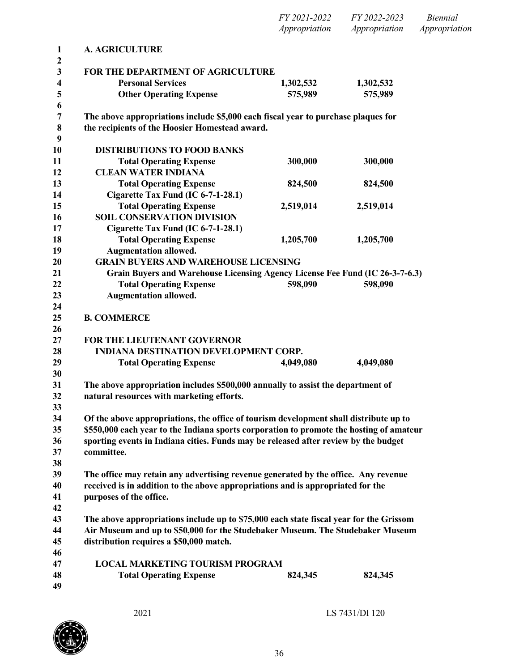|                                                                       |                                                                                                                                     | FY 2021-2022<br>Appropriation | FY 2022-2023<br>Appropriation | <b>Biennial</b><br>Appropriation |
|-----------------------------------------------------------------------|-------------------------------------------------------------------------------------------------------------------------------------|-------------------------------|-------------------------------|----------------------------------|
| $\mathbf{1}$                                                          | <b>A. AGRICULTURE</b>                                                                                                               |                               |                               |                                  |
| $\boldsymbol{2}$<br>$\mathbf{3}$<br>4<br>$\overline{\mathbf{5}}$<br>6 | FOR THE DEPARTMENT OF AGRICULTURE<br><b>Personal Services</b><br><b>Other Operating Expense</b>                                     | 1,302,532<br>575,989          | 1,302,532<br>575,989          |                                  |
| $\overline{7}$<br>$\bf 8$<br>9                                        | The above appropriations include \$5,000 each fiscal year to purchase plaques for<br>the recipients of the Hoosier Homestead award. |                               |                               |                                  |
| 10<br>11<br>12                                                        | <b>DISTRIBUTIONS TO FOOD BANKS</b><br><b>Total Operating Expense</b><br><b>CLEAN WATER INDIANA</b>                                  | 300,000                       | 300,000                       |                                  |
| 13<br>14                                                              | <b>Total Operating Expense</b><br>Cigarette Tax Fund (IC 6-7-1-28.1)                                                                | 824,500                       | 824,500                       |                                  |
| 15<br>16<br>17                                                        | <b>Total Operating Expense</b><br><b>SOIL CONSERVATION DIVISION</b><br>Cigarette Tax Fund (IC 6-7-1-28.1)                           | 2,519,014                     | 2,519,014                     |                                  |
| 18<br>19                                                              | <b>Total Operating Expense</b><br><b>Augmentation allowed.</b>                                                                      | 1,205,700                     | 1,205,700                     |                                  |
| 20                                                                    | <b>GRAIN BUYERS AND WAREHOUSE LICENSING</b>                                                                                         |                               |                               |                                  |
| 21                                                                    | Grain Buyers and Warehouse Licensing Agency License Fee Fund (IC 26-3-7-6.3)                                                        |                               |                               |                                  |
| 22<br>23<br>24                                                        | <b>Total Operating Expense</b><br><b>Augmentation allowed.</b>                                                                      | 598,090                       | 598,090                       |                                  |
| 25<br>26                                                              | <b>B. COMMERCE</b>                                                                                                                  |                               |                               |                                  |
| 27                                                                    | FOR THE LIEUTENANT GOVERNOR                                                                                                         |                               |                               |                                  |
| 28                                                                    | INDIANA DESTINATION DEVELOPMENT CORP.                                                                                               |                               |                               |                                  |
| 29                                                                    | <b>Total Operating Expense</b>                                                                                                      | 4,049,080                     | 4,049,080                     |                                  |
| 30                                                                    |                                                                                                                                     |                               |                               |                                  |
| 31                                                                    | The above appropriation includes \$500,000 annually to assist the department of                                                     |                               |                               |                                  |
| 32<br>33                                                              | natural resources with marketing efforts.                                                                                           |                               |                               |                                  |
| 34                                                                    | Of the above appropriations, the office of tourism development shall distribute up to                                               |                               |                               |                                  |
| 35                                                                    | \$550,000 each year to the Indiana sports corporation to promote the hosting of amateur                                             |                               |                               |                                  |
| 36                                                                    | sporting events in Indiana cities. Funds may be released after review by the budget                                                 |                               |                               |                                  |
| 37                                                                    | committee.                                                                                                                          |                               |                               |                                  |
| 38                                                                    |                                                                                                                                     |                               |                               |                                  |
| 39                                                                    | The office may retain any advertising revenue generated by the office. Any revenue                                                  |                               |                               |                                  |
| 40                                                                    | received is in addition to the above appropriations and is appropriated for the                                                     |                               |                               |                                  |
| 41                                                                    | purposes of the office.                                                                                                             |                               |                               |                                  |
| 42                                                                    |                                                                                                                                     |                               |                               |                                  |
| 43                                                                    | The above appropriations include up to \$75,000 each state fiscal year for the Grissom                                              |                               |                               |                                  |
| 44                                                                    | Air Museum and up to \$50,000 for the Studebaker Museum. The Studebaker Museum                                                      |                               |                               |                                  |
| 45                                                                    | distribution requires a \$50,000 match.                                                                                             |                               |                               |                                  |
| 46                                                                    |                                                                                                                                     |                               |                               |                                  |
| 47                                                                    | <b>LOCAL MARKETING TOURISM PROGRAM</b>                                                                                              |                               |                               |                                  |
| 48                                                                    | <b>Total Operating Expense</b>                                                                                                      | 824,345                       | 824,345                       |                                  |
| 49                                                                    |                                                                                                                                     |                               |                               |                                  |

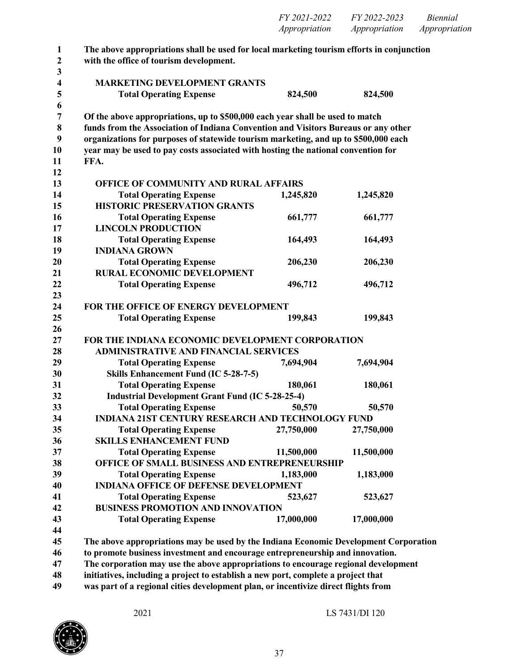| FY 2021-2022  | FY 2022-2023  | <i>Biennial</i> |
|---------------|---------------|-----------------|
| Appropriation | Appropriation | Appropriation   |

| $\mathbf{1}$            | The above appropriations shall be used for local marketing tourism efforts in conjunction |            |            |  |
|-------------------------|-------------------------------------------------------------------------------------------|------------|------------|--|
| $\mathbf{2}$            | with the office of tourism development.                                                   |            |            |  |
| 3                       |                                                                                           |            |            |  |
| $\overline{\mathbf{4}}$ | <b>MARKETING DEVELOPMENT GRANTS</b>                                                       |            |            |  |
| 5                       | <b>Total Operating Expense</b>                                                            | 824,500    | 824,500    |  |
| 6<br>7                  | Of the above appropriations, up to \$500,000 each year shall be used to match             |            |            |  |
| 8                       | funds from the Association of Indiana Convention and Visitors Bureaus or any other        |            |            |  |
| $\boldsymbol{9}$        | organizations for purposes of statewide tourism marketing, and up to \$500,000 each       |            |            |  |
| 10                      | year may be used to pay costs associated with hosting the national convention for         |            |            |  |
| 11                      | FFA.                                                                                      |            |            |  |
| 12                      |                                                                                           |            |            |  |
| 13                      | OFFICE OF COMMUNITY AND RURAL AFFAIRS                                                     |            |            |  |
| 14                      | <b>Total Operating Expense</b>                                                            | 1,245,820  | 1,245,820  |  |
| 15                      | <b>HISTORIC PRESERVATION GRANTS</b>                                                       |            |            |  |
| 16                      | <b>Total Operating Expense</b>                                                            | 661,777    | 661,777    |  |
| 17                      | <b>LINCOLN PRODUCTION</b>                                                                 |            |            |  |
| 18                      | <b>Total Operating Expense</b>                                                            | 164,493    | 164,493    |  |
| 19                      | <b>INDIANA GROWN</b>                                                                      |            |            |  |
| 20                      | <b>Total Operating Expense</b>                                                            | 206,230    | 206,230    |  |
| 21                      | <b>RURAL ECONOMIC DEVELOPMENT</b>                                                         |            |            |  |
| 22                      | <b>Total Operating Expense</b>                                                            | 496,712    | 496,712    |  |
| 23                      |                                                                                           |            |            |  |
| 24                      | FOR THE OFFICE OF ENERGY DEVELOPMENT                                                      |            |            |  |
| 25                      | <b>Total Operating Expense</b>                                                            | 199,843    | 199,843    |  |
| 26                      |                                                                                           |            |            |  |
| 27                      | FOR THE INDIANA ECONOMIC DEVELOPMENT CORPORATION                                          |            |            |  |
| 28                      | <b>ADMINISTRATIVE AND FINANCIAL SERVICES</b>                                              |            |            |  |
| 29                      | <b>Total Operating Expense</b>                                                            | 7,694,904  | 7,694,904  |  |
| 30                      | Skills Enhancement Fund (IC 5-28-7-5)                                                     |            |            |  |
| 31                      | <b>Total Operating Expense</b>                                                            | 180,061    | 180,061    |  |
| 32                      | <b>Industrial Development Grant Fund (IC 5-28-25-4)</b>                                   |            |            |  |
| 33                      | <b>Total Operating Expense</b>                                                            | 50,570     | 50,570     |  |
| 34                      | <b>INDIANA 21ST CENTURY RESEARCH AND TECHNOLOGY FUND</b>                                  |            |            |  |
| 35                      | <b>Total Operating Expense</b>                                                            | 27,750,000 | 27,750,000 |  |
| 36                      | <b>SKILLS ENHANCEMENT FUND</b>                                                            |            |            |  |
| 37                      | <b>Total Operating Expense</b>                                                            | 11,500,000 | 11,500,000 |  |
| 38                      | OFFICE OF SMALL BUSINESS AND ENTREPRENEURSHIP                                             |            |            |  |
| 39                      | <b>Total Operating Expense</b>                                                            | 1,183,000  | 1,183,000  |  |
| 40                      | <b>INDIANA OFFICE OF DEFENSE DEVELOPMENT</b>                                              |            |            |  |
| 41                      | <b>Total Operating Expense</b>                                                            | 523,627    | 523,627    |  |
| 42                      | <b>BUSINESS PROMOTION AND INNOVATION</b>                                                  |            |            |  |
| 43<br>44                | <b>Total Operating Expense</b>                                                            | 17,000,000 | 17,000,000 |  |
| 45                      |                                                                                           |            |            |  |
|                         | The above appropriations may be used by the Indiana Economic Development Corporation      |            |            |  |

**to promote business investment and encourage entrepreneurship and innovation.**

**The corporation may use the above appropriations to encourage regional development**

**initiatives, including a project to establish a new port, complete a project that**

**was part of a regional cities development plan, or incentivize direct flights from**

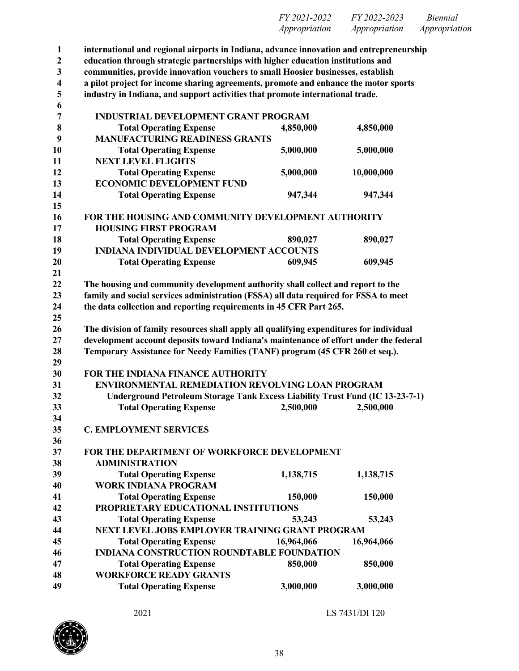| FY 2021-2022         | FY 2022-2023  | <i>Biennial</i> |
|----------------------|---------------|-----------------|
| <i>Appropriation</i> | Appropriation | Appropriation   |

 **international and regional airports in Indiana, advance innovation and entrepreneurship education through strategic partnerships with higher education institutions and communities, provide innovation vouchers to small Hoosier businesses, establish a pilot project for income sharing agreements, promote and enhance the motor sports industry in Indiana, and support activities that promote international trade. INDUSTRIAL DEVELOPMENT GRANT PROGRAM Total Operating Expense 4,850,000 4,850,000 MANUFACTURING READINESS GRANTS Total Operating Expense 5,000,000 5,000,000 NEXT LEVEL FLIGHTS Total Operating Expense 5,000,000 10,000,000 ECONOMIC DEVELOPMENT FUND Total Operating Expense 947,344 947,344 FOR THE HOUSING AND COMMUNITY DEVELOPMENT AUTHORITY HOUSING FIRST PROGRAM Total Operating Expense 890,027 890,027 INDIANA INDIVIDUAL DEVELOPMENT ACCOUNTS Total Operating Expense 609,945 609,945 The housing and community development authority shall collect and report to the family and social services administration (FSSA) all data required for FSSA to meet the data collection and reporting requirements in 45 CFR Part 265. The division of family resources shall apply all qualifying expenditures for individual development account deposits toward Indiana's maintenance of effort under the federal Temporary Assistance for Needy Families (TANF) program (45 CFR 260 et seq.). FOR THE INDIANA FINANCE AUTHORITY ENVIRONMENTAL REMEDIATION REVOLVING LOAN PROGRAM Underground Petroleum Storage Tank Excess Liability Trust Fund (IC 13-23-7-1) Total Operating Expense 2,500,000 2,500,000 C. EMPLOYMENT SERVICES FOR THE DEPARTMENT OF WORKFORCE DEVELOPMENT ADMINISTRATION Total Operating Expense 1,138,715 1,138,715 WORK INDIANA PROGRAM Total Operating Expense 150,000 150,000 PROPRIETARY EDUCATIONAL INSTITUTIONS Total Operating Expense 53,243 53,243 NEXT LEVEL JOBS EMPLOYER TRAINING GRANT PROGRAM Total Operating Expense 16,964,066 16,964,066 INDIANA CONSTRUCTION ROUNDTABLE FOUNDATION Total Operating Expense 850,000 850,000 WORKFORCE READY GRANTS Total Operating Expense 3,000,000 3,000,000**

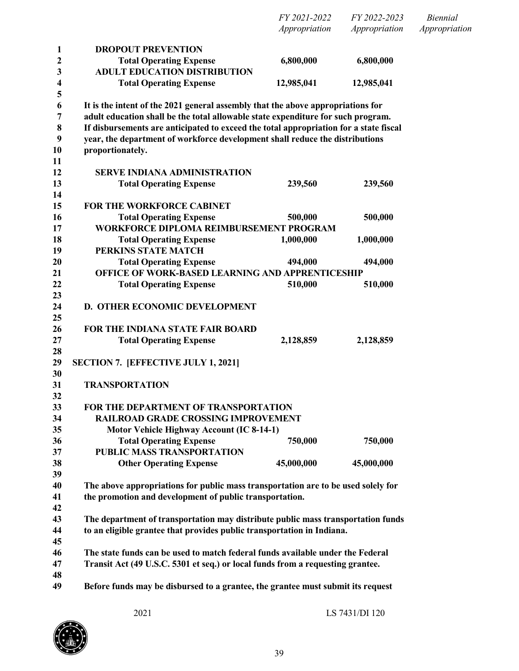|          |                                                                                       | FY 2021-2022  | FY 2022-2023  | <b>Biennial</b> |
|----------|---------------------------------------------------------------------------------------|---------------|---------------|-----------------|
|          |                                                                                       | Appropriation | Appropriation | Appropriation   |
| 1        | <b>DROPOUT PREVENTION</b>                                                             |               |               |                 |
| 2        | <b>Total Operating Expense</b>                                                        | 6,800,000     | 6,800,000     |                 |
| 3        | <b>ADULT EDUCATION DISTRIBUTION</b>                                                   |               |               |                 |
| 4        | <b>Total Operating Expense</b>                                                        | 12,985,041    | 12,985,041    |                 |
| 5        |                                                                                       |               |               |                 |
| 6        | It is the intent of the 2021 general assembly that the above appropriations for       |               |               |                 |
| 7        | adult education shall be the total allowable state expenditure for such program.      |               |               |                 |
| 8        | If disbursements are anticipated to exceed the total appropriation for a state fiscal |               |               |                 |
| 9        | year, the department of workforce development shall reduce the distributions          |               |               |                 |
| 10       | proportionately.                                                                      |               |               |                 |
| 11       |                                                                                       |               |               |                 |
| 12       | <b>SERVE INDIANA ADMINISTRATION</b>                                                   |               |               |                 |
| 13       | <b>Total Operating Expense</b>                                                        | 239,560       | 239,560       |                 |
| 14       |                                                                                       |               |               |                 |
| 15       | FOR THE WORKFORCE CABINET                                                             |               |               |                 |
| 16       | <b>Total Operating Expense</b>                                                        | 500,000       | 500,000       |                 |
| 17       | WORKFORCE DIPLOMA REIMBURSEMENT PROGRAM                                               |               |               |                 |
| 18       | <b>Total Operating Expense</b>                                                        | 1,000,000     | 1,000,000     |                 |
| 19       | PERKINS STATE MATCH                                                                   |               |               |                 |
| 20       | <b>Total Operating Expense</b>                                                        | 494,000       | 494,000       |                 |
| 21       | OFFICE OF WORK-BASED LEARNING AND APPRENTICESHIP                                      |               |               |                 |
| 22       | <b>Total Operating Expense</b>                                                        | 510,000       | 510,000       |                 |
| 23       |                                                                                       |               |               |                 |
| 24       | D. OTHER ECONOMIC DEVELOPMENT                                                         |               |               |                 |
| 25       |                                                                                       |               |               |                 |
| 26       | FOR THE INDIANA STATE FAIR BOARD                                                      |               |               |                 |
| 27       | <b>Total Operating Expense</b>                                                        | 2,128,859     | 2,128,859     |                 |
| 28       |                                                                                       |               |               |                 |
| 29       | <b>SECTION 7. [EFFECTIVE JULY 1, 2021]</b>                                            |               |               |                 |
| 30       |                                                                                       |               |               |                 |
| 31       | <b>TRANSPORTATION</b>                                                                 |               |               |                 |
| 32       |                                                                                       |               |               |                 |
| 33       | FOR THE DEPARTMENT OF TRANSPORTATION                                                  |               |               |                 |
| 34       | <b>RAILROAD GRADE CROSSING IMPROVEMENT</b>                                            |               |               |                 |
| 35       | Motor Vehicle Highway Account (IC 8-14-1)                                             |               |               |                 |
| 36       | <b>Total Operating Expense</b>                                                        | 750,000       | 750,000       |                 |
| 37       | PUBLIC MASS TRANSPORTATION                                                            |               |               |                 |
| 38<br>39 | <b>Other Operating Expense</b>                                                        | 45,000,000    | 45,000,000    |                 |
| 40       | The above appropriations for public mass transportation are to be used solely for     |               |               |                 |
| 41       | the promotion and development of public transportation.                               |               |               |                 |
| 42       |                                                                                       |               |               |                 |
| 43       | The department of transportation may distribute public mass transportation funds      |               |               |                 |
| 44       | to an eligible grantee that provides public transportation in Indiana.                |               |               |                 |
| 45       |                                                                                       |               |               |                 |
| 46       | The state funds can be used to match federal funds available under the Federal        |               |               |                 |
| 47       | Transit Act (49 U.S.C. 5301 et seq.) or local funds from a requesting grantee.        |               |               |                 |
| 48       |                                                                                       |               |               |                 |
| 49       | Before funds may be disbursed to a grantee, the grantee must submit its request       |               |               |                 |
|          |                                                                                       |               |               |                 |

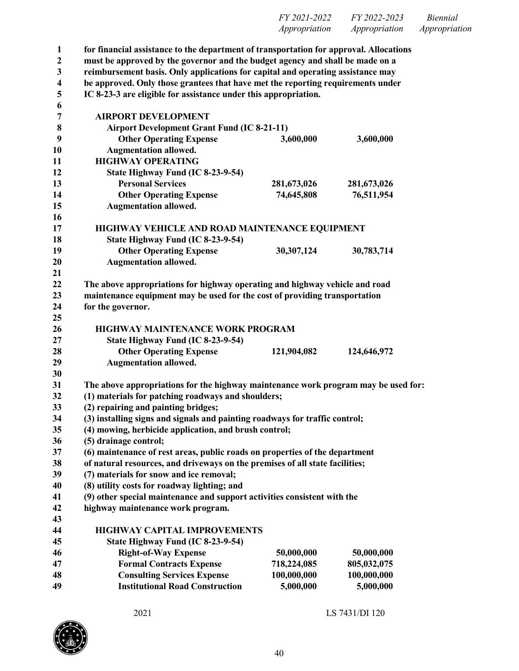| FY 2021-2022         | FY 2022-2023  | <i>Biennial</i> |
|----------------------|---------------|-----------------|
| <i>Appropriation</i> | Appropriation | Appropriation   |

| $\mathbf{1}$            | for financial assistance to the department of transportation for approval. Allocations |                          |                          |  |
|-------------------------|----------------------------------------------------------------------------------------|--------------------------|--------------------------|--|
| $\overline{2}$          | must be approved by the governor and the budget agency and shall be made on a          |                          |                          |  |
| $\mathbf{3}$            | reimbursement basis. Only applications for capital and operating assistance may        |                          |                          |  |
| $\overline{\mathbf{4}}$ | be approved. Only those grantees that have met the reporting requirements under        |                          |                          |  |
| 5                       | IC 8-23-3 are eligible for assistance under this appropriation.                        |                          |                          |  |
| 6                       |                                                                                        |                          |                          |  |
| $\overline{7}$          | <b>AIRPORT DEVELOPMENT</b>                                                             |                          |                          |  |
| 8                       | <b>Airport Development Grant Fund (IC 8-21-11)</b>                                     |                          |                          |  |
| 9                       | <b>Other Operating Expense</b>                                                         | 3,600,000                | 3,600,000                |  |
| 10                      | <b>Augmentation allowed.</b>                                                           |                          |                          |  |
| 11                      | <b>HIGHWAY OPERATING</b>                                                               |                          |                          |  |
| 12                      | State Highway Fund (IC 8-23-9-54)                                                      |                          |                          |  |
| 13                      | <b>Personal Services</b>                                                               | 281,673,026              | 281,673,026              |  |
| 14                      | <b>Other Operating Expense</b>                                                         | 74,645,808               | 76,511,954               |  |
| 15                      | <b>Augmentation allowed.</b>                                                           |                          |                          |  |
| 16                      |                                                                                        |                          |                          |  |
| 17                      | HIGHWAY VEHICLE AND ROAD MAINTENANCE EQUIPMENT                                         |                          |                          |  |
| 18                      | State Highway Fund (IC 8-23-9-54)                                                      |                          |                          |  |
| 19                      | <b>Other Operating Expense</b>                                                         | 30,307,124               | 30,783,714               |  |
| 20                      | <b>Augmentation allowed.</b>                                                           |                          |                          |  |
| 21                      |                                                                                        |                          |                          |  |
| 22                      | The above appropriations for highway operating and highway vehicle and road            |                          |                          |  |
| 23                      | maintenance equipment may be used for the cost of providing transportation             |                          |                          |  |
| 24                      | for the governor.                                                                      |                          |                          |  |
| 25                      |                                                                                        |                          |                          |  |
| 26                      | <b>HIGHWAY MAINTENANCE WORK PROGRAM</b>                                                |                          |                          |  |
| 27                      | State Highway Fund (IC 8-23-9-54)                                                      |                          |                          |  |
| 28                      | <b>Other Operating Expense</b>                                                         | 121,904,082              | 124,646,972              |  |
| 29                      | <b>Augmentation allowed.</b>                                                           |                          |                          |  |
| 30                      |                                                                                        |                          |                          |  |
| 31                      | The above appropriations for the highway maintenance work program may be used for:     |                          |                          |  |
| 32                      | (1) materials for patching roadways and shoulders;                                     |                          |                          |  |
| 33                      | (2) repairing and painting bridges;                                                    |                          |                          |  |
| 34                      | (3) installing signs and signals and painting roadways for traffic control;            |                          |                          |  |
| 35                      | (4) mowing, herbicide application, and brush control;                                  |                          |                          |  |
| 36                      | (5) drainage control;                                                                  |                          |                          |  |
| 37                      | (6) maintenance of rest areas, public roads on properties of the department            |                          |                          |  |
| 38                      | of natural resources, and driveways on the premises of all state facilities;           |                          |                          |  |
| 39                      | (7) materials for snow and ice removal;                                                |                          |                          |  |
| 40                      | (8) utility costs for roadway lighting; and                                            |                          |                          |  |
| 41                      | (9) other special maintenance and support activities consistent with the               |                          |                          |  |
| 42                      | highway maintenance work program.                                                      |                          |                          |  |
| 43                      |                                                                                        |                          |                          |  |
| 44                      | <b>HIGHWAY CAPITAL IMPROVEMENTS</b>                                                    |                          |                          |  |
| 45                      | State Highway Fund (IC 8-23-9-54)                                                      |                          |                          |  |
| 46                      | <b>Right-of-Way Expense</b>                                                            | 50,000,000               | 50,000,000               |  |
|                         | <b>Formal Contracts Expense</b>                                                        | 718,224,085              | 805,032,075              |  |
| 47                      |                                                                                        |                          |                          |  |
| 48<br>49                | <b>Consulting Services Expense</b><br><b>Institutional Road Construction</b>           | 100,000,000<br>5,000,000 | 100,000,000<br>5,000,000 |  |

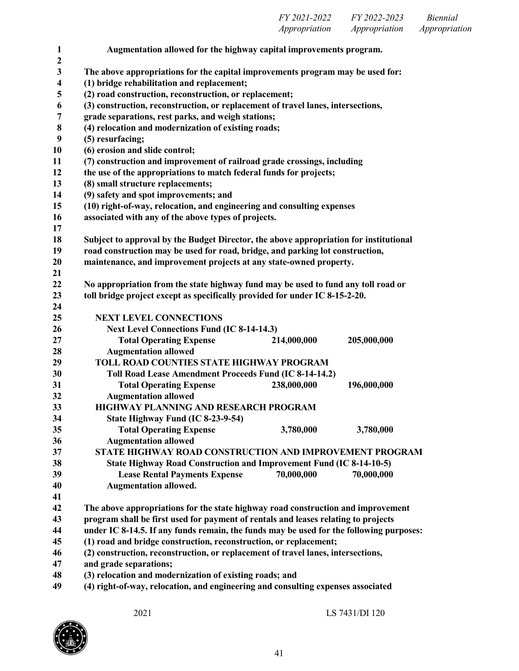| FY 2021-2022         | FY 2022-2023  | <i>Biennial</i> |
|----------------------|---------------|-----------------|
| <i>Appropriation</i> | Appropriation | Appropriation   |

| $\mathbf{1}$<br>$\mathbf{2}$ | Augmentation allowed for the highway capital improvements program.                      |  |  |  |
|------------------------------|-----------------------------------------------------------------------------------------|--|--|--|
| 3                            | The above appropriations for the capital improvements program may be used for:          |  |  |  |
| 4                            | (1) bridge rehabilitation and replacement;                                              |  |  |  |
| 5                            | (2) road construction, reconstruction, or replacement;                                  |  |  |  |
| 6                            | (3) construction, reconstruction, or replacement of travel lanes, intersections,        |  |  |  |
| 7                            | grade separations, rest parks, and weigh stations;                                      |  |  |  |
| 8                            | (4) relocation and modernization of existing roads;                                     |  |  |  |
| 9                            | (5) resurfacing;                                                                        |  |  |  |
| 10                           | (6) erosion and slide control;                                                          |  |  |  |
| 11                           | (7) construction and improvement of railroad grade crossings, including                 |  |  |  |
| 12                           | the use of the appropriations to match federal funds for projects;                      |  |  |  |
| 13                           | (8) small structure replacements;                                                       |  |  |  |
| 14                           | (9) safety and spot improvements; and                                                   |  |  |  |
| 15                           | (10) right-of-way, relocation, and engineering and consulting expenses                  |  |  |  |
| 16                           | associated with any of the above types of projects.                                     |  |  |  |
| 17                           |                                                                                         |  |  |  |
| 18                           | Subject to approval by the Budget Director, the above appropriation for institutional   |  |  |  |
| 19                           | road construction may be used for road, bridge, and parking lot construction,           |  |  |  |
| 20                           | maintenance, and improvement projects at any state-owned property.                      |  |  |  |
| 21                           |                                                                                         |  |  |  |
| 22                           | No appropriation from the state highway fund may be used to fund any toll road or       |  |  |  |
| 23                           | toll bridge project except as specifically provided for under IC 8-15-2-20.             |  |  |  |
| 24                           |                                                                                         |  |  |  |
| 25                           | <b>NEXT LEVEL CONNECTIONS</b>                                                           |  |  |  |
| 26                           | <b>Next Level Connections Fund (IC 8-14-14.3)</b><br><b>Total Operating Expense</b>     |  |  |  |
| 27<br>28                     | 205,000,000<br>214,000,000<br><b>Augmentation allowed</b>                               |  |  |  |
| 29                           | TOLL ROAD COUNTIES STATE HIGHWAY PROGRAM                                                |  |  |  |
| 30                           | Toll Road Lease Amendment Proceeds Fund (IC 8-14-14.2)                                  |  |  |  |
| 31                           | <b>Total Operating Expense</b><br>238,000,000<br>196,000,000                            |  |  |  |
| 32                           | <b>Augmentation allowed</b>                                                             |  |  |  |
| 33                           | HIGHWAY PLANNING AND RESEARCH PROGRAM                                                   |  |  |  |
| 34                           | State Highway Fund (IC 8-23-9-54)                                                       |  |  |  |
| 35                           | <b>Total Operating Expense</b><br>3,780,000<br>3,780,000                                |  |  |  |
| 36                           | <b>Augmentation allowed</b>                                                             |  |  |  |
| 37                           | STATE HIGHWAY ROAD CONSTRUCTION AND IMPROVEMENT PROGRAM                                 |  |  |  |
| 38                           | State Highway Road Construction and Improvement Fund (IC 8-14-10-5)                     |  |  |  |
| 39                           | 70,000,000<br><b>Lease Rental Payments Expense</b><br>70,000,000                        |  |  |  |
| 40                           | <b>Augmentation allowed.</b>                                                            |  |  |  |
| 41                           |                                                                                         |  |  |  |
| 42                           | The above appropriations for the state highway road construction and improvement        |  |  |  |
| 43                           | program shall be first used for payment of rentals and leases relating to projects      |  |  |  |
| 44                           | under IC 8-14.5. If any funds remain, the funds may be used for the following purposes: |  |  |  |
| 45                           | (1) road and bridge construction, reconstruction, or replacement;                       |  |  |  |
| 46                           | (2) construction, reconstruction, or replacement of travel lanes, intersections,        |  |  |  |
| 47                           | and grade separations;                                                                  |  |  |  |
| 48                           | (3) relocation and modernization of existing roads; and                                 |  |  |  |
| 49                           | (4) right-of-way, relocation, and engineering and consulting expenses associated        |  |  |  |
|                              |                                                                                         |  |  |  |

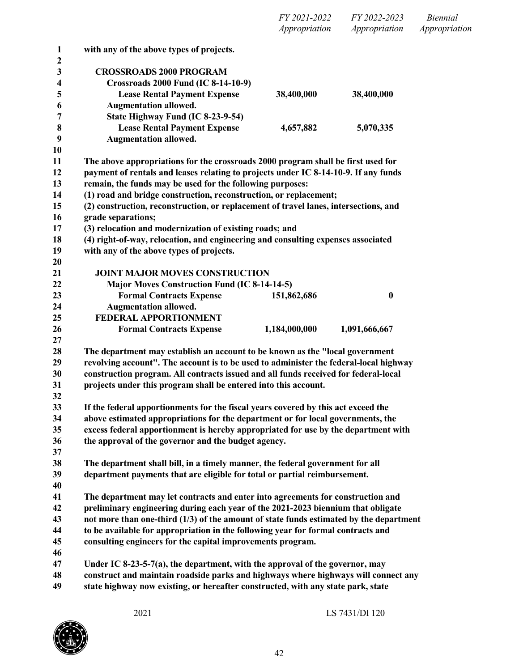|                                 |                                                                                                                                                                              | FY 2021-2022<br>Appropriation | FY 2022-2023<br>Appropriation | <b>Biennial</b><br>Appropriation |
|---------------------------------|------------------------------------------------------------------------------------------------------------------------------------------------------------------------------|-------------------------------|-------------------------------|----------------------------------|
| $\mathbf{1}$                    | with any of the above types of projects.                                                                                                                                     |                               |                               |                                  |
| $\boldsymbol{2}$<br>3<br>4<br>5 | <b>CROSSROADS 2000 PROGRAM</b><br><b>Crossroads 2000 Fund (IC 8-14-10-9)</b><br><b>Lease Rental Payment Expense</b>                                                          | 38,400,000                    | 38,400,000                    |                                  |
| 6                               | <b>Augmentation allowed.</b>                                                                                                                                                 |                               |                               |                                  |
| 7                               | State Highway Fund (IC 8-23-9-54)                                                                                                                                            |                               |                               |                                  |
| 8                               | <b>Lease Rental Payment Expense</b>                                                                                                                                          | 4,657,882                     | 5,070,335                     |                                  |
| 9                               | <b>Augmentation allowed.</b>                                                                                                                                                 |                               |                               |                                  |
| 10<br>11                        | The above appropriations for the crossroads 2000 program shall be first used for                                                                                             |                               |                               |                                  |
| 12                              | payment of rentals and leases relating to projects under IC 8-14-10-9. If any funds                                                                                          |                               |                               |                                  |
| 13                              | remain, the funds may be used for the following purposes:                                                                                                                    |                               |                               |                                  |
| 14                              | (1) road and bridge construction, reconstruction, or replacement;                                                                                                            |                               |                               |                                  |
| 15                              | (2) construction, reconstruction, or replacement of travel lanes, intersections, and                                                                                         |                               |                               |                                  |
| 16                              | grade separations;                                                                                                                                                           |                               |                               |                                  |
| 17                              | (3) relocation and modernization of existing roads; and                                                                                                                      |                               |                               |                                  |
| 18                              | (4) right-of-way, relocation, and engineering and consulting expenses associated                                                                                             |                               |                               |                                  |
| 19                              | with any of the above types of projects.                                                                                                                                     |                               |                               |                                  |
| 20                              |                                                                                                                                                                              |                               |                               |                                  |
| 21                              | <b>JOINT MAJOR MOVES CONSTRUCTION</b>                                                                                                                                        |                               |                               |                                  |
| 22                              | <b>Major Moves Construction Fund (IC 8-14-14-5)</b>                                                                                                                          |                               |                               |                                  |
| 23                              | <b>Formal Contracts Expense</b>                                                                                                                                              | 151,862,686                   | $\boldsymbol{0}$              |                                  |
| 24                              | <b>Augmentation allowed.</b>                                                                                                                                                 |                               |                               |                                  |
| 25                              | FEDERAL APPORTIONMENT                                                                                                                                                        |                               |                               |                                  |
| 26                              | <b>Formal Contracts Expense</b>                                                                                                                                              | 1,184,000,000                 | 1,091,666,667                 |                                  |
| 27                              |                                                                                                                                                                              |                               |                               |                                  |
| 28                              | The department may establish an account to be known as the "local government"                                                                                                |                               |                               |                                  |
| 29<br>30                        | revolving account". The account is to be used to administer the federal-local highway<br>construction program. All contracts issued and all funds received for federal-local |                               |                               |                                  |
| 31                              | projects under this program shall be entered into this account.                                                                                                              |                               |                               |                                  |
| 32                              |                                                                                                                                                                              |                               |                               |                                  |
| 33                              | If the federal apportionments for the fiscal years covered by this act exceed the                                                                                            |                               |                               |                                  |
| 34                              | above estimated appropriations for the department or for local governments, the                                                                                              |                               |                               |                                  |
| 35                              | excess federal apportionment is hereby appropriated for use by the department with                                                                                           |                               |                               |                                  |
| 36                              | the approval of the governor and the budget agency.                                                                                                                          |                               |                               |                                  |
| 37                              |                                                                                                                                                                              |                               |                               |                                  |
| 38                              | The department shall bill, in a timely manner, the federal government for all                                                                                                |                               |                               |                                  |
| 39                              | department payments that are eligible for total or partial reimbursement.                                                                                                    |                               |                               |                                  |
| 40                              |                                                                                                                                                                              |                               |                               |                                  |
| 41                              | The department may let contracts and enter into agreements for construction and                                                                                              |                               |                               |                                  |
| 42                              | preliminary engineering during each year of the 2021-2023 biennium that obligate                                                                                             |                               |                               |                                  |
| 43                              | not more than one-third (1/3) of the amount of state funds estimated by the department                                                                                       |                               |                               |                                  |
| 44                              | to be available for appropriation in the following year for formal contracts and                                                                                             |                               |                               |                                  |
| 45                              | consulting engineers for the capital improvements program.                                                                                                                   |                               |                               |                                  |
| 46                              |                                                                                                                                                                              |                               |                               |                                  |
| 47                              | Under IC 8-23-5-7(a), the department, with the approval of the governor, may                                                                                                 |                               |                               |                                  |
| 48<br>49                        | construct and maintain roadside parks and highways where highways will connect any<br>state highway now existing, or hereafter constructed, with any state park, state       |                               |                               |                                  |

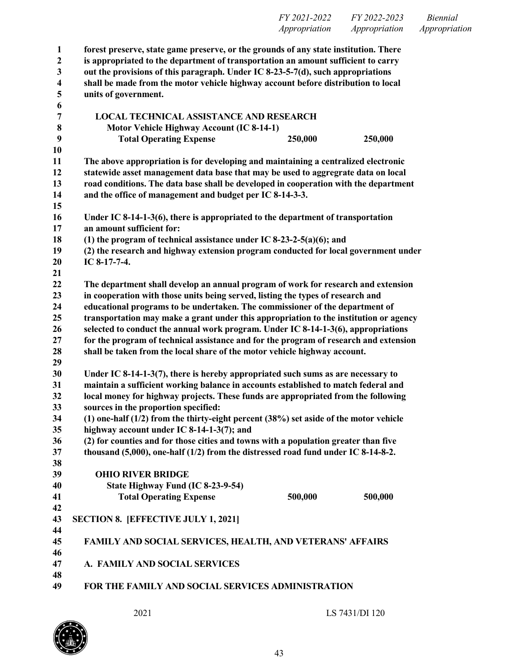| <i>FY 2021-2022</i> | FY 2022-2023  | <i>Biennial</i> |
|---------------------|---------------|-----------------|
| Appropriation       | Appropriation | Appropriation   |

| $\mathbf{1}$            | forest preserve, state game preserve, or the grounds of any state institution. There                                                                                       |                                                                                       |         |  |
|-------------------------|----------------------------------------------------------------------------------------------------------------------------------------------------------------------------|---------------------------------------------------------------------------------------|---------|--|
| $\boldsymbol{2}$        | is appropriated to the department of transportation an amount sufficient to carry                                                                                          |                                                                                       |         |  |
| 3                       | out the provisions of this paragraph. Under IC 8-23-5-7(d), such appropriations                                                                                            |                                                                                       |         |  |
| $\overline{\mathbf{4}}$ | shall be made from the motor vehicle highway account before distribution to local                                                                                          |                                                                                       |         |  |
| 5                       | units of government.                                                                                                                                                       |                                                                                       |         |  |
| 6                       |                                                                                                                                                                            |                                                                                       |         |  |
| 7                       | <b>LOCAL TECHNICAL ASSISTANCE AND RESEARCH</b>                                                                                                                             |                                                                                       |         |  |
| 8                       | Motor Vehicle Highway Account (IC 8-14-1)                                                                                                                                  |                                                                                       |         |  |
| 9                       | <b>Total Operating Expense</b>                                                                                                                                             | 250,000                                                                               | 250,000 |  |
| 10                      |                                                                                                                                                                            |                                                                                       |         |  |
| 11                      | The above appropriation is for developing and maintaining a centralized electronic                                                                                         |                                                                                       |         |  |
| 12                      | statewide asset management data base that may be used to aggregrate data on local                                                                                          |                                                                                       |         |  |
| 13                      | road conditions. The data base shall be developed in cooperation with the department                                                                                       |                                                                                       |         |  |
| 14                      | and the office of management and budget per IC 8-14-3-3.                                                                                                                   |                                                                                       |         |  |
| 15                      |                                                                                                                                                                            |                                                                                       |         |  |
| 16                      | Under IC 8-14-1-3(6), there is appropriated to the department of transportation                                                                                            |                                                                                       |         |  |
| 17                      | an amount sufficient for:                                                                                                                                                  |                                                                                       |         |  |
| 18                      | (1) the program of technical assistance under IC 8-23-2-5(a)(6); and                                                                                                       |                                                                                       |         |  |
| 19                      | (2) the research and highway extension program conducted for local government under                                                                                        |                                                                                       |         |  |
| 20                      | IC 8-17-7-4.                                                                                                                                                               |                                                                                       |         |  |
| 21                      |                                                                                                                                                                            |                                                                                       |         |  |
| 22<br>23                | The department shall develop an annual program of work for research and extension                                                                                          |                                                                                       |         |  |
| 24                      | in cooperation with those units being served, listing the types of research and                                                                                            |                                                                                       |         |  |
|                         | educational programs to be undertaken. The commissioner of the department of                                                                                               |                                                                                       |         |  |
| 25<br>26                | transportation may make a grant under this appropriation to the institution or agency<br>selected to conduct the annual work program. Under IC 8-14-1-3(6), appropriations |                                                                                       |         |  |
| 27                      |                                                                                                                                                                            | for the program of technical assistance and for the program of research and extension |         |  |
| 28                      | shall be taken from the local share of the motor vehicle highway account.                                                                                                  |                                                                                       |         |  |
| 29                      |                                                                                                                                                                            |                                                                                       |         |  |
| 30                      | Under IC 8-14-1-3(7), there is hereby appropriated such sums as are necessary to                                                                                           |                                                                                       |         |  |
| 31                      |                                                                                                                                                                            | maintain a sufficient working balance in accounts established to match federal and    |         |  |
| 32                      | local money for highway projects. These funds are appropriated from the following                                                                                          |                                                                                       |         |  |
| 33                      | sources in the proportion specified:                                                                                                                                       |                                                                                       |         |  |
| 34                      | (1) one-half $(1/2)$ from the thirty-eight percent $(38%)$ set aside of the motor vehicle                                                                                  |                                                                                       |         |  |
| 35                      | highway account under IC 8-14-1-3(7); and                                                                                                                                  |                                                                                       |         |  |
| 36                      | (2) for counties and for those cities and towns with a population greater than five                                                                                        |                                                                                       |         |  |
| 37                      | thousand $(5,000)$ , one-half $(1/2)$ from the distressed road fund under IC 8-14-8-2.                                                                                     |                                                                                       |         |  |
| 38                      |                                                                                                                                                                            |                                                                                       |         |  |
| 39                      | <b>OHIO RIVER BRIDGE</b>                                                                                                                                                   |                                                                                       |         |  |
| 40                      | State Highway Fund (IC 8-23-9-54)                                                                                                                                          |                                                                                       |         |  |
| 41                      | <b>Total Operating Expense</b>                                                                                                                                             | 500,000                                                                               | 500,000 |  |
| 42                      |                                                                                                                                                                            |                                                                                       |         |  |
| 43                      | <b>SECTION 8. [EFFECTIVE JULY 1, 2021]</b>                                                                                                                                 |                                                                                       |         |  |
| 44                      |                                                                                                                                                                            |                                                                                       |         |  |
| 45                      | FAMILY AND SOCIAL SERVICES, HEALTH, AND VETERANS' AFFAIRS                                                                                                                  |                                                                                       |         |  |
| 46                      |                                                                                                                                                                            |                                                                                       |         |  |
| 47                      | A. FAMILY AND SOCIAL SERVICES                                                                                                                                              |                                                                                       |         |  |
| 48                      |                                                                                                                                                                            |                                                                                       |         |  |
| 49                      | FOR THE FAMILY AND SOCIAL SERVICES ADMINISTRATION                                                                                                                          |                                                                                       |         |  |
|                         |                                                                                                                                                                            |                                                                                       |         |  |
|                         |                                                                                                                                                                            |                                                                                       |         |  |

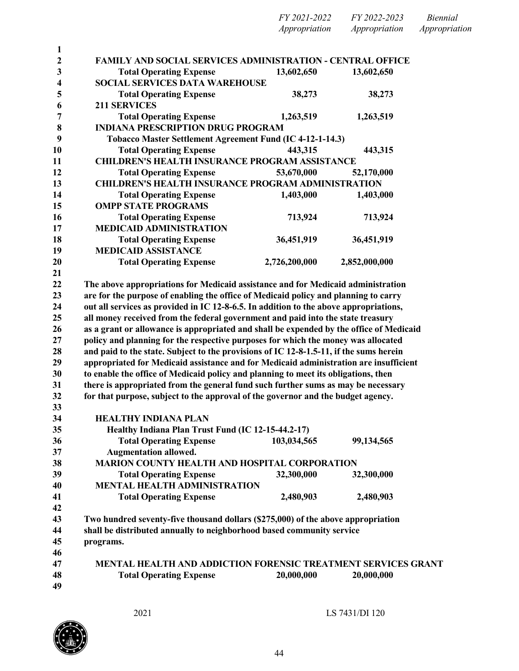| FY 2021-2022  | FY 2022-2023  | <i>Biennial</i> |
|---------------|---------------|-----------------|
| Appropriation | Appropriation | Appropriation   |

| 1<br>$\overline{c}$ | <b>FAMILY AND SOCIAL SERVICES ADMINISTRATION - CENTRAL OFFICE</b>                                                                                                        |               |               |  |
|---------------------|--------------------------------------------------------------------------------------------------------------------------------------------------------------------------|---------------|---------------|--|
| 3                   | <b>Total Operating Expense</b>                                                                                                                                           | 13,602,650    | 13,602,650    |  |
| 4                   | <b>SOCIAL SERVICES DATA WAREHOUSE</b>                                                                                                                                    |               |               |  |
| 5                   | <b>Total Operating Expense</b>                                                                                                                                           | 38,273        | 38,273        |  |
| 6                   | <b>211 SERVICES</b>                                                                                                                                                      |               |               |  |
| 7                   | <b>Total Operating Expense</b>                                                                                                                                           | 1,263,519     | 1,263,519     |  |
| 8                   | <b>INDIANA PRESCRIPTION DRUG PROGRAM</b>                                                                                                                                 |               |               |  |
| 9                   | Tobacco Master Settlement Agreement Fund (IC 4-12-1-14.3)                                                                                                                |               |               |  |
| 10                  | <b>Total Operating Expense</b>                                                                                                                                           | 443,315       | 443,315       |  |
| 11                  | <b>CHILDREN'S HEALTH INSURANCE PROGRAM ASSISTANCE</b>                                                                                                                    |               |               |  |
| 12                  | <b>Total Operating Expense</b>                                                                                                                                           | 53,670,000    | 52,170,000    |  |
| 13                  | <b>CHILDREN'S HEALTH INSURANCE PROGRAM ADMINISTRATION</b>                                                                                                                |               |               |  |
| 14                  | <b>Total Operating Expense</b>                                                                                                                                           | 1,403,000     | 1,403,000     |  |
| 15                  | <b>OMPP STATE PROGRAMS</b>                                                                                                                                               |               |               |  |
| 16                  | <b>Total Operating Expense</b>                                                                                                                                           | 713,924       | 713,924       |  |
| 17                  | <b>MEDICAID ADMINISTRATION</b>                                                                                                                                           |               |               |  |
| 18                  | <b>Total Operating Expense</b>                                                                                                                                           | 36,451,919    | 36,451,919    |  |
| 19                  | <b>MEDICAID ASSISTANCE</b>                                                                                                                                               |               |               |  |
| 20                  | <b>Total Operating Expense</b>                                                                                                                                           | 2,726,200,000 | 2,852,000,000 |  |
| 21                  |                                                                                                                                                                          |               |               |  |
| 22                  | The above appropriations for Medicaid assistance and for Medicaid administration                                                                                         |               |               |  |
| 23                  | are for the purpose of enabling the office of Medicaid policy and planning to carry                                                                                      |               |               |  |
| 24                  | out all services as provided in IC 12-8-6.5. In addition to the above appropriations,<br>all money received from the federal government and paid into the state treasury |               |               |  |
| 25<br>26            | as a grant or allowance is appropriated and shall be expended by the office of Medicaid                                                                                  |               |               |  |
| 27                  | policy and planning for the respective purposes for which the money was allocated                                                                                        |               |               |  |
| 28                  | and paid to the state. Subject to the provisions of IC 12-8-1.5-11, if the sums herein                                                                                   |               |               |  |
| 29                  | appropriated for Medicaid assistance and for Medicaid administration are insufficient                                                                                    |               |               |  |
| 30                  | to enable the office of Medicaid policy and planning to meet its obligations, then                                                                                       |               |               |  |
| 31                  | there is appropriated from the general fund such further sums as may be necessary                                                                                        |               |               |  |
| 32                  | for that purpose, subject to the approval of the governor and the budget agency.                                                                                         |               |               |  |
| 33                  |                                                                                                                                                                          |               |               |  |
| 34                  | <b>HEALTHY INDIANA PLAN</b>                                                                                                                                              |               |               |  |
| 35                  | Healthy Indiana Plan Trust Fund (IC 12-15-44.2-17)                                                                                                                       |               |               |  |
| 36                  | <b>Total Operating Expense</b>                                                                                                                                           | 103,034,565   | 99,134,565    |  |
| 37                  | <b>Augmentation allowed.</b>                                                                                                                                             |               |               |  |
| 38                  | <b>MARION COUNTY HEALTH AND HOSPITAL CORPORATION</b>                                                                                                                     |               |               |  |
| 39                  | <b>Total Operating Expense</b>                                                                                                                                           | 32,300,000    | 32,300,000    |  |
| 40                  | <b>MENTAL HEALTH ADMINISTRATION</b>                                                                                                                                      |               |               |  |
| 41                  | <b>Total Operating Expense</b>                                                                                                                                           | 2,480,903     | 2,480,903     |  |
| 42                  |                                                                                                                                                                          |               |               |  |
| 43                  | Two hundred seventy-five thousand dollars (\$275,000) of the above appropriation                                                                                         |               |               |  |
| 44                  | shall be distributed annually to neighborhood based community service                                                                                                    |               |               |  |
| 45                  | programs.                                                                                                                                                                |               |               |  |
| 46                  |                                                                                                                                                                          |               |               |  |
| 47                  | MENTAL HEALTH AND ADDICTION FORENSIC TREATMENT SERVICES GRANT                                                                                                            |               |               |  |
| 48                  | <b>Total Operating Expense</b>                                                                                                                                           | 20,000,000    | 20,000,000    |  |
| 49                  |                                                                                                                                                                          |               |               |  |

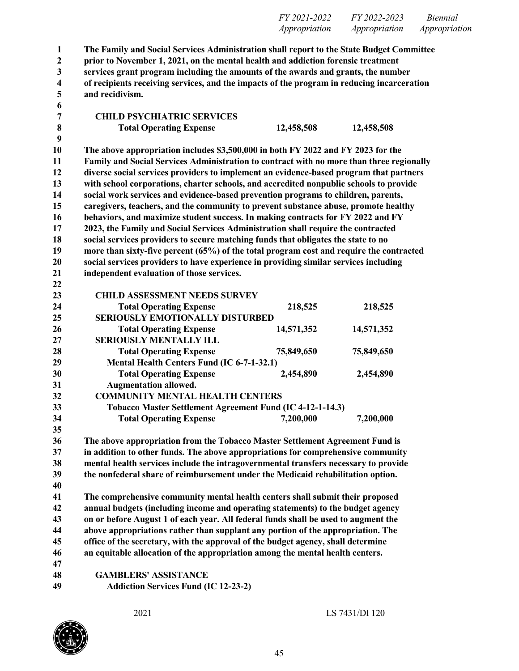|              |                                                                                                                                                                              | <i>FY 2021-2022</i><br>Appropriation | <i>FY 2022-2023</i><br>Appropriation | Biennial<br>Appropriation |
|--------------|------------------------------------------------------------------------------------------------------------------------------------------------------------------------------|--------------------------------------|--------------------------------------|---------------------------|
| $\mathbf{1}$ | The Family and Social Services Administration shall report to the State Budget Committee<br>prior to November 1, 2021, on the mental health and addiction forensic treatment |                                      |                                      |                           |

 **services grant program including the amounts of the awards and grants, the number of recipients receiving services, and the impacts of the program in reducing incarceration and recidivism.**

| 7       | <b>CHILD PSYCHIATRIC SERVICES</b>                                                        |            |            |
|---------|------------------------------------------------------------------------------------------|------------|------------|
| $\bf 8$ | <b>Total Operating Expense</b>                                                           | 12,458,508 | 12,458,508 |
| 9       |                                                                                          |            |            |
| 10      | The above appropriation includes \$3,500,000 in both FY 2022 and FY 2023 for the         |            |            |
| 11      | Family and Social Services Administration to contract with no more than three regionally |            |            |
| 12      | diverse social services providers to implement an evidence-based program that partners   |            |            |
| 13      | with school corporations, charter schools, and accredited nonpublic schools to provide   |            |            |
| 14      | social work services and evidence-based prevention programs to children, parents,        |            |            |
| 15      | caregivers, teachers, and the community to prevent substance abuse, promote healthy      |            |            |
| 16      | behaviors, and maximize student success. In making contracts for FY 2022 and FY          |            |            |
| 17      | 2023, the Family and Social Services Administration shall require the contracted         |            |            |
| 18      | social services providers to secure matching funds that obligates the state to no        |            |            |
| 19      | more than sixty-five percent (65%) of the total program cost and require the contracted  |            |            |
| 20      | social services providers to have experience in providing similar services including     |            |            |
| 21      | independent evaluation of those services.                                                |            |            |
| 22      |                                                                                          |            |            |
| 23      | <b>CHILD ASSESSMENT NEEDS SURVEY</b>                                                     |            |            |
| 24      | <b>Total Operating Expense</b>                                                           | 218,525    | 218,525    |
| 25      | <b>SERIOUSLY EMOTIONALLY DISTURBED</b>                                                   |            |            |
| 26      | <b>Total Operating Expense</b>                                                           | 14,571,352 | 14,571,352 |
| 27      | <b>SERIOUSLY MENTALLY ILL</b>                                                            |            |            |
| 28      | <b>Total Operating Expense</b>                                                           | 75,849,650 | 75,849,650 |
| 29      | Mental Health Centers Fund (IC 6-7-1-32.1)                                               |            |            |
| 30      | <b>Total Operating Expense</b>                                                           | 2,454,890  | 2,454,890  |
| 31      | <b>Augmentation allowed.</b>                                                             |            |            |
| 32      | <b>COMMUNITY MENTAL HEALTH CENTERS</b>                                                   |            |            |
| 33      | Tobacco Master Settlement Agreement Fund (IC 4-12-1-14.3)                                |            |            |
| 34      | <b>Total Operating Expense</b>                                                           | 7,200,000  | 7,200,000  |
| 35      |                                                                                          |            |            |
| 36      | The above appropriation from the Tobacco Master Settlement Agreement Fund is             |            |            |
| 37      | in addition to other funds. The above appropriations for comprehensive community         |            |            |
| 38      | mental health services include the intragovernmental transfers necessary to provide      |            |            |
| 39      | the nonfederal share of reimbursement under the Medicaid rehabilitation option.          |            |            |
| 40      |                                                                                          |            |            |
| 41      | The comprehensive community mental health centers shall submit their proposed            |            |            |
| 42      | annual budgets (including income and operating statements) to the budget agency          |            |            |
| 43      | on or before August 1 of each year. All federal funds shall be used to augment the       |            |            |
| 44      | above appropriations rather than supplant any portion of the appropriation. The          |            |            |

 **office of the secretary, with the approval of the budget agency, shall determine an equitable allocation of the appropriation among the mental health centers.**

 **GAMBLERS' ASSISTANCE Addiction Services Fund (IC 12-23-2)**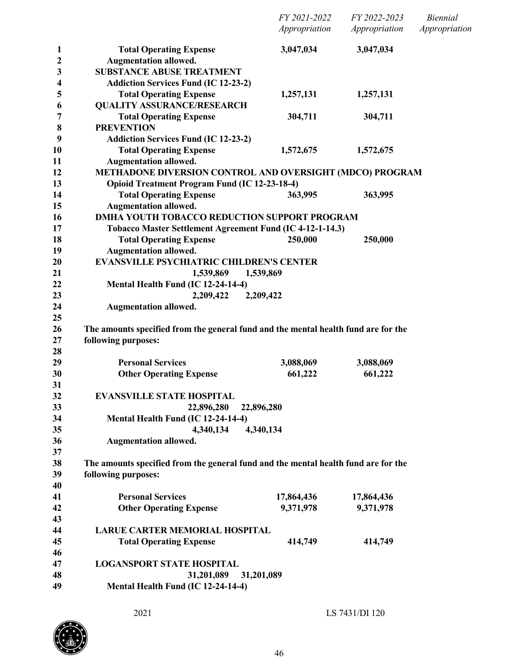|              |                                                                                    | FY 2021-2022<br>Appropriation | FY 2022-2023<br>Appropriation | <b>Biennial</b><br>Appropriation |
|--------------|------------------------------------------------------------------------------------|-------------------------------|-------------------------------|----------------------------------|
| $\mathbf{1}$ | <b>Total Operating Expense</b>                                                     | 3,047,034                     | 3,047,034                     |                                  |
| 2            | <b>Augmentation allowed.</b>                                                       |                               |                               |                                  |
| 3            | <b>SUBSTANCE ABUSE TREATMENT</b>                                                   |                               |                               |                                  |
| 4            | <b>Addiction Services Fund (IC 12-23-2)</b>                                        |                               |                               |                                  |
| 5            | <b>Total Operating Expense</b>                                                     | 1,257,131                     | 1,257,131                     |                                  |
| 6            | <b>QUALITY ASSURANCE/RESEARCH</b>                                                  |                               |                               |                                  |
| 7            | <b>Total Operating Expense</b>                                                     | 304,711                       | 304,711                       |                                  |
| 8            | <b>PREVENTION</b>                                                                  |                               |                               |                                  |
| 9            | <b>Addiction Services Fund (IC 12-23-2)</b>                                        |                               |                               |                                  |
| 10           | <b>Total Operating Expense</b>                                                     | 1,572,675                     | 1,572,675                     |                                  |
| 11           | <b>Augmentation allowed.</b>                                                       |                               |                               |                                  |
| 12           | METHADONE DIVERSION CONTROL AND OVERSIGHT (MDCO) PROGRAM                           |                               |                               |                                  |
| 13           | <b>Opioid Treatment Program Fund (IC 12-23-18-4)</b>                               |                               |                               |                                  |
| 14           | <b>Total Operating Expense</b>                                                     | 363,995                       | 363,995                       |                                  |
| 15           | <b>Augmentation allowed.</b>                                                       |                               |                               |                                  |
| 16           | <b>DMHA YOUTH TOBACCO REDUCTION SUPPORT PROGRAM</b>                                |                               |                               |                                  |
| 17           | Tobacco Master Settlement Agreement Fund (IC 4-12-1-14.3)                          |                               |                               |                                  |
| 18           | <b>Total Operating Expense</b>                                                     | 250,000                       | 250,000                       |                                  |
| 19           | <b>Augmentation allowed.</b>                                                       |                               |                               |                                  |
| 20           | <b>EVANSVILLE PSYCHIATRIC CHILDREN'S CENTER</b>                                    |                               |                               |                                  |
| 21           | 1,539,869<br>1,539,869                                                             |                               |                               |                                  |
| 22           | Mental Health Fund (IC 12-24-14-4)                                                 |                               |                               |                                  |
| 23           | 2,209,422<br>2,209,422                                                             |                               |                               |                                  |
| 24           | <b>Augmentation allowed.</b>                                                       |                               |                               |                                  |
| 25           |                                                                                    |                               |                               |                                  |
| 26           | The amounts specified from the general fund and the mental health fund are for the |                               |                               |                                  |
| 27           | following purposes:                                                                |                               |                               |                                  |
| 28           |                                                                                    |                               |                               |                                  |
| 29           | <b>Personal Services</b>                                                           | 3,088,069                     | 3,088,069                     |                                  |
| 30           | <b>Other Operating Expense</b>                                                     | 661,222                       | 661,222                       |                                  |
| 31           |                                                                                    |                               |                               |                                  |
| 32           | <b>EVANSVILLE STATE HOSPITAL</b>                                                   |                               |                               |                                  |
| 33           | 22,896,280<br>22,896,280                                                           |                               |                               |                                  |
| 34           | Mental Health Fund (IC 12-24-14-4)                                                 |                               |                               |                                  |
| 35           | 4,340,134<br>4,340,134                                                             |                               |                               |                                  |
| 36           | <b>Augmentation allowed.</b>                                                       |                               |                               |                                  |
| 37           |                                                                                    |                               |                               |                                  |
| 38           | The amounts specified from the general fund and the mental health fund are for the |                               |                               |                                  |
| 39           | following purposes:                                                                |                               |                               |                                  |
| 40           | <b>Personal Services</b>                                                           |                               |                               |                                  |
| 41<br>42     |                                                                                    | 17,864,436                    | 17,864,436                    |                                  |
| 43           | <b>Other Operating Expense</b>                                                     | 9,371,978                     | 9,371,978                     |                                  |
| 44           | <b>LARUE CARTER MEMORIAL HOSPITAL</b>                                              |                               |                               |                                  |
|              |                                                                                    |                               |                               |                                  |
| 45<br>46     | <b>Total Operating Expense</b>                                                     | 414,749                       | 414,749                       |                                  |
| 47           | <b>LOGANSPORT STATE HOSPITAL</b>                                                   |                               |                               |                                  |
| 48           | 31,201,089<br>31,201,089                                                           |                               |                               |                                  |
| 49           | Mental Health Fund (IC 12-24-14-4)                                                 |                               |                               |                                  |
|              |                                                                                    |                               |                               |                                  |

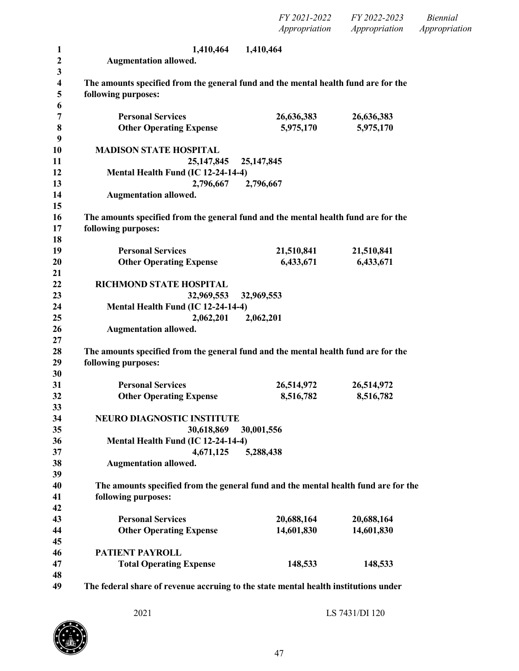*FY 2021-2022 FY 2022-2023 Biennial Appropriation Appropriation Appropriation*

| 1            | 1,410,464                                                                           | 1,410,464    |            |
|--------------|-------------------------------------------------------------------------------------|--------------|------------|
| $\mathbf{2}$ | <b>Augmentation allowed.</b>                                                        |              |            |
| 3            |                                                                                     |              |            |
| 4            | The amounts specified from the general fund and the mental health fund are for the  |              |            |
| 5<br>6       | following purposes:                                                                 |              |            |
| 7            | <b>Personal Services</b>                                                            | 26,636,383   | 26,636,383 |
| 8            | <b>Other Operating Expense</b>                                                      | 5,975,170    | 5,975,170  |
| 9            |                                                                                     |              |            |
| 10           | <b>MADISON STATE HOSPITAL</b>                                                       |              |            |
| 11           | 25, 147, 845                                                                        | 25, 147, 845 |            |
| 12           | Mental Health Fund (IC 12-24-14-4)                                                  |              |            |
| 13           | 2,796,667                                                                           | 2,796,667    |            |
| 14           | <b>Augmentation allowed.</b>                                                        |              |            |
| 15           |                                                                                     |              |            |
| 16           | The amounts specified from the general fund and the mental health fund are for the  |              |            |
| 17<br>18     | following purposes:                                                                 |              |            |
| 19           | <b>Personal Services</b>                                                            | 21,510,841   | 21,510,841 |
| 20           | <b>Other Operating Expense</b>                                                      | 6,433,671    | 6,433,671  |
| 21           |                                                                                     |              |            |
| 22           | <b>RICHMOND STATE HOSPITAL</b>                                                      |              |            |
| 23           | 32,969,553                                                                          | 32,969,553   |            |
| 24           | Mental Health Fund (IC 12-24-14-4)                                                  |              |            |
| 25           | 2,062,201                                                                           | 2,062,201    |            |
| 26           | <b>Augmentation allowed.</b>                                                        |              |            |
| 27           |                                                                                     |              |            |
| 28           | The amounts specified from the general fund and the mental health fund are for the  |              |            |
| 29<br>30     | following purposes:                                                                 |              |            |
| 31           | <b>Personal Services</b>                                                            | 26,514,972   | 26,514,972 |
| 32           | <b>Other Operating Expense</b>                                                      | 8,516,782    | 8,516,782  |
| 33           |                                                                                     |              |            |
| 34           | NEURO DIAGNOSTIC INSTITUTE                                                          |              |            |
| 35           | 30,618,869                                                                          | 30,001,556   |            |
| 36           | Mental Health Fund (IC 12-24-14-4)                                                  |              |            |
| 37           | 4,671,125                                                                           | 5,288,438    |            |
| 38           | <b>Augmentation allowed.</b>                                                        |              |            |
| 39           |                                                                                     |              |            |
| 40           | The amounts specified from the general fund and the mental health fund are for the  |              |            |
| 41           | following purposes:                                                                 |              |            |
| 42<br>43     | <b>Personal Services</b>                                                            | 20,688,164   | 20,688,164 |
| 44           | <b>Other Operating Expense</b>                                                      | 14,601,830   | 14,601,830 |
| 45           |                                                                                     |              |            |
| 46           | PATIENT PAYROLL                                                                     |              |            |
| 47           | <b>Total Operating Expense</b>                                                      | 148,533      | 148,533    |
| 48           |                                                                                     |              |            |
| 49           | The federal share of revenue accruing to the state mental health institutions under |              |            |

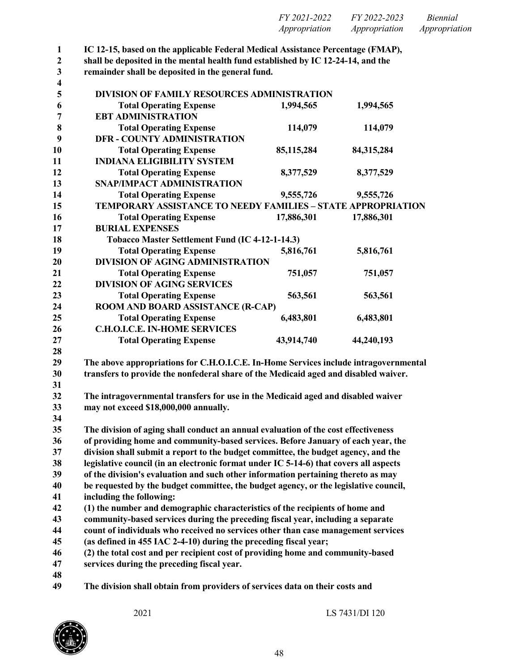| FY 2021-2022  | FY 2022-2023  | Biennial      |
|---------------|---------------|---------------|
| Appropriation | Appropriation | Appropriation |

**IC 12-15, based on the applicable Federal Medical Assistance Percentage (FMAP),**

**shall be deposited in the mental health fund established by IC 12-24-14, and the**

 **remainder shall be deposited in the general fund.**  $\frac{3}{4}$ 

| 4              |                                                                                       |            |            |  |
|----------------|---------------------------------------------------------------------------------------|------------|------------|--|
| 5              | DIVISION OF FAMILY RESOURCES ADMINISTRATION                                           |            |            |  |
| 6              | <b>Total Operating Expense</b>                                                        | 1,994,565  | 1,994,565  |  |
| $\overline{7}$ | <b>EBT ADMINISTRATION</b>                                                             |            |            |  |
| 8              | <b>Total Operating Expense</b>                                                        | 114,079    | 114,079    |  |
| 9              | <b>DFR - COUNTY ADMINISTRATION</b>                                                    |            |            |  |
| 10             | <b>Total Operating Expense</b>                                                        | 85,115,284 | 84,315,284 |  |
| 11             | <b>INDIANA ELIGIBILITY SYSTEM</b>                                                     |            |            |  |
| 12             | <b>Total Operating Expense</b>                                                        | 8,377,529  | 8,377,529  |  |
| 13             | SNAP/IMPACT ADMINISTRATION                                                            |            |            |  |
| 14             | <b>Total Operating Expense</b>                                                        | 9,555,726  | 9,555,726  |  |
| 15             | <b>TEMPORARY ASSISTANCE TO NEEDY FAMILIES - STATE APPROPRIATION</b>                   |            |            |  |
| 16             | <b>Total Operating Expense</b>                                                        | 17,886,301 | 17,886,301 |  |
| 17             | <b>BURIAL EXPENSES</b>                                                                |            |            |  |
| 18             | Tobacco Master Settlement Fund (IC 4-12-1-14.3)                                       |            |            |  |
| 19             | <b>Total Operating Expense</b>                                                        | 5,816,761  | 5,816,761  |  |
| 20             | <b>DIVISION OF AGING ADMINISTRATION</b>                                               |            |            |  |
| 21             | <b>Total Operating Expense</b>                                                        | 751,057    | 751,057    |  |
| 22             | <b>DIVISION OF AGING SERVICES</b>                                                     |            |            |  |
| 23             | <b>Total Operating Expense</b>                                                        | 563,561    | 563,561    |  |
| 24             | ROOM AND BOARD ASSISTANCE (R-CAP)                                                     |            |            |  |
| 25             | <b>Total Operating Expense</b>                                                        | 6,483,801  | 6,483,801  |  |
| 26             | <b>C.H.O.I.C.E. IN-HOME SERVICES</b>                                                  |            |            |  |
| 27             | <b>Total Operating Expense</b>                                                        | 43,914,740 | 44,240,193 |  |
| 28             |                                                                                       |            |            |  |
| 29             | The above appropriations for C.H.O.I.C.E. In-Home Services include intragovernmental  |            |            |  |
| 30             | transfers to provide the nonfederal share of the Medicaid aged and disabled waiver.   |            |            |  |
| 31             |                                                                                       |            |            |  |
| 32             | The intragovernmental transfers for use in the Medicaid aged and disabled waiver      |            |            |  |
| 33             | may not exceed \$18,000,000 annually.                                                 |            |            |  |
| 34             |                                                                                       |            |            |  |
| 35             | The division of aging shall conduct an annual evaluation of the cost effectiveness    |            |            |  |
| 36             | of providing home and community-based services. Before January of each year, the      |            |            |  |
| 37             | division shall submit a report to the budget committee, the budget agency, and the    |            |            |  |
| 38             | legislative council (in an electronic format under IC 5-14-6) that covers all aspects |            |            |  |
| 39             | of the division's evaluation and such other information pertaining thereto as may     |            |            |  |
| 40             | be requested by the budget committee, the budget agency, or the legislative council,  |            |            |  |
| 41             | including the following:                                                              |            |            |  |
| 42             | (1) the number and demographic characteristics of the recipients of home and          |            |            |  |
| 43             | community-based services during the preceding fiscal year, including a separate       |            |            |  |
| 44             | count of individuals who received no services other than case management services     |            |            |  |
| 45             | (as defined in 455 IAC 2-4-10) during the preceding fiscal year;                      |            |            |  |
| 46             | (2) the total cost and per recipient cost of providing home and community-based       |            |            |  |
| 47             | services during the preceding fiscal year.                                            |            |            |  |
| 48             |                                                                                       |            |            |  |
| 49             | The division shall obtain from providers of services data on their costs and          |            |            |  |
|                |                                                                                       |            |            |  |

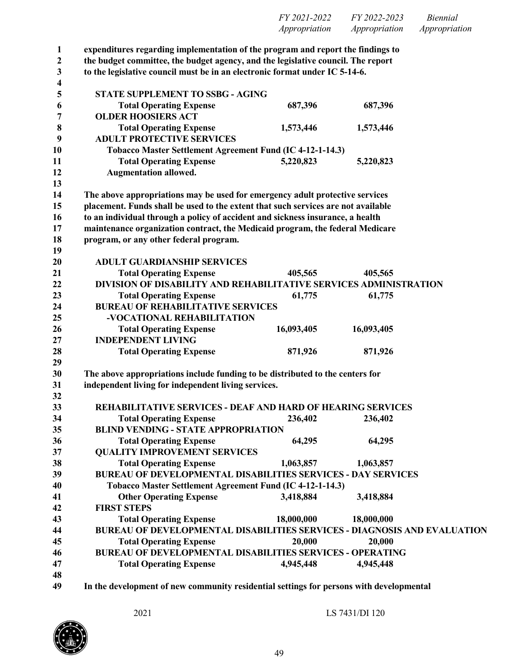| FY 2021-2022  | FY 2022-2023  | Biennial      |
|---------------|---------------|---------------|
| Appropriation | Appropriation | Appropriation |

 **expenditures regarding implementation of the program and report the findings to the budget committee, the budget agency, and the legislative council. The report to the legislative council must be in an electronic format under IC 5-14-6. STATE SUPPLEMENT TO SSBG - AGING Total Operating Expense 687,396 687,396 OLDER HOOSIERS ACT Total Operating Expense 1,573,446 1,573,446 ADULT PROTECTIVE SERVICES Tobacco Master Settlement Agreement Fund (IC 4-12-1-14.3) Total Operating Expense 5,220,823 5,220,823 Augmentation allowed. The above appropriations may be used for emergency adult protective services placement. Funds shall be used to the extent that such services are not available to an individual through a policy of accident and sickness insurance, a health maintenance organization contract, the Medicaid program, the federal Medicare program, or any other federal program. ADULT GUARDIANSHIP SERVICES Total Operating Expense 405,565 405,565 DIVISION OF DISABILITY AND REHABILITATIVE SERVICES ADMINISTRATION Total Operating Expense 61,775 61,775 BUREAU OF REHABILITATIVE SERVICES -VOCATIONAL REHABILITATION Total Operating Expense 16,093,405 16,093,405 INDEPENDENT LIVING Total Operating Expense 871,926 871,926 The above appropriations include funding to be distributed to the centers for independent living for independent living services. REHABILITATIVE SERVICES - DEAF AND HARD OF HEARING SERVICES Total Operating Expense 236,402 236,402 BLIND VENDING - STATE APPROPRIATION Total Operating Expense 64,295 64,295 QUALITY IMPROVEMENT SERVICES Total Operating Expense 1,063,857 1,063,857 BUREAU OF DEVELOPMENTAL DISABILITIES SERVICES - DAY SERVICES Tobacco Master Settlement Agreement Fund (IC 4-12-1-14.3) Other Operating Expense 3,418,884 3,418,884 FIRST STEPS Total Operating Expense 18,000,000 18,000,000 BUREAU OF DEVELOPMENTAL DISABILITIES SERVICES - DIAGNOSIS AND EVALUATION Total Operating Expense 20,000 20,000 BUREAU OF DEVELOPMENTAL DISABILITIES SERVICES - OPERATING Total Operating Expense 4,945,448 4,945,448** 

**In the development of new community residential settings for persons with developmental**

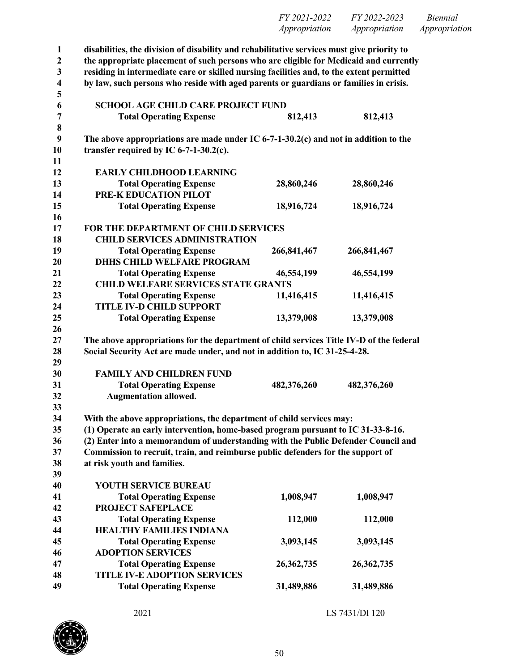| FY 2021-2022  | FY 2022-2023  | <i>Biennial</i> |
|---------------|---------------|-----------------|
| Appropriation | Appropriation | Appropriation   |

| 1                       | disabilities, the division of disability and rehabilitative services must give priority to |             |              |
|-------------------------|--------------------------------------------------------------------------------------------|-------------|--------------|
| $\mathbf{2}$            | the appropriate placement of such persons who are eligible for Medicaid and currently      |             |              |
| 3                       | residing in intermediate care or skilled nursing facilities and, to the extent permitted   |             |              |
| $\overline{\mathbf{4}}$ | by law, such persons who reside with aged parents or guardians or families in crisis.      |             |              |
| 5                       |                                                                                            |             |              |
| 6                       | <b>SCHOOL AGE CHILD CARE PROJECT FUND</b>                                                  |             |              |
| $\overline{7}$          | <b>Total Operating Expense</b>                                                             | 812,413     | 812,413      |
| 8                       |                                                                                            |             |              |
| 9                       | The above appropriations are made under IC 6-7-1-30.2(c) and not in addition to the        |             |              |
| 10                      | transfer required by IC $6-7-1-30.2(c)$ .                                                  |             |              |
| 11                      |                                                                                            |             |              |
| 12                      | <b>EARLY CHILDHOOD LEARNING</b>                                                            |             |              |
| 13                      | <b>Total Operating Expense</b>                                                             | 28,860,246  | 28,860,246   |
| 14                      | PRE-K EDUCATION PILOT                                                                      |             |              |
| 15                      | <b>Total Operating Expense</b>                                                             | 18,916,724  | 18,916,724   |
| 16                      |                                                                                            |             |              |
| 17                      | FOR THE DEPARTMENT OF CHILD SERVICES                                                       |             |              |
| 18                      | <b>CHILD SERVICES ADMINISTRATION</b>                                                       |             |              |
| 19                      | <b>Total Operating Expense</b>                                                             | 266,841,467 | 266,841,467  |
| 20                      | <b>DHHS CHILD WELFARE PROGRAM</b>                                                          |             |              |
| 21                      | <b>Total Operating Expense</b>                                                             | 46,554,199  | 46,554,199   |
| 22                      | <b>CHILD WELFARE SERVICES STATE GRANTS</b>                                                 |             |              |
| 23                      | <b>Total Operating Expense</b>                                                             | 11,416,415  | 11,416,415   |
| 24                      | <b>TITLE IV-D CHILD SUPPORT</b>                                                            |             |              |
| 25                      | <b>Total Operating Expense</b>                                                             | 13,379,008  | 13,379,008   |
| 26                      |                                                                                            |             |              |
| 27                      | The above appropriations for the department of child services Title IV-D of the federal    |             |              |
| 28                      | Social Security Act are made under, and not in addition to, IC 31-25-4-28.                 |             |              |
| 29                      |                                                                                            |             |              |
| 30                      | <b>FAMILY AND CHILDREN FUND</b>                                                            |             |              |
| 31                      | <b>Total Operating Expense</b>                                                             | 482,376,260 | 482,376,260  |
| 32                      | <b>Augmentation allowed.</b>                                                               |             |              |
| 33                      |                                                                                            |             |              |
| 34                      | With the above appropriations, the department of child services may:                       |             |              |
| 35                      | (1) Operate an early intervention, home-based program pursuant to IC 31-33-8-16.           |             |              |
| 36                      | (2) Enter into a memorandum of understanding with the Public Defender Council and          |             |              |
| 37                      | Commission to recruit, train, and reimburse public defenders for the support of            |             |              |
| 38                      | at risk youth and families.                                                                |             |              |
| 39                      |                                                                                            |             |              |
| 40                      | YOUTH SERVICE BUREAU                                                                       |             |              |
| 41                      | <b>Total Operating Expense</b>                                                             | 1,008,947   | 1,008,947    |
| 42                      | <b>PROJECT SAFEPLACE</b>                                                                   |             |              |
| 43                      | <b>Total Operating Expense</b>                                                             | 112,000     | 112,000      |
| 44                      | <b>HEALTHY FAMILIES INDIANA</b>                                                            |             |              |
| 45                      | <b>Total Operating Expense</b>                                                             | 3,093,145   | 3,093,145    |
| 46                      | <b>ADOPTION SERVICES</b>                                                                   |             |              |
| 47                      | <b>Total Operating Expense</b>                                                             | 26,362,735  | 26, 362, 735 |
| 48                      | <b>TITLE IV-E ADOPTION SERVICES</b>                                                        |             |              |
| 49                      | <b>Total Operating Expense</b>                                                             | 31,489,886  | 31,489,886   |
|                         |                                                                                            |             |              |

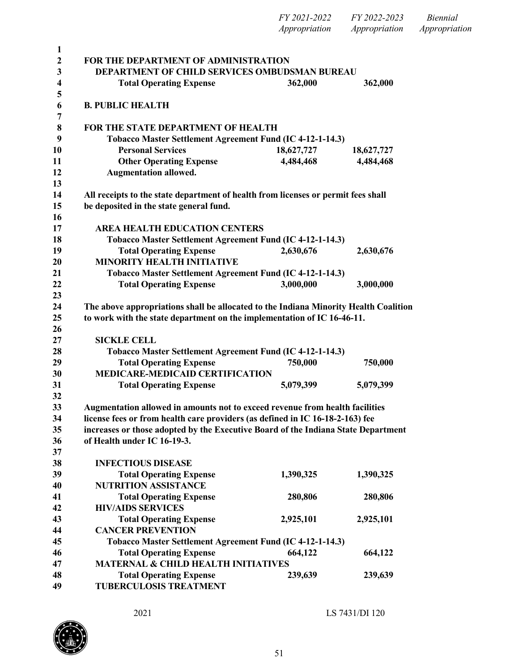| FY 2021-2022  | FY 2022-2023  | Biennial      |
|---------------|---------------|---------------|
| Appropriation | Appropriation | Appropriation |

 **FOR THE DEPARTMENT OF ADMINISTRATION DEPARTMENT OF CHILD SERVICES OMBUDSMAN BUREAU Total Operating Expense 362,000 362,000 B. PUBLIC HEALTH FOR THE STATE DEPARTMENT OF HEALTH Tobacco Master Settlement Agreement Fund (IC 4-12-1-14.3) Personal Services 18,627,727 18,627,727 Other Operating Expense 4,484,468 4,484,468 Augmentation allowed. All receipts to the state department of health from licenses or permit fees shall be deposited in the state general fund. AREA HEALTH EDUCATION CENTERS Tobacco Master Settlement Agreement Fund (IC 4-12-1-14.3) Total Operating Expense 2,630,676 2,630,676 MINORITY HEALTH INITIATIVE Tobacco Master Settlement Agreement Fund (IC 4-12-1-14.3) Total Operating Expense 3,000,000 3,000,000 The above appropriations shall be allocated to the Indiana Minority Health Coalition to work with the state department on the implementation of IC 16-46-11. SICKLE CELL Tobacco Master Settlement Agreement Fund (IC 4-12-1-14.3) Total Operating Expense 750,000 750,000 MEDICARE-MEDICAID CERTIFICATION Total Operating Expense 5,079,399 5,079,399 Augmentation allowed in amounts not to exceed revenue from health facilities license fees or from health care providers (as defined in IC 16-18-2-163) fee increases or those adopted by the Executive Board of the Indiana State Department of Health under IC 16-19-3. INFECTIOUS DISEASE Total Operating Expense 1,390,325 1,390,325 NUTRITION ASSISTANCE Total Operating Expense 280,806 280,806 HIV/AIDS SERVICES Total Operating Expense 2,925,101 2,925,101 CANCER PREVENTION Tobacco Master Settlement Agreement Fund (IC 4-12-1-14.3) Total Operating Expense 664,122 664,122 MATERNAL & CHILD HEALTH INITIATIVES Total Operating Expense 239,639 239,639 TUBERCULOSIS TREATMENT**

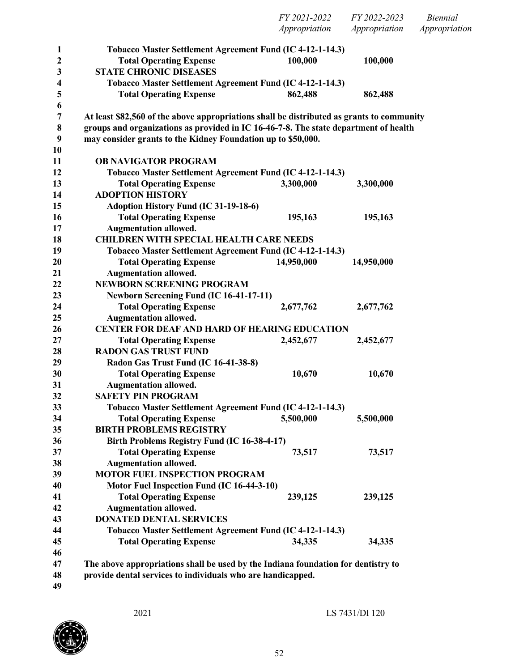|                  |                                                                                           | FY 2021-2022<br>Appropriation | FY 2022-2023<br>Appropriation | <b>Biennial</b><br>Appropriation |
|------------------|-------------------------------------------------------------------------------------------|-------------------------------|-------------------------------|----------------------------------|
| $\mathbf{1}$     | Tobacco Master Settlement Agreement Fund (IC 4-12-1-14.3)                                 |                               |                               |                                  |
| $\boldsymbol{2}$ | <b>Total Operating Expense</b>                                                            | 100,000                       | 100,000                       |                                  |
| 3                | <b>STATE CHRONIC DISEASES</b>                                                             |                               |                               |                                  |
| 4                | Tobacco Master Settlement Agreement Fund (IC 4-12-1-14.3)                                 |                               |                               |                                  |
| 5                | <b>Total Operating Expense</b>                                                            | 862,488                       | 862,488                       |                                  |
| 6                |                                                                                           |                               |                               |                                  |
| $\boldsymbol{7}$ | At least \$82,560 of the above appropriations shall be distributed as grants to community |                               |                               |                                  |
| $\bf 8$          | groups and organizations as provided in IC 16-46-7-8. The state department of health      |                               |                               |                                  |
| 9                | may consider grants to the Kidney Foundation up to \$50,000.                              |                               |                               |                                  |
| 10               |                                                                                           |                               |                               |                                  |
| 11               | <b>OB NAVIGATOR PROGRAM</b>                                                               |                               |                               |                                  |
| 12               | Tobacco Master Settlement Agreement Fund (IC 4-12-1-14.3)                                 |                               |                               |                                  |
| 13               | <b>Total Operating Expense</b>                                                            | 3,300,000                     | 3,300,000                     |                                  |
| 14               | <b>ADOPTION HISTORY</b>                                                                   |                               |                               |                                  |
| 15               | Adoption History Fund (IC 31-19-18-6)                                                     |                               |                               |                                  |
| 16               | <b>Total Operating Expense</b>                                                            | 195,163                       | 195,163                       |                                  |
| 17               | <b>Augmentation allowed.</b>                                                              |                               |                               |                                  |
| 18               | <b>CHILDREN WITH SPECIAL HEALTH CARE NEEDS</b>                                            |                               |                               |                                  |
| 19               | Tobacco Master Settlement Agreement Fund (IC 4-12-1-14.3)                                 |                               |                               |                                  |
| 20               | <b>Total Operating Expense</b>                                                            | 14,950,000                    | 14,950,000                    |                                  |
| 21               | <b>Augmentation allowed.</b><br><b>NEWBORN SCREENING PROGRAM</b>                          |                               |                               |                                  |
| 22<br>23         |                                                                                           |                               |                               |                                  |
| 24               | <b>Newborn Screening Fund (IC 16-41-17-11)</b><br><b>Total Operating Expense</b>          | 2,677,762                     | 2,677,762                     |                                  |
| 25               | <b>Augmentation allowed.</b>                                                              |                               |                               |                                  |
| 26               | <b>CENTER FOR DEAF AND HARD OF HEARING EDUCATION</b>                                      |                               |                               |                                  |
| 27               | <b>Total Operating Expense</b>                                                            | 2,452,677                     | 2,452,677                     |                                  |
| 28               | <b>RADON GAS TRUST FUND</b>                                                               |                               |                               |                                  |
| 29               | Radon Gas Trust Fund (IC 16-41-38-8)                                                      |                               |                               |                                  |
| 30               | <b>Total Operating Expense</b>                                                            | 10,670                        | 10,670                        |                                  |
| 31               | <b>Augmentation allowed.</b>                                                              |                               |                               |                                  |
| 32               | <b>SAFETY PIN PROGRAM</b>                                                                 |                               |                               |                                  |
| 33               | Tobacco Master Settlement Agreement Fund (IC 4-12-1-14.3)                                 |                               |                               |                                  |
| 34               | <b>Total Operating Expense</b>                                                            | 5,500,000                     | 5,500,000                     |                                  |
| 35               | <b>BIRTH PROBLEMS REGISTRY</b>                                                            |                               |                               |                                  |
| 36               | Birth Problems Registry Fund (IC 16-38-4-17)                                              |                               |                               |                                  |
| 37               | <b>Total Operating Expense</b>                                                            | 73,517                        | 73,517                        |                                  |
| 38               | <b>Augmentation allowed.</b>                                                              |                               |                               |                                  |
| 39               | <b>MOTOR FUEL INSPECTION PROGRAM</b>                                                      |                               |                               |                                  |
| 40               | Motor Fuel Inspection Fund (IC 16-44-3-10)                                                |                               |                               |                                  |
| 41               | <b>Total Operating Expense</b>                                                            | 239,125                       | 239,125                       |                                  |
| 42               | <b>Augmentation allowed.</b>                                                              |                               |                               |                                  |
| 43               | <b>DONATED DENTAL SERVICES</b>                                                            |                               |                               |                                  |
| 44               | Tobacco Master Settlement Agreement Fund (IC 4-12-1-14.3)                                 |                               |                               |                                  |
| 45               | <b>Total Operating Expense</b>                                                            | 34,335                        | 34,335                        |                                  |
| 46               |                                                                                           |                               |                               |                                  |
| 47               | The above appropriations shall be used by the Indiana foundation for dentistry to         |                               |                               |                                  |
| 48               | provide dental services to individuals who are handicapped.                               |                               |                               |                                  |
| 49               |                                                                                           |                               |                               |                                  |

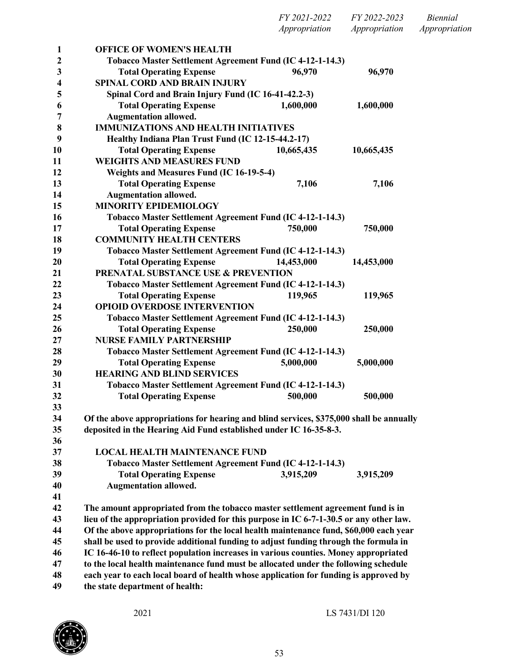| FY 2021-2022  | FY 2022-2023  | Biennial      |
|---------------|---------------|---------------|
| Appropriation | Appropriation | Appropriation |

| 1                | <b>OFFICE OF WOMEN'S HEALTH</b>                                                         |            |            |
|------------------|-----------------------------------------------------------------------------------------|------------|------------|
| $\boldsymbol{2}$ | Tobacco Master Settlement Agreement Fund (IC 4-12-1-14.3)                               |            |            |
| 3                | <b>Total Operating Expense</b>                                                          | 96,970     | 96,970     |
| $\boldsymbol{4}$ | SPINAL CORD AND BRAIN INJURY                                                            |            |            |
| 5                | Spinal Cord and Brain Injury Fund (IC 16-41-42.2-3)                                     |            |            |
| 6                | <b>Total Operating Expense</b>                                                          | 1,600,000  | 1,600,000  |
| 7                | <b>Augmentation allowed.</b>                                                            |            |            |
| 8                | <b>IMMUNIZATIONS AND HEALTH INITIATIVES</b>                                             |            |            |
| 9                | Healthy Indiana Plan Trust Fund (IC 12-15-44.2-17)                                      |            |            |
| 10               | <b>Total Operating Expense</b>                                                          | 10,665,435 | 10,665,435 |
| 11               | <b>WEIGHTS AND MEASURES FUND</b>                                                        |            |            |
| 12               | Weights and Measures Fund (IC 16-19-5-4)                                                |            |            |
| 13               | <b>Total Operating Expense</b>                                                          | 7,106      | 7,106      |
| 14               | <b>Augmentation allowed.</b>                                                            |            |            |
| 15               | <b>MINORITY EPIDEMIOLOGY</b>                                                            |            |            |
| 16               | Tobacco Master Settlement Agreement Fund (IC 4-12-1-14.3)                               |            |            |
| 17               | <b>Total Operating Expense</b>                                                          | 750,000    | 750,000    |
| 18               | <b>COMMUNITY HEALTH CENTERS</b>                                                         |            |            |
| 19               | Tobacco Master Settlement Agreement Fund (IC 4-12-1-14.3)                               |            |            |
| 20               | <b>Total Operating Expense</b>                                                          | 14,453,000 | 14,453,000 |
| 21               | PRENATAL SUBSTANCE USE & PREVENTION                                                     |            |            |
| 22               | Tobacco Master Settlement Agreement Fund (IC 4-12-1-14.3)                               |            |            |
| 23               | <b>Total Operating Expense</b>                                                          | 119,965    | 119,965    |
| 24               | <b>OPIOID OVERDOSE INTERVENTION</b>                                                     |            |            |
| 25               | Tobacco Master Settlement Agreement Fund (IC 4-12-1-14.3)                               |            |            |
| 26               | <b>Total Operating Expense</b>                                                          | 250,000    | 250,000    |
| 27               | <b>NURSE FAMILY PARTNERSHIP</b>                                                         |            |            |
| 28               | Tobacco Master Settlement Agreement Fund (IC 4-12-1-14.3)                               |            |            |
| 29               | <b>Total Operating Expense</b>                                                          | 5,000,000  | 5,000,000  |
| 30               | <b>HEARING AND BLIND SERVICES</b>                                                       |            |            |
| 31               | Tobacco Master Settlement Agreement Fund (IC 4-12-1-14.3)                               |            |            |
| 32               | <b>Total Operating Expense</b>                                                          | 500,000    | 500,000    |
| 33               |                                                                                         |            |            |
| 34               | Of the above appropriations for hearing and blind services, \$375,000 shall be annually |            |            |
| 35               | deposited in the Hearing Aid Fund established under IC 16-35-8-3.                       |            |            |
| 36               |                                                                                         |            |            |
| 37               | <b>LOCAL HEALTH MAINTENANCE FUND</b>                                                    |            |            |
| 38               | Tobacco Master Settlement Agreement Fund (IC 4-12-1-14.3)                               |            |            |
| 39               | <b>Total Operating Expense</b>                                                          | 3,915,209  | 3,915,209  |
| 40               | <b>Augmentation allowed.</b>                                                            |            |            |
| 41               |                                                                                         |            |            |

 **The amount appropriated from the tobacco master settlement agreement fund is in lieu of the appropriation provided for this purpose in IC 6-7-1-30.5 or any other law. Of the above appropriations for the local health maintenance fund, \$60,000 each year shall be used to provide additional funding to adjust funding through the formula in IC 16-46-10 to reflect population increases in various counties. Money appropriated to the local health maintenance fund must be allocated under the following schedule each year to each local board of health whose application for funding is approved by the state department of health:**

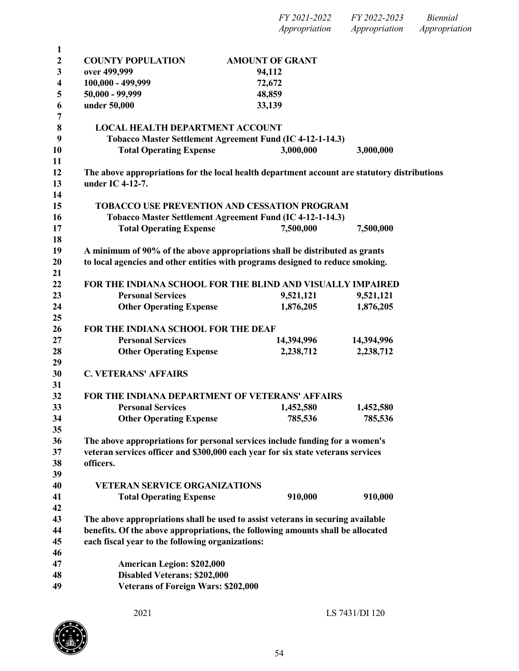*Appropriation Appropriation Appropriation* **COUNTY POPULATION AMOUNT OF GRANT over 499,999 94,112 100,000 - 499,999 72,672 50,000 - 99,999 48,859 under 50,000 33,139 LOCAL HEALTH DEPARTMENT ACCOUNT Tobacco Master Settlement Agreement Fund (IC 4-12-1-14.3) Total Operating Expense 3,000,000 3,000,000 The above appropriations for the local health department account are statutory distributions under IC 4-12-7. TOBACCO USE PREVENTION AND CESSATION PROGRAM Tobacco Master Settlement Agreement Fund (IC 4-12-1-14.3) Total Operating Expense 7,500,000 7,500,000 A minimum of 90% of the above appropriations shall be distributed as grants to local agencies and other entities with programs designed to reduce smoking. FOR THE INDIANA SCHOOL FOR THE BLIND AND VISUALLY IMPAIRED Personal Services 9,521,121 9,521,121 Other Operating Expense 1,876,205 1,876,205 FOR THE INDIANA SCHOOL FOR THE DEAF Personal Services 14,394,996 14,394,996 Other Operating Expense 2,238,712 2,238,712 C. VETERANS' AFFAIRS FOR THE INDIANA DEPARTMENT OF VETERANS' AFFAIRS Personal Services 1,452,580 1,452,580 Other Operating Expense 785,536 785,536 The above appropriations for personal services include funding for a women's veteran services officer and \$300,000 each year for six state veterans services officers. VETERAN SERVICE ORGANIZATIONS Total Operating Expense 910,000 910,000 The above appropriations shall be used to assist veterans in securing available benefits. Of the above appropriations, the following amounts shall be allocated each fiscal year to the following organizations: American Legion: \$202,000 Disabled Veterans: \$202,000 Veterans of Foreign Wars: \$202,000**



*FY 2021-2022 FY 2022-2023 Biennial*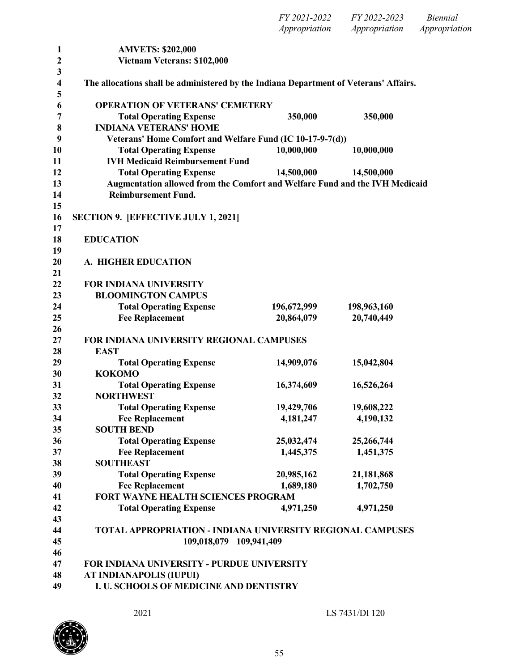|           |                                                                                       | FY 2021-2022<br>Appropriation | FY 2022-2023<br>Appropriation | <b>Biennial</b><br>Appropriation |
|-----------|---------------------------------------------------------------------------------------|-------------------------------|-------------------------------|----------------------------------|
| 1         | <b>AMVETS: \$202,000</b>                                                              |                               |                               |                                  |
| 2         | Vietnam Veterans: \$102,000                                                           |                               |                               |                                  |
| 3<br>4    | The allocations shall be administered by the Indiana Department of Veterans' Affairs. |                               |                               |                                  |
| 5<br>6    | <b>OPERATION OF VETERANS' CEMETERY</b>                                                |                               |                               |                                  |
| 7         | <b>Total Operating Expense</b>                                                        | 350,000                       | 350,000                       |                                  |
| 8         | <b>INDIANA VETERANS' HOME</b>                                                         |                               |                               |                                  |
| 9         | Veterans' Home Comfort and Welfare Fund (IC 10-17-9-7(d))                             |                               |                               |                                  |
| <b>10</b> | <b>Total Operating Expense</b>                                                        | 10,000,000                    | 10,000,000                    |                                  |
| 11        | <b>IVH Medicaid Reimbursement Fund</b>                                                |                               |                               |                                  |
| 12        | <b>Total Operating Expense</b>                                                        | 14,500,000                    | 14,500,000                    |                                  |
| 13        | Augmentation allowed from the Comfort and Welfare Fund and the IVH Medicaid           |                               |                               |                                  |
| 14<br>15  | <b>Reimbursement Fund.</b>                                                            |                               |                               |                                  |
| 16        | <b>SECTION 9. [EFFECTIVE JULY 1, 2021]</b>                                            |                               |                               |                                  |
| 17        |                                                                                       |                               |                               |                                  |
| 18        | <b>EDUCATION</b>                                                                      |                               |                               |                                  |
| 19        |                                                                                       |                               |                               |                                  |
| 20        | A. HIGHER EDUCATION                                                                   |                               |                               |                                  |
| 21        |                                                                                       |                               |                               |                                  |
| 22        | <b>FOR INDIANA UNIVERSITY</b>                                                         |                               |                               |                                  |
| 23        | <b>BLOOMINGTON CAMPUS</b>                                                             |                               |                               |                                  |
| 24        | <b>Total Operating Expense</b>                                                        | 196,672,999                   | 198,963,160                   |                                  |
| 25<br>26  | <b>Fee Replacement</b>                                                                | 20,864,079                    | 20,740,449                    |                                  |
| 27        | FOR INDIANA UNIVERSITY REGIONAL CAMPUSES                                              |                               |                               |                                  |
| 28        | <b>EAST</b>                                                                           |                               |                               |                                  |
| 29        | <b>Total Operating Expense</b>                                                        | 14,909,076                    | 15,042,804                    |                                  |
| 30        | <b>KOKOMO</b>                                                                         |                               |                               |                                  |
| 31        | <b>Total Operating Expense</b>                                                        | 16,374,609                    | 16,526,264                    |                                  |
| 32        | <b>NORTHWEST</b>                                                                      |                               |                               |                                  |
| 33        | <b>Total Operating Expense</b>                                                        | 19,429,706                    | 19,608,222                    |                                  |
| 34        | <b>Fee Replacement</b>                                                                | 4,181,247                     | 4,190,132                     |                                  |
| 35        | <b>SOUTH BEND</b>                                                                     |                               |                               |                                  |
| 36        | <b>Total Operating Expense</b>                                                        | 25,032,474                    | 25,266,744                    |                                  |
| 37        | <b>Fee Replacement</b>                                                                | 1,445,375                     | 1,451,375                     |                                  |
| 38        | <b>SOUTHEAST</b>                                                                      |                               |                               |                                  |
| 39        | <b>Total Operating Expense</b>                                                        | 20,985,162                    | 21,181,868                    |                                  |
| 40        | <b>Fee Replacement</b>                                                                | 1,689,180                     | 1,702,750                     |                                  |
| 41        | FORT WAYNE HEALTH SCIENCES PROGRAM                                                    |                               |                               |                                  |
| 42        | <b>Total Operating Expense</b>                                                        | 4,971,250                     | 4,971,250                     |                                  |
| 43        |                                                                                       |                               |                               |                                  |
| 44        | TOTAL APPROPRIATION - INDIANA UNIVERSITY REGIONAL CAMPUSES                            |                               |                               |                                  |
| 45        | 109,018,079 109,941,409                                                               |                               |                               |                                  |
| 46        |                                                                                       |                               |                               |                                  |
| 47        | FOR INDIANA UNIVERSITY - PURDUE UNIVERSITY                                            |                               |                               |                                  |
| 48        | AT INDIANAPOLIS (IUPUI)                                                               |                               |                               |                                  |
| 49        | I. U. SCHOOLS OF MEDICINE AND DENTISTRY                                               |                               |                               |                                  |

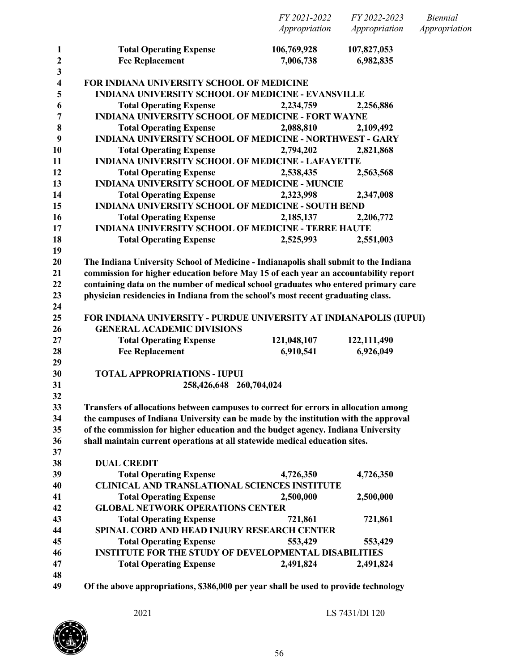|                              |                                                                                      | FY 2021-2022  | FY 2022-2023  | <b>Biennial</b> |
|------------------------------|--------------------------------------------------------------------------------------|---------------|---------------|-----------------|
|                              |                                                                                      | Appropriation | Appropriation | Appropriation   |
| $\mathbf{1}$                 | <b>Total Operating Expense</b>                                                       | 106,769,928   | 107,827,053   |                 |
| 2                            | <b>Fee Replacement</b>                                                               | 7,006,738     | 6,982,835     |                 |
| 3<br>$\overline{\mathbf{4}}$ | FOR INDIANA UNIVERSITY SCHOOL OF MEDICINE                                            |               |               |                 |
| 5                            | <b>INDIANA UNIVERSITY SCHOOL OF MEDICINE - EVANSVILLE</b>                            |               |               |                 |
| 6                            | <b>Total Operating Expense</b>                                                       | 2,234,759     | 2,256,886     |                 |
| 7                            | <b>INDIANA UNIVERSITY SCHOOL OF MEDICINE - FORT WAYNE</b>                            |               |               |                 |
| 8                            | <b>Total Operating Expense</b>                                                       | 2,088,810     | 2,109,492     |                 |
| 9                            | INDIANA UNIVERSITY SCHOOL OF MEDICINE - NORTHWEST - GARY                             |               |               |                 |
| 10                           | <b>Total Operating Expense</b>                                                       | 2,794,202     | 2,821,868     |                 |
| 11                           | INDIANA UNIVERSITY SCHOOL OF MEDICINE - LAFAYETTE                                    |               |               |                 |
| 12                           | <b>Total Operating Expense</b>                                                       | 2,538,435     | 2,563,568     |                 |
| 13                           | <b>INDIANA UNIVERSITY SCHOOL OF MEDICINE - MUNCIE</b>                                |               |               |                 |
| 14                           | <b>Total Operating Expense</b>                                                       | 2,323,998     | 2,347,008     |                 |
| 15                           | <b>INDIANA UNIVERSITY SCHOOL OF MEDICINE - SOUTH BEND</b>                            |               |               |                 |
| 16                           | <b>Total Operating Expense</b>                                                       | 2,185,137     | 2,206,772     |                 |
| 17                           | <b>INDIANA UNIVERSITY SCHOOL OF MEDICINE - TERRE HAUTE</b>                           |               |               |                 |
| 18                           | <b>Total Operating Expense</b>                                                       | 2,525,993     | 2,551,003     |                 |
| 19                           |                                                                                      |               |               |                 |
| 20                           | The Indiana University School of Medicine - Indianapolis shall submit to the Indiana |               |               |                 |
| 21                           | commission for higher education before May 15 of each year an accountability report  |               |               |                 |
| 22                           | containing data on the number of medical school graduates who entered primary care   |               |               |                 |
| 23                           | physician residencies in Indiana from the school's most recent graduating class.     |               |               |                 |
| 24                           |                                                                                      |               |               |                 |
| 25                           | FOR INDIANA UNIVERSITY - PURDUE UNIVERSITY AT INDIANAPOLIS (IUPUI)                   |               |               |                 |
| 26                           | <b>GENERAL ACADEMIC DIVISIONS</b>                                                    |               |               |                 |
| 27                           | <b>Total Operating Expense</b>                                                       | 121,048,107   | 122,111,490   |                 |
| 28                           | <b>Fee Replacement</b>                                                               | 6,910,541     | 6,926,049     |                 |
| 29<br>30                     | <b>TOTAL APPROPRIATIONS - IUPUI</b>                                                  |               |               |                 |
| 31                           | 258,426,648 260,704,024                                                              |               |               |                 |
| 32                           |                                                                                      |               |               |                 |
| 33                           | Transfers of allocations between campuses to correct for errors in allocation among  |               |               |                 |
| 34                           | the campuses of Indiana University can be made by the institution with the approval  |               |               |                 |
| 35                           | of the commission for higher education and the budget agency. Indiana University     |               |               |                 |
| 36                           | shall maintain current operations at all statewide medical education sites.          |               |               |                 |
| 37                           |                                                                                      |               |               |                 |
| 38                           | <b>DUAL CREDIT</b>                                                                   |               |               |                 |
| 39                           | <b>Total Operating Expense</b>                                                       | 4,726,350     | 4,726,350     |                 |
| 40                           | <b>CLINICAL AND TRANSLATIONAL SCIENCES INSTITUTE</b>                                 |               |               |                 |
| 41                           | <b>Total Operating Expense</b>                                                       | 2,500,000     | 2,500,000     |                 |
| 42                           | <b>GLOBAL NETWORK OPERATIONS CENTER</b>                                              |               |               |                 |
| 43                           | <b>Total Operating Expense</b>                                                       | 721,861       | 721,861       |                 |
| 44                           | SPINAL CORD AND HEAD INJURY RESEARCH CENTER                                          |               |               |                 |
| 45                           | <b>Total Operating Expense</b>                                                       | 553,429       | 553,429       |                 |
| 46                           | <b>INSTITUTE FOR THE STUDY OF DEVELOPMENTAL DISABILITIES</b>                         |               |               |                 |
| 47                           | <b>Total Operating Expense</b>                                                       | 2,491,824     | 2,491,824     |                 |
| 48                           |                                                                                      |               |               |                 |
| 49                           | Of the above appropriations, \$386,000 per year shall be used to provide technology  |               |               |                 |

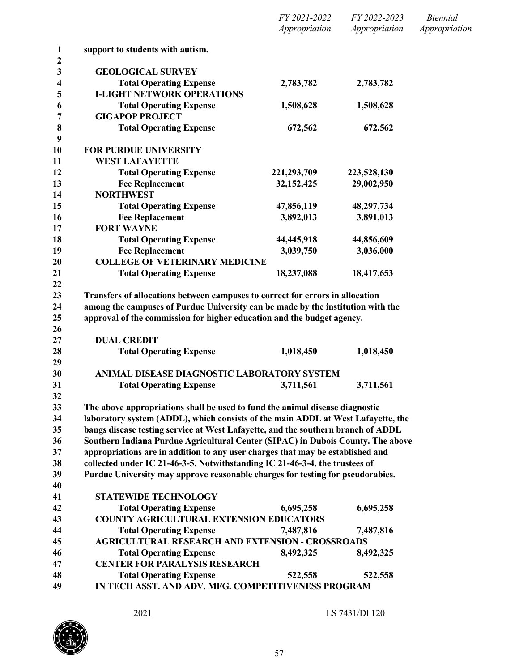|                   |                                                                                                                                                           | FY 2021-2022  | FY 2022-2023  | <b>Biennial</b> |
|-------------------|-----------------------------------------------------------------------------------------------------------------------------------------------------------|---------------|---------------|-----------------|
|                   |                                                                                                                                                           | Appropriation | Appropriation | Appropriation   |
| $\mathbf{1}$<br>2 | support to students with autism.                                                                                                                          |               |               |                 |
| 3                 | <b>GEOLOGICAL SURVEY</b>                                                                                                                                  |               |               |                 |
| 4                 | <b>Total Operating Expense</b>                                                                                                                            | 2,783,782     | 2,783,782     |                 |
| 5                 | <b>I-LIGHT NETWORK OPERATIONS</b>                                                                                                                         |               |               |                 |
| 6                 | <b>Total Operating Expense</b>                                                                                                                            | 1,508,628     | 1,508,628     |                 |
| 7                 | <b>GIGAPOP PROJECT</b>                                                                                                                                    |               |               |                 |
| 8                 | <b>Total Operating Expense</b>                                                                                                                            | 672,562       | 672,562       |                 |
| 9<br>10           | <b>FOR PURDUE UNIVERSITY</b>                                                                                                                              |               |               |                 |
| 11                | <b>WEST LAFAYETTE</b>                                                                                                                                     |               |               |                 |
| 12                | <b>Total Operating Expense</b>                                                                                                                            | 221, 293, 709 | 223,528,130   |                 |
| 13                | <b>Fee Replacement</b>                                                                                                                                    | 32, 152, 425  | 29,002,950    |                 |
| 14                | <b>NORTHWEST</b>                                                                                                                                          |               |               |                 |
| 15                | <b>Total Operating Expense</b>                                                                                                                            | 47,856,119    | 48,297,734    |                 |
| 16                | <b>Fee Replacement</b>                                                                                                                                    | 3,892,013     | 3,891,013     |                 |
| 17                | <b>FORT WAYNE</b>                                                                                                                                         |               |               |                 |
| 18                | <b>Total Operating Expense</b>                                                                                                                            | 44,445,918    | 44,856,609    |                 |
| 19                | <b>Fee Replacement</b>                                                                                                                                    | 3,039,750     | 3,036,000     |                 |
| 20                | <b>COLLEGE OF VETERINARY MEDICINE</b>                                                                                                                     |               |               |                 |
| 21<br>22          | <b>Total Operating Expense</b>                                                                                                                            | 18,237,088    | 18,417,653    |                 |
| 24<br>25<br>26    | among the campuses of Purdue University can be made by the institution with the<br>approval of the commission for higher education and the budget agency. |               |               |                 |
| 27                | <b>DUAL CREDIT</b>                                                                                                                                        |               |               |                 |
| 28                | <b>Total Operating Expense</b>                                                                                                                            | 1,018,450     | 1,018,450     |                 |
| 29                |                                                                                                                                                           |               |               |                 |
| 30                | ANIMAL DISEASE DIAGNOSTIC LABORATORY SYSTEM                                                                                                               |               |               |                 |
| 31                | <b>Total Operating Expense</b>                                                                                                                            | 3,711,561     | 3,711,561     |                 |
| 32<br>33          | The above appropriations shall be used to fund the animal disease diagnostic                                                                              |               |               |                 |
| 34                | laboratory system (ADDL), which consists of the main ADDL at West Lafayette, the                                                                          |               |               |                 |
| 35                | bangs disease testing service at West Lafayette, and the southern branch of ADDL                                                                          |               |               |                 |
| 36                | Southern Indiana Purdue Agricultural Center (SIPAC) in Dubois County. The above                                                                           |               |               |                 |
| 37                | appropriations are in addition to any user charges that may be established and                                                                            |               |               |                 |
| 38                | collected under IC 21-46-3-5. Notwithstanding IC 21-46-3-4, the trustees of                                                                               |               |               |                 |
| 39                | Purdue University may approve reasonable charges for testing for pseudorabies.                                                                            |               |               |                 |
| 40                |                                                                                                                                                           |               |               |                 |
| 41                | <b>STATEWIDE TECHNOLOGY</b>                                                                                                                               |               |               |                 |
| 42                | <b>Total Operating Expense</b>                                                                                                                            | 6,695,258     | 6,695,258     |                 |
| 43                | <b>COUNTY AGRICULTURAL EXTENSION EDUCATORS</b>                                                                                                            |               |               |                 |
| 44                | <b>Total Operating Expense</b>                                                                                                                            | 7,487,816     | 7,487,816     |                 |
| 45                | <b>AGRICULTURAL RESEARCH AND EXTENSION - CROSSROADS</b>                                                                                                   |               |               |                 |
| 46                | <b>Total Operating Expense</b>                                                                                                                            | 8,492,325     | 8,492,325     |                 |
| 47                | <b>CENTER FOR PARALYSIS RESEARCH</b>                                                                                                                      |               |               |                 |
| 48                | <b>Total Operating Expense</b>                                                                                                                            | 522,558       | 522,558       |                 |
| 49                | IN TECH ASST. AND ADV. MFG. COMPETITIVENESS PROGRAM                                                                                                       |               |               |                 |
|                   |                                                                                                                                                           |               |               |                 |

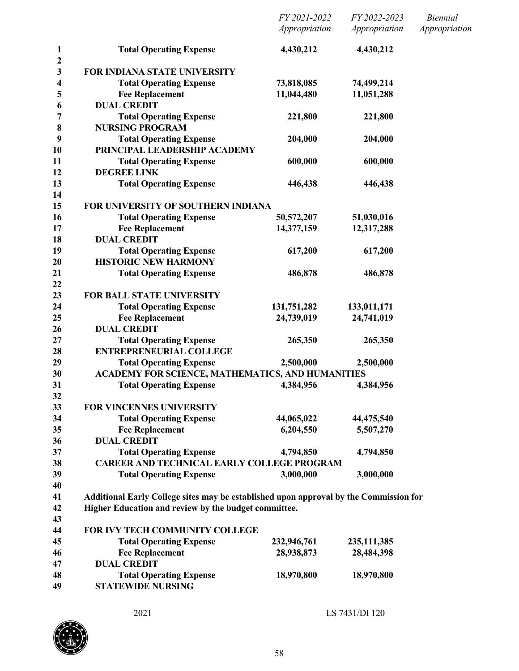|                                  |                                                                                       | FY 2021-2022<br>Appropriation | FY 2022-2023<br>Appropriation | <b>Biennial</b><br>Appropriation |
|----------------------------------|---------------------------------------------------------------------------------------|-------------------------------|-------------------------------|----------------------------------|
| $\mathbf{1}$                     | <b>Total Operating Expense</b>                                                        | 4,430,212                     | 4,430,212                     |                                  |
| $\boldsymbol{2}$<br>$\mathbf{3}$ | <b>FOR INDIANA STATE UNIVERSITY</b>                                                   |                               |                               |                                  |
| 4                                | <b>Total Operating Expense</b>                                                        | 73,818,085                    | 74,499,214                    |                                  |
| 5                                | <b>Fee Replacement</b>                                                                | 11,044,480                    | 11,051,288                    |                                  |
| 6                                | <b>DUAL CREDIT</b>                                                                    |                               |                               |                                  |
| 7                                | <b>Total Operating Expense</b>                                                        | 221,800                       | 221,800                       |                                  |
| 8                                | <b>NURSING PROGRAM</b>                                                                |                               |                               |                                  |
| 9                                | <b>Total Operating Expense</b>                                                        | 204,000                       | 204,000                       |                                  |
| 10                               | PRINCIPAL LEADERSHIP ACADEMY                                                          |                               |                               |                                  |
| 11                               | <b>Total Operating Expense</b>                                                        | 600,000                       | 600,000                       |                                  |
| 12                               | <b>DEGREE LINK</b>                                                                    |                               |                               |                                  |
| 13<br>14                         | <b>Total Operating Expense</b>                                                        | 446,438                       | 446,438                       |                                  |
| 15                               | FOR UNIVERSITY OF SOUTHERN INDIANA                                                    |                               |                               |                                  |
| 16                               | <b>Total Operating Expense</b>                                                        | 50,572,207                    | 51,030,016                    |                                  |
| 17                               | <b>Fee Replacement</b>                                                                | 14,377,159                    | 12,317,288                    |                                  |
| 18                               | <b>DUAL CREDIT</b>                                                                    |                               |                               |                                  |
| 19                               | <b>Total Operating Expense</b>                                                        | 617,200                       | 617,200                       |                                  |
| 20                               | <b>HISTORIC NEW HARMONY</b>                                                           |                               |                               |                                  |
| 21<br>22                         | <b>Total Operating Expense</b>                                                        | 486,878                       | 486,878                       |                                  |
| 23                               | <b>FOR BALL STATE UNIVERSITY</b>                                                      |                               |                               |                                  |
| 24                               | <b>Total Operating Expense</b>                                                        | 131,751,282                   | 133,011,171                   |                                  |
| 25                               | <b>Fee Replacement</b>                                                                | 24,739,019                    | 24,741,019                    |                                  |
| 26                               | <b>DUAL CREDIT</b>                                                                    |                               |                               |                                  |
| 27                               | <b>Total Operating Expense</b>                                                        | 265,350                       | 265,350                       |                                  |
| 28                               | <b>ENTREPRENEURIAL COLLEGE</b>                                                        |                               |                               |                                  |
| 29                               | <b>Total Operating Expense</b>                                                        | 2,500,000                     | 2,500,000                     |                                  |
| 30                               | ACADEMY FOR SCIENCE, MATHEMATICS, AND HUMANITIES                                      |                               |                               |                                  |
| 31<br>32                         | <b>Total Operating Expense</b>                                                        | 4,384,956                     | 4,384,956                     |                                  |
| 33                               | <b>FOR VINCENNES UNIVERSITY</b>                                                       |                               |                               |                                  |
| 34                               | <b>Total Operating Expense</b>                                                        | 44,065,022                    | 44,475,540                    |                                  |
| 35                               | <b>Fee Replacement</b>                                                                | 6,204,550                     | 5,507,270                     |                                  |
| 36                               | <b>DUAL CREDIT</b>                                                                    |                               |                               |                                  |
| 37                               | <b>Total Operating Expense</b>                                                        | 4,794,850                     | 4,794,850                     |                                  |
| 38                               | <b>CAREER AND TECHNICAL EARLY COLLEGE PROGRAM</b>                                     |                               |                               |                                  |
| 39                               | <b>Total Operating Expense</b>                                                        | 3,000,000                     | 3,000,000                     |                                  |
| 40<br>41                         | Additional Early College sites may be established upon approval by the Commission for |                               |                               |                                  |
| 42                               | Higher Education and review by the budget committee.                                  |                               |                               |                                  |
| 43                               |                                                                                       |                               |                               |                                  |
| 44                               | FOR IVY TECH COMMUNITY COLLEGE                                                        |                               |                               |                                  |
| 45                               | <b>Total Operating Expense</b>                                                        | 232,946,761                   | 235, 111, 385                 |                                  |
| 46                               | <b>Fee Replacement</b>                                                                | 28,938,873                    | 28,484,398                    |                                  |
| 47                               | <b>DUAL CREDIT</b>                                                                    |                               |                               |                                  |
| 48                               | <b>Total Operating Expense</b>                                                        | 18,970,800                    | 18,970,800                    |                                  |
| 49                               | <b>STATEWIDE NURSING</b>                                                              |                               |                               |                                  |

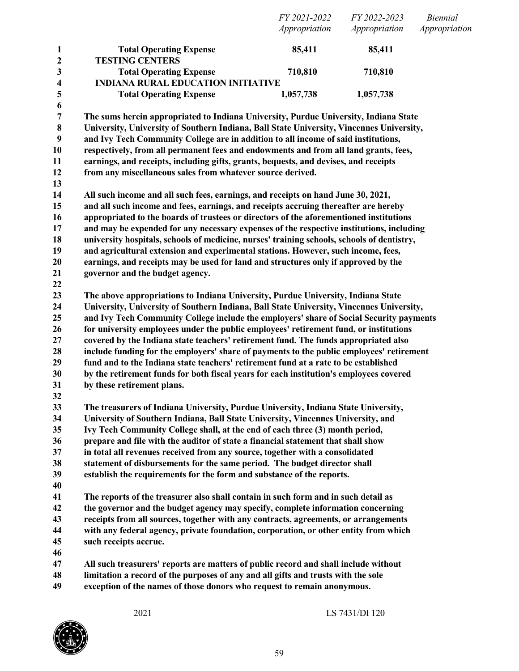|                                         |                                                                                                               | FY 2021-2022<br>Appropriation | FY 2022-2023<br>Appropriation | <b>Biennial</b><br>Appropriation |
|-----------------------------------------|---------------------------------------------------------------------------------------------------------------|-------------------------------|-------------------------------|----------------------------------|
| 1                                       | <b>Total Operating Expense</b>                                                                                | 85,411                        | 85,411                        |                                  |
| $\mathbf 2$                             | <b>TESTING CENTERS</b>                                                                                        |                               |                               |                                  |
| $\mathbf{3}$<br>$\overline{\mathbf{4}}$ | <b>Total Operating Expense</b><br><b>INDIANA RURAL EDUCATION INITIATIVE</b>                                   | 710,810                       | 710,810                       |                                  |
| 5                                       | <b>Total Operating Expense</b>                                                                                | 1,057,738                     | 1,057,738                     |                                  |
| 6                                       |                                                                                                               |                               |                               |                                  |
| 7                                       | The sums herein appropriated to Indiana University, Purdue University, Indiana State                          |                               |                               |                                  |
| $\bf 8$                                 | University, University of Southern Indiana, Ball State University, Vincennes University,                      |                               |                               |                                  |
| 9                                       | and Ivy Tech Community College are in addition to all income of said institutions,                            |                               |                               |                                  |
| 10                                      | respectively, from all permanent fees and endowments and from all land grants, fees,                          |                               |                               |                                  |
| 11                                      | earnings, and receipts, including gifts, grants, bequests, and devises, and receipts                          |                               |                               |                                  |
| 12                                      | from any miscellaneous sales from whatever source derived.                                                    |                               |                               |                                  |
| 13                                      |                                                                                                               |                               |                               |                                  |
| 14                                      | All such income and all such fees, earnings, and receipts on hand June 30, 2021,                              |                               |                               |                                  |
| 15                                      | and all such income and fees, earnings, and receipts accruing thereafter are hereby                           |                               |                               |                                  |
| 16                                      | appropriated to the boards of trustees or directors of the aforementioned institutions                        |                               |                               |                                  |
| 17                                      | and may be expended for any necessary expenses of the respective institutions, including                      |                               |                               |                                  |
| 18                                      | university hospitals, schools of medicine, nurses' training schools, schools of dentistry,                    |                               |                               |                                  |
| 19                                      | and agricultural extension and experimental stations. However, such income, fees,                             |                               |                               |                                  |
| 20                                      | earnings, and receipts may be used for land and structures only if approved by the                            |                               |                               |                                  |
| 21                                      | governor and the budget agency.                                                                               |                               |                               |                                  |
| 22                                      |                                                                                                               |                               |                               |                                  |
| 23                                      | The above appropriations to Indiana University, Purdue University, Indiana State                              |                               |                               |                                  |
| 24                                      | University, University of Southern Indiana, Ball State University, Vincennes University,                      |                               |                               |                                  |
| 25                                      | and Ivy Tech Community College include the employers' share of Social Security payments                       |                               |                               |                                  |
| 26                                      | for university employees under the public employees' retirement fund, or institutions                         |                               |                               |                                  |
| 27                                      | covered by the Indiana state teachers' retirement fund. The funds appropriated also                           |                               |                               |                                  |
| 28                                      | include funding for the employers' share of payments to the public employees' retirement                      |                               |                               |                                  |
| 29                                      | fund and to the Indiana state teachers' retirement fund at a rate to be established                           |                               |                               |                                  |
| 30                                      | by the retirement funds for both fiscal years for each institution's employees covered                        |                               |                               |                                  |
| 31                                      | by these retirement plans.                                                                                    |                               |                               |                                  |
| 32                                      |                                                                                                               |                               |                               |                                  |
| 33                                      | The treasurers of Indiana University, Purdue University, Indiana State University,                            |                               |                               |                                  |
| 34                                      | University of Southern Indiana, Ball State University, Vincennes University, and                              |                               |                               |                                  |
| 35                                      | Ivy Tech Community College shall, at the end of each three (3) month period,                                  |                               |                               |                                  |
| 36                                      | prepare and file with the auditor of state a financial statement that shall show                              |                               |                               |                                  |
| 37                                      | in total all revenues received from any source, together with a consolidated                                  |                               |                               |                                  |
| 38                                      | statement of disbursements for the same period. The budget director shall                                     |                               |                               |                                  |
| 39                                      | establish the requirements for the form and substance of the reports.                                         |                               |                               |                                  |
| 40                                      |                                                                                                               |                               |                               |                                  |
| 41                                      | The reports of the treasurer also shall contain in such form and in such detail as                            |                               |                               |                                  |
| 42                                      | the governor and the budget agency may specify, complete information concerning                               |                               |                               |                                  |
| 43                                      | receipts from all sources, together with any contracts, agreements, or arrangements                           |                               |                               |                                  |
| 44<br>45                                | with any federal agency, private foundation, corporation, or other entity from which<br>such receipts accrue. |                               |                               |                                  |
| 46                                      |                                                                                                               |                               |                               |                                  |
| 47                                      | All such treasurers' reports are matters of public record and shall include without                           |                               |                               |                                  |
|                                         |                                                                                                               |                               |                               |                                  |

- **limitation a record of the purposes of any and all gifts and trusts with the sole**
- **exception of the names of those donors who request to remain anonymous.**

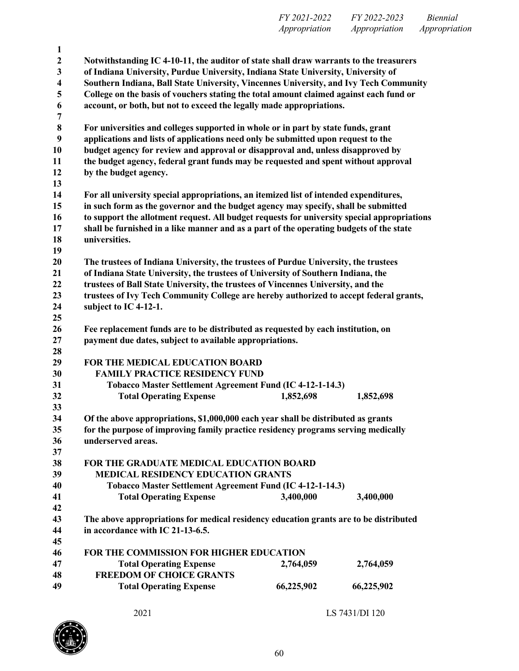| FY 2021-2022  | FY 2022-2023  | <i>Biennial</i> |
|---------------|---------------|-----------------|
| Appropriation | Appropriation | Appropriation   |

| $\mathbf{1}$     |                                                                                             |            |            |  |
|------------------|---------------------------------------------------------------------------------------------|------------|------------|--|
| $\boldsymbol{2}$ | Notwithstanding IC 4-10-11, the auditor of state shall draw warrants to the treasurers      |            |            |  |
| 3                | of Indiana University, Purdue University, Indiana State University, University of           |            |            |  |
| 4                | Southern Indiana, Ball State University, Vincennes University, and Ivy Tech Community       |            |            |  |
| 5                | College on the basis of vouchers stating the total amount claimed against each fund or      |            |            |  |
| 6                | account, or both, but not to exceed the legally made appropriations.                        |            |            |  |
| 7                |                                                                                             |            |            |  |
| $\bf 8$          | For universities and colleges supported in whole or in part by state funds, grant           |            |            |  |
| 9                | applications and lists of applications need only be submitted upon request to the           |            |            |  |
| 10               | budget agency for review and approval or disapproval and, unless disapproved by             |            |            |  |
| 11               | the budget agency, federal grant funds may be requested and spent without approval          |            |            |  |
| 12               | by the budget agency.                                                                       |            |            |  |
| 13               |                                                                                             |            |            |  |
| 14               | For all university special appropriations, an itemized list of intended expenditures,       |            |            |  |
| 15               | in such form as the governor and the budget agency may specify, shall be submitted          |            |            |  |
| 16               | to support the allotment request. All budget requests for university special appropriations |            |            |  |
| 17               | shall be furnished in a like manner and as a part of the operating budgets of the state     |            |            |  |
| 18               | universities.                                                                               |            |            |  |
| 19               |                                                                                             |            |            |  |
| 20               | The trustees of Indiana University, the trustees of Purdue University, the trustees         |            |            |  |
| 21               | of Indiana State University, the trustees of University of Southern Indiana, the            |            |            |  |
| 22               | trustees of Ball State University, the trustees of Vincennes University, and the            |            |            |  |
| 23               | trustees of Ivy Tech Community College are hereby authorized to accept federal grants,      |            |            |  |
| 24               | subject to IC 4-12-1.                                                                       |            |            |  |
| 25               |                                                                                             |            |            |  |
| 26               | Fee replacement funds are to be distributed as requested by each institution, on            |            |            |  |
| 27               | payment due dates, subject to available appropriations.                                     |            |            |  |
| 28               |                                                                                             |            |            |  |
| 29               | FOR THE MEDICAL EDUCATION BOARD                                                             |            |            |  |
| 30               | <b>FAMILY PRACTICE RESIDENCY FUND</b>                                                       |            |            |  |
| 31               | Tobacco Master Settlement Agreement Fund (IC 4-12-1-14.3)                                   |            |            |  |
| 32               | <b>Total Operating Expense</b>                                                              | 1,852,698  | 1,852,698  |  |
| 33               |                                                                                             |            |            |  |
| 34               | Of the above appropriations, \$1,000,000 each year shall be distributed as grants           |            |            |  |
| 35               | for the purpose of improving family practice residency programs serving medically           |            |            |  |
| 36               | underserved areas.                                                                          |            |            |  |
| 37               |                                                                                             |            |            |  |
| 38               | FOR THE GRADUATE MEDICAL EDUCATION BOARD                                                    |            |            |  |
| 39               | <b>MEDICAL RESIDENCY EDUCATION GRANTS</b>                                                   |            |            |  |
| 40               | Tobacco Master Settlement Agreement Fund (IC 4-12-1-14.3)                                   |            |            |  |
| 41               | <b>Total Operating Expense</b>                                                              | 3,400,000  | 3,400,000  |  |
| 42               |                                                                                             |            |            |  |
| 43               | The above appropriations for medical residency education grants are to be distributed       |            |            |  |
| 44               | in accordance with IC 21-13-6.5.                                                            |            |            |  |
| 45               |                                                                                             |            |            |  |
| 46               | FOR THE COMMISSION FOR HIGHER EDUCATION                                                     |            |            |  |
| 47               | <b>Total Operating Expense</b>                                                              | 2,764,059  | 2,764,059  |  |
| 48               | <b>FREEDOM OF CHOICE GRANTS</b>                                                             |            |            |  |
| 49               | <b>Total Operating Expense</b>                                                              | 66,225,902 | 66,225,902 |  |
|                  |                                                                                             |            |            |  |

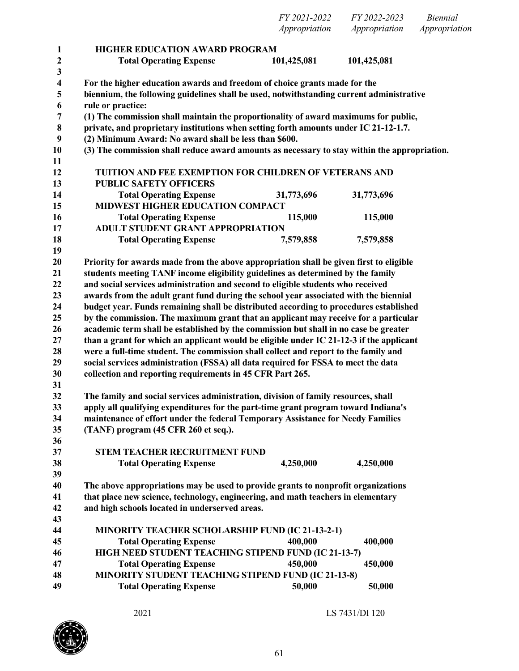|                   |                                                                                                                                                | Appropriation | Appropriation | Appropriation |
|-------------------|------------------------------------------------------------------------------------------------------------------------------------------------|---------------|---------------|---------------|
| $\mathbf{1}$      | <b>HIGHER EDUCATION AWARD PROGRAM</b>                                                                                                          |               |               |               |
| 2                 | <b>Total Operating Expense</b>                                                                                                                 | 101,425,081   | 101,425,081   |               |
| $\mathbf{3}$<br>4 | For the higher education awards and freedom of choice grants made for the                                                                      |               |               |               |
| 5                 | biennium, the following guidelines shall be used, notwithstanding current administrative                                                       |               |               |               |
| 6                 | rule or practice:                                                                                                                              |               |               |               |
| 7                 | (1) The commission shall maintain the proportionality of award maximums for public,                                                            |               |               |               |
| $\bf 8$           | private, and proprietary institutions when setting forth amounts under IC 21-12-1.7.                                                           |               |               |               |
| 9                 | (2) Minimum Award: No award shall be less than \$600.                                                                                          |               |               |               |
| 10                | (3) The commission shall reduce award amounts as necessary to stay within the appropriation.                                                   |               |               |               |
| 11                |                                                                                                                                                |               |               |               |
| 12                | <b>TUITION AND FEE EXEMPTION FOR CHILDREN OF VETERANS AND</b>                                                                                  |               |               |               |
| 13                | <b>PUBLIC SAFETY OFFICERS</b>                                                                                                                  |               |               |               |
| 14                | <b>Total Operating Expense</b>                                                                                                                 | 31,773,696    | 31,773,696    |               |
| 15                | <b>MIDWEST HIGHER EDUCATION COMPACT</b>                                                                                                        |               |               |               |
| 16                | <b>Total Operating Expense</b>                                                                                                                 | 115,000       | 115,000       |               |
| 17                | ADULT STUDENT GRANT APPROPRIATION                                                                                                              |               |               |               |
| 18                | <b>Total Operating Expense</b>                                                                                                                 | 7,579,858     | 7,579,858     |               |
| 19                |                                                                                                                                                |               |               |               |
| 20                | Priority for awards made from the above appropriation shall be given first to eligible                                                         |               |               |               |
| 21                | students meeting TANF income eligibility guidelines as determined by the family                                                                |               |               |               |
| 22                | and social services administration and second to eligible students who received                                                                |               |               |               |
| 23                | awards from the adult grant fund during the school year associated with the biennial                                                           |               |               |               |
| 24                | budget year. Funds remaining shall be distributed according to procedures established                                                          |               |               |               |
| 25                | by the commission. The maximum grant that an applicant may receive for a particular                                                            |               |               |               |
| 26                | academic term shall be established by the commission but shall in no case be greater                                                           |               |               |               |
| 27                | than a grant for which an applicant would be eligible under IC 21-12-3 if the applicant                                                        |               |               |               |
| 28<br>29          | were a full-time student. The commission shall collect and report to the family and                                                            |               |               |               |
| 30                | social services administration (FSSA) all data required for FSSA to meet the data<br>collection and reporting requirements in 45 CFR Part 265. |               |               |               |
| 31                |                                                                                                                                                |               |               |               |
| 32                | The family and social services administration, division of family resources, shall                                                             |               |               |               |
| 33                | apply all qualifying expenditures for the part-time grant program toward Indiana's                                                             |               |               |               |
| 34                | maintenance of effort under the federal Temporary Assistance for Needy Families                                                                |               |               |               |
| 35                | (TANF) program (45 CFR 260 et seq.).                                                                                                           |               |               |               |
| 36                |                                                                                                                                                |               |               |               |
| 37                | <b>STEM TEACHER RECRUITMENT FUND</b>                                                                                                           |               |               |               |
| 38                | <b>Total Operating Expense</b>                                                                                                                 | 4,250,000     | 4,250,000     |               |
| 39                |                                                                                                                                                |               |               |               |
| 40                | The above appropriations may be used to provide grants to nonprofit organizations                                                              |               |               |               |
| 41                | that place new science, technology, engineering, and math teachers in elementary                                                               |               |               |               |
| 42                | and high schools located in underserved areas.                                                                                                 |               |               |               |
| 43                |                                                                                                                                                |               |               |               |
| 44                | <b>MINORITY TEACHER SCHOLARSHIP FUND (IC 21-13-2-1)</b>                                                                                        |               |               |               |
| 45                | <b>Total Operating Expense</b>                                                                                                                 | 400,000       | 400,000       |               |
| 46                | HIGH NEED STUDENT TEACHING STIPEND FUND (IC 21-13-7)                                                                                           |               |               |               |
| 47                | <b>Total Operating Expense</b>                                                                                                                 | 450,000       | 450,000       |               |
| 48                | <b>MINORITY STUDENT TEACHING STIPEND FUND (IC 21-13-8)</b>                                                                                     |               |               |               |
| 49                | <b>Total Operating Expense</b>                                                                                                                 | 50,000        | 50,000        |               |



*FY 2021-2022 FY 2022-2023 Biennial*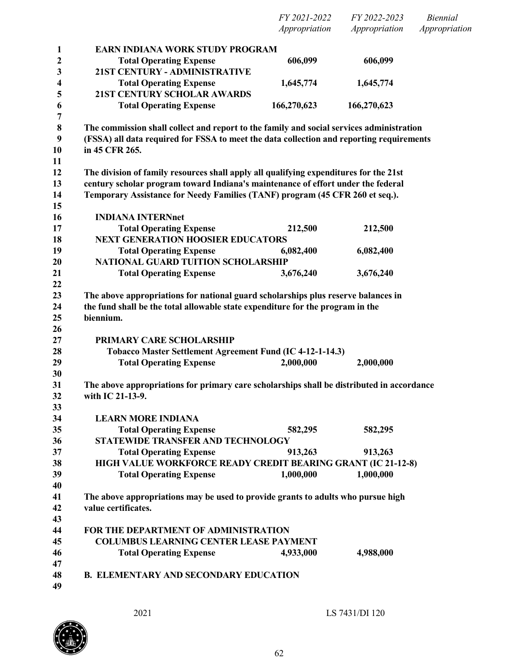*FY 2021-2022 FY 2022-2023 Biennial Appropriation Appropriation Appropriation*

| 1                       | EARN INDIANA WORK STUDY PROGRAM                                                           |             |             |  |
|-------------------------|-------------------------------------------------------------------------------------------|-------------|-------------|--|
| $\boldsymbol{2}$        | <b>Total Operating Expense</b>                                                            | 606,099     | 606,099     |  |
| $\overline{\mathbf{3}}$ | 21ST CENTURY - ADMINISTRATIVE                                                             |             |             |  |
| 4                       | <b>Total Operating Expense</b>                                                            | 1,645,774   | 1,645,774   |  |
| 5                       | <b>21ST CENTURY SCHOLAR AWARDS</b>                                                        |             |             |  |
| 6                       | <b>Total Operating Expense</b>                                                            | 166,270,623 | 166,270,623 |  |
| 7                       |                                                                                           |             |             |  |
| 8                       | The commission shall collect and report to the family and social services administration  |             |             |  |
| 9                       | (FSSA) all data required for FSSA to meet the data collection and reporting requirements  |             |             |  |
| 10                      | in 45 CFR 265.                                                                            |             |             |  |
| 11                      |                                                                                           |             |             |  |
| 12                      | The division of family resources shall apply all qualifying expenditures for the 21st     |             |             |  |
| 13                      | century scholar program toward Indiana's maintenance of effort under the federal          |             |             |  |
| 14                      | Temporary Assistance for Needy Families (TANF) program (45 CFR 260 et seq.).              |             |             |  |
| 15                      |                                                                                           |             |             |  |
| 16                      | <b>INDIANA INTERNnet</b>                                                                  |             |             |  |
| 17                      | <b>Total Operating Expense</b>                                                            | 212,500     | 212,500     |  |
| 18                      | <b>NEXT GENERATION HOOSIER EDUCATORS</b>                                                  |             |             |  |
| 19                      | <b>Total Operating Expense</b>                                                            | 6,082,400   | 6,082,400   |  |
| 20                      | NATIONAL GUARD TUITION SCHOLARSHIP                                                        |             |             |  |
| 21                      | <b>Total Operating Expense</b>                                                            | 3,676,240   | 3,676,240   |  |
| 22                      |                                                                                           |             |             |  |
| 23                      | The above appropriations for national guard scholarships plus reserve balances in         |             |             |  |
| 24                      | the fund shall be the total allowable state expenditure for the program in the            |             |             |  |
| 25                      | biennium.                                                                                 |             |             |  |
| 26                      |                                                                                           |             |             |  |
| 27                      | PRIMARY CARE SCHOLARSHIP                                                                  |             |             |  |
| 28<br>29                | Tobacco Master Settlement Agreement Fund (IC 4-12-1-14.3)                                 | 2,000,000   | 2,000,000   |  |
| 30                      | <b>Total Operating Expense</b>                                                            |             |             |  |
| 31                      | The above appropriations for primary care scholarships shall be distributed in accordance |             |             |  |
| 32                      | with IC 21-13-9.                                                                          |             |             |  |
| 33                      |                                                                                           |             |             |  |
| 34                      | <b>LEARN MORE INDIANA</b>                                                                 |             |             |  |
| 35                      | <b>Total Operating Expense</b>                                                            | 582,295     | 582,295     |  |
| 36                      | STATEWIDE TRANSFER AND TECHNOLOGY                                                         |             |             |  |
| 37                      | <b>Total Operating Expense</b>                                                            | 913,263     | 913,263     |  |
| 38                      | <b>HIGH VALUE WORKFORCE READY CREDIT BEARING GRANT (IC 21-12-8)</b>                       |             |             |  |
| 39                      | <b>Total Operating Expense</b>                                                            | 1,000,000   | 1,000,000   |  |
| 40                      |                                                                                           |             |             |  |
| 41                      | The above appropriations may be used to provide grants to adults who pursue high          |             |             |  |
| 42                      | value certificates.                                                                       |             |             |  |
| 43                      |                                                                                           |             |             |  |
| 44                      | FOR THE DEPARTMENT OF ADMINISTRATION                                                      |             |             |  |
| 45                      | <b>COLUMBUS LEARNING CENTER LEASE PAYMENT</b>                                             |             |             |  |
| 46                      | <b>Total Operating Expense</b>                                                            | 4,933,000   | 4,988,000   |  |
| 47                      |                                                                                           |             |             |  |
| 48                      | <b>B. ELEMENTARY AND SECONDARY EDUCATION</b>                                              |             |             |  |
| 49                      |                                                                                           |             |             |  |
|                         |                                                                                           |             |             |  |

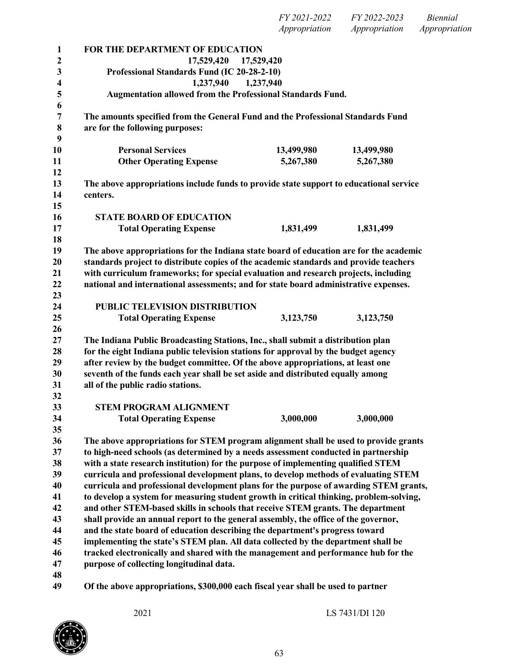| 1                       | FOR THE DEPARTMENT OF EDUCATION                                                                                                                                        |            |            |  |
|-------------------------|------------------------------------------------------------------------------------------------------------------------------------------------------------------------|------------|------------|--|
| $\boldsymbol{2}$        | 17,529,420                                                                                                                                                             | 17,529,420 |            |  |
| 3                       | Professional Standards Fund (IC 20-28-2-10)                                                                                                                            |            |            |  |
| $\overline{\mathbf{4}}$ | 1,237,940                                                                                                                                                              | 1,237,940  |            |  |
| 5                       | Augmentation allowed from the Professional Standards Fund.                                                                                                             |            |            |  |
| 6                       |                                                                                                                                                                        |            |            |  |
| $\overline{7}$          | The amounts specified from the General Fund and the Professional Standards Fund                                                                                        |            |            |  |
| 8                       | are for the following purposes:                                                                                                                                        |            |            |  |
| 9                       |                                                                                                                                                                        |            |            |  |
| 10                      | <b>Personal Services</b>                                                                                                                                               | 13,499,980 | 13,499,980 |  |
| 11                      | <b>Other Operating Expense</b>                                                                                                                                         | 5,267,380  | 5,267,380  |  |
| 12                      |                                                                                                                                                                        |            |            |  |
| 13                      | The above appropriations include funds to provide state support to educational service                                                                                 |            |            |  |
| 14                      | centers.                                                                                                                                                               |            |            |  |
| 15                      |                                                                                                                                                                        |            |            |  |
| 16                      | <b>STATE BOARD OF EDUCATION</b>                                                                                                                                        |            |            |  |
| 17                      | <b>Total Operating Expense</b>                                                                                                                                         | 1,831,499  | 1,831,499  |  |
| 18                      |                                                                                                                                                                        |            |            |  |
| 19                      | The above appropriations for the Indiana state board of education are for the academic                                                                                 |            |            |  |
| 20                      | standards project to distribute copies of the academic standards and provide teachers                                                                                  |            |            |  |
| 21                      | with curriculum frameworks; for special evaluation and research projects, including                                                                                    |            |            |  |
| 22                      | national and international assessments; and for state board administrative expenses.                                                                                   |            |            |  |
| 23                      |                                                                                                                                                                        |            |            |  |
| 24                      | PUBLIC TELEVISION DISTRIBUTION                                                                                                                                         |            |            |  |
| 25                      | <b>Total Operating Expense</b>                                                                                                                                         | 3,123,750  | 3,123,750  |  |
| 26                      |                                                                                                                                                                        |            |            |  |
| 27<br>28                | The Indiana Public Broadcasting Stations, Inc., shall submit a distribution plan<br>for the eight Indiana public television stations for approval by the budget agency |            |            |  |
| 29                      | after review by the budget committee. Of the above appropriations, at least one                                                                                        |            |            |  |
| 30                      | seventh of the funds each year shall be set aside and distributed equally among                                                                                        |            |            |  |
| 31                      | all of the public radio stations.                                                                                                                                      |            |            |  |
| 32                      |                                                                                                                                                                        |            |            |  |
| 33                      | <b>STEM PROGRAM ALIGNMENT</b>                                                                                                                                          |            |            |  |
| 34                      | <b>Total Operating Expense</b>                                                                                                                                         | 3,000,000  | 3,000,000  |  |
| 35                      |                                                                                                                                                                        |            |            |  |
| 36                      | The above appropriations for STEM program alignment shall be used to provide grants                                                                                    |            |            |  |
| 37                      | to high-need schools (as determined by a needs assessment conducted in partnership                                                                                     |            |            |  |
| 38                      | with a state research institution) for the purpose of implementing qualified STEM                                                                                      |            |            |  |
| 39                      | curricula and professional development plans, to develop methods of evaluating STEM                                                                                    |            |            |  |
| 40                      | curricula and professional development plans for the purpose of awarding STEM grants,                                                                                  |            |            |  |
| 41                      | to develop a system for measuring student growth in critical thinking, problem-solving,                                                                                |            |            |  |
| 42                      | and other STEM-based skills in schools that receive STEM grants. The department                                                                                        |            |            |  |
| 43                      | shall provide an annual report to the general assembly, the office of the governor,                                                                                    |            |            |  |
| 44                      | and the state board of education describing the department's progress toward                                                                                           |            |            |  |
| 45                      | implementing the state's STEM plan. All data collected by the department shall be                                                                                      |            |            |  |
| 46                      | tracked electronically and shared with the management and performance hub for the                                                                                      |            |            |  |
| 47                      | purpose of collecting longitudinal data.                                                                                                                               |            |            |  |
| 48                      |                                                                                                                                                                        |            |            |  |
| 49                      | Of the above appropriations, \$300,000 each fiscal year shall be used to partner                                                                                       |            |            |  |

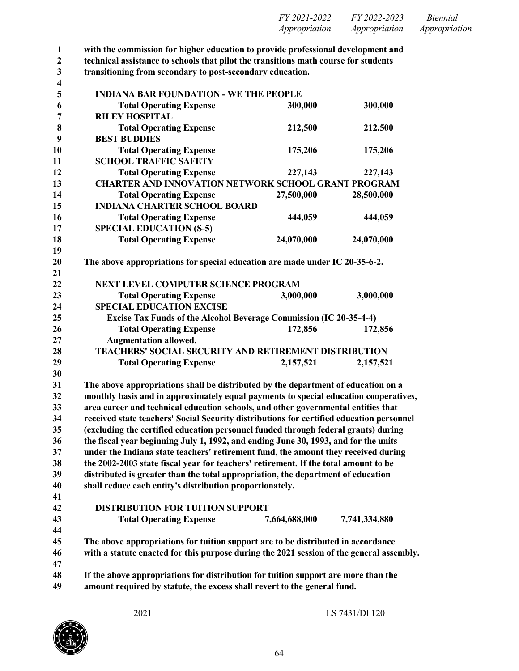| FY 2021-2022  | FY 2022-2023  | <i>Biennial</i> |
|---------------|---------------|-----------------|
| Appropriation | Appropriation | Appropriation   |

**with the commission for higher education to provide professional development and**

**technical assistance to schools that pilot the transitions math course for students**

**transitioning from secondary to post-secondary education.**

| $\overline{\mathbf{4}}$ |                                                                                          |               |               |
|-------------------------|------------------------------------------------------------------------------------------|---------------|---------------|
| 5                       | <b>INDIANA BAR FOUNDATION - WE THE PEOPLE</b>                                            |               |               |
| 6                       | <b>Total Operating Expense</b>                                                           | 300,000       | 300,000       |
| 7                       | <b>RILEY HOSPITAL</b>                                                                    |               |               |
| 8                       | <b>Total Operating Expense</b>                                                           | 212,500       | 212,500       |
| 9                       | <b>BEST BUDDIES</b>                                                                      |               |               |
| 10                      | <b>Total Operating Expense</b>                                                           | 175,206       | 175,206       |
| 11                      | <b>SCHOOL TRAFFIC SAFETY</b>                                                             |               |               |
| 12                      | <b>Total Operating Expense</b>                                                           | 227,143       | 227,143       |
| 13                      | <b>CHARTER AND INNOVATION NETWORK SCHOOL GRANT PROGRAM</b>                               |               |               |
| 14                      | <b>Total Operating Expense</b>                                                           | 27,500,000    | 28,500,000    |
| 15                      | <b>INDIANA CHARTER SCHOOL BOARD</b>                                                      |               |               |
| 16                      | <b>Total Operating Expense</b>                                                           | 444,059       | 444,059       |
| 17                      | <b>SPECIAL EDUCATION (S-5)</b>                                                           |               |               |
| 18                      | <b>Total Operating Expense</b>                                                           | 24,070,000    | 24,070,000    |
| 19                      |                                                                                          |               |               |
| 20                      | The above appropriations for special education are made under IC 20-35-6-2.              |               |               |
| 21                      |                                                                                          |               |               |
| 22                      | NEXT LEVEL COMPUTER SCIENCE PROGRAM                                                      |               |               |
| 23                      | <b>Total Operating Expense</b>                                                           | 3,000,000     | 3,000,000     |
| 24                      | <b>SPECIAL EDUCATION EXCISE</b>                                                          |               |               |
| 25                      | <b>Excise Tax Funds of the Alcohol Beverage Commission (IC 20-35-4-4)</b>                |               |               |
| 26                      | <b>Total Operating Expense</b>                                                           | 172,856       | 172,856       |
| 27                      | <b>Augmentation allowed.</b>                                                             |               |               |
| 28                      | TEACHERS' SOCIAL SECURITY AND RETIREMENT DISTRIBUTION                                    |               |               |
| 29                      | <b>Total Operating Expense</b>                                                           | 2,157,521     | 2,157,521     |
| 30                      |                                                                                          |               |               |
| 31                      | The above appropriations shall be distributed by the department of education on a        |               |               |
| 32                      | monthly basis and in approximately equal payments to special education cooperatives,     |               |               |
| 33                      | area career and technical education schools, and other governmental entities that        |               |               |
| 34                      | received state teachers' Social Security distributions for certified education personnel |               |               |
| 35                      | (excluding the certified education personnel funded through federal grants) during       |               |               |
| 36                      | the fiscal year beginning July 1, 1992, and ending June 30, 1993, and for the units      |               |               |
| 37                      | under the Indiana state teachers' retirement fund, the amount they received during       |               |               |
| 38                      | the 2002-2003 state fiscal year for teachers' retirement. If the total amount to be      |               |               |
| 39                      | distributed is greater than the total appropriation, the department of education         |               |               |
| 40                      | shall reduce each entity's distribution proportionately.                                 |               |               |
| 41                      |                                                                                          |               |               |
| 42                      | <b>DISTRIBUTION FOR TUITION SUPPORT</b>                                                  |               |               |
| 43                      | <b>Total Operating Expense</b>                                                           | 7,664,688,000 | 7,741,334,880 |
| 44                      |                                                                                          |               |               |
| 45                      | The above appropriations for tuition support are to be distributed in accordance         |               |               |
| 46                      | with a statute enacted for this purpose during the 2021 session of the general assembly. |               |               |
| 47                      |                                                                                          |               |               |
| 48                      | If the above appropriations for distribution for tuition support are more than the       |               |               |
| 49                      | amount required by statute, the excess shall revert to the general fund.                 |               |               |

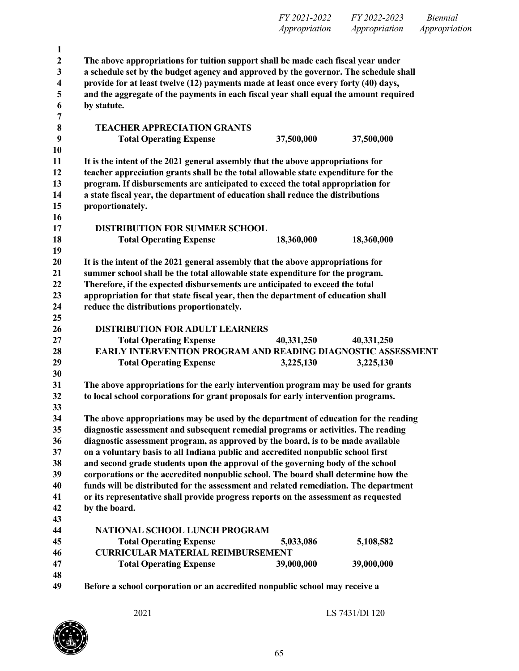|                  |                                                                                                      | FY 2021-2022  | FY 2022-2023  | <b>Biennial</b> |
|------------------|------------------------------------------------------------------------------------------------------|---------------|---------------|-----------------|
|                  |                                                                                                      | Appropriation | Appropriation | Appropriation   |
| $\mathbf{1}$     |                                                                                                      |               |               |                 |
| $\boldsymbol{2}$ | The above appropriations for tuition support shall be made each fiscal year under                    |               |               |                 |
| 3                | a schedule set by the budget agency and approved by the governor. The schedule shall                 |               |               |                 |
| 4                | provide for at least twelve (12) payments made at least once every forty (40) days,                  |               |               |                 |
|                  |                                                                                                      |               |               |                 |
| 5                | and the aggregate of the payments in each fiscal year shall equal the amount required<br>by statute. |               |               |                 |
| 6                |                                                                                                      |               |               |                 |
| 7                |                                                                                                      |               |               |                 |
| 8                | <b>TEACHER APPRECIATION GRANTS</b>                                                                   |               |               |                 |
| 9                | <b>Total Operating Expense</b>                                                                       | 37,500,000    | 37,500,000    |                 |
| 10               |                                                                                                      |               |               |                 |
| 11               | It is the intent of the 2021 general assembly that the above appropriations for                      |               |               |                 |
| 12               | teacher appreciation grants shall be the total allowable state expenditure for the                   |               |               |                 |
| 13               | program. If disbursements are anticipated to exceed the total appropriation for                      |               |               |                 |
| 14               | a state fiscal year, the department of education shall reduce the distributions                      |               |               |                 |
| 15               | proportionately.                                                                                     |               |               |                 |
| 16               |                                                                                                      |               |               |                 |
| 17               | <b>DISTRIBUTION FOR SUMMER SCHOOL</b>                                                                |               |               |                 |
| 18               | <b>Total Operating Expense</b>                                                                       | 18,360,000    | 18,360,000    |                 |
| 19               |                                                                                                      |               |               |                 |
| 20               | It is the intent of the 2021 general assembly that the above appropriations for                      |               |               |                 |
| 21               | summer school shall be the total allowable state expenditure for the program.                        |               |               |                 |
| 22               | Therefore, if the expected disbursements are anticipated to exceed the total                         |               |               |                 |
| 23               | appropriation for that state fiscal year, then the department of education shall                     |               |               |                 |
| 24               | reduce the distributions proportionately.                                                            |               |               |                 |
| 25               |                                                                                                      |               |               |                 |
| 26               | <b>DISTRIBUTION FOR ADULT LEARNERS</b>                                                               |               |               |                 |
| 27               | <b>Total Operating Expense</b>                                                                       | 40,331,250    | 40,331,250    |                 |
| 28               | EARLY INTERVENTION PROGRAM AND READING DIAGNOSTIC ASSESSMENT                                         |               |               |                 |
| 29               | <b>Total Operating Expense</b>                                                                       | 3,225,130     | 3,225,130     |                 |
| 30               |                                                                                                      |               |               |                 |
| 31               | The above appropriations for the early intervention program may be used for grants                   |               |               |                 |
| 32               | to local school corporations for grant proposals for early intervention programs.                    |               |               |                 |
| 33               |                                                                                                      |               |               |                 |
| 34               | The above appropriations may be used by the department of education for the reading                  |               |               |                 |
| 35               | diagnostic assessment and subsequent remedial programs or activities. The reading                    |               |               |                 |
| 36               | diagnostic assessment program, as approved by the board, is to be made available                     |               |               |                 |
| 37               | on a voluntary basis to all Indiana public and accredited nonpublic school first                     |               |               |                 |
| 38               | and second grade students upon the approval of the governing body of the school                      |               |               |                 |
| 39               | corporations or the accredited nonpublic school. The board shall determine how the                   |               |               |                 |
| 40               | funds will be distributed for the assessment and related remediation. The department                 |               |               |                 |
| 41               | or its representative shall provide progress reports on the assessment as requested                  |               |               |                 |
| 42               | by the board.                                                                                        |               |               |                 |
| 43               |                                                                                                      |               |               |                 |
| 44               | <b>NATIONAL SCHOOL LUNCH PROGRAM</b>                                                                 |               |               |                 |
| 45               | <b>Total Operating Expense</b>                                                                       | 5,033,086     | 5,108,582     |                 |
| 46               | <b>CURRICULAR MATERIAL REIMBURSEMENT</b>                                                             |               |               |                 |
| 47               | <b>Total Operating Expense</b>                                                                       | 39,000,000    | 39,000,000    |                 |
| 48               |                                                                                                      |               |               |                 |
| 49               | Before a school corporation or an accredited nonpublic school may receive a                          |               |               |                 |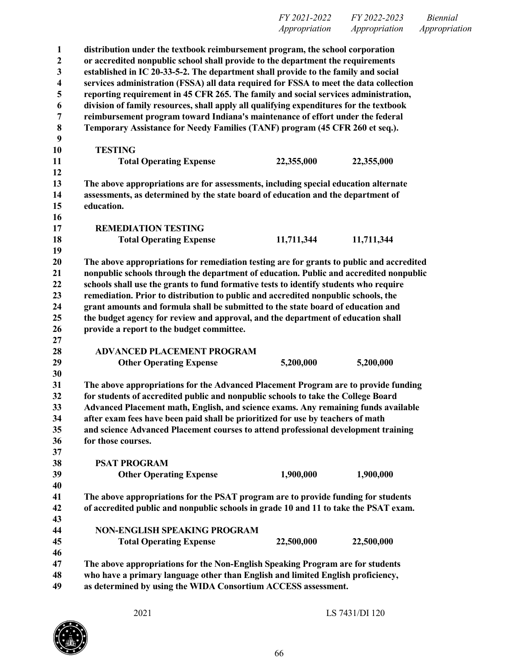**distribution under the textbook reimbursement program, the school corporation or accredited nonpublic school shall provide to the department the requirements established in IC 20-33-5-2. The department shall provide to the family and social services administration (FSSA) all data required for FSSA to meet the data collection reporting requirement in 45 CFR 265. The family and social services administration, division of family resources, shall apply all qualifying expenditures for the textbook reimbursement program toward Indiana's maintenance of effort under the federal Temporary Assistance for Needy Families (TANF) program (45 CFR 260 et seq.). TESTING Total Operating Expense 22,355,000 22,355,000 The above appropriations are for assessments, including special education alternate assessments, as determined by the state board of education and the department of education. REMEDIATION TESTING Total Operating Expense 11,711,344 11,711,344 The above appropriations for remediation testing are for grants to public and accredited nonpublic schools through the department of education. Public and accredited nonpublic schools shall use the grants to fund formative tests to identify students who require remediation. Prior to distribution to public and accredited nonpublic schools, the grant amounts and formula shall be submitted to the state board of education and the budget agency for review and approval, and the department of education shall provide a report to the budget committee. ADVANCED PLACEMENT PROGRAM Other Operating Expense 5,200,000 5,200,000 The above appropriations for the Advanced Placement Program are to provide funding for students of accredited public and nonpublic schools to take the College Board Advanced Placement math, English, and science exams. Any remaining funds available after exam fees have been paid shall be prioritized for use by teachers of math and science Advanced Placement courses to attend professional development training for those courses. PSAT PROGRAM Other Operating Expense 1,900,000 1,900,000 The above appropriations for the PSAT program are to provide funding for students of accredited public and nonpublic schools in grade 10 and 11 to take the PSAT exam. NON-ENGLISH SPEAKING PROGRAM Total Operating Expense 22,500,000 22,500,000 The above appropriations for the Non-English Speaking Program are for students who have a primary language other than English and limited English proficiency, as determined by using the WIDA Consortium ACCESS assessment.**

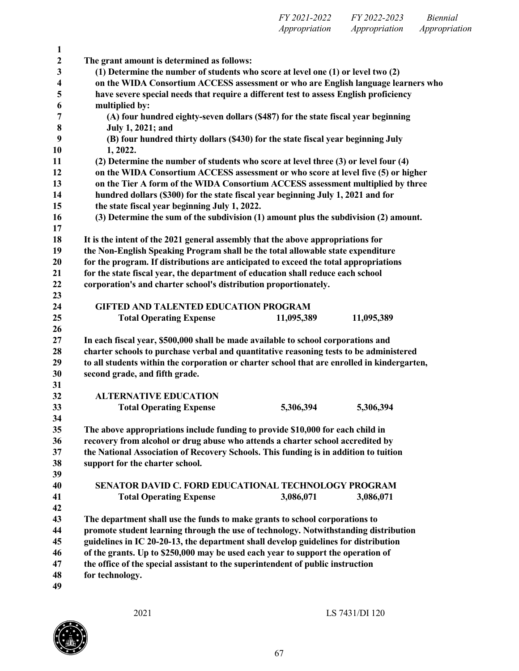| FY 2021-2022  | FY 2022-2023  | <i>Biennial</i> |
|---------------|---------------|-----------------|
| Appropriation | Appropriation | Appropriation   |

| 1                       |                                                                                                                                                                  |  |
|-------------------------|------------------------------------------------------------------------------------------------------------------------------------------------------------------|--|
| $\boldsymbol{2}$        | The grant amount is determined as follows:                                                                                                                       |  |
| 3                       | (1) Determine the number of students who score at level one (1) or level two (2)                                                                                 |  |
| $\overline{\mathbf{4}}$ | on the WIDA Consortium ACCESS assessment or who are English language learners who                                                                                |  |
| 5                       | have severe special needs that require a different test to assess English proficiency                                                                            |  |
| 6                       | multiplied by:                                                                                                                                                   |  |
| 7                       | (A) four hundred eighty-seven dollars (\$487) for the state fiscal year beginning                                                                                |  |
| 8                       | July 1, 2021; and                                                                                                                                                |  |
| 9                       | (B) four hundred thirty dollars (\$430) for the state fiscal year beginning July                                                                                 |  |
| 10                      | 1, 2022.                                                                                                                                                         |  |
| 11                      | (2) Determine the number of students who score at level three (3) or level four (4)                                                                              |  |
| 12                      | on the WIDA Consortium ACCESS assessment or who score at level five (5) or higher                                                                                |  |
| 13                      | on the Tier A form of the WIDA Consortium ACCESS assessment multiplied by three                                                                                  |  |
| 14                      | hundred dollars (\$300) for the state fiscal year beginning July 1, 2021 and for                                                                                 |  |
| 15                      | the state fiscal year beginning July 1, 2022.                                                                                                                    |  |
| 16                      | (3) Determine the sum of the subdivision (1) amount plus the subdivision (2) amount.                                                                             |  |
| 17                      |                                                                                                                                                                  |  |
| 18                      | It is the intent of the 2021 general assembly that the above appropriations for                                                                                  |  |
| 19                      | the Non-English Speaking Program shall be the total allowable state expenditure                                                                                  |  |
| 20                      | for the program. If distributions are anticipated to exceed the total appropriations                                                                             |  |
| 21                      | for the state fiscal year, the department of education shall reduce each school                                                                                  |  |
| 22                      | corporation's and charter school's distribution proportionately.                                                                                                 |  |
| 23                      |                                                                                                                                                                  |  |
| 24                      | <b>GIFTED AND TALENTED EDUCATION PROGRAM</b>                                                                                                                     |  |
| 25                      | <b>Total Operating Expense</b><br>11,095,389<br>11,095,389                                                                                                       |  |
| 26                      |                                                                                                                                                                  |  |
| 27                      | In each fiscal year, \$500,000 shall be made available to school corporations and                                                                                |  |
| 28                      | charter schools to purchase verbal and quantitative reasoning tests to be administered                                                                           |  |
| 29                      | to all students within the corporation or charter school that are enrolled in kindergarten,                                                                      |  |
| 30                      | second grade, and fifth grade.                                                                                                                                   |  |
| 31                      |                                                                                                                                                                  |  |
| 32                      | <b>ALTERNATIVE EDUCATION</b>                                                                                                                                     |  |
| 33<br>34                | <b>Total Operating Expense</b><br>5,306,394<br>5,306,394                                                                                                         |  |
| 35                      |                                                                                                                                                                  |  |
| 36                      | The above appropriations include funding to provide \$10,000 for each child in<br>recovery from alcohol or drug abuse who attends a charter school accredited by |  |
| 37                      | the National Association of Recovery Schools. This funding is in addition to tuition                                                                             |  |
| 38                      | support for the charter school.                                                                                                                                  |  |
| 39                      |                                                                                                                                                                  |  |
| 40                      | <b>SENATOR DAVID C. FORD EDUCATIONAL TECHNOLOGY PROGRAM</b>                                                                                                      |  |
| 41                      | <b>Total Operating Expense</b><br>3,086,071<br>3,086,071                                                                                                         |  |
| 42                      |                                                                                                                                                                  |  |
| 43                      | The department shall use the funds to make grants to school corporations to                                                                                      |  |
| 44                      | promote student learning through the use of technology. Notwithstanding distribution                                                                             |  |
| 45                      | guidelines in IC 20-20-13, the department shall develop guidelines for distribution                                                                              |  |
| 46                      | of the grants. Up to \$250,000 may be used each year to support the operation of                                                                                 |  |
| 47                      | the office of the special assistant to the superintendent of public instruction                                                                                  |  |
| 48                      | for technology.                                                                                                                                                  |  |
| 49                      |                                                                                                                                                                  |  |
|                         |                                                                                                                                                                  |  |

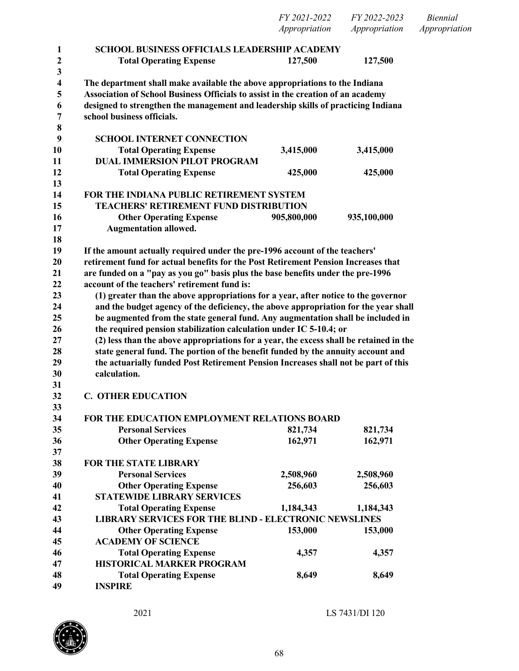|          |                                                                                                                                                                            | FY 2021-2022  | FY 2022-2023  | <b>Biennial</b> |
|----------|----------------------------------------------------------------------------------------------------------------------------------------------------------------------------|---------------|---------------|-----------------|
|          |                                                                                                                                                                            | Appropriation | Appropriation | Appropriation   |
| 1        | <b>SCHOOL BUSINESS OFFICIALS LEADERSHIP ACADEMY</b>                                                                                                                        |               |               |                 |
| 2        | <b>Total Operating Expense</b>                                                                                                                                             | 127,500       | 127,500       |                 |
| 3        |                                                                                                                                                                            |               |               |                 |
| 4        | The department shall make available the above appropriations to the Indiana                                                                                                |               |               |                 |
| 5        | Association of School Business Officials to assist in the creation of an academy                                                                                           |               |               |                 |
| 6        | designed to strengthen the management and leadership skills of practicing Indiana                                                                                          |               |               |                 |
| 7        | school business officials.                                                                                                                                                 |               |               |                 |
| 8        |                                                                                                                                                                            |               |               |                 |
| 9        | <b>SCHOOL INTERNET CONNECTION</b>                                                                                                                                          |               |               |                 |
| 10       | <b>Total Operating Expense</b>                                                                                                                                             | 3,415,000     | 3,415,000     |                 |
| 11       | <b>DUAL IMMERSION PILOT PROGRAM</b>                                                                                                                                        |               |               |                 |
| 12       | <b>Total Operating Expense</b>                                                                                                                                             | 425,000       | 425,000       |                 |
| 13       |                                                                                                                                                                            |               |               |                 |
| 14       | FOR THE INDIANA PUBLIC RETIREMENT SYSTEM                                                                                                                                   |               |               |                 |
| 15       | <b>TEACHERS' RETIREMENT FUND DISTRIBUTION</b>                                                                                                                              |               |               |                 |
| 16       | <b>Other Operating Expense</b>                                                                                                                                             | 905,800,000   | 935,100,000   |                 |
| 17       | <b>Augmentation allowed.</b>                                                                                                                                               |               |               |                 |
| 18       |                                                                                                                                                                            |               |               |                 |
| 19       | If the amount actually required under the pre-1996 account of the teachers'                                                                                                |               |               |                 |
| 20       | retirement fund for actual benefits for the Post Retirement Pension Increases that                                                                                         |               |               |                 |
| 21       | are funded on a "pay as you go" basis plus the base benefits under the pre-1996                                                                                            |               |               |                 |
| 22       | account of the teachers' retirement fund is:                                                                                                                               |               |               |                 |
| 23       | (1) greater than the above appropriations for a year, after notice to the governor                                                                                         |               |               |                 |
| 24       | and the budget agency of the deficiency, the above appropriation for the year shall                                                                                        |               |               |                 |
| 25       | be augmented from the state general fund. Any augmentation shall be included in                                                                                            |               |               |                 |
| 26<br>27 | the required pension stabilization calculation under IC 5-10.4; or                                                                                                         |               |               |                 |
| 28       | (2) less than the above appropriations for a year, the excess shall be retained in the<br>state general fund. The portion of the benefit funded by the annuity account and |               |               |                 |
| 29       | the actuarially funded Post Retirement Pension Increases shall not be part of this                                                                                         |               |               |                 |
| 30       | calculation.                                                                                                                                                               |               |               |                 |
| 31       |                                                                                                                                                                            |               |               |                 |
| 32       | <b>C. OTHER EDUCATION</b>                                                                                                                                                  |               |               |                 |
| 33       |                                                                                                                                                                            |               |               |                 |
| 34       | FOR THE EDUCATION EMPLOYMENT RELATIONS BOARD                                                                                                                               |               |               |                 |
| 35       | <b>Personal Services</b>                                                                                                                                                   | 821,734       | 821,734       |                 |
| 36       | <b>Other Operating Expense</b>                                                                                                                                             | 162,971       | 162,971       |                 |
| 37       |                                                                                                                                                                            |               |               |                 |
| 38       | <b>FOR THE STATE LIBRARY</b>                                                                                                                                               |               |               |                 |
| 39       | <b>Personal Services</b>                                                                                                                                                   | 2,508,960     | 2,508,960     |                 |
| 40       | <b>Other Operating Expense</b>                                                                                                                                             | 256,603       | 256,603       |                 |
| 41       | <b>STATEWIDE LIBRARY SERVICES</b>                                                                                                                                          |               |               |                 |
| 42       | <b>Total Operating Expense</b>                                                                                                                                             | 1,184,343     | 1,184,343     |                 |
| 43       | <b>LIBRARY SERVICES FOR THE BLIND - ELECTRONIC NEWSLINES</b>                                                                                                               |               |               |                 |
| 44       | <b>Other Operating Expense</b>                                                                                                                                             | 153,000       | 153,000       |                 |
| 45       | <b>ACADEMY OF SCIENCE</b>                                                                                                                                                  |               |               |                 |
| 46       | <b>Total Operating Expense</b>                                                                                                                                             | 4,357         | 4,357         |                 |
| 47       | HISTORICAL MARKER PROGRAM                                                                                                                                                  |               |               |                 |
| 48       | <b>Total Operating Expense</b>                                                                                                                                             | 8,649         | 8,649         |                 |
| 49       | <b>INSPIRE</b>                                                                                                                                                             |               |               |                 |

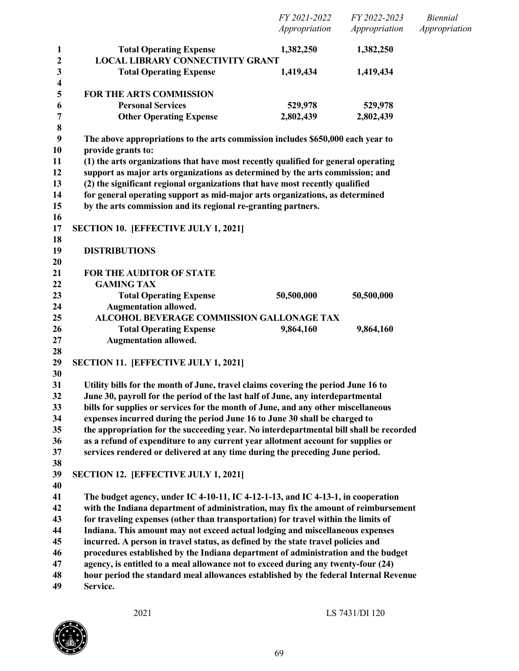|                                  |                                                                                                                                                                      | FY 2021-2022  | FY 2022-2023  | <b>Biennial</b> |
|----------------------------------|----------------------------------------------------------------------------------------------------------------------------------------------------------------------|---------------|---------------|-----------------|
|                                  |                                                                                                                                                                      | Appropriation | Appropriation | Appropriation   |
| $\mathbf{1}$                     | <b>Total Operating Expense</b>                                                                                                                                       | 1,382,250     | 1,382,250     |                 |
| $\boldsymbol{2}$                 | <b>LOCAL LIBRARY CONNECTIVITY GRANT</b>                                                                                                                              |               |               |                 |
| $\mathbf{3}$<br>$\boldsymbol{4}$ | <b>Total Operating Expense</b>                                                                                                                                       | 1,419,434     | 1,419,434     |                 |
| 5                                | <b>FOR THE ARTS COMMISSION</b>                                                                                                                                       |               |               |                 |
| 6                                | <b>Personal Services</b>                                                                                                                                             | 529,978       | 529,978       |                 |
| 7                                | <b>Other Operating Expense</b>                                                                                                                                       | 2,802,439     | 2,802,439     |                 |
| $\pmb{8}$                        |                                                                                                                                                                      |               |               |                 |
| 9                                | The above appropriations to the arts commission includes \$650,000 each year to                                                                                      |               |               |                 |
| 10                               | provide grants to:                                                                                                                                                   |               |               |                 |
| 11                               | (1) the arts organizations that have most recently qualified for general operating                                                                                   |               |               |                 |
| 12                               | support as major arts organizations as determined by the arts commission; and                                                                                        |               |               |                 |
| 13                               | (2) the significant regional organizations that have most recently qualified                                                                                         |               |               |                 |
| 14                               | for general operating support as mid-major arts organizations, as determined                                                                                         |               |               |                 |
| 15<br>16                         | by the arts commission and its regional re-granting partners.                                                                                                        |               |               |                 |
| 17                               | <b>SECTION 10. [EFFECTIVE JULY 1, 2021]</b>                                                                                                                          |               |               |                 |
| 18                               |                                                                                                                                                                      |               |               |                 |
| 19                               | <b>DISTRIBUTIONS</b>                                                                                                                                                 |               |               |                 |
| 20                               |                                                                                                                                                                      |               |               |                 |
| 21                               | <b>FOR THE AUDITOR OF STATE</b>                                                                                                                                      |               |               |                 |
| 22                               | <b>GAMING TAX</b>                                                                                                                                                    |               |               |                 |
| 23                               | <b>Total Operating Expense</b>                                                                                                                                       | 50,500,000    | 50,500,000    |                 |
| 24                               | <b>Augmentation allowed.</b>                                                                                                                                         |               |               |                 |
| 25                               | ALCOHOL BEVERAGE COMMISSION GALLONAGE TAX                                                                                                                            |               |               |                 |
| 26                               | <b>Total Operating Expense</b>                                                                                                                                       | 9,864,160     | 9,864,160     |                 |
| 27                               | <b>Augmentation allowed.</b>                                                                                                                                         |               |               |                 |
| 28                               |                                                                                                                                                                      |               |               |                 |
| 29                               | <b>SECTION 11. [EFFECTIVE JULY 1, 2021]</b>                                                                                                                          |               |               |                 |
| 30                               |                                                                                                                                                                      |               |               |                 |
| 31                               | Utility bills for the month of June, travel claims covering the period June 16 to                                                                                    |               |               |                 |
| 32                               | June 30, payroll for the period of the last half of June, any interdepartmental                                                                                      |               |               |                 |
| 33                               | bills for supplies or services for the month of June, and any other miscellaneous                                                                                    |               |               |                 |
| 34<br>35                         | expenses incurred during the period June 16 to June 30 shall be charged to<br>the appropriation for the succeeding year. No interdepartmental bill shall be recorded |               |               |                 |
| 36                               | as a refund of expenditure to any current year allotment account for supplies or                                                                                     |               |               |                 |
| 37                               | services rendered or delivered at any time during the preceding June period.                                                                                         |               |               |                 |
| 38                               |                                                                                                                                                                      |               |               |                 |
| 39                               | <b>SECTION 12. [EFFECTIVE JULY 1, 2021]</b>                                                                                                                          |               |               |                 |
| 40                               |                                                                                                                                                                      |               |               |                 |
| 41                               | The budget agency, under IC 4-10-11, IC 4-12-1-13, and IC 4-13-1, in cooperation                                                                                     |               |               |                 |
| 42                               | with the Indiana department of administration, may fix the amount of reimbursement                                                                                   |               |               |                 |
| 43                               | for traveling expenses (other than transportation) for travel within the limits of                                                                                   |               |               |                 |
| 44                               | Indiana. This amount may not exceed actual lodging and miscellaneous expenses                                                                                        |               |               |                 |
| 45                               | incurred. A person in travel status, as defined by the state travel policies and                                                                                     |               |               |                 |
| 46                               | procedures established by the Indiana department of administration and the budget                                                                                    |               |               |                 |
| 47                               | agency, is entitled to a meal allowance not to exceed during any twenty-four (24)                                                                                    |               |               |                 |
| 48                               | hour period the standard meal allowances established by the federal Internal Revenue                                                                                 |               |               |                 |
| 49                               | Service.                                                                                                                                                             |               |               |                 |

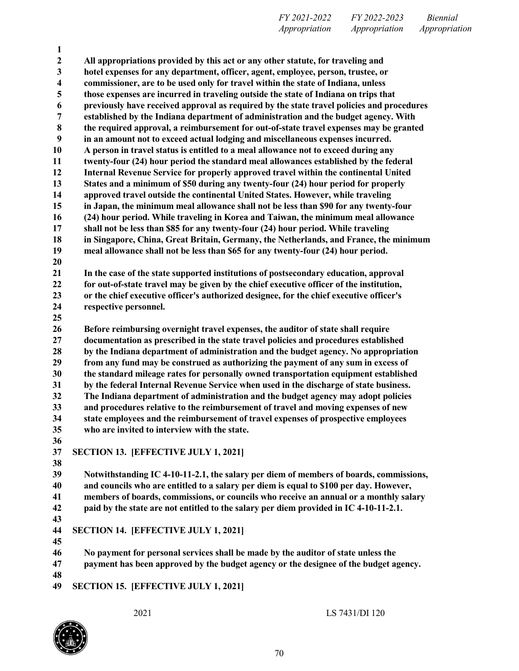**All appropriations provided by this act or any other statute, for traveling and hotel expenses for any department, officer, agent, employee, person, trustee, or commissioner, are to be used only for travel within the state of Indiana, unless those expenses are incurred in traveling outside the state of Indiana on trips that previously have received approval as required by the state travel policies and procedures established by the Indiana department of administration and the budget agency. With the required approval, a reimbursement for out-of-state travel expenses may be granted in an amount not to exceed actual lodging and miscellaneous expenses incurred. A person in travel status is entitled to a meal allowance not to exceed during any twenty-four (24) hour period the standard meal allowances established by the federal Internal Revenue Service for properly approved travel within the continental United States and a minimum of \$50 during any twenty-four (24) hour period for properly approved travel outside the continental United States. However, while traveling in Japan, the minimum meal allowance shall not be less than \$90 for any twenty-four (24) hour period. While traveling in Korea and Taiwan, the minimum meal allowance shall not be less than \$85 for any twenty-four (24) hour period. While traveling in Singapore, China, Great Britain, Germany, the Netherlands, and France, the minimum meal allowance shall not be less than \$65 for any twenty-four (24) hour period. In the case of the state supported institutions of postsecondary education, approval for out-of-state travel may be given by the chief executive officer of the institution, or the chief executive officer's authorized designee, for the chief executive officer's respective personnel. Before reimbursing overnight travel expenses, the auditor of state shall require documentation as prescribed in the state travel policies and procedures established by the Indiana department of administration and the budget agency. No appropriation from any fund may be construed as authorizing the payment of any sum in excess of the standard mileage rates for personally owned transportation equipment established by the federal Internal Revenue Service when used in the discharge of state business. The Indiana department of administration and the budget agency may adopt policies and procedures relative to the reimbursement of travel and moving expenses of new state employees and the reimbursement of travel expenses of prospective employees who are invited to interview with the state. SECTION 13. [EFFECTIVE JULY 1, 2021] Notwithstanding IC 4-10-11-2.1, the salary per diem of members of boards, commissions, and councils who are entitled to a salary per diem is equal to \$100 per day. However, members of boards, commissions, or councils who receive an annual or a monthly salary paid by the state are not entitled to the salary per diem provided in IC 4-10-11-2.1. SECTION 14. [EFFECTIVE JULY 1, 2021] No payment for personal services shall be made by the auditor of state unless the payment has been approved by the budget agency or the designee of the budget agency. SECTION 15. [EFFECTIVE JULY 1, 2021]**

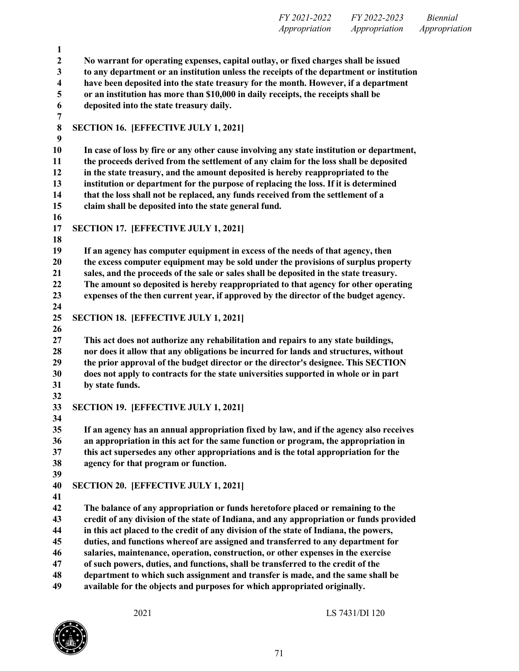|                  | Appropriation<br>Appropriation<br>Appropriation                                                                                                                          |  |
|------------------|--------------------------------------------------------------------------------------------------------------------------------------------------------------------------|--|
| $\mathbf{1}$     |                                                                                                                                                                          |  |
| $\boldsymbol{2}$ | No warrant for operating expenses, capital outlay, or fixed charges shall be issued                                                                                      |  |
| 3                | to any department or an institution unless the receipts of the department or institution                                                                                 |  |
| 4                | have been deposited into the state treasury for the month. However, if a department                                                                                      |  |
| 5                | or an institution has more than \$10,000 in daily receipts, the receipts shall be                                                                                        |  |
| 6                | deposited into the state treasury daily.                                                                                                                                 |  |
| 7                |                                                                                                                                                                          |  |
| $\bf 8$          | <b>SECTION 16. [EFFECTIVE JULY 1, 2021]</b>                                                                                                                              |  |
| 9                |                                                                                                                                                                          |  |
| <b>10</b>        | In case of loss by fire or any other cause involving any state institution or department,                                                                                |  |
| 11               | the proceeds derived from the settlement of any claim for the loss shall be deposited                                                                                    |  |
| 12               | in the state treasury, and the amount deposited is hereby reappropriated to the                                                                                          |  |
| 13<br>14         | institution or department for the purpose of replacing the loss. If it is determined<br>that the loss shall not be replaced, any funds received from the settlement of a |  |
| 15               |                                                                                                                                                                          |  |
| 16               | claim shall be deposited into the state general fund.                                                                                                                    |  |
| 17               | SECTION 17. [EFFECTIVE JULY 1, 2021]                                                                                                                                     |  |
| 18               |                                                                                                                                                                          |  |
| 19               | If an agency has computer equipment in excess of the needs of that agency, then                                                                                          |  |
| 20               | the excess computer equipment may be sold under the provisions of surplus property                                                                                       |  |
| 21               | sales, and the proceeds of the sale or sales shall be deposited in the state treasury.                                                                                   |  |
| 22               | The amount so deposited is hereby reappropriated to that agency for other operating                                                                                      |  |
| 23               | expenses of the then current year, if approved by the director of the budget agency.                                                                                     |  |
| 24               |                                                                                                                                                                          |  |
| 25               | <b>SECTION 18. [EFFECTIVE JULY 1, 2021]</b>                                                                                                                              |  |
| 26               |                                                                                                                                                                          |  |
| 27               | This act does not authorize any rehabilitation and repairs to any state buildings,                                                                                       |  |
| 28               | nor does it allow that any obligations be incurred for lands and structures, without                                                                                     |  |
| 29               | the prior approval of the budget director or the director's designee. This SECTION                                                                                       |  |
| 30               | does not apply to contracts for the state universities supported in whole or in part                                                                                     |  |
| 31               | by state funds.                                                                                                                                                          |  |
| 32               |                                                                                                                                                                          |  |
| 33               | SECTION 19. [EFFECTIVE JULY 1, 2021]                                                                                                                                     |  |
| 34               |                                                                                                                                                                          |  |
| 35               | If an agency has an annual appropriation fixed by law, and if the agency also receives                                                                                   |  |
| 36               | an appropriation in this act for the same function or program, the appropriation in                                                                                      |  |
| 37               | this act supersedes any other appropriations and is the total appropriation for the                                                                                      |  |
| 38               | agency for that program or function.                                                                                                                                     |  |
| 39               |                                                                                                                                                                          |  |
| 40<br>41         | <b>SECTION 20. [EFFECTIVE JULY 1, 2021]</b>                                                                                                                              |  |
| 42               | The balance of any appropriation or funds heretofore placed or remaining to the                                                                                          |  |
| 43               | credit of any division of the state of Indiana, and any appropriation or funds provided                                                                                  |  |
| 44               | in this act placed to the credit of any division of the state of Indiana, the powers,                                                                                    |  |
| 45               | duties, and functions whereof are assigned and transferred to any department for                                                                                         |  |
| 46               | salaries, maintenance, operation, construction, or other expenses in the exercise                                                                                        |  |
| 47               | of such powers, duties, and functions, shall be transferred to the credit of the                                                                                         |  |
| 48               | department to which such assignment and transfer is made, and the same shall be                                                                                          |  |
| 49               | available for the objects and purposes for which appropriated originally.                                                                                                |  |



*FY 2021-2022 FY 2022-2023 Biennial*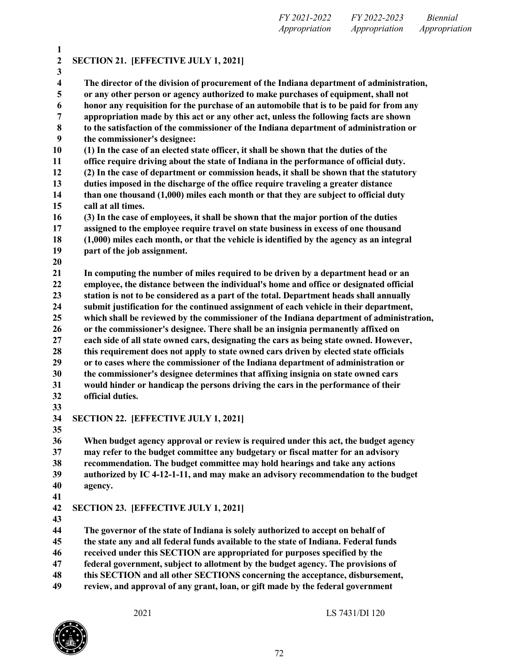| FY 2021-2022  | <i>FY 2022-2023</i> | <i>Biennial</i> |
|---------------|---------------------|-----------------|
| Appropriation | Appropriation       | Appropriation   |

| 1                       |                                                                                            |
|-------------------------|--------------------------------------------------------------------------------------------|
| $\boldsymbol{2}$        | <b>SECTION 21. [EFFECTIVE JULY 1, 2021]</b>                                                |
| 3                       |                                                                                            |
| $\overline{\mathbf{4}}$ | The director of the division of procurement of the Indiana department of administration,   |
| 5                       | or any other person or agency authorized to make purchases of equipment, shall not         |
| 6                       | honor any requisition for the purchase of an automobile that is to be paid for from any    |
| 7                       | appropriation made by this act or any other act, unless the following facts are shown      |
| 8                       | to the satisfaction of the commissioner of the Indiana department of administration or     |
| 9                       | the commissioner's designee:                                                               |
| 10                      | (1) In the case of an elected state officer, it shall be shown that the duties of the      |
| 11                      | office require driving about the state of Indiana in the performance of official duty.     |
| 12                      | (2) In the case of department or commission heads, it shall be shown that the statutory    |
| 13                      | duties imposed in the discharge of the office require traveling a greater distance         |
| 14                      | than one thousand (1,000) miles each month or that they are subject to official duty       |
| 15                      | call at all times.                                                                         |
| 16                      | (3) In the case of employees, it shall be shown that the major portion of the duties       |
| 17                      | assigned to the employee require travel on state business in excess of one thousand        |
| 18                      | $(1,000)$ miles each month, or that the vehicle is identified by the agency as an integral |
| 19                      | part of the job assignment.                                                                |
| 20                      |                                                                                            |
| 21                      | In computing the number of miles required to be driven by a department head or an          |
| 22                      | employee, the distance between the individual's home and office or designated official     |
| 23                      | station is not to be considered as a part of the total. Department heads shall annually    |
| 24                      | submit justification for the continued assignment of each vehicle in their department,     |
| 25                      | which shall be reviewed by the commissioner of the Indiana department of administration,   |
| 26                      | or the commissioner's designee. There shall be an insignia permanently affixed on          |
| 27                      | each side of all state owned cars, designating the cars as being state owned. However,     |
| 28                      | this requirement does not apply to state owned cars driven by elected state officials      |
| 29                      | or to cases where the commissioner of the Indiana department of administration or          |
| 30                      | the commissioner's designee determines that affixing insignia on state owned cars          |
| 31                      | would hinder or handicap the persons driving the cars in the performance of their          |
| 32                      | official duties.                                                                           |
| 33                      |                                                                                            |
| 34                      | <b>SECTION 22. [EFFECTIVE JULY 1, 2021]</b>                                                |
| 35                      |                                                                                            |
| 36                      | When budget agency approval or review is required under this act, the budget agency        |
| 37                      | may refer to the budget committee any budgetary or fiscal matter for an advisory           |
| 38                      | recommendation. The budget committee may hold hearings and take any actions                |
| 39                      | authorized by IC 4-12-1-11, and may make an advisory recommendation to the budget          |
| 40                      | agency.                                                                                    |
| 41<br>42                | <b>SECTION 23. [EFFECTIVE JULY 1, 2021]</b>                                                |
| 43                      |                                                                                            |
| 44                      | The governor of the state of Indiana is solely authorized to accept on behalf of           |
| 45                      | the state any and all federal funds available to the state of Indiana. Federal funds       |
| 46                      | received under this SECTION are appropriated for purposes specified by the                 |
| 47                      | federal government, subject to allotment by the budget agency. The provisions of           |
| 48                      | this SECTION and all other SECTIONS concerning the acceptance, disbursement,               |
| 49                      | review, and approval of any grant, loan, or gift made by the federal government            |
|                         |                                                                                            |

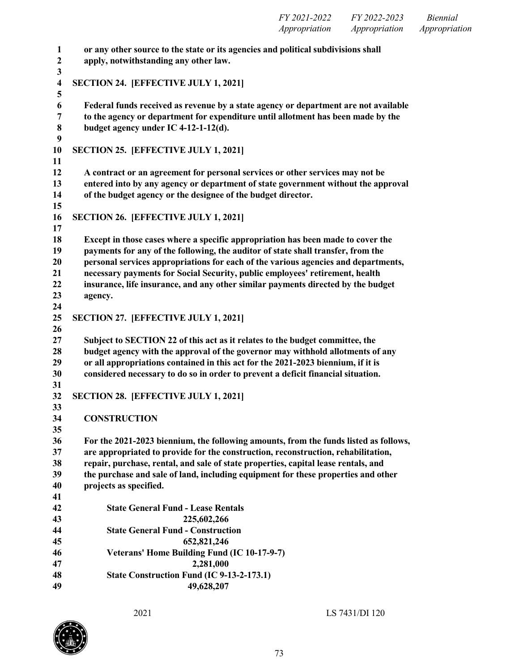|                  | FY 2021-2022 FY 2022-2023<br>Biennial<br><i>Appropriation Appropriation</i><br>Appropriation |
|------------------|----------------------------------------------------------------------------------------------|
| 1                | or any other source to the state or its agencies and political subdivisions shall            |
| $\boldsymbol{2}$ | apply, notwithstanding any other law.                                                        |
| 3                |                                                                                              |
| 4                | <b>SECTION 24. [EFFECTIVE JULY 1, 2021]</b>                                                  |
| 5                |                                                                                              |
| 6                | Federal funds received as revenue by a state agency or department are not available          |
| 7                | to the agency or department for expenditure until allotment has been made by the             |
| 8                | budget agency under IC 4-12-1-12(d).                                                         |
| 9                |                                                                                              |
| 10               | SECTION 25. [EFFECTIVE JULY 1, 2021]                                                         |
| 11               |                                                                                              |
| 12               | A contract or an agreement for personal services or other services may not be                |
| 13               | entered into by any agency or department of state government without the approval            |
| 14               | of the budget agency or the designee of the budget director.                                 |

**SECTION 26. [EFFECTIVE JULY 1, 2021]**

- **Except in those cases where a specific appropriation has been made to cover the payments for any of the following, the auditor of state shall transfer, from the personal services appropriations for each of the various agencies and departments, necessary payments for Social Security, public employees' retirement, health insurance, life insurance, and any other similar payments directed by the budget agency. SECTION 27. [EFFECTIVE JULY 1, 2021] Subject to SECTION 22 of this act as it relates to the budget committee, the budget agency with the approval of the governor may withhold allotments of any or all appropriations contained in this act for the 2021-2023 biennium, if it is considered necessary to do so in order to prevent a deficit financial situation.**
- **SECTION 28. [EFFECTIVE JULY 1, 2021]**
- **CONSTRUCTION**

- **For the 2021-2023 biennium, the following amounts, from the funds listed as follows, are appropriated to provide for the construction, reconstruction, rehabilitation, repair, purchase, rental, and sale of state properties, capital lease rentals, and the purchase and sale of land, including equipment for these properties and other projects as specified.**
- **State General Fund - Lease Rentals 225,602,266 State General Fund - Construction 652,821,246 Veterans' Home Building Fund (IC 10-17-9-7) 2,281,000 State Construction Fund (IC 9-13-2-173.1) 49,628,207**

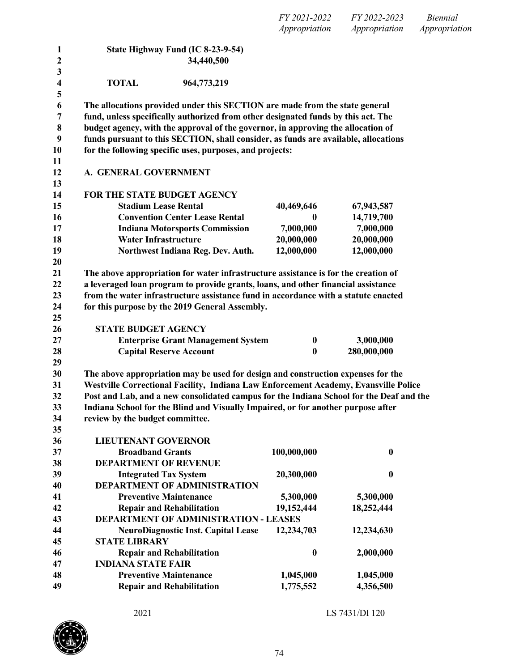*FY 2021-2022 FY 2022-2023 Biennial Appropriation Appropriation Appropriation*

| 1                       | State Highway Fund (IC 8-23-9-54)                                                       |                          |                          |
|-------------------------|-----------------------------------------------------------------------------------------|--------------------------|--------------------------|
| $\boldsymbol{2}$        | 34,440,500                                                                              |                          |                          |
| 3                       |                                                                                         |                          |                          |
| $\overline{\mathbf{4}}$ | 964,773,219<br><b>TOTAL</b>                                                             |                          |                          |
| 5                       |                                                                                         |                          |                          |
| 6                       | The allocations provided under this SECTION are made from the state general             |                          |                          |
| $\overline{7}$          | fund, unless specifically authorized from other designated funds by this act. The       |                          |                          |
| 8                       | budget agency, with the approval of the governor, in approving the allocation of        |                          |                          |
| 9                       | funds pursuant to this SECTION, shall consider, as funds are available, allocations     |                          |                          |
| 10                      | for the following specific uses, purposes, and projects:                                |                          |                          |
| 11                      |                                                                                         |                          |                          |
| 12                      | A. GENERAL GOVERNMENT                                                                   |                          |                          |
| 13                      | FOR THE STATE BUDGET AGENCY                                                             |                          |                          |
| 14                      | <b>Stadium Lease Rental</b>                                                             |                          |                          |
| 15                      | <b>Convention Center Lease Rental</b>                                                   | 40,469,646<br>0          | 67,943,587<br>14,719,700 |
| 16<br>17                | <b>Indiana Motorsports Commission</b>                                                   | 7,000,000                |                          |
| 18                      | <b>Water Infrastructure</b>                                                             |                          | 7,000,000                |
| 19                      |                                                                                         | 20,000,000<br>12,000,000 | 20,000,000<br>12,000,000 |
| 20                      | Northwest Indiana Reg. Dev. Auth.                                                       |                          |                          |
| 21                      | The above appropriation for water infrastructure assistance is for the creation of      |                          |                          |
| 22                      | a leveraged loan program to provide grants, loans, and other financial assistance       |                          |                          |
| 23                      | from the water infrastructure assistance fund in accordance with a statute enacted      |                          |                          |
| 24                      | for this purpose by the 2019 General Assembly.                                          |                          |                          |
| 25                      |                                                                                         |                          |                          |
| 26                      | <b>STATE BUDGET AGENCY</b>                                                              |                          |                          |
| 27                      | <b>Enterprise Grant Management System</b>                                               | $\boldsymbol{0}$         | 3,000,000                |
| 28                      | <b>Capital Reserve Account</b>                                                          | $\bf{0}$                 | 280,000,000              |
| 29                      |                                                                                         |                          |                          |
| 30                      | The above appropriation may be used for design and construction expenses for the        |                          |                          |
| 31                      | Westville Correctional Facility, Indiana Law Enforcement Academy, Evansville Police     |                          |                          |
| 32                      | Post and Lab, and a new consolidated campus for the Indiana School for the Deaf and the |                          |                          |
| 33                      | Indiana School for the Blind and Visually Impaired, or for another purpose after        |                          |                          |
| 34                      | review by the budget committee.                                                         |                          |                          |
| 35                      |                                                                                         |                          |                          |
| 36                      | <b>LIEUTENANT GOVERNOR</b>                                                              |                          |                          |
| 37                      | <b>Broadband Grants</b>                                                                 | 100,000,000              | $\bf{0}$                 |
| 38                      | <b>DEPARTMENT OF REVENUE</b>                                                            |                          |                          |
| 39                      | <b>Integrated Tax System</b>                                                            | 20,300,000               | $\bf{0}$                 |
| 40                      | <b>DEPARTMENT OF ADMINISTRATION</b>                                                     |                          |                          |
| 41                      | <b>Preventive Maintenance</b>                                                           | 5,300,000                | 5,300,000                |
| 42                      | <b>Repair and Rehabilitation</b>                                                        | 19,152,444               | 18,252,444               |
| 43                      | <b>DEPARTMENT OF ADMINISTRATION - LEASES</b>                                            |                          |                          |
| 44                      | <b>NeuroDiagnostic Inst. Capital Lease</b>                                              | 12,234,703               | 12,234,630               |
| 45                      | <b>STATE LIBRARY</b>                                                                    |                          |                          |
| 46                      | <b>Repair and Rehabilitation</b>                                                        | $\bf{0}$                 | 2,000,000                |
| 47                      | <b>INDIANA STATE FAIR</b>                                                               |                          |                          |
| 48                      | <b>Preventive Maintenance</b>                                                           | 1,045,000                | 1,045,000                |
| 49                      | <b>Repair and Rehabilitation</b>                                                        | 1,775,552                | 4,356,500                |
|                         |                                                                                         |                          |                          |

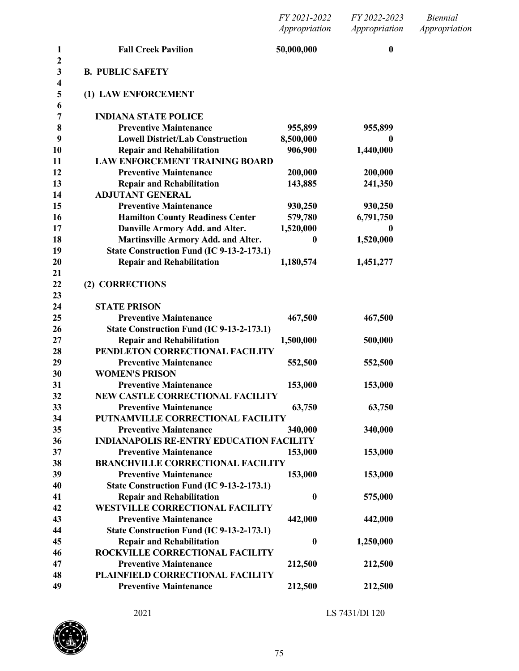| FY 2021-2022  | FY 2022-2023  | <i>Biennial</i> |
|---------------|---------------|-----------------|
| Appropriation | Appropriation | Appropriation   |

| 1<br>$\mathbf{2}$                       | <b>Fall Creek Pavilion</b>                      | 50,000,000       | $\bf{0}$  |
|-----------------------------------------|-------------------------------------------------|------------------|-----------|
| $\mathbf{3}$<br>$\overline{\mathbf{4}}$ | <b>B. PUBLIC SAFETY</b>                         |                  |           |
| 5<br>6                                  | (1) LAW ENFORCEMENT                             |                  |           |
| 7                                       | <b>INDIANA STATE POLICE</b>                     |                  |           |
| 8                                       | <b>Preventive Maintenance</b>                   | 955,899          | 955,899   |
| 9                                       | <b>Lowell District/Lab Construction</b>         | 8,500,000        | 0         |
| 10                                      | <b>Repair and Rehabilitation</b>                | 906,900          | 1,440,000 |
| 11                                      | <b>LAW ENFORCEMENT TRAINING BOARD</b>           |                  |           |
| 12                                      | <b>Preventive Maintenance</b>                   | 200,000          | 200,000   |
| 13                                      | <b>Repair and Rehabilitation</b>                | 143,885          | 241,350   |
| 14                                      | <b>ADJUTANT GENERAL</b>                         |                  |           |
| 15                                      | <b>Preventive Maintenance</b>                   | 930,250          | 930,250   |
| 16                                      | <b>Hamilton County Readiness Center</b>         | 579,780          | 6,791,750 |
| 17                                      | Danville Armory Add. and Alter.                 | 1,520,000        | 0         |
| 18                                      | Martinsville Armory Add. and Alter.             | $\boldsymbol{0}$ | 1,520,000 |
| 19                                      | State Construction Fund (IC 9-13-2-173.1)       |                  |           |
| 20                                      | <b>Repair and Rehabilitation</b>                | 1,180,574        | 1,451,277 |
| 21                                      |                                                 |                  |           |
| 22<br>23                                | (2) CORRECTIONS                                 |                  |           |
| 24                                      | <b>STATE PRISON</b>                             |                  |           |
| 25                                      | <b>Preventive Maintenance</b>                   | 467,500          | 467,500   |
| 26                                      | State Construction Fund (IC 9-13-2-173.1)       |                  |           |
| 27                                      | <b>Repair and Rehabilitation</b>                | 1,500,000        | 500,000   |
| 28                                      | PENDLETON CORRECTIONAL FACILITY                 |                  |           |
| 29                                      | <b>Preventive Maintenance</b>                   | 552,500          | 552,500   |
| 30                                      | <b>WOMEN'S PRISON</b>                           |                  |           |
| 31                                      | <b>Preventive Maintenance</b>                   | 153,000          | 153,000   |
| 32                                      | <b>NEW CASTLE CORRECTIONAL FACILITY</b>         |                  |           |
| 33                                      | <b>Preventive Maintenance</b>                   | 63,750           | 63,750    |
| 34                                      | PUTNAMVILLE CORRECTIONAL FACILITY               |                  |           |
| 35                                      | <b>Preventive Maintenance</b>                   | 340,000          | 340,000   |
| 36                                      | <b>INDIANAPOLIS RE-ENTRY EDUCATION FACILITY</b> |                  |           |
| 37                                      | <b>Preventive Maintenance</b>                   | 153,000          | 153,000   |
| 38                                      | <b>BRANCHVILLE CORRECTIONAL FACILITY</b>        |                  |           |
| 39                                      | <b>Preventive Maintenance</b>                   | 153,000          | 153,000   |
| 40                                      | State Construction Fund (IC 9-13-2-173.1)       |                  |           |
| 41                                      | <b>Repair and Rehabilitation</b>                | $\boldsymbol{0}$ | 575,000   |
| 42                                      | <b>WESTVILLE CORRECTIONAL FACILITY</b>          |                  |           |
| 43                                      | <b>Preventive Maintenance</b>                   | 442,000          | 442,000   |
| 44                                      | State Construction Fund (IC 9-13-2-173.1)       |                  |           |
| 45                                      | <b>Repair and Rehabilitation</b>                | $\boldsymbol{0}$ | 1,250,000 |
| 46                                      | ROCKVILLE CORRECTIONAL FACILITY                 |                  |           |
| 47                                      | <b>Preventive Maintenance</b>                   | 212,500          | 212,500   |
| 48                                      | PLAINFIELD CORRECTIONAL FACILITY                |                  |           |
| 49                                      | <b>Preventive Maintenance</b>                   | 212,500          | 212,500   |

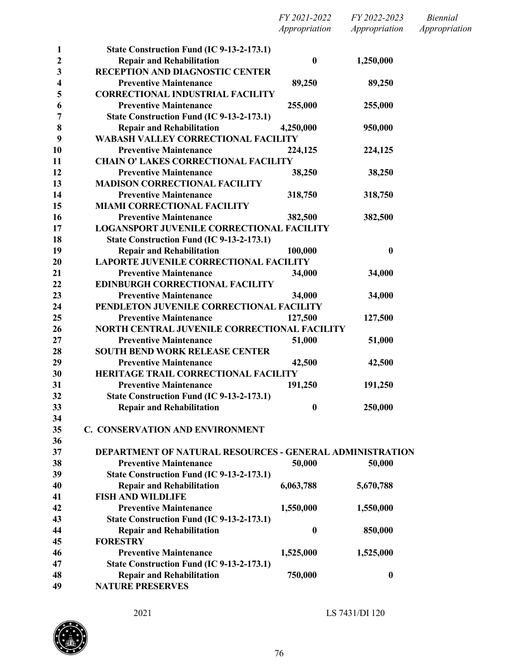|                  |                                                                 | FY 2021-2022     | FY 2022-2023     | <b>Biennial</b> |
|------------------|-----------------------------------------------------------------|------------------|------------------|-----------------|
|                  |                                                                 | Appropriation    | Appropriation    | Appropriation   |
| $\mathbf{1}$     | State Construction Fund (IC 9-13-2-173.1)                       |                  |                  |                 |
| $\boldsymbol{2}$ | <b>Repair and Rehabilitation</b>                                | $\bf{0}$         | 1,250,000        |                 |
| 3                | RECEPTION AND DIAGNOSTIC CENTER                                 |                  |                  |                 |
| 4                | <b>Preventive Maintenance</b>                                   | 89,250           | 89,250           |                 |
| 5                | <b>CORRECTIONAL INDUSTRIAL FACILITY</b>                         |                  |                  |                 |
| 6                | <b>Preventive Maintenance</b>                                   | 255,000          | 255,000          |                 |
| 7                | State Construction Fund (IC 9-13-2-173.1)                       |                  |                  |                 |
| 8                | <b>Repair and Rehabilitation</b>                                | 4,250,000        | 950,000          |                 |
| 9                | <b>WABASH VALLEY CORRECTIONAL FACILITY</b>                      |                  |                  |                 |
| 10               | <b>Preventive Maintenance</b>                                   | 224,125          | 224,125          |                 |
| 11               | <b>CHAIN O' LAKES CORRECTIONAL FACILITY</b>                     |                  |                  |                 |
| 12               | <b>Preventive Maintenance</b>                                   | 38,250           | 38,250           |                 |
| 13               | <b>MADISON CORRECTIONAL FACILITY</b>                            |                  |                  |                 |
| 14               | <b>Preventive Maintenance</b>                                   | 318,750          | 318,750          |                 |
| 15               | <b>MIAMI CORRECTIONAL FACILITY</b>                              |                  |                  |                 |
| 16               | <b>Preventive Maintenance</b>                                   | 382,500          | 382,500          |                 |
| 17               | <b>LOGANSPORT JUVENILE CORRECTIONAL FACILITY</b>                |                  |                  |                 |
| 18               | State Construction Fund (IC 9-13-2-173.1)                       |                  |                  |                 |
| 19               | <b>Repair and Rehabilitation</b>                                | 100,000          | $\bf{0}$         |                 |
| 20               | <b>LAPORTE JUVENILE CORRECTIONAL FACILITY</b>                   |                  |                  |                 |
| 21               | <b>Preventive Maintenance</b>                                   | 34,000           | 34,000           |                 |
| 22               | <b>EDINBURGH CORRECTIONAL FACILITY</b>                          |                  |                  |                 |
| 23               | <b>Preventive Maintenance</b>                                   | 34,000           | 34,000           |                 |
| 24               | PENDLETON JUVENILE CORRECTIONAL FACILITY                        |                  |                  |                 |
| 25               | <b>Preventive Maintenance</b>                                   | 127,500          | 127,500          |                 |
| 26               | NORTH CENTRAL JUVENILE CORRECTIONAL FACILITY                    |                  |                  |                 |
| 27               | <b>Preventive Maintenance</b>                                   | 51,000           | 51,000           |                 |
| 28               | <b>SOUTH BEND WORK RELEASE CENTER</b>                           |                  |                  |                 |
| 29               | <b>Preventive Maintenance</b>                                   | 42,500           | 42,500           |                 |
| 30               | HERITAGE TRAIL CORRECTIONAL FACILITY                            |                  |                  |                 |
| 31               | <b>Preventive Maintenance</b>                                   | 191,250          | 191,250          |                 |
| 32               | State Construction Fund (IC 9-13-2-173.1)                       |                  |                  |                 |
| 33               | <b>Repair and Rehabilitation</b>                                | 0                | 250,000          |                 |
| 34               |                                                                 |                  |                  |                 |
| 35               | <b>C. CONSERVATION AND ENVIRONMENT</b>                          |                  |                  |                 |
| 36               |                                                                 |                  |                  |                 |
| 37               | <b>DEPARTMENT OF NATURAL RESOURCES - GENERAL ADMINISTRATION</b> |                  |                  |                 |
| 38               | <b>Preventive Maintenance</b>                                   | 50,000           | 50,000           |                 |
| 39               | State Construction Fund (IC 9-13-2-173.1)                       |                  |                  |                 |
| 40               | <b>Repair and Rehabilitation</b>                                | 6,063,788        | 5,670,788        |                 |
| 41               | <b>FISH AND WILDLIFE</b>                                        |                  |                  |                 |
| 42               | <b>Preventive Maintenance</b>                                   | 1,550,000        | 1,550,000        |                 |
| 43               | State Construction Fund (IC 9-13-2-173.1)                       |                  |                  |                 |
| 44               | <b>Repair and Rehabilitation</b>                                | $\boldsymbol{0}$ | 850,000          |                 |
| 45               | <b>FORESTRY</b>                                                 |                  |                  |                 |
| 46               | <b>Preventive Maintenance</b>                                   | 1,525,000        | 1,525,000        |                 |
| 47               | State Construction Fund (IC 9-13-2-173.1)                       |                  |                  |                 |
| 48               | <b>Repair and Rehabilitation</b>                                | 750,000          | $\boldsymbol{0}$ |                 |
| 49               | <b>NATURE PRESERVES</b>                                         |                  |                  |                 |

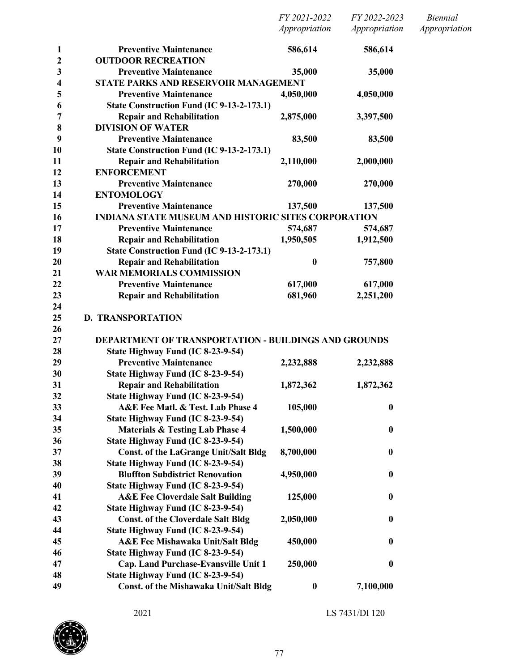| 1                       | <b>Preventive Maintenance</b>                                                     | 586,614          | 586,614          |
|-------------------------|-----------------------------------------------------------------------------------|------------------|------------------|
| $\overline{2}$          | <b>OUTDOOR RECREATION</b>                                                         |                  |                  |
| 3                       | <b>Preventive Maintenance</b>                                                     | 35,000           | 35,000           |
| $\overline{\mathbf{4}}$ | STATE PARKS AND RESERVOIR MANAGEMENT                                              |                  |                  |
| 5                       | <b>Preventive Maintenance</b>                                                     | 4,050,000        | 4,050,000        |
| 6                       | State Construction Fund (IC 9-13-2-173.1)                                         |                  |                  |
| 7                       | <b>Repair and Rehabilitation</b>                                                  | 2,875,000        | 3,397,500        |
| 8                       | <b>DIVISION OF WATER</b>                                                          |                  |                  |
| 9                       | <b>Preventive Maintenance</b>                                                     | 83,500           | 83,500           |
| 10                      | State Construction Fund (IC 9-13-2-173.1)                                         |                  |                  |
| 11                      | <b>Repair and Rehabilitation</b>                                                  | 2,110,000        | 2,000,000        |
| 12                      | <b>ENFORCEMENT</b>                                                                |                  |                  |
| 13                      | <b>Preventive Maintenance</b>                                                     | 270,000          | 270,000          |
| 14                      | <b>ENTOMOLOGY</b>                                                                 |                  |                  |
| 15                      | <b>Preventive Maintenance</b>                                                     | 137,500          | 137,500          |
| 16                      | <b>INDIANA STATE MUSEUM AND HISTORIC SITES CORPORATION</b>                        |                  |                  |
| 17                      | <b>Preventive Maintenance</b>                                                     | 574,687          | 574,687          |
| 18                      | <b>Repair and Rehabilitation</b>                                                  | 1,950,505        | 1,912,500        |
| 19                      | State Construction Fund (IC 9-13-2-173.1)                                         |                  |                  |
| 20                      | <b>Repair and Rehabilitation</b>                                                  | $\bf{0}$         | 757,800          |
| 21                      | <b>WAR MEMORIALS COMMISSION</b>                                                   |                  |                  |
| 22                      | <b>Preventive Maintenance</b>                                                     | 617,000          | 617,000          |
| 23                      | <b>Repair and Rehabilitation</b>                                                  | 681,960          | 2,251,200        |
| 24                      |                                                                                   |                  |                  |
| 25                      | <b>D. TRANSPORTATION</b>                                                          |                  |                  |
| 26<br>27                | <b>DEPARTMENT OF TRANSPORTATION - BUILDINGS AND GROUNDS</b>                       |                  |                  |
| 28                      |                                                                                   |                  |                  |
| 29                      | State Highway Fund (IC 8-23-9-54)<br><b>Preventive Maintenance</b>                |                  |                  |
| 30                      | State Highway Fund (IC 8-23-9-54)                                                 | 2,232,888        | 2,232,888        |
| 31                      |                                                                                   |                  |                  |
|                         | <b>Repair and Rehabilitation</b>                                                  | 1,872,362        | 1,872,362        |
| 32<br>33                | State Highway Fund (IC 8-23-9-54)<br>A&E Fee Matl. & Test. Lab Phase 4            | 105,000          |                  |
| 34                      |                                                                                   |                  | $\boldsymbol{0}$ |
|                         | State Highway Fund (IC 8-23-9-54)                                                 |                  |                  |
| 35                      | <b>Materials &amp; Testing Lab Phase 4</b>                                        | 1,500,000        | $\boldsymbol{0}$ |
| 36<br>37                | State Highway Fund (IC 8-23-9-54)                                                 |                  |                  |
|                         | <b>Const. of the LaGrange Unit/Salt Bldg</b><br>State Highway Fund (IC 8-23-9-54) | 8,700,000        | $\boldsymbol{0}$ |
| 38<br>39                | <b>Bluffton Subdistrict Renovation</b>                                            | 4,950,000        |                  |
| 40                      |                                                                                   |                  | $\boldsymbol{0}$ |
| 41                      | State Highway Fund (IC 8-23-9-54)                                                 |                  |                  |
| 42                      | <b>A&amp;E Fee Cloverdale Salt Building</b>                                       | 125,000          | $\boldsymbol{0}$ |
| 43                      | State Highway Fund (IC 8-23-9-54)                                                 |                  |                  |
| 44                      | <b>Const. of the Cloverdale Salt Bldg</b>                                         | 2,050,000        | $\bf{0}$         |
| 45                      | State Highway Fund (IC 8-23-9-54)                                                 |                  |                  |
| 46                      | <b>A&amp;E Fee Mishawaka Unit/Salt Bldg</b>                                       | 450,000          | $\boldsymbol{0}$ |
| 47                      | State Highway Fund (IC 8-23-9-54)                                                 |                  | $\boldsymbol{0}$ |
| 48                      | Cap. Land Purchase-Evansville Unit 1<br>State Highway Fund (IC 8-23-9-54)         | 250,000          |                  |
| 49                      | Const. of the Mishawaka Unit/Salt Bldg                                            |                  |                  |
|                         |                                                                                   | $\boldsymbol{0}$ | 7,100,000        |

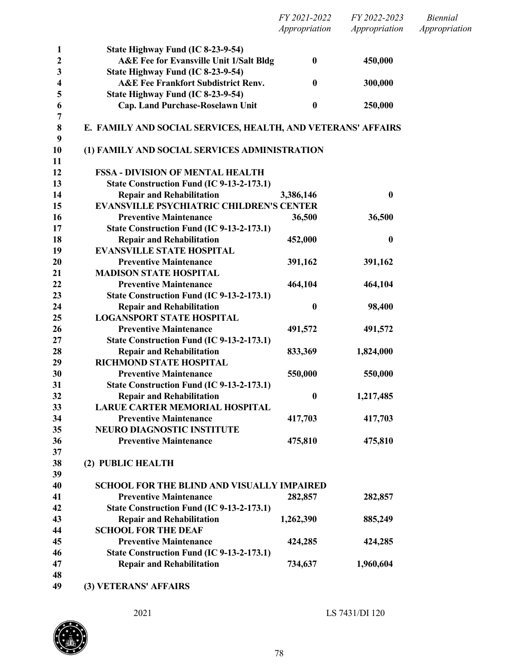|                  |                                                              | FY 2021-2022     | FY 2022-2023     | Biennial      |
|------------------|--------------------------------------------------------------|------------------|------------------|---------------|
|                  |                                                              | Appropriation    | Appropriation    | Appropriation |
| $\mathbf{1}$     | State Highway Fund (IC 8-23-9-54)                            |                  |                  |               |
| $\boldsymbol{2}$ | <b>A&amp;E Fee for Evansville Unit 1/Salt Bldg</b>           | $\bf{0}$         | 450,000          |               |
| 3                | State Highway Fund (IC 8-23-9-54)                            |                  |                  |               |
| 4                | <b>A&amp;E Fee Frankfort Subdistrict Renv.</b>               | $\bf{0}$         | 300,000          |               |
| 5                | State Highway Fund (IC 8-23-9-54)                            |                  |                  |               |
| 6                | Cap. Land Purchase-Roselawn Unit                             | $\boldsymbol{0}$ | 250,000          |               |
| 7                |                                                              |                  |                  |               |
| $\bf 8$          | E. FAMILY AND SOCIAL SERVICES, HEALTH, AND VETERANS' AFFAIRS |                  |                  |               |
| 9                |                                                              |                  |                  |               |
| 10               | (1) FAMILY AND SOCIAL SERVICES ADMINISTRATION                |                  |                  |               |
| 11               |                                                              |                  |                  |               |
| 12               | <b>FSSA - DIVISION OF MENTAL HEALTH</b>                      |                  |                  |               |
| 13               | State Construction Fund (IC 9-13-2-173.1)                    |                  |                  |               |
| 14               | <b>Repair and Rehabilitation</b>                             | 3,386,146        | $\boldsymbol{0}$ |               |
| 15               | <b>EVANSVILLE PSYCHIATRIC CHILDREN'S CENTER</b>              |                  |                  |               |
| 16               | <b>Preventive Maintenance</b>                                | 36,500           | 36,500           |               |
| 17               | State Construction Fund (IC 9-13-2-173.1)                    |                  |                  |               |
| 18               | <b>Repair and Rehabilitation</b>                             | 452,000          | $\boldsymbol{0}$ |               |
| 19               | <b>EVANSVILLE STATE HOSPITAL</b>                             |                  |                  |               |
| 20               | <b>Preventive Maintenance</b>                                | 391,162          | 391,162          |               |
| 21               | <b>MADISON STATE HOSPITAL</b>                                |                  |                  |               |
| 22               | <b>Preventive Maintenance</b>                                | 464,104          | 464,104          |               |
| 23               | State Construction Fund (IC 9-13-2-173.1)                    |                  |                  |               |
| 24               | <b>Repair and Rehabilitation</b>                             | $\boldsymbol{0}$ | 98,400           |               |
| 25               | <b>LOGANSPORT STATE HOSPITAL</b>                             |                  |                  |               |
| 26               | <b>Preventive Maintenance</b>                                | 491,572          | 491,572          |               |
| 27               | State Construction Fund (IC 9-13-2-173.1)                    |                  |                  |               |
| 28               | <b>Repair and Rehabilitation</b>                             | 833,369          | 1,824,000        |               |
| 29               | RICHMOND STATE HOSPITAL                                      |                  |                  |               |
| 30               | <b>Preventive Maintenance</b>                                | 550,000          | 550,000          |               |
| 31               | State Construction Fund (IC 9-13-2-173.1)                    |                  |                  |               |
| 32               | <b>Repair and Rehabilitation</b>                             | $\boldsymbol{0}$ | 1,217,485        |               |
| 33               | <b>LARUE CARTER MEMORIAL HOSPITAL</b>                        |                  |                  |               |
| 34               | <b>Preventive Maintenance</b>                                | 417,703          | 417,703          |               |
| 35               | <b>NEURO DIAGNOSTIC INSTITUTE</b>                            |                  |                  |               |
| 36               | <b>Preventive Maintenance</b>                                | 475,810          | 475,810          |               |
| 37               |                                                              |                  |                  |               |
| 38               | (2) PUBLIC HEALTH                                            |                  |                  |               |
| 39               |                                                              |                  |                  |               |
| 40               | <b>SCHOOL FOR THE BLIND AND VISUALLY IMPAIRED</b>            |                  |                  |               |
| 41               | <b>Preventive Maintenance</b>                                | 282,857          | 282,857          |               |
| 42               | State Construction Fund (IC 9-13-2-173.1)                    |                  |                  |               |
| 43               | <b>Repair and Rehabilitation</b>                             | 1,262,390        | 885,249          |               |
| 44               | <b>SCHOOL FOR THE DEAF</b>                                   |                  |                  |               |
| 45               | <b>Preventive Maintenance</b>                                | 424,285          | 424,285          |               |
| 46               | State Construction Fund (IC 9-13-2-173.1)                    |                  |                  |               |
| 47               | <b>Repair and Rehabilitation</b>                             | 734,637          | 1,960,604        |               |
| 48               |                                                              |                  |                  |               |
| 49               | (3) VETERANS' AFFAIRS                                        |                  |                  |               |

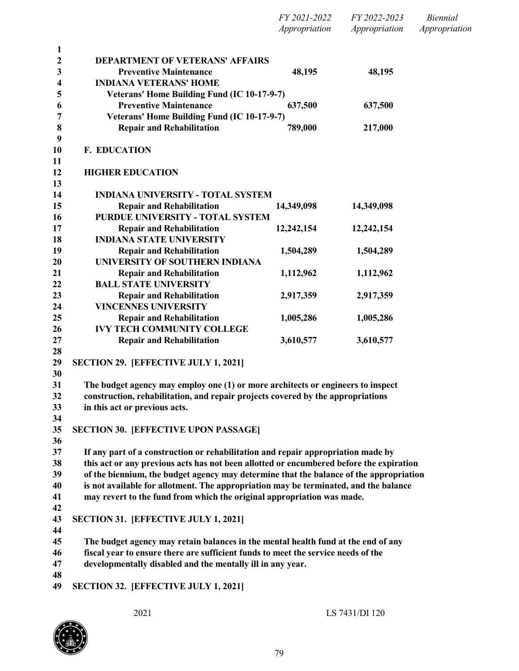|          |                                                                                         | FY 2021-2022<br>Appropriation | FY 2022-2023<br>Appropriation | <i>Biennial</i><br>Appropriation |
|----------|-----------------------------------------------------------------------------------------|-------------------------------|-------------------------------|----------------------------------|
| 1        |                                                                                         |                               |                               |                                  |
| 2        | <b>DEPARTMENT OF VETERANS' AFFAIRS</b>                                                  |                               |                               |                                  |
| 3        | <b>Preventive Maintenance</b>                                                           | 48,195                        | 48,195                        |                                  |
| 4        | <b>INDIANA VETERANS' HOME</b>                                                           |                               |                               |                                  |
| 5        | Veterans' Home Building Fund (IC 10-17-9-7)                                             |                               |                               |                                  |
| 6        | <b>Preventive Maintenance</b>                                                           | 637,500                       | 637,500                       |                                  |
| 7        | Veterans' Home Building Fund (IC 10-17-9-7)                                             |                               |                               |                                  |
| 8<br>9   | <b>Repair and Rehabilitation</b>                                                        | 789,000                       | 217,000                       |                                  |
| 10<br>11 | <b>F. EDUCATION</b>                                                                     |                               |                               |                                  |
| 12<br>13 | <b>HIGHER EDUCATION</b>                                                                 |                               |                               |                                  |
| 14       | <b>INDIANA UNIVERSITY - TOTAL SYSTEM</b>                                                |                               |                               |                                  |
| 15       | <b>Repair and Rehabilitation</b>                                                        | 14,349,098                    | 14,349,098                    |                                  |
| 16       | <b>PURDUE UNIVERSITY - TOTAL SYSTEM</b>                                                 |                               |                               |                                  |
| 17       | <b>Repair and Rehabilitation</b>                                                        | 12,242,154                    | 12,242,154                    |                                  |
| 18       | <b>INDIANA STATE UNIVERSITY</b>                                                         |                               |                               |                                  |
| 19       | <b>Repair and Rehabilitation</b>                                                        | 1,504,289                     | 1,504,289                     |                                  |
| 20       | UNIVERSITY OF SOUTHERN INDIANA                                                          |                               |                               |                                  |
| 21       | <b>Repair and Rehabilitation</b>                                                        | 1,112,962                     | 1,112,962                     |                                  |
| 22       | <b>BALL STATE UNIVERSITY</b>                                                            |                               |                               |                                  |
| 23       | <b>Repair and Rehabilitation</b>                                                        | 2,917,359                     | 2,917,359                     |                                  |
| 24       | <b>VINCENNES UNIVERSITY</b>                                                             |                               |                               |                                  |
| 25       | <b>Repair and Rehabilitation</b><br><b>IVY TECH COMMUNITY COLLEGE</b>                   | 1,005,286                     | 1,005,286                     |                                  |
| 26       |                                                                                         |                               |                               |                                  |
| 27<br>28 | <b>Repair and Rehabilitation</b>                                                        | 3,610,577                     | 3,610,577                     |                                  |
| 29       | <b>SECTION 29. [EFFECTIVE JULY 1, 2021]</b>                                             |                               |                               |                                  |
| 30       |                                                                                         |                               |                               |                                  |
| 31       | The budget agency may employ one (1) or more architects or engineers to inspect         |                               |                               |                                  |
| 32       | construction, rehabilitation, and repair projects covered by the appropriations         |                               |                               |                                  |
| 33       | in this act or previous acts.                                                           |                               |                               |                                  |
| 34       |                                                                                         |                               |                               |                                  |
| 35       | <b>SECTION 30. [EFFECTIVE UPON PASSAGE]</b>                                             |                               |                               |                                  |
| 36       |                                                                                         |                               |                               |                                  |
| 37       | If any part of a construction or rehabilitation and repair appropriation made by        |                               |                               |                                  |
| 38       | this act or any previous acts has not been allotted or encumbered before the expiration |                               |                               |                                  |
| 39       | of the biennium, the budget agency may determine that the balance of the appropriation  |                               |                               |                                  |
| 40       | is not available for allotment. The appropriation may be terminated, and the balance    |                               |                               |                                  |
| 41       | may revert to the fund from which the original appropriation was made.                  |                               |                               |                                  |
| 42       |                                                                                         |                               |                               |                                  |
| 43       | <b>SECTION 31. [EFFECTIVE JULY 1, 2021]</b>                                             |                               |                               |                                  |
| 44       |                                                                                         |                               |                               |                                  |
| 45       | The budget agency may retain balances in the mental health fund at the end of any       |                               |                               |                                  |
| 46       | fiscal year to ensure there are sufficient funds to meet the service needs of the       |                               |                               |                                  |

- **developmentally disabled and the mentally ill in any year.**
- 

**SECTION 32. [EFFECTIVE JULY 1, 2021]**

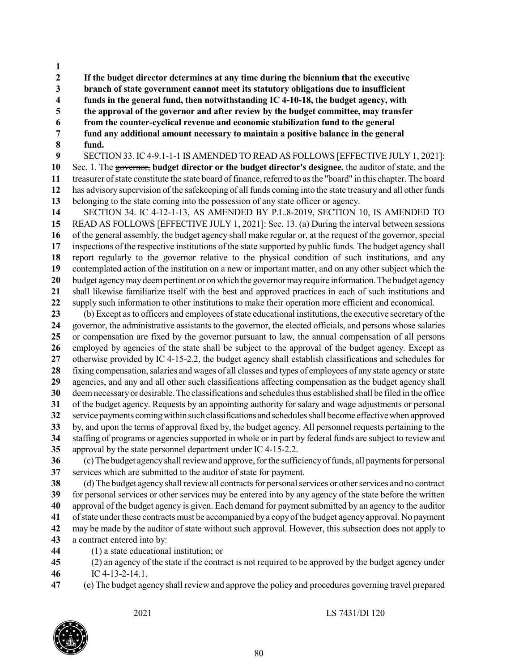**If the budget director determines at any time during the biennium that the executive branch of state government cannot meet its statutory obligations due to insufficient funds in the general fund, then notwithstanding IC 4-10-18, the budget agency, with the approval of the governor and after review by the budget committee, may transfer from the counter-cyclical revenue and economic stabilization fund to the general fund any additional amount necessary to maintain a positive balance in the general fund.** SECTION 33. IC4-9.1-1-1 IS AMENDED TO READ AS FOLLOWS [EFFECTIVE JULY 1, 2021]: Sec. 1. The governor, **budget director or the budget director's designee,** the auditor of state, and the treasurer of state constitute the state board of finance, referred to as the "board" in this chapter. The board has advisory supervision of the safekeeping of all funds coming into the state treasury and all other funds belonging to the state coming into the possession of any state officer or agency. SECTION 34. IC 4-12-1-13, AS AMENDED BY P.L.8-2019, SECTION 10, IS AMENDED TO READ AS FOLLOWS [EFFECTIVE JULY 1, 2021]: Sec. 13. (a) During the interval between sessions of the general assembly, the budget agency shall make regular or, at the request of the governor, special inspections of the respective institutions of the state supported by public funds. The budget agency shall report regularly to the governor relative to the physical condition of such institutions, and any contemplated action of the institution on a new or important matter, and on any other subject which the budget agencymaydeempertinent or on which the governormayrequire information.The budget agency shall likewise familiarize itself with the best and approved practices in each of such institutions and supply such information to other institutions to make their operation more efficient and economical. (b) Except asto officers and employees ofstate educational institutions, the executive secretary of the governor, the administrative assistants to the governor, the elected officials, and persons whose salaries or compensation are fixed by the governor pursuant to law, the annual compensation of all persons employed by agencies of the state shall be subject to the approval of the budget agency. Except as otherwise provided by IC 4-15-2.2, the budget agency shall establish classifications and schedules for fixing compensation, salaries and wages of all classes and types of employees of any state agency or state agencies, and any and all other such classifications affecting compensation as the budget agency shall deemnecessaryor desirable.The classifications and schedulesthus established shall be filed in the office of the budget agency. Requests by an appointing authority for salary and wage adjustments or personal service payments coming within such classifications and schedules shall become effective when approved by, and upon the terms of approval fixed by, the budget agency. All personnel requests pertaining to the staffing of programs or agencies supported in whole or in part by federal funds are subject to review and approval by the state personnel department under IC 4-15-2.2. (c) The budget agency shall review and approve, for the sufficiency of funds, all payments for personal services which are submitted to the auditor of state for payment. (d) The budget agency shall review all contracts for personal services or other services and no contract for personal services or other services may be entered into by any agency of the state before the written

 approval of the budget agency is given. Each demand for payment submitted by an agency to the auditor of state under these contracts must be accompanied by a copy of the budget agency approval. No payment may be made by the auditor of state without such approval. However, this subsection does not apply to a contract entered into by:

- (1) a state educational institution; or
- (2) an agency of the state if the contract is not required to be approved by the budget agency under IC 4-13-2-14.1.
- (e) The budget agency shall review and approve the policy and procedures governing travel prepared

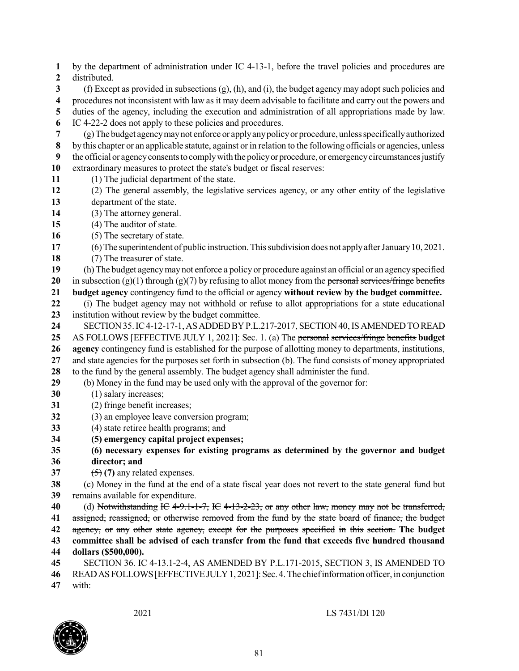by the department of administration under IC 4-13-1, before the travel policies and procedures are distributed. (f) Except as provided in subsections (g), (h), and (i), the budget agency may adopt such policies and procedures not inconsistent with law as it may deem advisable to facilitate and carry out the powers and duties of the agency, including the execution and administration of all appropriations made by law. IC 4-22-2 does not apply to these policies and procedures. (g)The budget agencymaynot enforce or applyanypolicyor procedure, unlessspecificallyauthorized by this chapter or an applicable statute, against or in relation to the following officials or agencies, unless the official or agency consents to comply with the policy or procedure, or emergency circumstances justify extraordinary measures to protect the state's budget or fiscal reserves: (1) The judicial department of the state. (2) The general assembly, the legislative services agency, or any other entity of the legislative department of the state. (3) The attorney general. (4) The auditor of state. (5) The secretary of state. (6) The superintendent of public instruction. This subdivision does not apply after January 10, 2021. (7) The treasurer of state. (h) The budget agencymaynot enforce a policy or procedure against an official or an agencyspecified in subsection (g)(1) through (g)(7) by refusing to allot money from the personal services/fringe benefits **budget agency** contingency fund to the official or agency **without review by the budget committee.** (i) The budget agency may not withhold or refuse to allot appropriations for a state educational institution without review by the budget committee. SECTION35.IC4-12-17-1,ASADDEDBYP.L.217-2017, SECTION40,ISAMENDEDTOREAD AS FOLLOWS [EFFECTIVE JULY 1, 2021]: Sec. 1. (a) The personal services/fringe benefits **budget agency** contingency fund is established for the purpose of allotting money to departments, institutions, and state agencies for the purposes set forth in subsection (b). The fund consists of money appropriated to the fund by the general assembly. The budget agency shall administer the fund. (b) Money in the fund may be used only with the approval of the governor for: (1) salary increases; (2) fringe benefit increases; (3) an employee leave conversion program; (4) state retiree health programs; and **(5) emergency capital project expenses; (6) necessary expenses for existing programs as determined by the governor and budget director; and**  $\left( \frac{5}{2} \right)$  (7) any related expenses. (c) Money in the fund at the end of a state fiscal year does not revert to the state general fund but remains available for expenditure. (d) Notwithstanding IC 4-9.1-1-7, IC 4-13-2-23, or any other law, money may not be transferred, assigned, reassigned, or otherwise removed from the fund by the state board of finance, the budget agency, or any other state agency, except for the purposes specified in this section. **The budget committee shall be advised of each transfer from the fund that exceeds five hundred thousand dollars (\$500,000).** SECTION 36. IC 4-13.1-2-4, AS AMENDED BY P.L.171-2015, SECTION 3, IS AMENDED TO READASFOLLOWS[EFFECTIVEJULY1, 2021]:Sec. 4.The chiefinformation officer,in conjunction with:

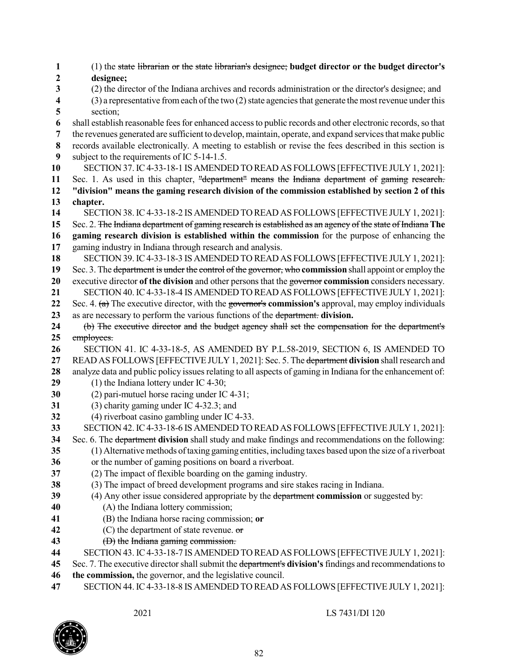| 1        | (1) the state librarian or the state librarian's designee; budget director or the budget director's                                                                                                         |
|----------|-------------------------------------------------------------------------------------------------------------------------------------------------------------------------------------------------------------|
| 2        | designee;                                                                                                                                                                                                   |
| 3        | (2) the director of the Indiana archives and records administration or the director's designee; and                                                                                                         |
| 4        | (3) a representative from each of the two (2) state agencies that generate the most revenue under this                                                                                                      |
| 5        | section;                                                                                                                                                                                                    |
| 6        | shall establish reasonable fees for enhanced access to public records and other electronic records, so that                                                                                                 |
| 7        | the revenues generated are sufficient to develop, maintain, operate, and expand services that make public                                                                                                   |
| 8        | records available electronically. A meeting to establish or revise the fees described in this section is                                                                                                    |
| 9        | subject to the requirements of IC 5-14-1.5.                                                                                                                                                                 |
| 10       | SECTION 37. IC 4-33-18-1 IS AMENDED TO READ AS FOLLOWS [EFFECTIVE JULY 1, 2021]:                                                                                                                            |
| 11       | Sec. 1. As used in this chapter, "department" means the Indiana department of gaming research.                                                                                                              |
| 12       | "division" means the gaming research division of the commission established by section 2 of this                                                                                                            |
| 13       | chapter.                                                                                                                                                                                                    |
| 14       | SECTION 38. IC 4-33-18-2 IS AMENDED TO READ AS FOLLOWS [EFFECTIVE JULY 1, 2021]:                                                                                                                            |
| 15<br>16 | Sec. 2. The Indiana department of gaming research is established as an agency of the state of Indiana The<br>gaming research division is established within the commission for the purpose of enhancing the |
| 17       | gaming industry in Indiana through research and analysis.                                                                                                                                                   |
| 18       | SECTION 39. IC 4-33-18-3 IS AMENDED TO READ AS FOLLOWS [EFFECTIVE JULY 1, 2021]:                                                                                                                            |
| 19       | Sec. 3. The department is under the control of the governor, who commission shall appoint or employ the                                                                                                     |
| 20       | executive director of the division and other persons that the governor commission considers necessary.                                                                                                      |
| 21       | SECTION 40. IC 4-33-18-4 IS AMENDED TO READ AS FOLLOWS [EFFECTIVE JULY 1, 2021]:                                                                                                                            |
| 22       | Sec. 4. $(a)$ The executive director, with the governor's commission's approval, may employ individuals                                                                                                     |
| 23       | as are necessary to perform the various functions of the department. division.                                                                                                                              |
| 24       | (b) The executive director and the budget agency shall set the compensation for the department's                                                                                                            |
| 25       | employees.                                                                                                                                                                                                  |
| 26       | SECTION 41. IC 4-33-18-5, AS AMENDED BY P.L.58-2019, SECTION 6, IS AMENDED TO                                                                                                                               |
| 27       | READ AS FOLLOWS [EFFECTIVE JULY 1, 2021]: Sec. 5. The department division shall research and                                                                                                                |
| 28       | analyze data and public policy issues relating to all aspects of gaming in Indiana for the enhancement of:                                                                                                  |
| 29       | $(1)$ the Indiana lottery under IC 4-30;                                                                                                                                                                    |
| 30       | (2) pari-mutuel horse racing under IC 4-31;                                                                                                                                                                 |
| 31       | (3) charity gaming under IC 4-32.3; and                                                                                                                                                                     |
| 32       | (4) riverboat casino gambling under IC 4-33.                                                                                                                                                                |
| 33       | SECTION 42. IC 4-33-18-6 IS AMENDED TO READ AS FOLLOWS [EFFECTIVE JULY 1, 2021]:                                                                                                                            |
| 34       | Sec. 6. The department division shall study and make findings and recommendations on the following:                                                                                                         |
| 35       | (1) Alternative methods of taxing gaming entities, including taxes based upon the size of a riverboat                                                                                                       |
| 36       | or the number of gaming positions on board a riverboat.                                                                                                                                                     |
| 37       | (2) The impact of flexible boarding on the gaming industry.                                                                                                                                                 |
| 38       | (3) The impact of breed development programs and sire stakes racing in Indiana.                                                                                                                             |
| 39       | (4) Any other issue considered appropriate by the department commission or suggested by:                                                                                                                    |
| 40       | (A) the Indiana lottery commission;                                                                                                                                                                         |
| 41       | (B) the Indiana horse racing commission; or                                                                                                                                                                 |
| 42       | (C) the department of state revenue. $\sigma$                                                                                                                                                               |
| 43       | (D) the Indiana gaming commission.                                                                                                                                                                          |
| 44       | SECTION 43. IC 4-33-18-7 IS AMENDED TO READ AS FOLLOWS [EFFECTIVE JULY 1, 2021]:                                                                                                                            |
| 45       | Sec. 7. The executive director shall submit the department's division's findings and recommendations to                                                                                                     |
| 46       | the commission, the governor, and the legislative council.                                                                                                                                                  |

SECTION 44.IC4-33-18-8 IS AMENDED TO READ AS FOLLOWS [EFFECTIVE JULY 1, 2021]:

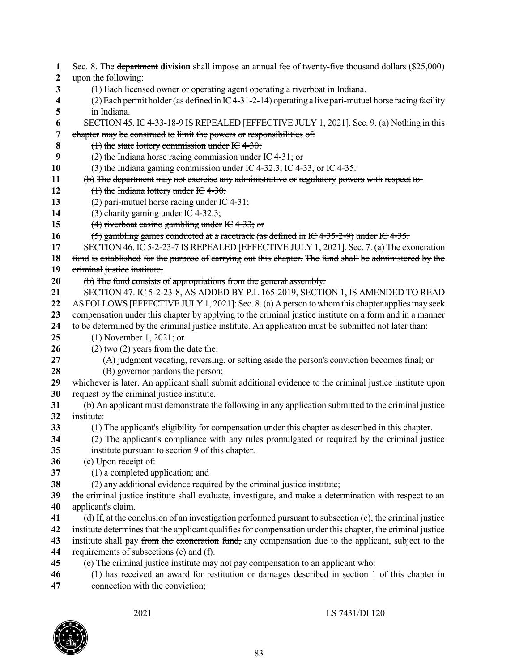| 1                       | Sec. 8. The department division shall impose an annual fee of twenty-five thousand dollars (\$25,000)                              |
|-------------------------|------------------------------------------------------------------------------------------------------------------------------------|
| $\boldsymbol{2}$        | upon the following:                                                                                                                |
| 3                       | (1) Each licensed owner or operating agent operating a riverboat in Indiana.                                                       |
| $\overline{\mathbf{4}}$ | (2) Each permit holder (as defined in IC 4-31-2-14) operating a live pari-mutuel horse racing facility                             |
| 5                       | in Indiana.                                                                                                                        |
| 6                       | SECTION 45. IC 4-33-18-9 IS REPEALED [EFFECTIVE JULY 1, 2021]. See: 9: (a) Nothing in this                                         |
| 7                       | chapter may be construed to limit the powers or responsibilities of:                                                               |
| 8                       | (1) the state lottery commission under IC 4-30;                                                                                    |
| 9                       | $(2)$ the Indiana horse racing commission under IC 4-31; or                                                                        |
| 10                      | $(3)$ the Indiana gaming commission under IC 4-32.3, IC 4-33, or IC 4-35.                                                          |
| 11                      | (b) The department may not exercise any administrative or regulatory powers with respect to:                                       |
| 12                      | $(1)$ the Indiana lottery under IC 4-30;                                                                                           |
| 13                      | $(2)$ pari-mutuel horse racing under IC 4-31;                                                                                      |
| 14                      | $(3)$ charity gaming under IC 4-32.3;                                                                                              |
| 15                      | $(4)$ riverboat easino gambling under IC 4-33; or                                                                                  |
| 16                      | $(5)$ gambling games conducted at a racetrack (as defined in IC 4-35-2-9) under IC 4-35.                                           |
| 17                      | SECTION 46. IC 5-2-23-7 IS REPEALED [EFFECTIVE JULY 1, 2021]. See: 7. (a) The exoneration                                          |
| 18                      | fund is established for the purpose of carrying out this chapter. The fund shall be administered by the                            |
| 19                      | criminal justice institute.                                                                                                        |
| 20                      | (b) The fund consists of appropriations from the general assembly.                                                                 |
| 21                      | SECTION 47. IC 5-2-23-8, AS ADDED BY P.L.165-2019, SECTION 1, IS AMENDED TO READ                                                   |
| 22                      | AS FOLLOWS [EFFECTIVE JULY 1, 2021]: Sec. 8. (a) A person to whom this chapter applies may seek                                    |
| 23<br>24                | compensation under this chapter by applying to the criminal justice institute on a form and in a manner                            |
| 25                      | to be determined by the criminal justice institute. An application must be submitted not later than:<br>$(1)$ November 1, 2021; or |
| 26                      | $(2)$ two $(2)$ years from the date the:                                                                                           |
| 27                      | (A) judgment vacating, reversing, or setting aside the person's conviction becomes final; or                                       |
| 28                      | (B) governor pardons the person;                                                                                                   |
| 29                      | whichever is later. An applicant shall submit additional evidence to the criminal justice institute upon                           |
| 30                      | request by the criminal justice institute.                                                                                         |
| 31                      | (b) An applicant must demonstrate the following in any application submitted to the criminal justice                               |
| 32                      | institute:                                                                                                                         |
| 33                      | (1) The applicant's eligibility for compensation under this chapter as described in this chapter.                                  |
| 34                      | (2) The applicant's compliance with any rules promulgated or required by the criminal justice                                      |
| 35                      | institute pursuant to section 9 of this chapter.                                                                                   |
| 36                      | (c) Upon receipt of:                                                                                                               |
| 37                      | (1) a completed application; and                                                                                                   |
| 38                      | (2) any additional evidence required by the criminal justice institute;                                                            |
| 39                      | the criminal justice institute shall evaluate, investigate, and make a determination with respect to an                            |
| 40                      | applicant's claim.                                                                                                                 |
| 41                      | (d) If, at the conclusion of an investigation performed pursuant to subsection (c), the criminal justice                           |
| 42                      | institute determines that the applicant qualifies for compensation under this chapter, the criminal justice                        |
| 43                      | institute shall pay from the exoneration fund, any compensation due to the applicant, subject to the                               |
| 44                      | requirements of subsections (e) and (f).                                                                                           |
| 45                      | (e) The criminal justice institute may not pay compensation to an applicant who:                                                   |
| 46                      | (1) has received an award for restitution or damages described in section 1 of this chapter in                                     |
| 47                      | connection with the conviction;                                                                                                    |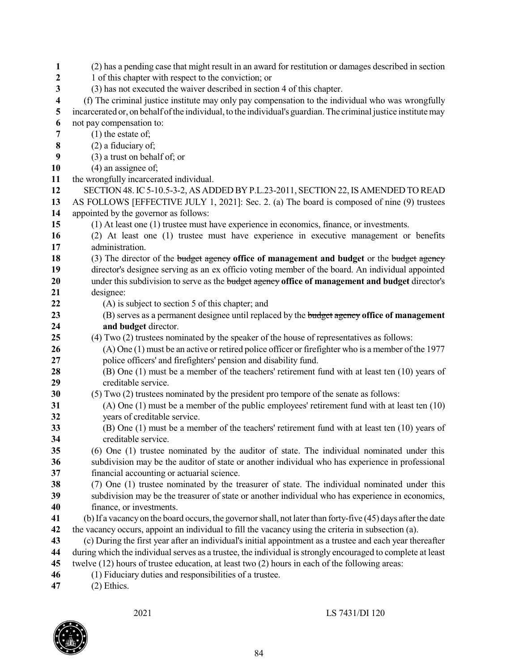| $\mathbf{1}$     | (2) has a pending case that might result in an award for restitution or damages described in section                                                                                                                     |
|------------------|--------------------------------------------------------------------------------------------------------------------------------------------------------------------------------------------------------------------------|
| $\boldsymbol{2}$ | 1 of this chapter with respect to the conviction; or                                                                                                                                                                     |
| 3                | (3) has not executed the waiver described in section 4 of this chapter.                                                                                                                                                  |
| 4                | (f) The criminal justice institute may only pay compensation to the individual who was wrongfully                                                                                                                        |
| 5                | incarcerated or, on behalf of the individual, to the individual's guardian. The criminal justice institute may                                                                                                           |
| 6                | not pay compensation to:                                                                                                                                                                                                 |
| 7                | $(1)$ the estate of;                                                                                                                                                                                                     |
| 8                | $(2)$ a fiduciary of;                                                                                                                                                                                                    |
| 9                | (3) a trust on behalf of; or                                                                                                                                                                                             |
| 10               | $(4)$ an assignee of;                                                                                                                                                                                                    |
| 11               | the wrongfully incarcerated individual.                                                                                                                                                                                  |
| 12               | SECTION 48. IC 5-10.5-3-2, AS ADDED BY P.L.23-2011, SECTION 22, IS AMENDED TO READ                                                                                                                                       |
| 13               | AS FOLLOWS [EFFECTIVE JULY 1, 2021]: Sec. 2. (a) The board is composed of nine (9) trustees                                                                                                                              |
| 14               | appointed by the governor as follows:                                                                                                                                                                                    |
| 15               | (1) At least one (1) trustee must have experience in economics, finance, or investments.                                                                                                                                 |
| 16               | (2) At least one (1) trustee must have experience in executive management or benefits                                                                                                                                    |
| 17               | administration.                                                                                                                                                                                                          |
| 18               | (3) The director of the budget agency office of management and budget or the budget agency                                                                                                                               |
| 19               | director's designee serving as an ex officio voting member of the board. An individual appointed                                                                                                                         |
| 20               | under this subdivision to serve as the budget agency office of management and budget director's                                                                                                                          |
| 21               | designee:                                                                                                                                                                                                                |
| 22               | (A) is subject to section 5 of this chapter; and                                                                                                                                                                         |
| 23               | (B) serves as a permanent designee until replaced by the budget agency office of management                                                                                                                              |
| 24               | and budget director.                                                                                                                                                                                                     |
| 25               | (4) Two (2) trustees nominated by the speaker of the house of representatives as follows:                                                                                                                                |
| 26               | $(A)$ One $(1)$ must be an active or retired police officer or firefighter who is a member of the 1977                                                                                                                   |
| 27               | police officers' and firefighters' pension and disability fund.                                                                                                                                                          |
| 28               | (B) One (1) must be a member of the teachers' retirement fund with at least ten (10) years of                                                                                                                            |
| 29               | creditable service.                                                                                                                                                                                                      |
| 30               | (5) Two (2) trustees nominated by the president pro tempore of the senate as follows:                                                                                                                                    |
| 31               | $(A)$ One $(1)$ must be a member of the public employees' retirement fund with at least ten $(10)$                                                                                                                       |
| 32               | years of creditable service.                                                                                                                                                                                             |
| 33               | $(B)$ One $(1)$ must be a member of the teachers' retirement fund with at least ten $(10)$ years of                                                                                                                      |
| 34               | creditable service.                                                                                                                                                                                                      |
| 35               | (6) One (1) trustee nominated by the auditor of state. The individual nominated under this                                                                                                                               |
| 36               | subdivision may be the auditor of state or another individual who has experience in professional                                                                                                                         |
| 37               | financial accounting or actuarial science.                                                                                                                                                                               |
| 38               | (7) One (1) trustee nominated by the treasurer of state. The individual nominated under this                                                                                                                             |
| 39               | subdivision may be the treasurer of state or another individual who has experience in economics,                                                                                                                         |
| 40               | finance, or investments.                                                                                                                                                                                                 |
| 41               | (b) If a vacancy on the board occurs, the governor shall, not later than forty-five (45) days after the date                                                                                                             |
| 42               | the vacancy occurs, appoint an individual to fill the vacancy using the criteria in subsection (a).                                                                                                                      |
| 43               | (c) During the first year after an individual's initial appointment as a trustee and each year thereafter<br>during which the individual serves as a trustee, the individual is strongly encouraged to complete at least |
| 44<br>45         | twelve (12) hours of trustee education, at least two (2) hours in each of the following areas:                                                                                                                           |
| 46               | (1) Fiduciary duties and responsibilities of a trustee.                                                                                                                                                                  |
| $\mathbf{A}$     | $(2)$ Ethics                                                                                                                                                                                                             |

(2) Ethics.

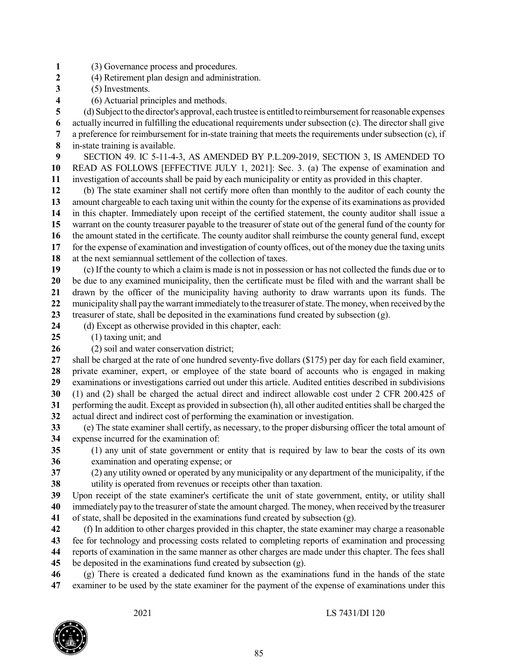- (3) Governance process and procedures.
- (4) Retirement plan design and administration.
- (5) Investments.
- (6) Actuarial principles and methods.

(d) Subject to the director's approval, each trustee is entitled to reimbursement for reasonable expenses

 actually incurred in fulfilling the educational requirements under subsection (c). The director shall give a preference for reimbursement for in-state training that meets the requirements under subsection (c), if

in-state training is available.

 SECTION 49. IC 5-11-4-3, AS AMENDED BY P.L.209-2019, SECTION 3, IS AMENDED TO READ AS FOLLOWS [EFFECTIVE JULY 1, 2021]: Sec. 3. (a) The expense of examination and investigation of accounts shall be paid by each municipality or entity as provided in this chapter.

 (b) The state examiner shall not certify more often than monthly to the auditor of each county the amount chargeable to each taxing unit within the county for the expense of its examinations as provided in this chapter. Immediately upon receipt of the certified statement, the county auditor shall issue a warrant on the county treasurer payable to the treasurer of state out of the general fund of the county for the amount stated in the certificate. The county auditor shall reimburse the county general fund, except for the expense of examination and investigation of county offices, out of the money due the taxing units at the next semiannual settlement of the collection of taxes.

 (c) If the county to which a claim is made is not in possession or has not collected the funds due or to be due to any examined municipality, then the certificate must be filed with and the warrant shall be drawn by the officer of the municipality having authority to draw warrants upon its funds. The

22 municipality shall pay the warrant immediately to the treasurer of state. The money, when received by the

treasurer of state, shall be deposited in the examinations fund created by subsection (g).

- (d) Except as otherwise provided in this chapter, each:
- (1) taxing unit; and
- (2) soil and water conservation district;

 shall be charged at the rate of one hundred seventy-five dollars (\$175) per day for each field examiner, private examiner, expert, or employee of the state board of accounts who is engaged in making examinations or investigations carried out under this article. Audited entities described in subdivisions (1) and (2) shall be charged the actual direct and indirect allowable cost under 2 CFR 200.425 of performing the audit. Except as provided in subsection (h), all other audited entities shall be charged the

actual direct and indirect cost of performing the examination or investigation.

 (e) The state examiner shall certify, as necessary, to the proper disbursing officer the total amount of expense incurred for the examination of:

 (1) any unit of state government or entity that is required by law to bear the costs of its own examination and operating expense; or

 (2) any utility owned or operated by any municipality or any department of the municipality, if the utility is operated from revenues or receipts other than taxation.

 Upon receipt of the state examiner's certificate the unit of state government, entity, or utility shall immediately pay to the treasurer ofstate the amount charged. The money, when received by the treasurer

of state, shall be deposited in the examinations fund created by subsection (g).

 (f) In addition to other charges provided in this chapter, the state examiner may charge a reasonable fee for technology and processing costs related to completing reports of examination and processing reports of examination in the same manner as other charges are made under this chapter. The fees shall

be deposited in the examinations fund created by subsection (g).

 (g) There is created a dedicated fund known as the examinations fund in the hands of the state examiner to be used by the state examiner for the payment of the expense of examinations under this

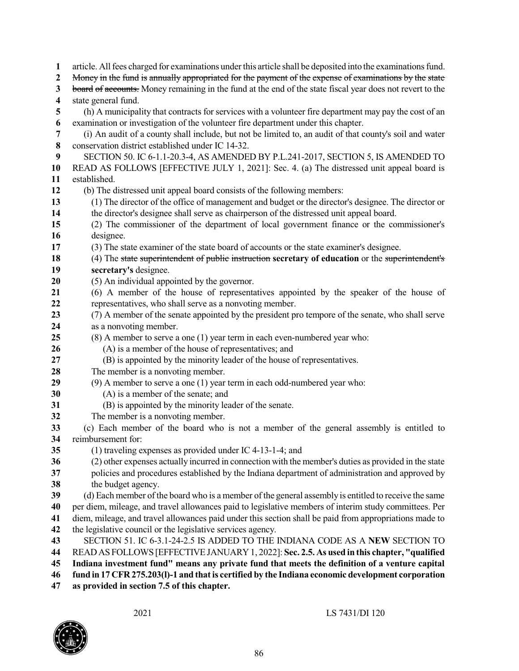| $\mathbf{1}$     | article. All fees charged for examinations under this article shall be deposited into the examinations fund.                                                        |
|------------------|---------------------------------------------------------------------------------------------------------------------------------------------------------------------|
| $\boldsymbol{2}$ | Money in the fund is annually appropriated for the payment of the expense of examinations by the state                                                              |
| 3                | board of accounts. Money remaining in the fund at the end of the state fiscal year does not revert to the                                                           |
| 4                | state general fund.                                                                                                                                                 |
| 5                | (h) A municipality that contracts for services with a volunteer fire department may pay the cost of an                                                              |
| 6                | examination or investigation of the volunteer fire department under this chapter.                                                                                   |
| 7                | (i) An audit of a county shall include, but not be limited to, an audit of that county's soil and water                                                             |
| $\bf 8$          | conservation district established under IC 14-32.                                                                                                                   |
| 9                | SECTION 50. IC 6-1.1-20.3-4, AS AMENDED BY P.L.241-2017, SECTION 5, IS AMENDED TO                                                                                   |
| 10               | READ AS FOLLOWS [EFFECTIVE JULY 1, 2021]: Sec. 4. (a) The distressed unit appeal board is                                                                           |
| 11               | established.                                                                                                                                                        |
| 12               | (b) The distressed unit appeal board consists of the following members:                                                                                             |
| 13               | (1) The director of the office of management and budget or the director's designee. The director or                                                                 |
| 14               | the director's designee shall serve as chairperson of the distressed unit appeal board.                                                                             |
| 15               | (2) The commissioner of the department of local government finance or the commissioner's                                                                            |
| 16               | designee.                                                                                                                                                           |
| 17               | (3) The state examiner of the state board of accounts or the state examiner's designee.                                                                             |
| 18               | (4) The state superintendent of public instruction secretary of education or the superintendent's                                                                   |
| 19               | secretary's designee.                                                                                                                                               |
| 20               | (5) An individual appointed by the governor.                                                                                                                        |
| 21               | (6) A member of the house of representatives appointed by the speaker of the house of                                                                               |
| 22               | representatives, who shall serve as a nonvoting member.                                                                                                             |
| 23               | (7) A member of the senate appointed by the president pro tempore of the senate, who shall serve                                                                    |
| 24               | as a nonvoting member.                                                                                                                                              |
| 25               | (8) A member to serve a one (1) year term in each even-numbered year who:                                                                                           |
| 26               | (A) is a member of the house of representatives; and                                                                                                                |
| 27               | (B) is appointed by the minority leader of the house of representatives.                                                                                            |
| 28               | The member is a nonvoting member.                                                                                                                                   |
| 29               | (9) A member to serve a one (1) year term in each odd-numbered year who:                                                                                            |
| 30               | (A) is a member of the senate; and                                                                                                                                  |
| 31               | (B) is appointed by the minority leader of the senate.                                                                                                              |
| 32               | The member is a nonvoting member.                                                                                                                                   |
| 33               | (c) Each member of the board who is not a member of the general assembly is entitled to                                                                             |
| 34<br>35         | reimbursement for:                                                                                                                                                  |
| 36               | $(1)$ traveling expenses as provided under IC 4-13-1-4; and<br>(2) other expenses actually incurred in connection with the member's duties as provided in the state |
| 37               | policies and procedures established by the Indiana department of administration and approved by                                                                     |
| 38               | the budget agency.                                                                                                                                                  |
| 39               | (d) Each member of the board who is a member of the general assembly is entitled to receive the same                                                                |
| 40               | per diem, mileage, and travel allowances paid to legislative members of interim study committees. Per                                                               |
| 41               | diem, mileage, and travel allowances paid under this section shall be paid from appropriations made to                                                              |
| 42               | the legislative council or the legislative services agency.                                                                                                         |
| 43               | SECTION 51. IC 6-3.1-24-2.5 IS ADDED TO THE INDIANA CODE AS A NEW SECTION TO                                                                                        |
| 44               | READ AS FOLLOWS [EFFECTIVE JANUARY 1, 2022]: Sec. 2.5. As used in this chapter, "qualified                                                                          |
| 45               | Indiana investment fund" means any private fund that meets the definition of a venture capital                                                                      |
| 46               | fund in 17 CFR 275.203(1)-1 and that is certified by the Indiana economic development corporation                                                                   |
| 4 <sup>7</sup>   | m                                                                                                                                                                   |

**as provided in section 7.5 of this chapter.**

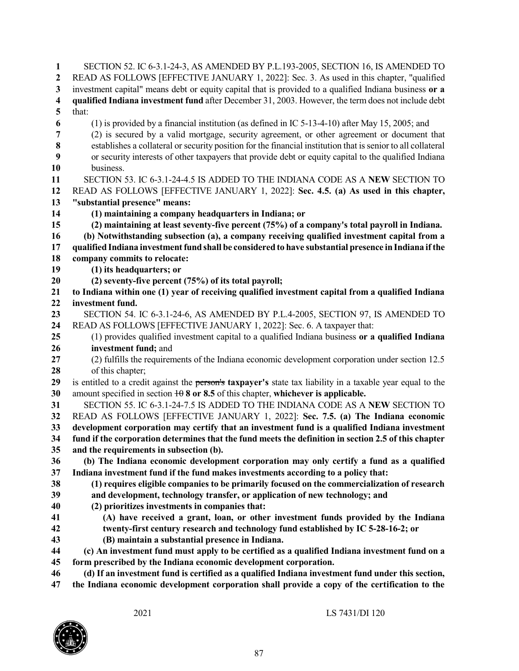SECTION 52. IC 6-3.1-24-3, AS AMENDED BY P.L.193-2005, SECTION 16, IS AMENDED TO READ AS FOLLOWS [EFFECTIVE JANUARY 1, 2022]: Sec. 3. As used in this chapter, "qualified investment capital" means debt or equity capital that is provided to a qualified Indiana business **or a qualified Indiana investment fund** after December 31, 2003. However, the term does not include debt that: (1) is provided by a financial institution (as defined in IC 5-13-4-10) after May 15, 2005; and (2) is secured by a valid mortgage, security agreement, or other agreement or document that establishes a collateral or security position for the financial institution that issenior to all collateral or security interests of other taxpayers that provide debt or equity capital to the qualified Indiana business. SECTION 53. IC 6-3.1-24-4.5 IS ADDED TO THE INDIANA CODE AS A **NEW** SECTION TO READ AS FOLLOWS [EFFECTIVE JANUARY 1, 2022]: **Sec. 4.5. (a) As used in this chapter, "substantial presence" means: (1) maintaining a company headquarters in Indiana; or (2) maintaining at least seventy-five percent (75%) of a company's total payroll in Indiana. (b) Notwithstanding subsection (a), a company receiving qualified investment capital from a qualified Indiana investmentfund shall be considered to have substantial presence inIndiana ifthe company commits to relocate: (1) its headquarters; or (2) seventy-five percent (75%) of its total payroll; to Indiana within one (1) year of receiving qualified investment capital from a qualified Indiana investment fund.** SECTION 54. IC 6-3.1-24-6, AS AMENDED BY P.L.4-2005, SECTION 97, IS AMENDED TO READ AS FOLLOWS [EFFECTIVE JANUARY 1, 2022]: Sec. 6. A taxpayer that: (1) provides qualified investment capital to a qualified Indiana business **or a qualified Indiana investment fund;** and (2) fulfills the requirements of the Indiana economic development corporation under section 12.5 of this chapter; is entitled to a credit against the person's **taxpayer's** state tax liability in a taxable year equal to the amount specified in section 10 **8 or 8.5** of this chapter, **whichever is applicable.** SECTION 55. IC 6-3.1-24-7.5 IS ADDED TO THE INDIANA CODE AS A **NEW** SECTION TO READ AS FOLLOWS [EFFECTIVE JANUARY 1, 2022]: **Sec. 7.5. (a) The Indiana economic development corporation may certify that an investment fund is a qualified Indiana investment** 34 fund if the corporation determines that the fund meets the definition in section 2.5 of this chapter **and the requirements in subsection (b). (b) The Indiana economic development corporation may only certify a fund as a qualified Indiana investment fund if the fund makes investments according to a policy that: (1) requires eligible companies to be primarily focused on the commercialization of research and development, technology transfer, or application of new technology; and (2) prioritizes investments in companies that: (A) have received a grant, loan, or other investment funds provided by the Indiana twenty-first century research and technology fund established by IC 5-28-16-2; or (B) maintain a substantial presence in Indiana. (c) An investment fund must apply to be certified as a qualified Indiana investment fund on a form prescribed by the Indiana economic development corporation.**

 **(d) If an investment fund is certified as a qualified Indiana investment fund under this section, the Indiana economic development corporation shall provide a copy of the certification to the**

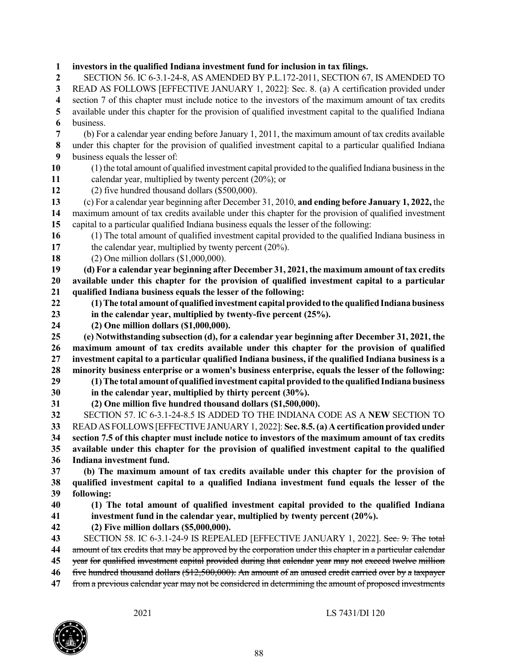**investors in the qualified Indiana investment fund for inclusion in tax filings.** SECTION 56. IC 6-3.1-24-8, AS AMENDED BY P.L.172-2011, SECTION 67, IS AMENDED TO READ AS FOLLOWS [EFFECTIVE JANUARY 1, 2022]: Sec. 8. (a) A certification provided under section 7 of this chapter must include notice to the investors of the maximum amount of tax credits available under this chapter for the provision of qualified investment capital to the qualified Indiana business. (b) For a calendar year ending before January 1, 2011, the maximum amount of tax credits available under this chapter for the provision of qualified investment capital to a particular qualified Indiana business equals the lesser of: 10 (1) the total amount of qualified investment capital provided to the qualified Indiana business in the calendar year, multiplied by twenty percent (20%); or (2) five hundred thousand dollars (\$500,000). (c) For a calendar year beginning after December 31, 2010, **and ending before January 1, 2022,** the maximum amount of tax credits available under this chapter for the provision of qualified investment capital to a particular qualified Indiana business equals the lesser of the following: (1) The total amount of qualified investment capital provided to the qualified Indiana business in the calendar year, multiplied by twenty percent (20%). (2) One million dollars (\$1,000,000). **(d) For a calendar year beginning after December 31, 2021,the maximum amount of tax credits available under this chapter for the provision of qualified investment capital to a particular qualified Indiana business equals the lesser of the following: (1)The total amount of qualified investment capital providedto the qualifiedIndiana business in the calendar year, multiplied by twenty-five percent (25%). (2) One million dollars (\$1,000,000). (e) Notwithstanding subsection (d), for a calendar year beginning after December 31, 2021, the maximum amount of tax credits available under this chapter for the provision of qualified investment capital to a particular qualified Indiana business, if the qualified Indiana business is a minority business enterprise or a women's business enterprise, equals the lesser of the following: (1)The total amount of qualified investment capital providedto the qualifiedIndiana business in the calendar year, multiplied by thirty percent (30%). (2) One million five hundred thousand dollars (\$1,500,000).** SECTION 57. IC 6-3.1-24-8.5 IS ADDED TO THE INDIANA CODE AS A **NEW** SECTION TO READAS FOLLOWS [EFFECTIVEJANUARY 1, 2022]: **Sec. 8.5.(a) Acertification providedunder** 34 section 7.5 of this chapter must include notice to investors of the maximum amount of tax credits **available under this chapter for the provision of qualified investment capital to the qualified Indiana investment fund. (b) The maximum amount of tax credits available under this chapter for the provision of qualified investment capital to a qualified Indiana investment fund equals the lesser of the following: (1) The total amount of qualified investment capital provided to the qualified Indiana investment fund in the calendar year, multiplied by twenty percent (20%). (2) Five million dollars (\$5,000,000).** SECTION 58. IC 6-3.1-24-9 IS REPEALED [EFFECTIVE JANUARY 1, 2022]. Sec. 9. The total amount of tax credits that may be approved by the corporation under this chapter in a particular calendar year for qualified investment capital provided during that calendar year may not exceed twelve million

- five hundred thousand dollars (\$12,500,000). An amount of an unused credit carried over by a taxpayer
- from a previous calendar year may not be considered in determining the amount of proposed investments

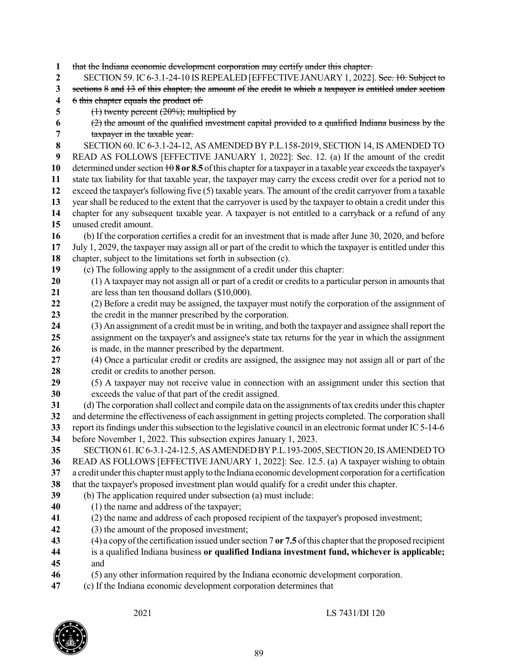that the Indiana economic development corporation may certify under this chapter.

- SECTION 59. IC6-3.1-24-10 ISREPEALED [EFFECTIVE JANUARY 1, 2022]. Sec. 10. Subject to
- sections 8 and 13 of this chapter, the amount of the credit to which a taxpayer is entitled under section

6 this chapter equals the product of:

(1) twenty percent (20%); multiplied by

## (2) the amount of the qualified investment capital provided to a qualified Indiana business by the taxpayer in the taxable year.

SECTION 60. IC 6-3.1-24-12, AS AMENDED BY P.L.158-2019, SECTION 14, IS AMENDED TO

 READ AS FOLLOWS [EFFECTIVE JANUARY 1, 2022]: Sec. 12. (a) If the amount of the credit determined under section  $\frac{10}{8}$  or 8.5 of this chapter for a taxpayer in a taxable year exceeds the taxpayer's state tax liability for that taxable year, the taxpayer may carry the excess credit over for a period not to exceed the taxpayer's following five (5) taxable years. The amount of the credit carryover from a taxable year shall be reduced to the extent that the carryover is used by the taxpayer to obtain a credit under this

- chapter for any subsequent taxable year. A taxpayer is not entitled to a carryback or a refund of any unused credit amount.
- (b) If the corporation certifies a credit for an investment that is made after June 30, 2020, and before
- July 1, 2029, the taxpayer may assign all or part of the credit to which the taxpayer is entitled under this
- chapter, subject to the limitations set forth in subsection (c).
- (c) The following apply to the assignment of a credit under this chapter:
- (1) A taxpayer may not assign all or part of a credit or credits to a particular person in amounts that are less than ten thousand dollars (\$10,000).
- (2) Before a credit may be assigned, the taxpayer must notify the corporation of the assignment of the credit in the manner prescribed by the corporation.
- (3) An assignment of a credit must be in writing, and both the taxpayer and assignee shall report the assignment on the taxpayer's and assignee's state tax returns for the year in which the assignment is made, in the manner prescribed by the department.
- (4) Once a particular credit or credits are assigned, the assignee may not assign all or part of the credit or credits to another person.
- (5) A taxpayer may not receive value in connection with an assignment under this section that exceeds the value of that part of the credit assigned.
- (d) The corporation shall collect and compile data on the assignments oftax credits under this chapter and determine the effectiveness of each assignment in getting projects completed. The corporation shall report its findings under this subsection to the legislative council in an electronic format under IC 5-14-6
- before November 1, 2022. This subsection expires January 1, 2023.
- SECTION61.IC6-3.1-24-12.5,ASAMENDEDBYP.L.193-2005,SECTION20,ISAMENDEDTO READ AS FOLLOWS [EFFECTIVE JANUARY 1, 2022]: Sec. 12.5. (a) A taxpayer wishing to obtain a credit underthis chaptermust applyto the Indiana economic development corporation for a certification
- that the taxpayer's proposed investment plan would qualify for a credit under this chapter.
- (b) The application required under subsection (a) must include:
- (1) the name and address of the taxpayer;
- (2) the name and address of each proposed recipient of the taxpayer's proposed investment;
- (3) the amount of the proposed investment;
- (4) a copyofthe certification issued undersection 7 **or 7.5** ofthis chapterthat the proposed recipient
- is a qualified Indiana business **or qualified Indiana investment fund, whichever is applicable;** and
- (5) any other information required by the Indiana economic development corporation.
- (c) If the Indiana economic development corporation determines that

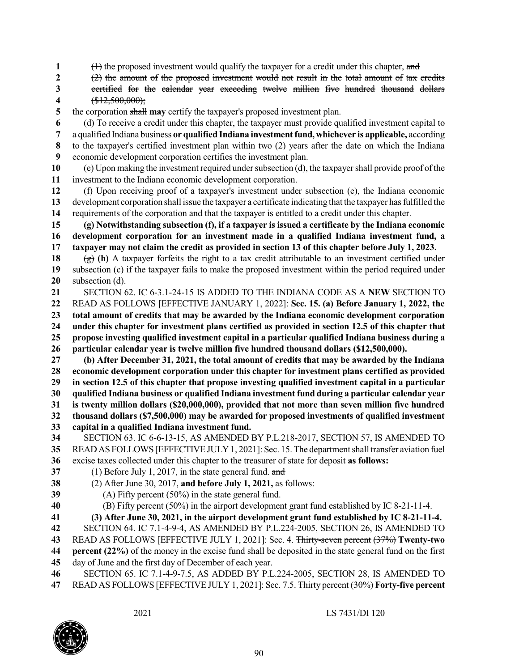1 (1) the proposed investment would qualify the taxpayer for a credit under this chapter, and

- (2) the amount of the proposed investment would not result in the total amount of tax credits
- certified for the calendar year exceeding twelve million five hundred thousand dollars (\$12,500,000);
- the corporation shall **may** certify the taxpayer's proposed investment plan.
- (d) To receive a credit under this chapter, the taxpayer must provide qualified investment capital to
- a qualified Indiana business **or qualified Indiana investmentfund, whichever is applicable,** according to the taxpayer's certified investment plan within two (2) years after the date on which the Indiana economic development corporation certifies the investment plan.
- (e) Upon making the investment required undersubsection (d), the taxpayershall provide proof ofthe investment to the Indiana economic development corporation.
- (f) Upon receiving proof of a taxpayer's investment under subsection (e), the Indiana economic development corporation shall issue the taxpayer a certificate indicating that the taxpayer hasfulfilled the requirements of the corporation and that the taxpayer is entitled to a credit under this chapter.
- **(g) Notwithstanding subsection (f), if a taxpayer is issued a certificate by the Indiana economic development corporation for an investment made in a qualified Indiana investment fund, a** 17 taxpayer may not claim the credit as provided in section 13 of this chapter before July 1, 2023.
- (g) (h) A taxpayer forfeits the right to a tax credit attributable to an investment certified under subsection (c) if the taxpayer fails to make the proposed investment within the period required under subsection (d).
- SECTION 62. IC 6-3.1-24-15 IS ADDED TO THE INDIANA CODE AS A **NEW** SECTION TO READ AS FOLLOWS [EFFECTIVE JANUARY 1, 2022]: **Sec. 15. (a) Before January 1, 2022, the total amount of credits that may be awarded by the Indiana economic development corporation under this chapter for investment plans certified as provided in section 12.5 of this chapter that propose investing qualified investment capital in a particular qualified Indiana business during a particular calendar year is twelve million five hundred thousand dollars (\$12,500,000).**
- **(b) After December 31, 2021, the total amount of credits that may be awarded by the Indiana economic development corporation under this chapter for investment plans certified as provided in section 12.5 of this chapter that propose investing qualified investment capital in a particular qualified Indiana business or qualified Indiana investment fund during a particular calendar year is twenty million dollars (\$20,000,000), provided that not more than seven million five hundred thousand dollars (\$7,500,000) may be awarded for proposed investments of qualified investment**
- **capital in a qualified Indiana investment fund.**
- SECTION 63. IC 6-6-13-15, AS AMENDED BY P.L.218-2017, SECTION 57, IS AMENDED TO READ AS FOLLOWS [EFFECTIVE JULY 1, 2021]: Sec. 15. The department shall transfer aviation fuel
- excise taxes collected under this chapter to the treasurer of state for deposit **as follows:**
- (1) Before July 1, 2017, in the state general fund. and
- (2) After June 30, 2017, **and before July 1, 2021,** as follows:
- (A) Fifty percent (50%) in the state general fund.
- (B) Fifty percent (50%) in the airport development grant fund established by IC 8-21-11-4.
- **(3) After June 30, 2021, in the airport development grant fund established by IC 8-21-11-4.**
- SECTION 64. IC 7.1-4-9-4, AS AMENDED BY P.L.224-2005, SECTION 26, IS AMENDED TO
- READ AS FOLLOWS [EFFECTIVE JULY 1, 2021]: Sec. 4. Thirty-seven percent (37%) **Twenty-two**
- **percent (22%)** of the money in the excise fund shall be deposited in the state general fund on the first
- day of June and the first day of December of each year.
- SECTION 65. IC 7.1-4-9-7.5, AS ADDED BY P.L.224-2005, SECTION 28, IS AMENDED TO READ AS FOLLOWS [EFFECTIVE JULY 1, 2021]: Sec. 7.5. Thirty percent (30%) **Forty-five percent**

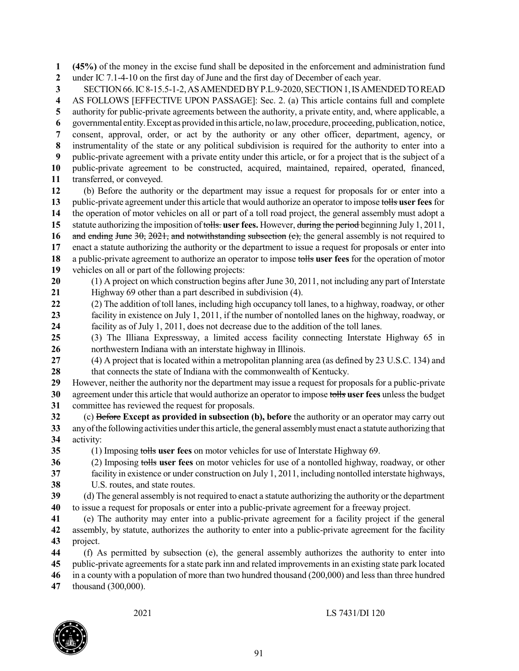**(45%)** of the money in the excise fund shall be deposited in the enforcement and administration fund under IC 7.1-4-10 on the first day of June and the first day of December of each year.

SECTION66.IC8-15.5-1-2,ASAMENDEDBYP.L.9-2020,SECTION1,ISAMENDEDTOREAD

 AS FOLLOWS [EFFECTIVE UPON PASSAGE]: Sec. 2. (a) This article contains full and complete authority for public-private agreements between the authority, a private entity, and, where applicable, a

governmental entity.Except as provided in this article, nolaw, procedure, proceeding, publication, notice,

consent, approval, order, or act by the authority or any other officer, department, agency, or

 instrumentality of the state or any political subdivision is required for the authority to enter into a public-private agreement with a private entity under this article, or for a project that is the subject of a

 public-private agreement to be constructed, acquired, maintained, repaired, operated, financed, transferred, or conveyed.

 (b) Before the authority or the department may issue a request for proposals for or enter into a public-private agreement under this article that would authorize an operator to impose tolls **user fees**for the operation of motor vehicles on all or part of a toll road project, the general assembly must adopt a statute authorizing the imposition of tolls. **user fees.** However, during the period beginning July 1, 2011, and ending June 30, 2021, and notwithstanding subsection (c), the general assembly is not required to

enact a statute authorizing the authority or the department to issue a request for proposals or enter into

 a public-private agreement to authorize an operator to impose tolls **user fees** for the operation of motor vehicles on all or part of the following projects:

- (1) A project on which construction begins after June 30, 2011, not including any part of Interstate Highway 69 other than a part described in subdivision (4).
- (2) The addition of toll lanes, including high occupancy toll lanes, to a highway, roadway, or other facility in existence on July 1, 2011, if the number of nontolled lanes on the highway, roadway, or facility as of July 1, 2011, does not decrease due to the addition of the toll lanes.
- (3) The Illiana Expressway, a limited access facility connecting Interstate Highway 65 in northwestern Indiana with an interstate highway in Illinois.
- (4) A project that is located within a metropolitan planning area (as defined by 23 U.S.C. 134) and that connects the state of Indiana with the commonwealth of Kentucky.
- However, neither the authority nor the department may issue a request for proposals for a public-private agreement under this article that would authorize an operator to impose tolls **user fees** unlessthe budget committee has reviewed the request for proposals.
- (c) Before **Except as provided in subsection (b), before** the authority or an operator may carry out anyofthe following activities underthis article, the general assemblymust enact a statute authorizing that activity:

(1) Imposing tolls **user fees** on motor vehicles for use of Interstate Highway 69.

(2) Imposing tolls **user fees** on motor vehicles for use of a nontolled highway, roadway, or other

facility in existence or under construction on July 1, 2011, including nontolled interstate highways,

U.S. routes, and state routes.

 (d) The general assembly is not required to enact a statute authorizing the authority or the department to issue a request for proposals or enter into a public-private agreement for a freeway project.

- (e) The authority may enter into a public-private agreement for a facility project if the general assembly, by statute, authorizes the authority to enter into a public-private agreement for the facility project.
- (f) As permitted by subsection (e), the general assembly authorizes the authority to enter into public-private agreements for a state park inn and related improvements in an existing state park located in a county with a population of more than two hundred thousand (200,000) and less than three hundred

thousand (300,000).

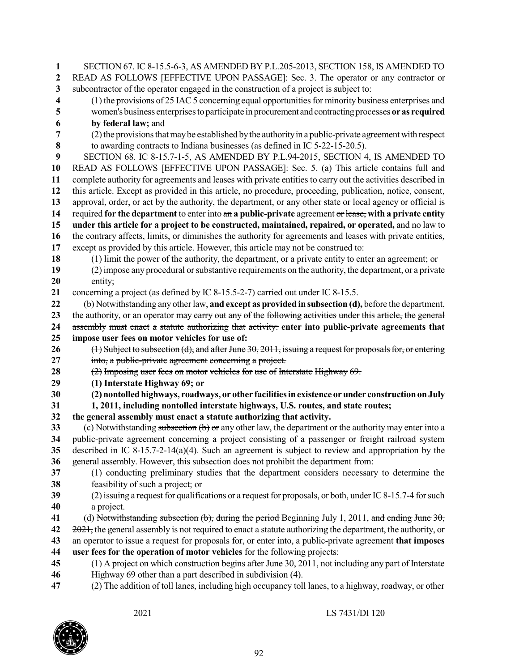SECTION 67. IC 8-15.5-6-3, AS AMENDED BY P.L.205-2013, SECTION 158, IS AMENDED TO READ AS FOLLOWS [EFFECTIVE UPON PASSAGE]: Sec. 3. The operator or any contractor or subcontractor of the operator engaged in the construction of a project is subject to: (1) the provisions of 25 IAC 5 concerning equal opportunities for minority business enterprises and women's business enterprisestoparticipate in procurement andcontractingprocesses **or as required by federal law;** and (2) the provisions that may be established by the authority in a public-private agreement with respect to awarding contracts to Indiana businesses (as defined in IC 5-22-15-20.5). SECTION 68. IC 8-15.7-1-5, AS AMENDED BY P.L.94-2015, SECTION 4, IS AMENDED TO READ AS FOLLOWS [EFFECTIVE UPON PASSAGE]: Sec. 5. (a) This article contains full and complete authority for agreements and leases with private entities to carry out the activities described in this article. Except as provided in this article, no procedure, proceeding, publication, notice, consent, approval, order, or act by the authority, the department, or any other state or local agency or official is required **for the department** to enter into an **a public-private** agreement or lease, **with a private entity under this article for a project to be constructed, maintained, repaired, or operated,** and no law to the contrary affects, limits, or diminishes the authority for agreements and leases with private entities, except as provided by this article. However, this article may not be construed to: (1) limit the power of the authority, the department, or a private entity to enter an agreement; or (2)impose any procedural orsubstantive requirements on the authority, the department, or a private entity; concerning a project (as defined by IC 8-15.5-2-7) carried out under IC 8-15.5. (b) Notwithstanding any otherlaw, **and except as provided in subsection (d),** before the department, 23 the authority, or an operator may carry out any of the following activities under this article, the general assembly must enact a statute authorizing that activity: **enter into public-private agreements that impose user fees on motor vehicles for use of:** 26 (1) Subject to subsection (d), and after June 30, 2011, issuing a request for proposals for, or entering into, a public-private agreement concerning a project. (2) Imposing user fees on motor vehicles for use of Interstate Highway 69. **(1) Interstate Highway 69; or (2) nontolledhighways, roadways, or other facilitiesinexistence orunder constructiononJuly 1, 2011, including nontolled interstate highways, U.S. routes, and state routes; the general assembly must enact a statute authorizing that activity.** (c) Notwithstanding subsection (b) or any other law, the department or the authority may enter into a public-private agreement concerning a project consisting of a passenger or freight railroad system described in IC 8-15.7-2-14(a)(4). Such an agreement is subject to review and appropriation by the general assembly. However, this subsection does not prohibit the department from: (1) conducting preliminary studies that the department considers necessary to determine the feasibility of such a project; or (2)issuing a request for qualifications or a request for proposals, or both, under IC8-15.7-4 forsuch a project. (d) Notwithstanding subsection (b), during the period Beginning July 1, 2011, and ending June 30, 2021, the general assembly is not required to enact a statute authorizing the department, the authority, or an operator to issue a request for proposals for, or enter into, a public-private agreement **that imposes user fees for the operation of motor vehicles** for the following projects: (1) A project on which construction begins after June 30, 2011, not including any part of Interstate Highway 69 other than a part described in subdivision (4). (2) The addition of toll lanes, including high occupancy toll lanes, to a highway, roadway, or other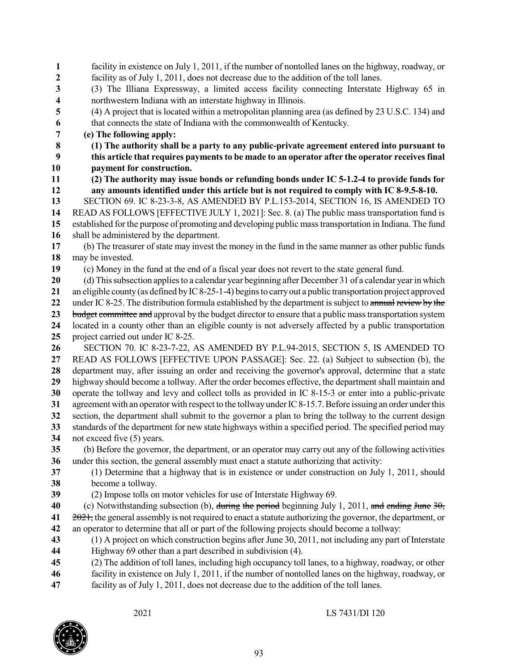facility in existence on July 1, 2011, if the number of nontolled lanes on the highway, roadway, or facility as of July 1, 2011, does not decrease due to the addition of the toll lanes. (3) The Illiana Expressway, a limited access facility connecting Interstate Highway 65 in northwestern Indiana with an interstate highway in Illinois. (4) A project that is located within a metropolitan planning area (as defined by 23 U.S.C. 134) and that connects the state of Indiana with the commonwealth of Kentucky. **(e) The following apply: (1) The authority shall be a party to any public-private agreement entered into pursuant to this article that requires paymentsto be made to an operator after the operator receivesfinal payment for construction. (2) The authority may issue bonds or refunding bonds under IC 5-1.2-4 to provide funds for any amounts identified under this article but is not required to comply with IC 8-9.5-8-10.** SECTION 69. IC 8-23-3-8, AS AMENDED BY P.L.153-2014, SECTION 16, IS AMENDED TO READ AS FOLLOWS [EFFECTIVE JULY 1, 2021]: Sec. 8. (a) The public mass transportation fund is established for the purpose of promoting and developing public masstransportation in Indiana. The fund shall be administered by the department. (b) The treasurer of state may invest the money in the fund in the same manner as other public funds may be invested. (c) Money in the fund at the end of a fiscal year does not revert to the state general fund. (d) Thissubsection appliesto a calendar year beginning after December 31 of a calendar yearin which an eligible county(as defined byIC8-25-1-4) beginsto carryout a public transportation project approved under IC 8-25. The distribution formula established by the department is subject to annual review by the budget committee and approval by the budget director to ensure that a public masstransportation system located in a county other than an eligible county is not adversely affected by a public transportation project carried out under IC 8-25. SECTION 70. IC 8-23-7-22, AS AMENDED BY P.L.94-2015, SECTION 5, IS AMENDED TO READ AS FOLLOWS [EFFECTIVE UPON PASSAGE]: Sec. 22. (a) Subject to subsection (b), the department may, after issuing an order and receiving the governor's approval, determine that a state highway should become a tollway. After the order becomes effective, the department shall maintain and operate the tollway and levy and collect tolls as provided in IC 8-15-3 or enter into a public-private agreement with an operator with respect to the tollway under IC 8-15.7. Before issuing an order under this section, the department shall submit to the governor a plan to bring the tollway to the current design standards of the department for new state highways within a specified period. The specified period may not exceed five (5) years. (b) Before the governor, the department, or an operator may carry out any of the following activities under this section, the general assembly must enact a statute authorizing that activity: (1) Determine that a highway that is in existence or under construction on July 1, 2011, should become a tollway. (2) Impose tolls on motor vehicles for use of Interstate Highway 69. (c) Notwithstanding subsection (b), during the period beginning July 1, 2011, and ending June 30, 2021, the general assembly is not required to enact a statute authorizing the governor, the department, or an operator to determine that all or part of the following projects should become a tollway: (1) A project on which construction begins after June 30, 2011, not including any part of Interstate Highway 69 other than a part described in subdivision (4). (2) The addition of toll lanes, including high occupancy toll lanes, to a highway, roadway, or other facility in existence on July 1, 2011, if the number of nontolled lanes on the highway, roadway, or facility as of July 1, 2011, does not decrease due to the addition of the toll lanes.

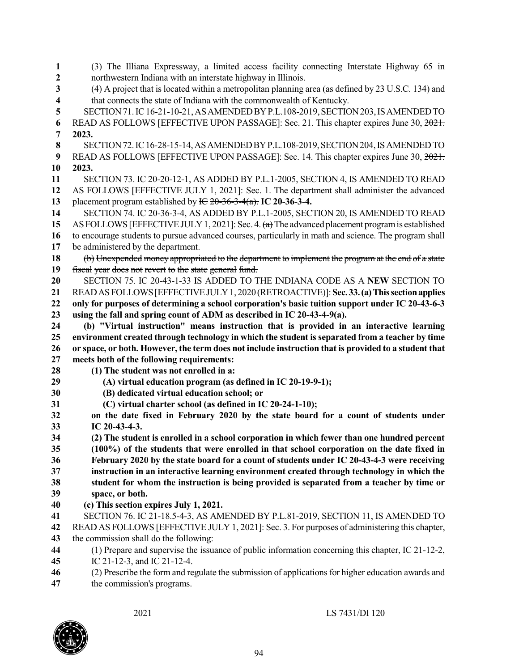(3) The Illiana Expressway, a limited access facility connecting Interstate Highway 65 in northwestern Indiana with an interstate highway in Illinois. (4) A project that is located within a metropolitan planning area (as defined by 23 U.S.C. 134) and that connects the state of Indiana with the commonwealth of Kentucky. SECTION71.IC16-21-10-21,ASAMENDEDBYP.L.108-2019,SECTION203,ISAMENDEDTO READ AS FOLLOWS [EFFECTIVE UPON PASSAGE]: Sec. 21. This chapter expires June 30, 2021. **2023.** SECTION72.IC16-28-15-14,ASAMENDEDBYP.L.108-2019,SECTION204,ISAMENDEDTO READ AS FOLLOWS [EFFECTIVE UPON PASSAGE]: Sec. 14. This chapter expires June 30, 2021. **2023.** SECTION 73. IC 20-20-12-1, AS ADDED BY P.L.1-2005, SECTION 4, IS AMENDED TO READ AS FOLLOWS [EFFECTIVE JULY 1, 2021]: Sec. 1. The department shall administer the advanced placement program established by IC 20-36-3-4(a). **IC 20-36-3-4.** SECTION 74. IC 20-36-3-4, AS ADDED BY P.L.1-2005, SECTION 20, IS AMENDED TO READ AS FOLLOWS [EFFECTIVE JULY 1, 2021]: Sec. 4. (a) The advanced placement program is established to encourage students to pursue advanced courses, particularly in math and science. The program shall be administered by the department. (b) Unexpended money appropriated to the department to implement the program at the end of a state fiscal year does not revert to the state general fund. SECTION 75. IC 20-43-1-33 IS ADDED TO THE INDIANA CODE AS A **NEW** SECTION TO READASFOLLOWS[EFFECTIVEJULY1, 2020 (RETROACTIVE)]:**Sec.33.(a)Thissectionapplies only for purposes of determining a school corporation's basic tuition support under IC 20-43-6-3 using the fall and spring count of ADM as described in IC 20-43-4-9(a). (b) "Virtual instruction" means instruction that is provided in an interactive learning environment created through technology in which the student is separated from a teacher by time** 26 or space, or both. However, the term does not include instruction that is provided to a student that **meets both of the following requirements: (1) The student was not enrolled in a: (A) virtual education program (as defined in IC 20-19-9-1); (B) dedicated virtual education school; or (C) virtual charter school (as defined in IC 20-24-1-10); on the date fixed in February 2020 by the state board for a count of students under IC 20-43-4-3. (2) The student is enrolled in a school corporation in which fewer than one hundred percent (100%) of the students that were enrolled in that school corporation on the date fixed in February 2020 by the state board for a count of students under IC 20-43-4-3 were receiving instruction in an interactive learning environment created through technology in which the student for whom the instruction is being provided is separated from a teacher by time or space, or both. (c) This section expires July 1, 2021.** SECTION 76. IC 21-18.5-4-3, AS AMENDED BY P.L.81-2019, SECTION 11, IS AMENDED TO READ AS FOLLOWS [EFFECTIVE JULY 1, 2021]: Sec. 3. For purposes of administering this chapter, the commission shall do the following: (1) Prepare and supervise the issuance of public information concerning this chapter, IC 21-12-2, IC 21-12-3, and IC 21-12-4. (2) Prescribe the form and regulate the submission of applications for higher education awards and

the commission's programs.

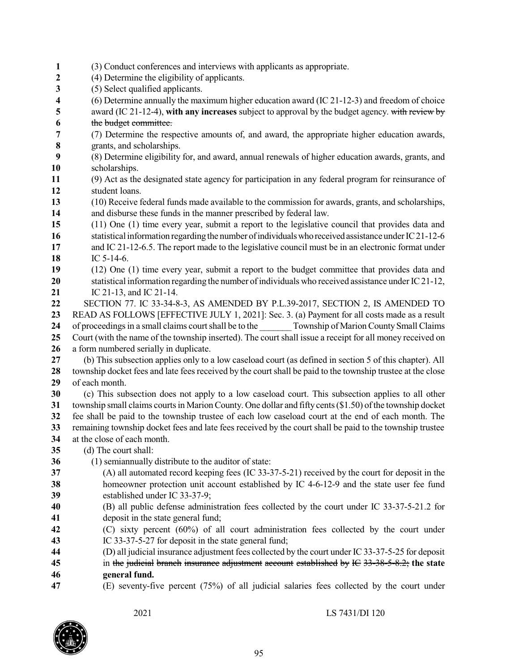- (3) Conduct conferences and interviews with applicants as appropriate. (4) Determine the eligibility of applicants. (5) Select qualified applicants. (6) Determine annually the maximum higher education award (IC 21-12-3) and freedom of choice award (IC 21-12-4), **with any increases** subject to approval by the budget agency. with review by the budget committee. (7) Determine the respective amounts of, and award, the appropriate higher education awards, grants, and scholarships. (8) Determine eligibility for, and award, annual renewals of higher education awards, grants, and scholarships. (9) Act as the designated state agency for participation in any federal program for reinsurance of student loans. (10) Receive federal funds made available to the commission for awards, grants, and scholarships, and disburse these funds in the manner prescribed by federal law. (11) One (1) time every year, submit a report to the legislative council that provides data and 16 statistical information regarding the number of individuals who received assistance under IC21-12-6 and IC 21-12-6.5. The report made to the legislative council must be in an electronic format under IC 5-14-6. (12) One (1) time every year, submit a report to the budget committee that provides data and 20 statistical information regarding the number of individuals who received assistance under IC 21-12, IC 21-13, and IC 21-14. SECTION 77. IC 33-34-8-3, AS AMENDED BY P.L.39-2017, SECTION 2, IS AMENDED TO READ AS FOLLOWS [EFFECTIVE JULY 1, 2021]: Sec. 3. (a) Payment for all costs made as a result 24 of proceedings in a small claims court shall be to the Township of Marion County Small Claims Court (with the name of the township inserted). The court shall issue a receipt for all money received on a form numbered serially in duplicate. (b) This subsection applies only to a low caseload court (as defined in section 5 of this chapter). All township docket fees and late fees received by the court shall be paid to the township trustee at the close of each month. (c) This subsection does not apply to a low caseload court. This subsection applies to all other township small claims courts in Marion County. One dollar and fifty cents (\$1.50) of the township docket fee shall be paid to the township trustee of each low caseload court at the end of each month. The remaining township docket fees and late fees received by the court shall be paid to the township trustee at the close of each month. (d) The court shall: (1) semiannually distribute to the auditor of state: (A) all automated record keeping fees (IC 33-37-5-21) received by the court for deposit in the homeowner protection unit account established by IC 4-6-12-9 and the state user fee fund established under IC 33-37-9; (B) all public defense administration fees collected by the court under IC 33-37-5-21.2 for deposit in the state general fund; (C) sixty percent (60%) of all court administration fees collected by the court under IC 33-37-5-27 for deposit in the state general fund; (D) all judicial insurance adjustment fees collected by the court under IC33-37-5-25 for deposit in the judicial branch insurance adjustment account established by IC 33-38-5-8.2; **the state general fund.**
- (E) seventy-five percent (75%) of all judicial salaries fees collected by the court under

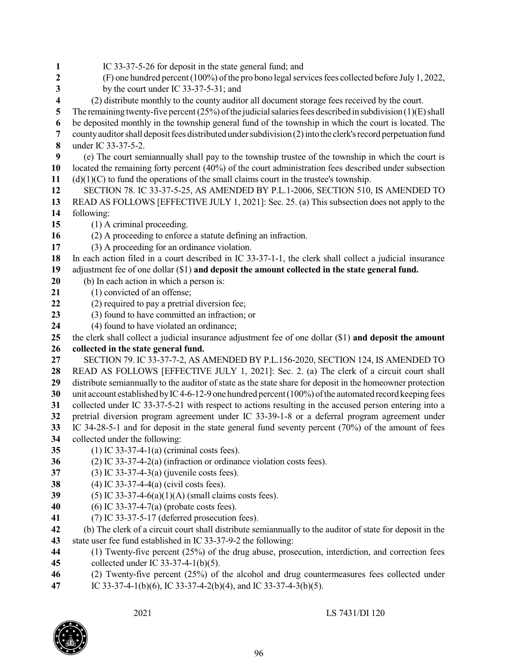IC 33-37-5-26 for deposit in the state general fund; and (F) one hundred percent (100%) of the pro bono legal services fees collected before July 1, 2022, by the court under IC 33-37-5-31; and (2) distribute monthly to the county auditor all document storage fees received by the court. The remaining twenty-five percent  $(25%)$  of the judicial salaries fees described in subdivision  $(1)(E)$  shall be deposited monthly in the township general fund of the township in which the court is located. The county auditor shall deposit fees distributed under subdivision (2) into the clerk's record perpetuation fund under IC 33-37-5-2. (e) The court semiannually shall pay to the township trustee of the township in which the court is located the remaining forty percent (40%) of the court administration fees described under subsection (d)(1)(C) to fund the operations of the small claims court in the trustee's township. SECTION 78. IC 33-37-5-25, AS AMENDED BY P.L.1-2006, SECTION 510, IS AMENDED TO READ AS FOLLOWS [EFFECTIVE JULY 1, 2021]: Sec. 25. (a) This subsection does not apply to the following: (1) A criminal proceeding. (2) A proceeding to enforce a statute defining an infraction. (3) A proceeding for an ordinance violation. In each action filed in a court described in IC 33-37-1-1, the clerk shall collect a judicial insurance adjustment fee of one dollar (\$1) **and deposit the amount collected in the state general fund.** (b) In each action in which a person is: (1) convicted of an offense; (2) required to pay a pretrial diversion fee; (3) found to have committed an infraction; or (4) found to have violated an ordinance; the clerk shall collect a judicial insurance adjustment fee of one dollar (\$1) **and deposit the amount collected in the state general fund.** SECTION 79. IC 33-37-7-2, AS AMENDED BY P.L.156-2020, SECTION 124, IS AMENDED TO READ AS FOLLOWS [EFFECTIVE JULY 1, 2021]: Sec. 2. (a) The clerk of a circuit court shall distribute semiannually to the auditor of state as the state share for deposit in the homeowner protection unit account established by IC4-6-12-9 one hundred percent (100%) of the automated record keeping fees collected under IC 33-37-5-21 with respect to actions resulting in the accused person entering into a pretrial diversion program agreement under IC 33-39-1-8 or a deferral program agreement under IC 34-28-5-1 and for deposit in the state general fund seventy percent (70%) of the amount of fees collected under the following: (1) IC 33-37-4-1(a) (criminal costs fees). (2) IC 33-37-4-2(a) (infraction or ordinance violation costs fees). (3) IC 33-37-4-3(a) (juvenile costs fees). (4) IC 33-37-4-4(a) (civil costs fees). (5) IC 33-37-4-6(a)(1)(A) (small claims costs fees). (6) IC 33-37-4-7(a) (probate costs fees). (7) IC 33-37-5-17 (deferred prosecution fees). (b) The clerk of a circuit court shall distribute semiannually to the auditor of state for deposit in the state user fee fund established in IC 33-37-9-2 the following: (1) Twenty-five percent (25%) of the drug abuse, prosecution, interdiction, and correction fees collected under IC 33-37-4-1(b)(5). (2) Twenty-five percent (25%) of the alcohol and drug countermeasures fees collected under IC 33-37-4-1(b)(6), IC 33-37-4-2(b)(4), and IC 33-37-4-3(b)(5).

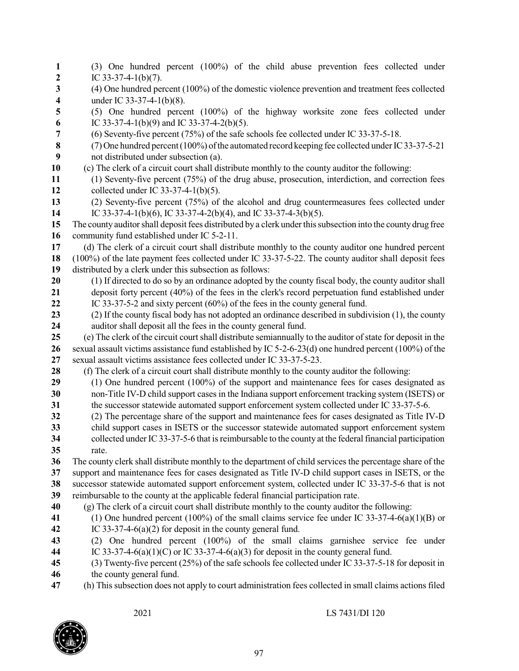| $\mathbf{1}$            | (3) One hundred percent (100%) of the child abuse prevention fees collected under                                                                                               |
|-------------------------|---------------------------------------------------------------------------------------------------------------------------------------------------------------------------------|
| $\boldsymbol{2}$        | IC 33-37-4-1(b)(7).                                                                                                                                                             |
| 3                       | (4) One hundred percent (100%) of the domestic violence prevention and treatment fees collected                                                                                 |
| $\overline{\mathbf{4}}$ | under IC 33-37-4-1(b)(8).                                                                                                                                                       |
| 5                       | (5) One hundred percent (100%) of the highway worksite zone fees collected under                                                                                                |
| $\boldsymbol{6}$<br>7   | IC 33-37-4-1(b)(9) and IC 33-37-4-2(b)(5).<br>(6) Seventy-five percent (75%) of the safe schools fee collected under IC 33-37-5-18.                                             |
| $\bf 8$                 | (7) One hundred percent (100%) of the automated record keeping fee collected under IC 33-37-5-21                                                                                |
| 9                       | not distributed under subsection (a).                                                                                                                                           |
| 10                      | (c) The clerk of a circuit court shall distribute monthly to the county auditor the following:                                                                                  |
| 11                      | (1) Seventy-five percent (75%) of the drug abuse, prosecution, interdiction, and correction fees                                                                                |
| 12                      | collected under IC 33-37-4-1(b)(5).                                                                                                                                             |
| 13                      | (2) Seventy-five percent (75%) of the alcohol and drug countermeasures fees collected under                                                                                     |
| 14                      | IC 33-37-4-1(b)(6), IC 33-37-4-2(b)(4), and IC 33-37-4-3(b)(5).                                                                                                                 |
| 15                      | The county auditor shall deposit fees distributed by a clerk under this subsection into the county drug free                                                                    |
| 16                      | community fund established under IC 5-2-11.                                                                                                                                     |
| 17                      | (d) The clerk of a circuit court shall distribute monthly to the county auditor one hundred percent                                                                             |
| 18                      | (100%) of the late payment fees collected under IC 33-37-5-22. The county auditor shall deposit fees                                                                            |
| 19                      | distributed by a clerk under this subsection as follows:                                                                                                                        |
| 20                      | (1) If directed to do so by an ordinance adopted by the county fiscal body, the county auditor shall                                                                            |
| 21                      | deposit forty percent (40%) of the fees in the clerk's record perpetuation fund established under                                                                               |
| 22                      | IC 33-37-5-2 and sixty percent $(60\%)$ of the fees in the county general fund.                                                                                                 |
| 23                      | (2) If the county fiscal body has not adopted an ordinance described in subdivision (1), the county                                                                             |
| 24                      | auditor shall deposit all the fees in the county general fund.                                                                                                                  |
| 25                      | (e) The clerk of the circuit court shall distribute semianmually to the auditor of state for deposit in the                                                                     |
| 26<br>27                | sexual assault victims assistance fund established by IC 5-2-6-23(d) one hundred percent (100%) of the<br>sexual assault victims assistance fees collected under IC 33-37-5-23. |
| 28                      | (f) The clerk of a circuit court shall distribute monthly to the county auditor the following:                                                                                  |
| 29                      | (1) One hundred percent (100%) of the support and maintenance fees for cases designated as                                                                                      |
| 30                      | non-Title IV-D child support cases in the Indiana support enforcement tracking system (ISETS) or                                                                                |
| 31                      | the successor statewide automated support enforcement system collected under IC 33-37-5-6.                                                                                      |
| 32                      | (2) The percentage share of the support and maintenance fees for cases designated as Title IV-D                                                                                 |
| 33                      | child support cases in ISETS or the successor statewide automated support enforcement system                                                                                    |
| 34                      | collected under IC 33-37-5-6 that is reimbursable to the county at the federal financial participation                                                                          |
| 35                      | rate.                                                                                                                                                                           |
| 36                      | The county clerk shall distribute monthly to the department of child services the percentage share of the                                                                       |
| 37                      | support and maintenance fees for cases designated as Title IV-D child support cases in ISETS, or the                                                                            |
| 38                      | successor statewide automated support enforcement system, collected under IC 33-37-5-6 that is not                                                                              |
| 39                      | reimbursable to the county at the applicable federal financial participation rate.                                                                                              |
| 40                      | (g) The clerk of a circuit court shall distribute monthly to the county auditor the following:                                                                                  |
| 41                      | (1) One hundred percent (100%) of the small claims service fee under IC 33-37-4-6(a)(1)(B) or                                                                                   |
| 42                      | IC 33-37-4-6(a)(2) for deposit in the county general fund.                                                                                                                      |
| 43                      | (2) One hundred percent (100%) of the small claims garnishee service fee under                                                                                                  |
| 44                      | IC 33-37-4-6(a)(1)(C) or IC 33-37-4-6(a)(3) for deposit in the county general fund.                                                                                             |
| 45                      | (3) Twenty-five percent $(25%)$ of the safe schools fee collected under IC 33-37-5-18 for deposit in                                                                            |
| 46                      | the county general fund.                                                                                                                                                        |

(h) This subsection does not apply to court administration fees collected in small claims actions filed

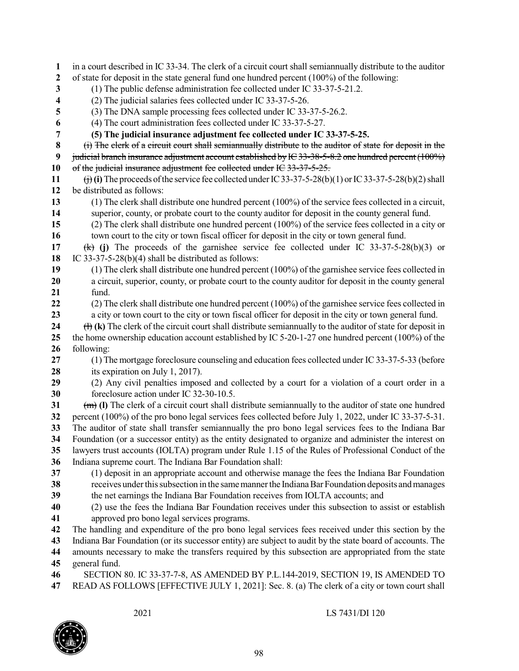| 1                       | in a court described in IC 33-34. The clerk of a circuit court shall semiannually distribute to the auditor                          |
|-------------------------|--------------------------------------------------------------------------------------------------------------------------------------|
| $\boldsymbol{2}$        | of state for deposit in the state general fund one hundred percent (100%) of the following:                                          |
| 3                       | (1) The public defense administration fee collected under IC 33-37-5-21.2.                                                           |
| $\overline{\mathbf{4}}$ | (2) The judicial salaries fees collected under IC 33-37-5-26.                                                                        |
| 5                       | (3) The DNA sample processing fees collected under IC 33-37-5-26.2.                                                                  |
| 6                       | (4) The court administration fees collected under IC 33-37-5-27.                                                                     |
| 7                       | (5) The judicial insurance adjustment fee collected under IC 33-37-5-25.                                                             |
| 8                       | (i) The elerk of a circuit court shall semianmually distribute to the auditor of state for deposit in the                            |
| 9                       | judicial branch insurance adjustment account established by IC 33-38-5-8.2 one hundred percent (100%)                                |
| 10                      | of the judicial insurance adjustment fee collected under IC 33-37-5-25.                                                              |
| 11                      | $\overrightarrow{()}$ (i) The proceeds of the service fee collected under IC 33-37-5-28(b)(1) or IC 33-37-5-28(b)(2) shall           |
| 12                      | be distributed as follows:                                                                                                           |
| 13                      | $(1)$ The clerk shall distribute one hundred percent $(100\%)$ of the service fees collected in a circuit,                           |
| 14                      | superior, county, or probate court to the county auditor for deposit in the county general fund.                                     |
| 15                      | (2) The clerk shall distribute one hundred percent (100%) of the service fees collected in a city or                                 |
| 16                      | town court to the city or town fiscal officer for deposit in the city or town general fund.                                          |
| 17                      | (b) The proceeds of the garnishee service fee collected under IC 33-37-5-28(b)(3) or                                                 |
| 18                      | IC 33-37-5-28(b)(4) shall be distributed as follows:                                                                                 |
| 19                      | $(1)$ The clerk shall distribute one hundred percent $(100\%)$ of the garnishee service fees collected in                            |
| 20                      | a circuit, superior, county, or probate court to the county auditor for deposit in the county general                                |
| 21                      | fund.                                                                                                                                |
| 22                      | $(2)$ The clerk shall distribute one hundred percent $(100\%)$ of the garnishee service fees collected in                            |
| 23                      | a city or town court to the city or town fiscal officer for deposit in the city or town general fund.                                |
| 24                      | $\left(\frac{1}{1}\right)$ (k) The clerk of the circuit court shall distribute semianmually to the auditor of state for deposit in   |
| 25                      | the home ownership education account established by IC 5-20-1-27 one hundred percent $(100\%)$ of the                                |
| 26                      | following:                                                                                                                           |
| 27<br>28                | (1) The mortgage foreclosure counseling and education fees collected under IC 33-37-5-33 (before<br>its expiration on July 1, 2017). |
| 29                      | (2) Any civil penalties imposed and collected by a court for a violation of a court order in a                                       |
| 30                      | foreclosure action under IC 32-30-10.5.                                                                                              |
| 31                      | $\overline{(m)}$ (I) The clerk of a circuit court shall distribute semiannually to the auditor of state one hundred                  |
| 32                      | percent (100%) of the pro bono legal services fees collected before July 1, 2022, under IC 33-37-5-31.                               |
| 33                      | The auditor of state shall transfer semiannually the pro bono legal services fees to the Indiana Bar                                 |
| 34                      | Foundation (or a successor entity) as the entity designated to organize and administer the interest on                               |
| 35                      | lawyers trust accounts (IOLTA) program under Rule 1.15 of the Rules of Professional Conduct of the                                   |
| 36                      | Indiana supreme court. The Indiana Bar Foundation shall:                                                                             |
| 37                      | (1) deposit in an appropriate account and otherwise manage the fees the Indiana Bar Foundation                                       |
| 38                      | receives under this subsection in the same manner the Indiana Bar Foundation deposits and manages                                    |
| 39                      | the net earnings the Indiana Bar Foundation receives from IOLTA accounts; and                                                        |
| 40                      | (2) use the fees the Indiana Bar Foundation receives under this subsection to assist or establish                                    |
| 41                      | approved pro bono legal services programs.                                                                                           |
| 42                      | The handling and expenditure of the pro bono legal services fees received under this section by the                                  |
| 43                      | Indiana Bar Foundation (or its successor entity) are subject to audit by the state board of accounts. The                            |
| 44                      | amounts necessary to make the transfers required by this subsection are appropriated from the state                                  |
| 45                      | general fund.                                                                                                                        |
| 46                      | SECTION 80. IC 33-37-7-8, AS AMENDED BY P.L.144-2019, SECTION 19, IS AMENDED TO                                                      |
| 47                      | READ AS FOLLOWS [EFFECTIVE JULY 1, 2021]: Sec. 8. (a) The clerk of a city or town court shall                                        |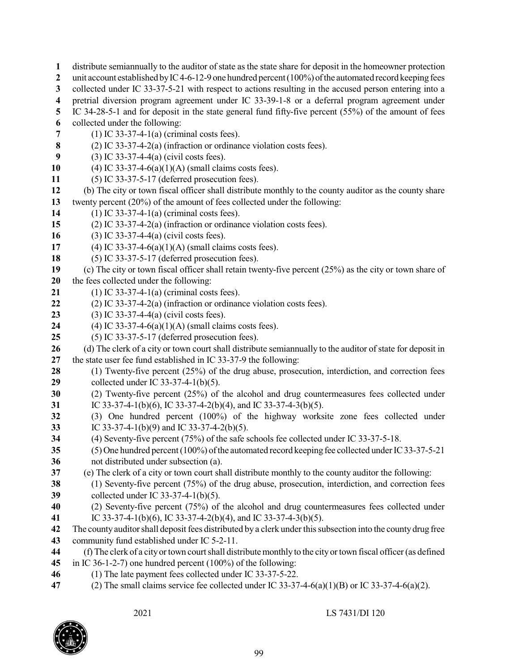- distribute semiannually to the auditor ofstate as the state share for deposit in the homeowner protection unit account established by IC4-6-12-9 one hundred percent (100%) of the automated record keeping fees collected under IC 33-37-5-21 with respect to actions resulting in the accused person entering into a pretrial diversion program agreement under IC 33-39-1-8 or a deferral program agreement under IC 34-28-5-1 and for deposit in the state general fund fifty-five percent (55%) of the amount of fees collected under the following: (1) IC 33-37-4-1(a) (criminal costs fees). (2) IC 33-37-4-2(a) (infraction or ordinance violation costs fees). (3) IC 33-37-4-4(a) (civil costs fees). (4) IC 33-37-4-6(a)(1)(A) (small claims costs fees). (5) IC 33-37-5-17 (deferred prosecution fees). (b) The city or town fiscal officer shall distribute monthly to the county auditor as the county share twenty percent (20%) of the amount of fees collected under the following: (1) IC 33-37-4-1(a) (criminal costs fees). (2) IC 33-37-4-2(a) (infraction or ordinance violation costs fees). (3) IC 33-37-4-4(a) (civil costs fees). (4) IC 33-37-4-6(a)(1)(A) (small claims costs fees). (5) IC 33-37-5-17 (deferred prosecution fees). (c) The city or town fiscal officer shall retain twenty-five percent (25%) as the city or town share of the fees collected under the following: (1) IC 33-37-4-1(a) (criminal costs fees). (2) IC 33-37-4-2(a) (infraction or ordinance violation costs fees). (3) IC 33-37-4-4(a) (civil costs fees). (4) IC 33-37-4-6(a)(1)(A) (small claims costs fees). (5) IC 33-37-5-17 (deferred prosecution fees). (d) The clerk of a city or town court shall distribute semiannually to the auditor of state for deposit in the state user fee fund established in IC 33-37-9 the following: (1) Twenty-five percent (25%) of the drug abuse, prosecution, interdiction, and correction fees collected under IC 33-37-4-1(b)(5). (2) Twenty-five percent (25%) of the alcohol and drug countermeasures fees collected under IC 33-37-4-1(b)(6), IC 33-37-4-2(b)(4), and IC 33-37-4-3(b)(5). (3) One hundred percent (100%) of the highway worksite zone fees collected under IC 33-37-4-1(b)(9) and IC 33-37-4-2(b)(5). (4) Seventy-five percent (75%) of the safe schools fee collected under IC 33-37-5-18. (5) One hundred percent(100%) ofthe automated record keeping fee collected underIC33-37-5-21 not distributed under subsection (a). (e) The clerk of a city or town court shall distribute monthly to the county auditor the following: (1) Seventy-five percent (75%) of the drug abuse, prosecution, interdiction, and correction fees collected under IC 33-37-4-1(b)(5). (2) Seventy-five percent (75%) of the alcohol and drug countermeasures fees collected under IC 33-37-4-1(b)(6), IC 33-37-4-2(b)(4), and IC 33-37-4-3(b)(5). The county auditor shall deposit fees distributed by a clerk under this subsection into the county drug free community fund established under IC 5-2-11. (f) The clerk of a cityortown courtshall distributemonthlyto the cityortown fiscal officer(as defined in IC 36-1-2-7) one hundred percent (100%) of the following: (1) The late payment fees collected under IC 33-37-5-22.
- (2) The small claims service fee collected under IC 33-37-4-6(a)(1)(B) or IC 33-37-4-6(a)(2).

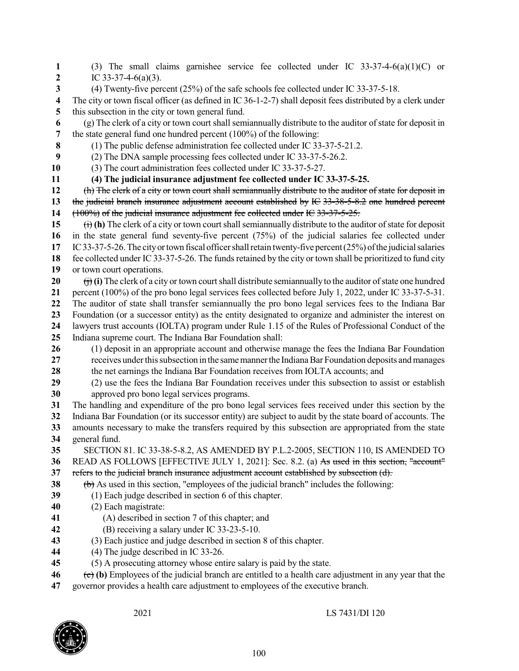(3) The small claims garnishee service fee collected under IC 33-37-4-6(a)(1)(C) or IC 33-37-4-6(a)(3). (4) Twenty-five percent (25%) of the safe schools fee collected under IC 33-37-5-18. The city or town fiscal officer (as defined in IC 36-1-2-7) shall deposit fees distributed by a clerk under this subsection in the city or town general fund. (g) The clerk of a city or town court shall semiannually distribute to the auditor ofstate for deposit in the state general fund one hundred percent (100%) of the following: (1) The public defense administration fee collected under IC 33-37-5-21.2. (2) The DNA sample processing fees collected under IC 33-37-5-26.2. (3) The court administration fees collected under IC 33-37-5-27. **(4) The judicial insurance adjustment fee collected under IC 33-37-5-25.** 12 (h) The clerk of a city or town court shall semianmually distribute to the auditor of state for deposit in the judicial branch insurance adjustment account established by IC 33-38-5-8.2 one hundred percent (100%) of the judicial insurance adjustment fee collected under IC 33-37-5-25.  $(i)$  (i) The clerk of a city or town court shall semiannually distribute to the auditor of state for deposit in the state general fund seventy-five percent (75%) of the judicial salaries fee collected under IC33-37-5-26.The cityortown fiscal officershallretain twenty-five percent(25%) ofthe judicialsalaries 18 fee collected under IC 33-37-5-26. The funds retained by the city or town shall be prioritized to fund city or town court operations. (i) The clerk of a city or town court shall distribute semiannually to the auditor of state one hundred percent (100%) of the pro bono legal services fees collected before July 1, 2022, under IC 33-37-5-31. The auditor of state shall transfer semiannually the pro bono legal services fees to the Indiana Bar Foundation (or a successor entity) as the entity designated to organize and administer the interest on lawyers trust accounts (IOLTA) program under Rule 1.15 of the Rules of Professional Conduct of the Indiana supreme court. The Indiana Bar Foundation shall: (1) deposit in an appropriate account and otherwise manage the fees the Indiana Bar Foundation **receives under this subsection in the same manner the Indiana Bar Foundation deposits and manages**  the net earnings the Indiana Bar Foundation receives from IOLTA accounts; and (2) use the fees the Indiana Bar Foundation receives under this subsection to assist or establish approved pro bono legal services programs. The handling and expenditure of the pro bono legal services fees received under this section by the Indiana Bar Foundation (or its successor entity) are subject to audit by the state board of accounts. The amounts necessary to make the transfers required by this subsection are appropriated from the state general fund. SECTION 81. IC 33-38-5-8.2, AS AMENDED BY P.L.2-2005, SECTION 110, IS AMENDED TO READ AS FOLLOWS [EFFECTIVE JULY 1, 2021]: Sec. 8.2. (a) As used in this section, "account" refers to the judicial branch insurance adjustment account established by subsection (d). (b) As used in this section, "employees of the judicial branch" includes the following: (1) Each judge described in section 6 of this chapter. (2) Each magistrate: (A) described in section 7 of this chapter; and (B) receiving a salary under IC 33-23-5-10. (3) Each justice and judge described in section 8 of this chapter. (4) The judge described in IC 33-26. (5) A prosecuting attorney whose entire salary is paid by the state. (c) **(b)** Employees of the judicial branch are entitled to a health care adjustment in any year that the

governor provides a health care adjustment to employees of the executive branch.

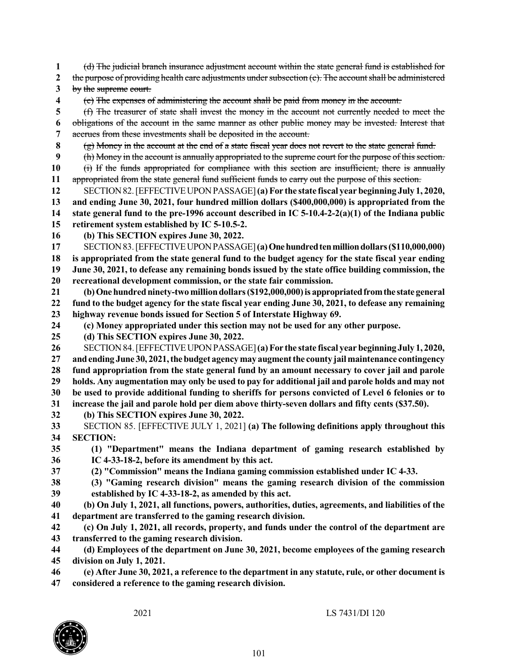(d) The judicial branch insurance adjustment account within the state general fund is established for the purpose of providing health care adjustments under subsection (c). The account shall be administered by the supreme court. (e) The expenses of administering the account shall be paid from money in the account. (f) The treasurer of state shall invest the money in the account not currently needed to meet the obligations of the account in the same manner as other public money may be invested. Interest that accrues from these investments shall be deposited in the account. (g) Money in the account at the end of a state fiscal year does not revert to the state general fund. (h) Money in the account is annually appropriated to the supreme court for the purpose of this section. 10 (i) If the funds appropriated for compliance with this section are insufficient, there is annually appropriated from the state general fund sufficient funds to carry out the purpose of this section. SECTION82.[EFFECTIVEUPONPASSAGE]**(a)For the state fiscal year beginning July 1, 2020, and ending June 30, 2021, four hundred million dollars (\$400,000,000) is appropriated from the state general fund to the pre-1996 account described in IC 5-10.4-2-2(a)(1) of the Indiana public retirement system established by IC 5-10.5-2. (b) This SECTION expires June 30, 2022.** SECTION83.[EFFECTIVEUPONPASSAGE]**(a)Onehundredtenmilliondollars(\$110,000,000)** 18 is appropriated from the state general fund to the budget agency for the state fiscal year ending **June 30, 2021, to defease any remaining bonds issued by the state office building commission, the recreational development commission, or the state fair commission. (b)Onehundredninety-twomilliondollars(\$192,000,000)is appropriatedfromthe state general** 22 fund to the budget agency for the state fiscal year ending June 30, 2021, to defease any remaining **highway revenue bonds issued for Section 5 of Interstate Highway 69. (c) Money appropriated under this section may not be used for any other purpose. (d) This SECTION expires June 30, 2022.** SECTION84.[EFFECTIVEUPONPASSAGE]**(a)For the state fiscal year beginning July 1, 2020, andending June 30, 2021,thebudget agencymay augmentthe county jailmaintenance contingency fund appropriation from the state general fund by an amount necessary to cover jail and parole** 29 holds. Any augmentation may only be used to pay for additional jail and parole holds and may not **be used to provide additional funding to sheriffs for persons convicted of Level 6 felonies or to increase the jail and parole hold per diem above thirty-seven dollars and fifty cents (\$37.50). (b) This SECTION expires June 30, 2022.** SECTION 85. [EFFECTIVE JULY 1, 2021] **(a) The following definitions apply throughout this SECTION: (1) "Department" means the Indiana department of gaming research established by IC 4-33-18-2, before its amendment by this act. (2) "Commission" means the Indiana gaming commission established under IC 4-33. (3) "Gaming research division" means the gaming research division of the commission established by IC 4-33-18-2, as amended by this act. (b) On July 1, 2021, all functions, powers, authorities, duties, agreements, and liabilities of the department are transferred to the gaming research division. (c) On July 1, 2021, all records, property, and funds under the control of the department are transferred to the gaming research division. (d) Employees of the department on June 30, 2021, become employees of the gaming research division on July 1, 2021.** 46 (e) After June 30, 2021, a reference to the department in any statute, rule, or other document is **considered a reference to the gaming research division.**